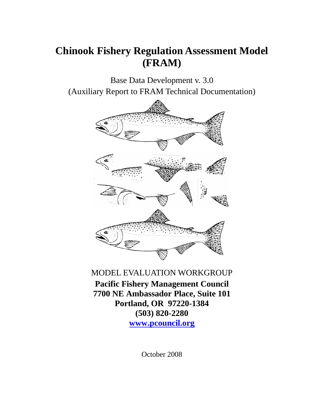# **Chinook Fishery Regulation Assessment Model (FRAM)**

Base Data Development v. 3.0 (Auxiliary Report to FRAM Technical Documentation)



## MODEL EVALUATION WORKGROUP

**Pacific Fishery Management Council 7700 NE Ambassador Place, Suite 101 Portland, OR 97220-1384 (503) 820-2280 www.pcouncil.org**

October 2008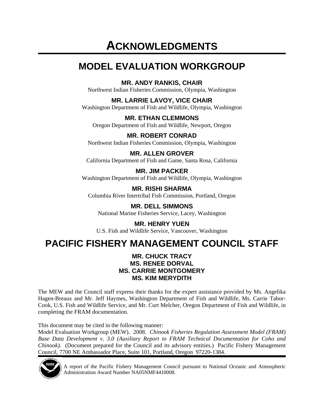# **ACKNOWLEDGMENTS**

# **MODEL EVALUATION WORKGROUP**

**MR. ANDY RANKIS, CHAIR** 

Northwest Indian Fisheries Commission, Olympia, Washington

**MR. LARRIE LAVOY, VICE CHAIR** 

Washington Department of Fish and Wildlife, Olympia, Washington

**MR. ETHAN CLEMMONS**  Oregon Department of Fish and Wildlife, Newport, Oregon

**MR. ROBERT CONRAD**  Northwest Indian Fisheries Commission, Olympia, Washington

**MR. ALLEN GROVER**  California Department of Fish and Game, Santa Rosa, California

**MR. JIM PACKER**  Washington Department of Fish and Wildlife, Olympia, Washington

**MR. RISHI SHARMA**  Columbia River Intertribal Fish Commission, Portland, Oregon

**MR. DELL SIMMONS**  National Marine Fisheries Service, Lacey, Washington

**MR. HENRY YUEN**  U.S. Fish and Wildlife Service, Vancouver, Washington

# **PACIFIC FISHERY MANAGEMENT COUNCIL STAFF**

#### **MR. CHUCK TRACY MS. RENEE DORVAL MS. CARRIE MONTGOMERY MS. KIM MERYDITH**

The MEW and the Council staff express their thanks for the expert assistance provided by Ms. Angelika Hagen-Breaux and Mr. Jeff Haymes, Washington Department of Fish and Wildlife, Ms. Carrie Tabor-Cook, U.S. Fish and Wildlife Service, and Mr. Curt Melcher, Oregon Department of Fish and Wildlife, in completing the FRAM documentation.

This document may be cited in the following manner:

Model Evaluation Workgroup (MEW). 2008. *Chinook Fisheries Regulation Assessment Model (FRAM) Base Data Development v. 3.0 (Auxiliary Report to FRAM Technical Documentation for Coho and Chinook).* (Document prepared for the Council and its advisory entities.) Pacific Fishery Management Council, 7700 NE Ambassador Place, Suite 101, Portland, Oregon 97220-1384.



A report of the Pacific Fishery Management Council pursuant to National Oceanic and Atmospheric Administration Award Number NA05NMF4410008.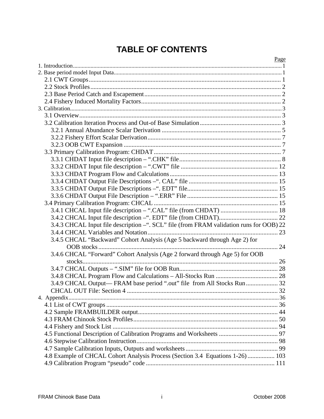# **TABLE OF CONTENTS**

|                                                                                         | Page |
|-----------------------------------------------------------------------------------------|------|
|                                                                                         |      |
|                                                                                         |      |
|                                                                                         |      |
|                                                                                         |      |
|                                                                                         |      |
|                                                                                         |      |
|                                                                                         |      |
|                                                                                         |      |
|                                                                                         |      |
|                                                                                         |      |
|                                                                                         |      |
|                                                                                         |      |
|                                                                                         |      |
|                                                                                         |      |
|                                                                                         |      |
|                                                                                         |      |
|                                                                                         |      |
|                                                                                         |      |
|                                                                                         |      |
|                                                                                         |      |
|                                                                                         |      |
| 3.4.3 CHCAL Input file description -". SCL" file (from FRAM validation runs for OOB) 22 |      |
|                                                                                         |      |
| 3.4.5 CHCAL "Backward" Cohort Analysis (Age 5 backward through Age 2) for               |      |
|                                                                                         |      |
| 3.4.6 CHCAL "Forward" Cohort Analysis (Age 2 forward through Age 5) for OOB             |      |
|                                                                                         |      |
|                                                                                         |      |
|                                                                                         |      |
| 3.4.9 CHCAL Output— FRAM base period ".out" file from All Stocks Run 32                 |      |
|                                                                                         |      |
|                                                                                         |      |
|                                                                                         |      |
|                                                                                         |      |
|                                                                                         |      |
|                                                                                         |      |
|                                                                                         |      |
|                                                                                         |      |
|                                                                                         |      |
| 4.8 Example of CHCAL Cohort Analysis Process (Section 3.4 Equations 1-26) 103           |      |
|                                                                                         |      |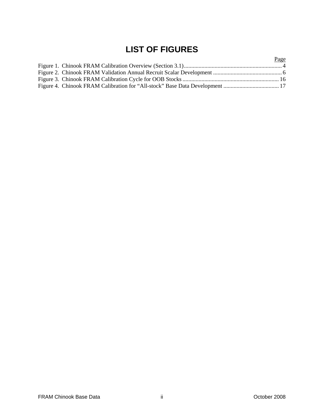# **LIST OF FIGURES**

| Page |
|------|
|      |
|      |
|      |
|      |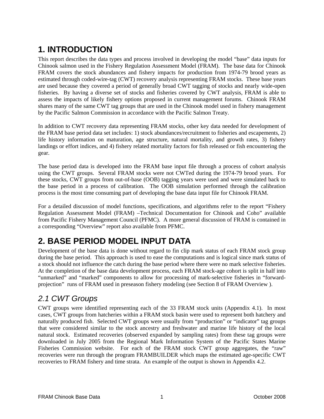# **1. INTRODUCTION**

This report describes the data types and process involved in developing the model "base" data inputs for Chinook salmon used in the Fishery Regulation Assessment Model (FRAM). The base data for Chinook FRAM covers the stock abundances and fishery impacts for production from 1974-79 brood years as estimated through coded-wire-tag (CWT) recovery analysis representing FRAM stocks. These base years are used because they covered a period of generally broad CWT tagging of stocks and nearly wide-open fisheries. By having a diverse set of stocks and fisheries covered by CWT analysis, FRAM is able to assess the impacts of likely fishery options proposed in current management forums. Chinook FRAM shares many of the same CWT tag groups that are used in the Chinook model used in fishery management by the Pacific Salmon Commission in accordance with the Pacific Salmon Treaty.

In addition to CWT recovery data representing FRAM stocks, other key data needed for development of the FRAM base period data set includes: 1) stock abundances/recruitment to fisheries and escapements, 2) life history information on maturation, age structure, natural mortality, and growth rates, 3) fishery landings or effort indices, and 4) fishery related mortality factors for fish released or fish encountering the gear.

The base period data is developed into the FRAM base input file through a process of cohort analysis using the CWT groups. Several FRAM stocks were not CWTed during the 1974-79 brood years. For these stocks, CWT groups from out-of-base (OOB) tagging years were used and were simulated back to the base period in a process of calibration. The OOB simulation performed through the calibration process is the most time consuming part of developing the base data input file for Chinook FRAM.

For a detailed discussion of model functions, specifications, and algorithms refer to the report "Fishery Regulation Assessment Model (FRAM) –Technical Documentation for Chinook and Coho" available from Pacific Fishery Management Council (PFMC). A more general discussion of FRAM is contained in a corresponding "Overview" report also available from PFMC.

# **2. BASE PERIOD MODEL INPUT DATA**

Development of the base data is done without regard to fin clip mark status of each FRAM stock group during the base period. This approach is used to ease the computations and is logical since mark status of a stock should not influence the catch during the base period where there were no mark selective fisheries. At the completion of the base data development process, each FRAM stock-age cohort is split in half into "unmarked" and "marked" components to allow for processing of mark-selective fisheries in "forwardprojection" runs of FRAM used in preseason fishery modeling (see Section 8 of FRAM Overview ).

# *2.1 CWT Groups*

CWT groups were identified representing each of the 33 FRAM stock units (Appendix 4.1). In most cases, CWT groups from hatcheries within a FRAM stock basin were used to represent both hatchery and naturally produced fish. Selected CWT groups were usually from "production" or "indicator" tag groups that were considered similar to the stock ancestry and freshwater and marine life history of the local natural stock. Estimated recoveries (observed expanded by sampling rates) from these tag groups were downloaded in July 2005 from the Regional Mark Information System of the Pacific States Marine Fisheries Commission website. For each of the FRAM stock CWT group aggregates, the "raw" recoveries were run through the program FRAMBUILDER which maps the estimated age-specific CWT recoveries to FRAM fishery and time strata. An example of the output is shown in Appendix 4.2.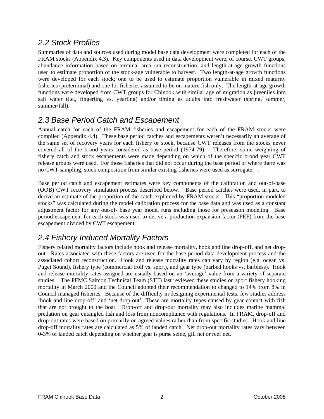## *2.2 Stock Profiles*

Summaries of data and sources used during model base data development were completed for each of the FRAM stocks (Appendix 4.3). Key components used in data development were, of course, CWT groups, abundance information based on terminal area run reconstruction, and length-at-age growth functions used to estimate proportion of the stock-age vulnerable to harvest. Two length-at-age growth functions were developed for each stock; one to be used to estimate proportion vulnerable in mixed maturity fisheries (preterminal) and one for fisheries assumed to be on mature fish only. The length-at-age growth functions were developed from CWT groups for Chinook with similar age of migration as juveniles into salt water (i.e., fingerling vs. yearling) and/or timing as adults into freshwater (spring, summer, summer/fall).

# *2.3 Base Period Catch and Escapement*

Annual catch for each of the FRAM fisheries and escapement for each of the FRAM stocks were compiled (Appendix 4.4). These base period catches and escapements weren't necessarily an average of the same set of recovery years for each fishery or stock, because CWT releases from the stocks never covered all of the brood years considered as base period (1974-79). Therefore, some weighting of fishery catch and stock escapements were made depending on which of the specific brood year CWT release groups were used. For those fisheries that did not occur during the base period or where there was no CWT sampling, stock composition from similar existing fisheries were used as surrogate. .

Base period catch and escapement estimates were key components of the calibration and out-of-base (OOB) CWT recovery simulation process described below. Base period catches were used, in part, to derive an estimate of the proportion of the catch explained by FRAM stocks. This "proportion modeled stocks" was calculated during the model calibration process for the base data and was used as a constant adjustment factor for any out-of- base year model runs including those for preseason modeling. Base period escapement for each stock was used to derive a production expansion factor (PEF) from the base escapement divided by CWT escapement.

# *2.4 Fishery Induced Mortality Factors*

Fishery related mortality factors include hook and release mortality, hook and line drop-off, and net dropout. Rates associated with these factors are used for the base period data development process and the associated cohort reconstruction. Hook and release mortality rates can vary by region (e.g. ocean vs. Puget Sound), fishery type (commercial troll vs. sport), and gear type (barbed hooks vs. barbless). Hook and release mortality rates assigned are usually based on an 'average' value from a variety of separate studies. The PFMC Salmon Technical Team (STT) last reviewed these studies on sport fishery hooking mortality in March 2000 and the Council adopted their recommendation to changed to 14% from 8% in Council managed fisheries. Because of the difficulty in designing experimental tests, few studies address 'hook and line drop-off' and 'net drop-out' These are mortality types caused by gear contact with fish that are not brought to the boat. Drop-off and drop-out mortality may also includes marine mammal predation on gear entangled fish and loss from noncompliance with regulations. In FRAM, drop-off and drop-out rates were based on primarily on agreed values rather than from specific studies. Hook and line drop-off mortality rates are calculated as 5% of landed catch. Net drop-out mortality rates vary between 0-3% of landed catch depending on whether gear is purse seine, gill net or reef net.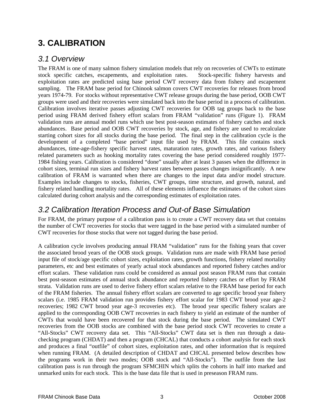# **3. CALIBRATION**

## *3.1 Overview*

The FRAM is one of many salmon fishery simulation models that rely on recoveries of CWTs to estimate stock specific catches, escapements, and exploitation rates. Stock-specific fishery harvests and exploitation rates are predicted using base period CWT recovery data from fishery and escapement sampling. The FRAM base period for Chinook salmon covers CWT recoveries for releases from brood years 1974-79. For stocks without representative CWT release groups during the base period, OOB CWT groups were used and their recoveries were simulated back into the base period in a process of calibration. Calibration involves iterative passes adjusting CWT recoveries for OOB tag groups back to the base period using FRAM derived fishery effort scalars from FRAM "validation" runs (Figure 1). FRAM validation runs are annual model runs which use best post-season estimates of fishery catches and stock abundances. Base period and OOB CWT recoveries by stock, age, and fishery are used to recalculate starting cohort sizes for all stocks during the base period. The final step in the calibration cycle is the development of a completed "base period" input file used by FRAM. This file contains stock abundances, time-age-fishery specific harvest rates, maturation rates, growth rates, and various fishery related parameters such as hooking mortality rates covering the base period considered roughly 1977- 1984 fishing years. Calibration is considered "done" usually after at least 3 passes when the difference in cohort sizes, terminal run sizes and fishery harvest rates between passes changes insignificantly. A new calibration of FRAM is warranted when there are changes to the input data and/or model structure. Examples include changes to stocks, fisheries, CWT groups, time structure, and growth, natural, and fishery related handling mortality rates. All of these elements influence the estimates of the cohort sizes calculated during cohort analysis and the corresponding estimates of exploitation rates.

### *3.2 Calibration Iteration Process and Out-of Base Simulation*

For FRAM, the primary purpose of a calibration pass is to create a CWT recovery data set that contains the number of CWT recoveries for stocks that were tagged in the base period with a simulated number of CWT recoveries for those stocks that were not tagged during the base period.

A calibration cycle involves producing annual FRAM "validation" runs for the fishing years that cover the associated brood years of the OOB stock groups. Validation runs are made with FRAM base period input file of stock/age specific cohort sizes, exploitation rates, growth functions, fishery related mortality parameters, etc and best estimates of yearly actual stock abundances and reported fishery catches and/or effort scalars. These validation runs could be considered as annual post season FRAM runs that contain best post-season estimates of annual stock abundance and reported fishery catches or effort by FRAM strata. Validation runs are used to derive fishery effort scalars relative to the FRAM base period for each of the FRAM fisheries. The annual fishery effort scalars are converted to age specific brood year fishery scalars (i.e. 1985 FRAM validation run provides fishery effort scalar for 1983 CWT brood year age-2 recoveries; 1982 CWT brood year age-3 recoveries etc). The brood year specific fishery scalars are applied to the corresponding OOB CWT recoveries in each fishery to yield an estimate of the number of CWTs that would have been recovered for that stock during the base period. The simulated CWT recoveries from the OOB stocks are combined with the base period stock CWT recoveries to create a "All-Stocks" CWT recovery data set. This "All-Stocks" CWT data set is then run through a datachecking program (CHDAT) and then a program (CHCAL) that conducts a cohort analysis for each stock and produces a final "outfile" of cohort sizes, exploitation rates, and other information that is required when running FRAM. (A detailed description of CHDAT and CHCAL presented below describes how the programs work in their two modes; OOB stock and "All-Stocks"). The outfile from the last calibration pass is run through the program SFMCHIN which splits the cohorts in half into marked and unmarked units for each stock. This is the base data file that is used in preseason FRAM runs.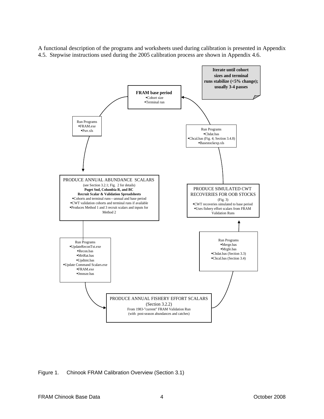A functional description of the programs and worksheets used during calibration is presented in Appendix 4.5. Stepwise instructions used during the 2005 calibration process are shown in Appendix 4.6.



Figure 1. Chinook FRAM Calibration Overview (Section 3.1)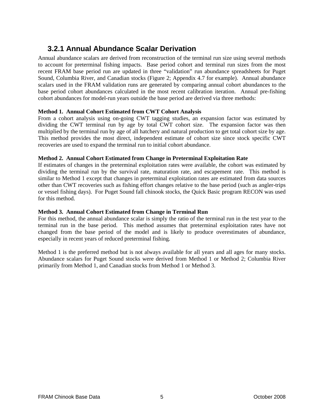## **3.2.1 Annual Abundance Scalar Derivation**

Annual abundance scalars are derived from reconstruction of the terminal run size using several methods to account for preterminal fishing impacts. Base period cohort and terminal run sizes from the most recent FRAM base period run are updated in three "validation" run abundance spreadsheets for Puget Sound, Columbia River, and Canadian stocks (Figure 2; Appendix 4.7 for example). Annual abundance scalars used in the FRAM validation runs are generated by comparing annual cohort abundances to the base period cohort abundances calculated in the most recent calibration iteration. Annual pre-fishing cohort abundances for model-run years outside the base period are derived via three methods:

#### **Method 1. Annual Cohort Estimated from CWT Cohort Analysis**

From a cohort analysis using on-going CWT tagging studies, an expansion factor was estimated by dividing the CWT terminal run by age by total CWT cohort size. The expansion factor was then multiplied by the terminal run by age of all hatchery and natural production to get total cohort size by age. This method provides the most direct, independent estimate of cohort size since stock specific CWT recoveries are used to expand the terminal run to initial cohort abundance.

#### **Method 2. Annual Cohort Estimated from Change in Preterminal Exploitation Rate**

If estimates of changes in the preterminal exploitation rates were available, the cohort was estimated by dividing the terminal run by the survival rate, maturation rate, and escapement rate. This method is similar to Method 1 except that changes in preterminal exploitation rates are estimated from data sources other than CWT recoveries such as fishing effort changes relative to the base period (such as angler-trips or vessel fishing days). For Puget Sound fall chinook stocks, the Quick Basic program RECON was used for this method.

#### **Method 3. Annual Cohort Estimated from Change in Terminal Run**

For this method, the annual abundance scalar is simply the ratio of the terminal run in the test year to the terminal run in the base period. This method assumes that preterminal exploitation rates have not changed from the base period of the model and is likely to produce overestimates of abundance, especially in recent years of reduced preterminal fishing.

Method 1 is the preferred method but is not always available for all years and all ages for many stocks. Abundance scalars for Puget Sound stocks were derived from Method 1 or Method 2; Columbia River primarily from Method 1, and Canadian stocks from Method 1 or Method 3.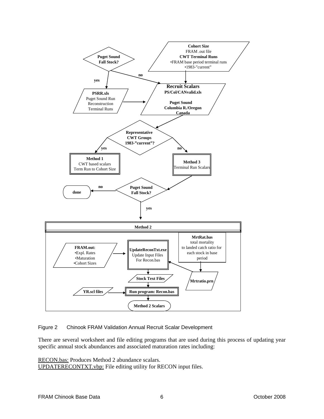

Figure 2 Chinook FRAM Validation Annual Recruit Scalar Development

There are several worksheet and file editing programs that are used during this process of updating year specific annual stock abundances and associated maturation rates including:

RECON.bas: Produces Method 2 abundance scalars.

UPDATERECONTXT.vbp: File editing utility for RECON input files.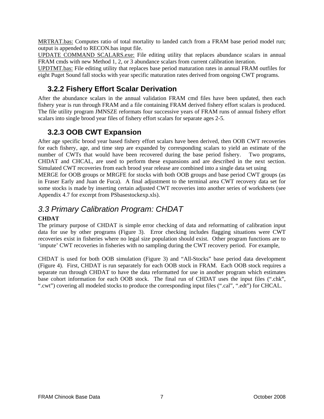MRTRAT.bas: Computes ratio of total mortality to landed catch from a FRAM base period model run; output is appended to RECON.bas input file.

UPDATE COMMAND SCALARS.exe: File editing utility that replaces abundance scalars in annual FRAM cmds with new Method 1, 2, or 3 abundance scalars from current calibration iteration.

UPDTMT.bas: File editing utility that replaces base period maturation rates in annual FRAM outfiles for eight Puget Sound fall stocks with year specific maturation rates derived from ongoing CWT programs.

### **3.2.2 Fishery Effort Scalar Derivation**

After the abundance scalars in the annual validation FRAM cmd files have been updated, then each fishery year is run through FRAM and a file containing FRAM derived fishery effort scalars is produced. The file utility program JMNSZE reformats four successive years of FRAM runs of annual fishery effort scalars into single brood year files of fishery effort scalars for separate ages 2-5.

### **3.2.3 OOB CWT Expansion**

After age specific brood year based fishery effort scalars have been derived, then OOB CWT recoveries for each fishery, age, and time step are expanded by corresponding scalars to yield an estimate of the number of CWTs that would have been recovered during the base period fishery. Two programs, CHDAT and CHCAL, are used to perform these expansions and are described in the next section. Simulated CWT recoveries from each brood year release are combined into a single data set using MERGE for OOB groups or MRGFE for stocks with both OOB groups and base period CWT groups (as in Fraser Early and Juan de Fuca). A final adjustment to the terminal area CWT recovery data set for some stocks is made by inserting certain adjusted CWT recoveries into another series of worksheets (see Appendix 4.7 for excerpt from PSbasestockexp.xls).

## *3.3 Primary Calibration Program: CHDAT*

#### **CHDAT**

The primary purpose of CHDAT is simple error checking of data and reformatting of calibration input data for use by other programs (Figure 3). Error checking includes flagging situations were CWT recoveries exist in fisheries where no legal size population should exist. Other program functions are to 'impute' CWT recoveries in fisheries with no sampling during the CWT recovery period. For example,

CHDAT is used for both OOB simulation (Figure 3) and "All-Stocks" base period data development (Figure 4). First, CHDAT is run separately for each OOB stock in FRAM. Each OOB stock requires a separate run through CHDAT to have the data reformatted for use in another program which estimates base cohort information for each OOB stock. The final run of CHDAT uses the input files (".chk", ".cwt") covering all modeled stocks to produce the corresponding input files (".cal", ".edt") for CHCAL.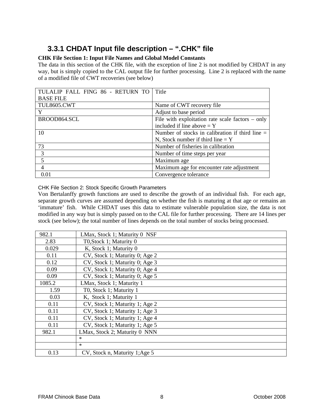# **3.3.1 CHDAT Input file description – ".CHK" file**

#### **CHK File Section 1: Input File Names and Global Model Constants**

The data in this section of the CHK file, with the exception of line 2 is not modified by CHDAT in any way, but is simply copied to the CAL output file for further processing. Line 2 is replaced with the name of a modified file of CWT recoveries (see below)

| TULALIP FALL FING 86 - RETURN TO | Title                                              |
|----------------------------------|----------------------------------------------------|
| <b>BASE FILE</b>                 |                                                    |
| <b>TUL8605.CWT</b>               | Name of CWT recovery file                          |
| Y                                | Adjust to base period                              |
| BROOD864.SCL                     | File with exploitation rate scale factors $-$ only |
|                                  | included if line above $= Y$                       |
| 10                               | Number of stocks in calibration if third line $=$  |
|                                  | N, Stock number if third line $= Y$                |
| 73                               | Number of fisheries in calibration                 |
| 3                                | Number of time steps per year                      |
| $\overline{\mathbf{5}}$          | Maximum age                                        |
| 4                                | Maximum age for encounter rate adjustment          |
| 0.01                             | Convergence tolerance                              |

CHK File Section 2: Stock Specific Growth Parameters

Von Bertalanffy growth functions are used to describe the growth of an individual fish. For each age, separate growth curves are assumed depending on whether the fish is maturing at that age or remains an 'immature' fish. While CHDAT uses this data to estimate vulnerable population size, the data is not modified in any way but is simply passed on to the CAL file for further processing. There are 14 lines per stock (see below); the total number of lines depends on the total number of stocks being processed.

| 982.1  | LMax, Stock 1; Maturity 0 NSF  |
|--------|--------------------------------|
| 2.83   | T0, Stock 1; Maturity 0        |
| 0.029  | K, Stock 1; Maturity 0         |
| 0.11   | CV, Stock 1; Maturity 0; Age 2 |
| 0.12   | CV, Stock 1; Maturity 0; Age 3 |
| 0.09   | CV, Stock 1; Maturity 0; Age 4 |
| 0.09   | CV, Stock 1; Maturity 0; Age 5 |
| 1085.2 | LMax, Stock 1; Maturity 1      |
| 1.59   | T0, Stock 1; Maturity 1        |
| 0.03   | K, Stock 1; Maturity 1         |
| 0.11   | CV, Stock 1; Maturity 1; Age 2 |
| 0.11   | CV, Stock 1; Maturity 1; Age 3 |
| 0.11   | CV, Stock 1; Maturity 1; Age 4 |
| 0.11   | CV, Stock 1; Maturity 1; Age 5 |
| 982.1  | LMax, Stock 2; Maturity 0 NNN  |
|        | $\ast$                         |
|        | $\ast$                         |
| 0.13   | CV, Stock n, Maturity 1; Age 5 |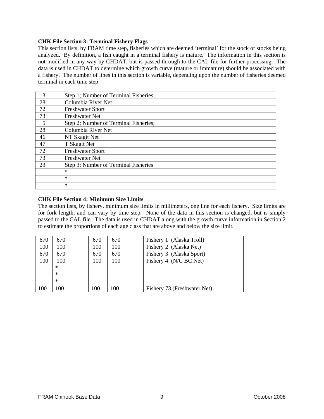#### **CHK File Section 3: Terminal Fishery Flags**

This section lists, by FRAM time step, fisheries which are deemed 'terminal' for the stock or stocks being analyzed. By definition, a fish caught in a terminal fishery is mature. The information in this section is not modified in any way by CHDAT, but is passed through to the CAL file for further processing. The data is used in CHDAT to determine which growth curve (mature or immature) should be associated with a fishery. The number of lines in this section is variable, depending upon the number of fisheries deemed terminal in each time step

| 3  | Step 1; Number of Terminal Fisheries; |
|----|---------------------------------------|
| 28 | Columbia River Net                    |
| 72 | <b>Freshwater Sport</b>               |
| 73 | <b>Freshwater Net</b>                 |
| 5  | Step 2; Number of Terminal Fisheries; |
| 28 | Columbia River Net                    |
| 46 | NT Skagit Net                         |
| 47 | T Skagit Net                          |
| 72 | <b>Freshwater Sport</b>               |
| 73 | <b>Freshwater Net</b>                 |
| 23 | Step 3; Number of Terminal Fisheries  |
|    | $\ast$                                |
|    | $\ast$                                |
|    | $\ast$                                |
|    |                                       |

#### **CHK File Section 4: Minimum Size Limits**

The section lists, by fishery, minimum size limits in millimeters, one line for each fishery. Size limits are for fork length, and can vary by time step. None of the data in this section is changed, but is simply passed to the CAL file. The data is used in CHDAT along with the growth curve information in Section 2 to estimate the proportions of each age class that are above and below the size limit.

| 670 | 670    | 670 | 670 | Fishery 1 (Alaska Troll)    |
|-----|--------|-----|-----|-----------------------------|
| 100 | 100    | 100 | 100 | Fishery 2 (Alaska Net)      |
| 670 | 670    | 670 | 670 | Fishery 3 (Alaska Sport)    |
| 100 | 100    | 100 | 100 | Fishery 4 (N/C BC Net)      |
|     | $\ast$ |     |     |                             |
|     | $\ast$ |     |     |                             |
|     | $\ast$ |     |     |                             |
| 100 | 100    | 100 | 100 | Fishery 73 (Freshwater Net) |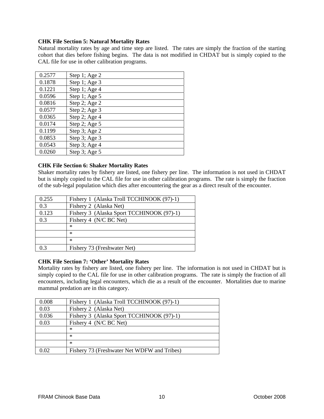#### **CHK File Section 5: Natural Mortality Rates**

Natural mortality rates by age and time step are listed. The rates are simply the fraction of the starting cohort that dies before fishing begins. The data is not modified in CHDAT but is simply copied to the CAL file for use in other calibration programs.

| 0.2577 | Step 1; Age 2 |
|--------|---------------|
| 0.1878 | Step 1; Age 3 |
| 0.1221 | Step 1; Age 4 |
| 0.0596 | Step 1; Age 5 |
| 0.0816 | Step 2; Age 2 |
| 0.0577 | Step 2; Age 3 |
| 0.0365 | Step 2; Age 4 |
| 0.0174 | Step 2; Age 5 |
| 0.1199 | Step 3; Age 2 |
| 0.0853 | Step 3; Age 3 |
| 0.0543 | Step 3; Age 4 |
| 0.0260 | Step 3; Age 5 |

#### **CHK File Section 6: Shaker Mortality Rates**

Shaker mortality rates by fishery are listed, one fishery per line. The information is not used in CHDAT but is simply copied to the CAL file for use in other calibration programs. The rate is simply the fraction of the sub-legal population which dies after encountering the gear as a direct result of the encounter.

| 0.255 | Fishery 1 (Alaska Troll TCCHINOOK (97)-1) |
|-------|-------------------------------------------|
| 0.3   | Fishery 2 (Alaska Net)                    |
| 0.123 | Fishery 3 (Alaska Sport TCCHINOOK (97)-1) |
| 0.3   | Fishery 4 (N/C BC Net)                    |
|       | ∗                                         |
|       | ∗                                         |
|       | $\ast$                                    |
| 0.3   | Fishery 73 (Freshwater Net)               |

#### **CHK File Section 7: 'Other' Mortality Rates**

Mortality rates by fishery are listed, one fishery per line. The information is not used in CHDAT but is simply copied to the CAL file for use in other calibration programs. The rate is simply the fraction of all encounters, including legal encounters, which die as a result of the encounter. Mortalities due to marine mammal predation are in this category.

| 0.008 | Fishery 1 (Alaska Troll TCCHINOOK (97)-1)   |
|-------|---------------------------------------------|
| 0.03  | Fishery 2 (Alaska Net)                      |
| 0.036 | Fishery 3 (Alaska Sport TCCHINOOK (97)-1)   |
| 0.03  | Fishery 4 (N/C BC Net)                      |
|       | ∗                                           |
|       | $\ast$                                      |
|       | $\ast$                                      |
| 0.02  | Fishery 73 (Freshwater Net WDFW and Tribes) |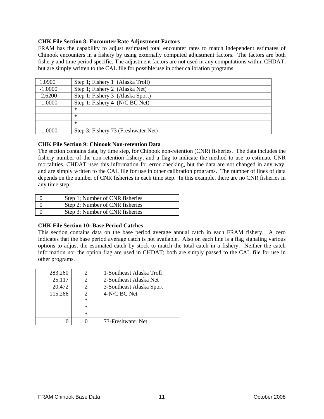#### **CHK File Section 8: Encounter Rate Adjustment Factors**

FRAM has the capability to adjust estimated total encounter rates to match independent estimates of Chinook encounters in a fishery by using externally computed adjustment factors. The factors are both fishery and time period specific. The adjustment factors are not used in any computations within CHDAT, but are simply written to the CAL file for possible use in other calibration programs.

| 1.0900    | Step 1; Fishery 1 (Alaska Troll)    |
|-----------|-------------------------------------|
| $-1.0000$ | Step 1; Fishery 2 (Alaska Net)      |
| 2.6200    | Step 1; Fishery 3 (Alaska Sport)    |
| $-1.0000$ | Step 1; Fishery 4 (N/C BC Net)      |
|           | $\ast$                              |
|           | $\ast$                              |
|           | $\ast$                              |
| $-1.0000$ | Step 3; Fishery 73 (Freshwater Net) |

#### **CHK File Section 9: Chinook Non-retention Data**

The section contains data, by time step, for Chinook non-retention (CNR) fisheries. The data includes the fishery number of the non-retention fishery, and a flag to indicate the method to use to estimate CNR mortalities. CHDAT uses this information for error checking, but the data are not changed in any way, and are simply written to the CAL file for use in other calibration programs. The number of lines of data depends on the number of CNR fisheries in each time step. In this example, there are no CNR fisheries in any time step.

| Step 1; Number of CNR fisheries |
|---------------------------------|
| Step 2; Number of CNR fisheries |
| Step 3; Number of CNR fisheries |

#### **CHK File Section 10: Base Period Catches**

This section contains data on the base period average annual catch in each FRAM fishery. A zero indicates that the base period average catch is not available. Also on each line is a flag signaling various options to adjust the estimated catch by stock to match the total catch in a fishery. Neither the catch information nor the option flag are used in CHDAT; both are simply passed to the CAL file for use in other programs.

| 283,260 |        | 1-Southeast Alaska Troll |
|---------|--------|--------------------------|
| 25,117  |        | 2-Southeast Alaska Net   |
| 20,472  |        | 3-Southeast Alaska Sport |
| 115,266 | 2      | 4-N/C BC Net             |
|         | $\ast$ |                          |
|         | $\ast$ |                          |
|         | $\ast$ |                          |
|         |        | 73-Freshwater Net        |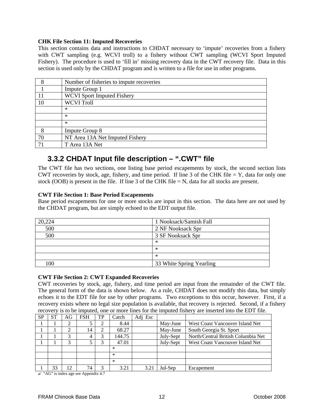#### **CHK File Section 11: Imputed Recoveries**

This section contains data and instructions to CHDAT necessary to 'impute' recoveries from a fishery with CWT sampling (e.g. WCVI troll) to a fishery without CWT sampling (WCVI Sport Imputed Fishery). The procedure is used to 'fill in' missing recovery data in the CWT recovery file. Data in this section is used only by the CHDAT program and is written to a file for use in other programs.

| 8   | Number of fisheries to impute recoveries |
|-----|------------------------------------------|
|     | Impute Group 1                           |
| 11  | <b>WCVI</b> Sport Imputed Fishery        |
| 10  | <b>WCVI</b> Troll                        |
|     | ∗                                        |
|     | ∗                                        |
|     | $\ast$                                   |
| 8   | Impute Group 8                           |
| 70  | NT Area 13A Net Imputed Fishery          |
| -71 | T Area 13A Net                           |

## **3.3.2 CHDAT Input file description – ".CWT" file**

The CWT file has two sections, one listing base period escapements by stock, the second section lists CWT recoveries by stock, age, fishery, and time period. If line 3 of the CHK file  $= Y$ , data for only one stock (OOB) is present in the file. If line 3 of the CHK file  $=N$ , data for all stocks are present.

#### **CWT File Section 1: Base Period Escapements**

Base period escapements for one or more stocks are input in this section. The data here are not used by the CHDAT program, but are simply echoed to the EDT output file.

| 20,224 | 1 Nooksack/Samish Fall   |
|--------|--------------------------|
| 500    | 2 NF Nooksack Spr        |
| 500    | 3 SF Nooksack Spr        |
|        | $\ast$                   |
|        | $\ast$                   |
|        | $\ast$                   |
| 100    | 33 White Spring Yearling |

#### **CWT File Section 2: CWT Expanded Recoveries**

CWT recoveries by stock, age, fishery, and time period are input from the remainder of the CWT file. The general form of the data is shown below. As a rule, CHDAT does not modify this data, but simply echoes it to the EDT file for use by other programs. Two exceptions to this occur, however. First, if a recovery exists where no legal size population is available, that recovery is rejected. Second, if a fishery recovery is to be imputed, one or more lines for the imputed fishery are inserted into the EDT file.

| <b>SP</b> | <b>ST</b> | AG  | <b>FSH</b> | TP | Catch  | Adj Esc |                                                 |                                 |  |
|-----------|-----------|-----|------------|----|--------|---------|-------------------------------------------------|---------------------------------|--|
|           |           |     |            |    | 8.44   |         | May-June                                        | West Coast Vancouver Island Net |  |
|           |           |     | 14         |    | 68.27  |         | May-June<br>South Georgia St. Sport             |                                 |  |
|           |           | 3   |            |    | 144.75 |         | North/Central British Columbia Net<br>July-Sept |                                 |  |
|           |           | 3   |            |    | 47.01  |         | July-Sept                                       | West Coast Vancouver Island Net |  |
|           |           |     |            |    | $\ast$ |         |                                                 |                                 |  |
|           |           |     |            |    | $\ast$ |         |                                                 |                                 |  |
|           |           |     |            |    | $\ast$ |         |                                                 |                                 |  |
|           | 33        | 12. | 74         |    | 3.21   | 3.21    | Jul-Sep                                         | Escapement                      |  |

a/ "AG" is index age see Appendix 4.7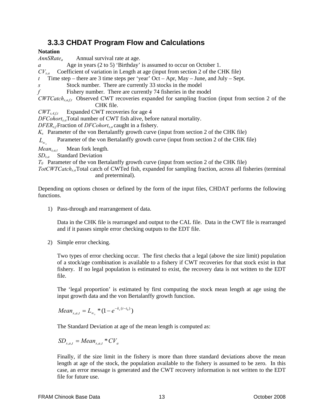### **3.3.3 CHDAT Program Flow and Calculations**

#### **Notation**

*AnnSRate<sub>a</sub>* Annual survival rate at age.

*a* Age in years (2 to 5) 'Birthday' is assumed to occur on October 1.

*CVs,a* Coefficient of variation in Length at age (input from section 2 of the CHK file)

*t* Time step – there are 3 time steps per 'year' Oct – Apr, May – June, and July – Sept.

*s* Stock number. There are currently 33 stocks in the model

*f* Fishery number. There are currently 74 fisheries in the model

*CWTCatchs,a,f,t* Observed CWT recoveries expanded for sampling fraction (input from section 2 of the CHK file.

*CWTs,4,f,t* Expanded CWT recoveries for age 4

*DFCohorts,a*Total number of CWT fish alive, before natural mortality.

*DFERs,f*Fraction of *DFCohorts,a* caught in a fishery.

*Ks* Parameter of the von Bertalanffy growth curve (input from section 2 of the CHK file)

*L*<sub>∞</sub> Parameter of the von Bertalanffy growth curve (input from section 2 of the CHK file)

*Means,a,t* Mean fork length.

*SDs,a* Standard Deviation

 $T_0$  Parameter of the von Bertalanffy growth curve (input from section 2 of the CHK file)

*TotCWTCatchs,a*Total catch of CWTed fish, expanded for sampling fraction, across all fisheries (terminal and preterminal).

Depending on options chosen or defined by the form of the input files, CHDAT performs the following functions.

1) Pass-through and rearrangement of data.

Data in the CHK file is rearranged and output to the CAL file. Data in the CWT file is rearranged and if it passes simple error checking outputs to the EDT file.

2) Simple error checking.

Two types of error checking occur. The first checks that a legal (above the size limit) population of a stock/age combination is available to a fishery if CWT recoveries for that stock exist in that fishery. If no legal population is estimated to exist, the recovery data is not written to the EDT file.

The 'legal proportion' is estimated by first computing the stock mean length at age using the input growth data and the von Bertalanffy growth function.

Mean<sub>s,a,t</sub> = 
$$
L_{\infty}
$$
<sup>\*</sup> $(1 - e^{-k_s(t - t_0)})$ 

The Standard Deviation at age of the mean length is computed as:

 $SD_{s,at} = Mean_{s,at} * CV_a$ 

Finally, if the size limit in the fishery is more than three standard deviations above the mean length at age of the stock, the population available to the fishery is assumed to be zero. In this case, an error message is generated and the CWT recovery information is not written to the EDT file for future use.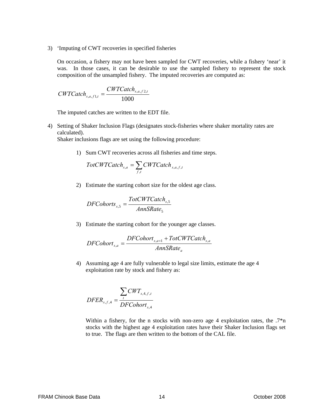3) 'Imputing of CWT recoveries in specified fisheries

On occasion, a fishery may not have been sampled for CWT recoveries, while a fishery 'near' it was. In those cases, it can be desirable to use the sampled fishery to represent the stock composition of the unsampled fishery. The imputed recoveries are computed as:

$$
CWTCatch_{s,a,f1,t} = \frac{CWTCatch_{s,a,f2,t}}{1000}
$$

The imputed catches are written to the EDT file.

4) Setting of Shaker Inclusion Flags (designates stock-fisheries where shaker mortality rates are calculated).

Shaker inclusions flags are set using the following procedure:

1) Sum CWT recoveries across all fisheries and time steps.

$$
TotCWTCatch_{s,a} = \sum_{f,t} CWTCatch_{s,a,f,t}
$$

2) Estimate the starting cohort size for the oldest age class.

$$
DFChorts_{s,5} = \frac{TotCWTCatch_{s,5}}{AnnSRate_5}
$$

3) Estimate the starting cohort for the younger age classes.

$$
DFColor_{s,a} = \frac{DFColor_{s,a+1} + TotCWTCatch_{s,a}}{AnnSRate_a}
$$

4) Assuming age 4 are fully vulnerable to legal size limits, estimate the age 4 exploitation rate by stock and fishery as:

$$
DFER_{s,f,4} = \frac{\sum_{t} CWT_{s,4,f,t}}{DFColor_{s,4}}
$$

Within a fishery, for the n stocks with non-zero age 4 exploitation rates, the  $.7\text{*}n$ stocks with the highest age 4 exploitation rates have their Shaker Inclusion flags set to true. The flags are then written to the bottom of the CAL file.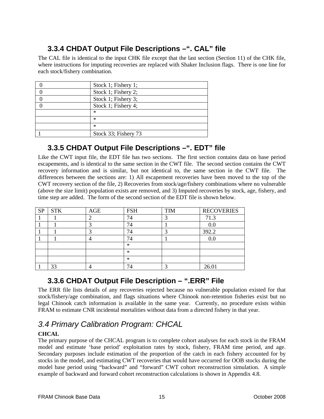# **3.3.4 CHDAT Output File Descriptions –". CAL" file**

The CAL file is identical to the input CHK file except that the last section (Section 11) of the CHK file, where instructions for imputing recoveries are replaced with Shaker Inclusion flags. There is one line for each stock/fishery combination.

| Stock 1; Fishery 1;  |
|----------------------|
| Stock 1; Fishery 2;  |
| Stock 1; Fishery 3;  |
| Stock 1; Fishery 4;  |
| $\ast$               |
| ∗                    |
| $\ast$               |
| Stock 33; Fishery 73 |

## **3.3.5 CHDAT Output File Descriptions –". EDT" file**

Like the CWT input file, the EDT file has two sections. The first section contains data on base period escapements, and is identical to the same section in the CWT file. The second section contains the CWT recovery information and is similar, but not identical to, the same section in the CWT file. The differences between the sections are: 1) All escapement recoveries have been moved to the top of the CWT recovery section of the file, 2) Recoveries from stock/age/fishery combinations where no vulnerable (above the size limit) population exists are removed, and 3) Imputed recoveries by stock, age, fishery, and time step are added. The form of the second section of the EDT file is shown below.

| <b>SP</b> | <b>STK</b> | AGE | <b>FSH</b> | <b>TIM</b> | <b>RECOVERIES</b> |
|-----------|------------|-----|------------|------------|-------------------|
|           |            |     |            |            | 71.3              |
|           |            |     |            |            | 0.0               |
|           |            |     |            | ◠          | 392.2             |
|           |            |     |            |            | $0.0\,$           |
|           |            |     | $\ast$     |            |                   |
|           |            |     | $\ast$     |            |                   |
|           |            |     | $\ast$     |            |                   |
|           | 33         |     |            | ◠          | 26.01             |

## **3.3.6 CHDAT Output File Description – ".ERR" File**

The ERR file lists details of any recoveries rejected because no vulnerable population existed for that stock/fishery/age combination, and flags situations where Chinook non-retention fisheries exist but no legal Chinook catch information is available in the same year. Currently, no procedure exists within FRAM to estimate CNR incidental mortalities without data from a directed fishery in that year.

# *3.4 Primary Calibration Program: CHCAL*

#### **CHCAL**

The primary purpose of the CHCAL program is to complete cohort analyses for each stock in the FRAM model and estimate 'base period' exploitation rates by stock, fishery, FRAM time period, and age. Secondary purposes include estimation of the proportion of the catch in each fishery accounted for by stocks in the model, and estimating CWT recoveries that would have occurred for OOB stocks during the model base period using "backward" and "forward" CWT cohort reconstruction simulation. A simple example of backward and forward cohort reconstruction calculations is shown in Appendix 4.8.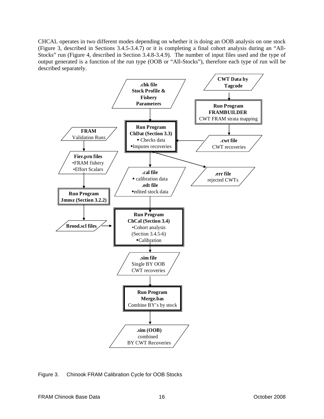CHCAL operates in two different modes depending on whether it is doing an OOB analysis on one stock (Figure 3, described in Sections 3.4.5-3.4.7) or it is completing a final cohort analysis during an "All-Stocks" run (Figure 4, described in Section 3.4.8-3.4.9). The number of input files used and the type of output generated is a function of the run type (OOB or "All-Stocks"), therefore each type of run will be described separately.



Figure 3. Chinook FRAM Calibration Cycle for OOB Stocks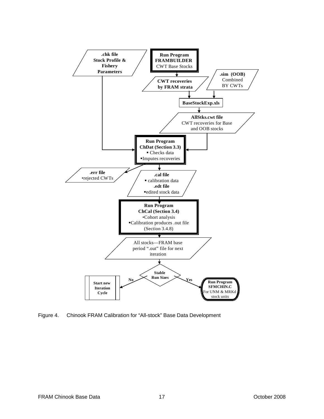

Figure 4. Chinook FRAM Calibration for "All-stock" Base Data Development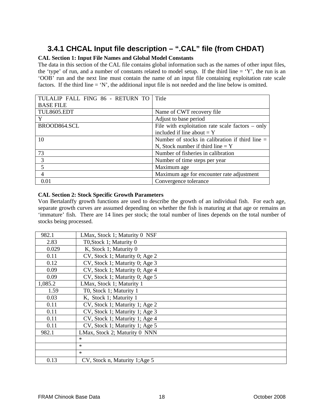# **3.4.1 CHCAL Input file description – ".CAL" file (from CHDAT)**

#### **CAL Section 1: Input File Names and Global Model Constants**

The data in this section of the CAL file contains global information such as the names of other input files, the 'type' of run, and a number of constants related to model setup. If the third line  $= Y'$ , the run is an 'OOB' run and the next line must contain the name of an input file containing exploitation rate scale factors. If the third line = 'N', the additional input file is not needed and the line below is omitted.

| TULALIP FALL FING 86 - RETURN TO | Title                                              |
|----------------------------------|----------------------------------------------------|
| <b>BASE FILE</b>                 |                                                    |
| <b>TUL8605.EDT</b>               | Name of CWT recovery file                          |
| Y                                | Adjust to base period                              |
| BROOD864.SCL                     | File with exploitation rate scale factors $-$ only |
|                                  | included if line about $= Y$                       |
| 10                               | Number of stocks in calibration if third line $=$  |
|                                  | N, Stock number if third line $= Y$                |
| 73                               | Number of fisheries in calibration                 |
| 3                                | Number of time steps per year                      |
| 5                                | Maximum age                                        |
| $\overline{4}$                   | Maximum age for encounter rate adjustment          |
| 0.01                             | Convergence tolerance                              |

#### **CAL Section 2: Stock Specific Growth Parameters**

Von Bertalanffy growth functions are used to describe the growth of an individual fish. For each age, separate growth curves are assumed depending on whether the fish is maturing at that age or remains an 'immature' fish. There are 14 lines per stock; the total number of lines depends on the total number of stocks being processed.

| 982.1   | LMax, Stock 1; Maturity 0 NSF  |
|---------|--------------------------------|
| 2.83    | T0, Stock 1; Maturity 0        |
| 0.029   | K, Stock 1; Maturity 0         |
| 0.11    | CV, Stock 1; Maturity 0; Age 2 |
| 0.12    | CV, Stock 1; Maturity 0; Age 3 |
| 0.09    | CV, Stock 1; Maturity 0; Age 4 |
| 0.09    | CV, Stock 1; Maturity 0; Age 5 |
| 1,085.2 | LMax, Stock 1; Maturity 1      |
| 1.59    | T0, Stock 1; Maturity 1        |
| 0.03    | K, Stock 1; Maturity 1         |
| 0.11    | CV, Stock 1; Maturity 1; Age 2 |
| 0.11    | CV, Stock 1; Maturity 1; Age 3 |
| 0.11    | CV, Stock 1; Maturity 1; Age 4 |
| 0.11    | CV, Stock 1; Maturity 1; Age 5 |
| 982.1   | LMax, Stock 2; Maturity 0 NNN  |
|         | $\ast$                         |
|         | $\ast$                         |
|         | $\ast$                         |
| 0.13    | CV, Stock n, Maturity 1; Age 5 |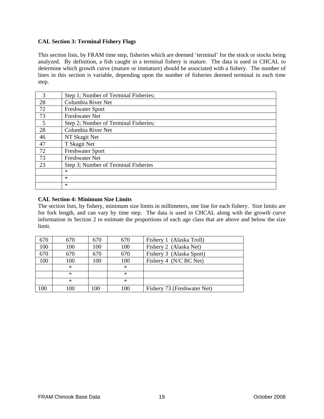#### **CAL Section 3: Terminal Fishery Flags**

This section lists, by FRAM time step, fisheries which are deemed 'terminal' for the stock or stocks being analyzed. By definition, a fish caught in a terminal fishery is mature. The data is used in CHCAL to determine which growth curve (mature or immature) should be associated with a fishery. The number of lines in this section is variable, depending upon the number of fisheries deemed terminal in each time step.

| 3  | Step 1; Number of Terminal Fisheries; |  |  |  |
|----|---------------------------------------|--|--|--|
| 28 | Columbia River Net                    |  |  |  |
| 72 | <b>Freshwater Sport</b>               |  |  |  |
| 73 | <b>Freshwater Net</b>                 |  |  |  |
| 5  | Step 2; Number of Terminal Fisheries; |  |  |  |
| 28 | Columbia River Net                    |  |  |  |
| 46 | NT Skagit Net                         |  |  |  |
| 47 | T Skagit Net                          |  |  |  |
| 72 | <b>Freshwater Sport</b>               |  |  |  |
| 73 | <b>Freshwater Net</b>                 |  |  |  |
| 23 | Step 3; Number of Terminal Fisheries  |  |  |  |
|    | *                                     |  |  |  |
|    | $\ast$                                |  |  |  |
|    | $\ast$                                |  |  |  |

#### **CAL Section 4: Minimum Size Limits**

The section lists, by fishery, minimum size limits in millimeters, one line for each fishery. Size limits are for fork length, and can vary by time step. The data is used in CHCAL along with the growth curve information in Section 2 to estimate the proportions of each age class that are above and below the size limit.

| 670 | 670    | 670 | 670    | Fishery 1 (Alaska Troll)    |
|-----|--------|-----|--------|-----------------------------|
| 100 | 100    | 100 | 100    | Fishery 2 (Alaska Net)      |
| 670 | 670    | 670 | 670    | Fishery 3 (Alaska Sport)    |
| 100 | 100    | 100 | 100    | Fishery 4 (N/C BC Net)      |
|     | $\ast$ |     | $\ast$ |                             |
|     | $\ast$ |     | $\ast$ |                             |
|     | $\ast$ |     | $\ast$ |                             |
| 100 | 100    | 100 | 100    | Fishery 73 (Freshwater Net) |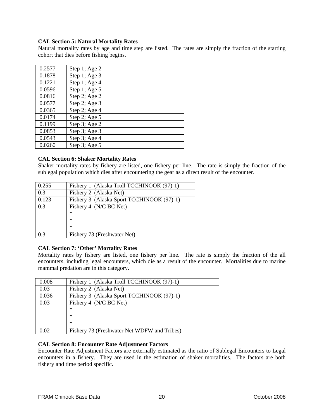#### **CAL Section 5: Natural Mortality Rates**

Natural mortality rates by age and time step are listed. The rates are simply the fraction of the starting cohort that dies before fishing begins.

| 0.2577 | Step 1; Age 2 |
|--------|---------------|
| 0.1878 | Step 1; Age 3 |
| 0.1221 | Step 1; Age 4 |
| 0.0596 | Step 1; Age 5 |
| 0.0816 | Step 2; Age 2 |
| 0.0577 | Step 2; Age 3 |
| 0.0365 | Step 2; Age 4 |
| 0.0174 | Step 2; Age 5 |
| 0.1199 | Step 3; Age 2 |
| 0.0853 | Step 3; Age 3 |
| 0.0543 | Step 3; Age 4 |
| 0.0260 | Step 3; Age 5 |

#### **CAL Section 6: Shaker Mortality Rates**

Shaker mortality rates by fishery are listed, one fishery per line. The rate is simply the fraction of the sublegal population which dies after encountering the gear as a direct result of the encounter.

| 0.255 | Fishery 1 (Alaska Troll TCCHINOOK (97)-1) |
|-------|-------------------------------------------|
| 0.3   | Fishery 2 (Alaska Net)                    |
| 0.123 | Fishery 3 (Alaska Sport TCCHINOOK (97)-1) |
| 0.3   | Fishery 4 (N/C BC Net)                    |
|       | ∗                                         |
|       | ∗                                         |
|       | ∗                                         |
| 0.3   | Fishery 73 (Freshwater Net)               |

#### **CAL Section 7: 'Other' Mortality Rates**

Mortality rates by fishery are listed, one fishery per line. The rate is simply the fraction of the all encounters, including legal encounters, which die as a result of the encounter. Mortalities due to marine mammal predation are in this category.

| 0.008 | Fishery 1 (Alaska Troll TCCHINOOK (97)-1)   |
|-------|---------------------------------------------|
| 0.03  | Fishery 2 (Alaska Net)                      |
| 0.036 | Fishery 3 (Alaska Sport TCCHINOOK (97)-1)   |
| 0.03  | Fishery 4 (N/C BC Net)                      |
|       | ∗                                           |
|       | $\ast$                                      |
|       | $\ast$                                      |
| 0.02  | Fishery 73 (Freshwater Net WDFW and Tribes) |

#### **CAL Section 8: Encounter Rate Adjustment Factors**

Encounter Rate Adjustment Factors are externally estimated as the ratio of Sublegal Encounters to Legal encounters in a fishery. They are used in the estimation of shaker mortalities. The factors are both fishery and time period specific.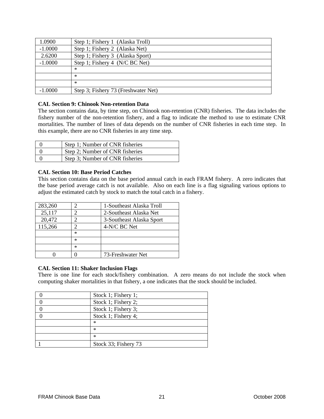| 1.0900    | Step 1; Fishery 1 (Alaska Troll)    |
|-----------|-------------------------------------|
| $-1.0000$ | Step 1; Fishery 2 (Alaska Net)      |
| 2.6200    | Step 1; Fishery 3 (Alaska Sport)    |
| $-1.0000$ | Step 1; Fishery 4 (N/C BC Net)      |
|           | $\ast$                              |
|           | $\ast$                              |
|           | $\ast$                              |
| $-1.0000$ | Step 3; Fishery 73 (Freshwater Net) |

#### **CAL Section 9: Chinook Non-retention Data**

The section contains data, by time step, on Chinook non-retention (CNR) fisheries. The data includes the fishery number of the non-retention fishery, and a flag to indicate the method to use to estimate CNR mortalities. The number of lines of data depends on the number of CNR fisheries in each time step. In this example, there are no CNR fisheries in any time step.

| Step 1; Number of CNR fisheries |
|---------------------------------|
| Step 2; Number of CNR fisheries |
| Step 3; Number of CNR fisheries |

#### **CAL Section 10: Base Period Catches**

This section contains data on the base period annual catch in each FRAM fishery. A zero indicates that the base period average catch is not available. Also on each line is a flag signaling various options to adjust the estimated catch by stock to match the total catch in a fishery.

| 283,260 |        | 1-Southeast Alaska Troll |
|---------|--------|--------------------------|
| 25,117  |        | 2-Southeast Alaska Net   |
| 20,472  |        | 3-Southeast Alaska Sport |
| 115,266 |        | 4-N/C BC Net             |
|         | $\ast$ |                          |
|         | $\ast$ |                          |
|         | $\ast$ |                          |
|         |        | 73-Freshwater Net        |

#### **CAL Section 11: Shaker Inclusion Flags**

There is one line for each stock/fishery combination. A zero means do not include the stock when computing shaker mortalities in that fishery, a one indicates that the stock should be included.

| Stock 1; Fishery 1;  |
|----------------------|
| Stock 1; Fishery 2;  |
| Stock 1; Fishery 3;  |
| Stock 1; Fishery 4;  |
| ∗                    |
| ∗                    |
| $\ast$               |
| Stock 33; Fishery 73 |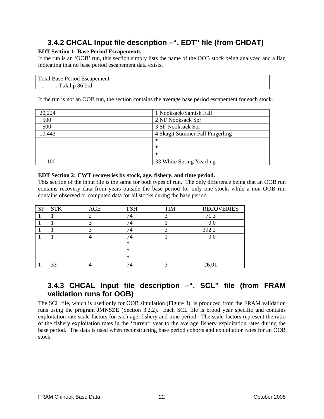# **3.4.2 CHCAL Input file description –". EDT" file (from CHDAT)**

#### **EDT Section 1: Base Period Escapements**

If the run is an 'OOB' run, this section simply lists the name of the OOB stock being analyzed and a flag indicating that no base period escapement data exists.

|        | <b>Total Base Period Escapement</b> |  |
|--------|-------------------------------------|--|
| $\sim$ | Tulalip 86 brd                      |  |

If the run is not an OOB run, the section contains the average base period escapement for each stock.

| 20,224 | 1 Nooksack/Samish Fall          |
|--------|---------------------------------|
| 500    | 2 NF Nooksack Spr               |
| 500    | 3 SF Nooksack Spr               |
| 10,443 | 4 Skagit Summer Fall Fingerling |
|        | ∗                               |
|        | ∗                               |
|        | ∗                               |
| 100    | 33 White Spring Yearling        |

#### **EDT Section 2: CWT recoveries by stock, age, fishery, and time period.**

This section of the input file is the same for both types of run. The only difference being that an OOB run contains recovery data from years outside the base period for only one stock, while a non OOB run contains observed or computed data for all stocks during the base period.

| <b>SP</b> | <b>STK</b> | AGE | <b>FSH</b> | <b>TIM</b> | <b>RECOVERIES</b> |
|-----------|------------|-----|------------|------------|-------------------|
|           |            |     | 74         | 3          | 71.3              |
|           |            |     | ⇁          |            | 0.0               |
|           |            |     | 74         | ◠          | 392.2             |
|           |            |     | 74         |            | $0.0\,$           |
|           |            |     | $\ast$     |            |                   |
|           |            |     | $\ast$     |            |                   |
|           |            |     | $\ast$     |            |                   |
|           | 33         |     |            | ◠          | 26.01             |

### **3.4.3 CHCAL Input file description –". SCL" file (from FRAM validation runs for OOB)**

The SCL file, which is used only for OOB simulation (Figure 3), is produced from the FRAM validation runs using the program JMNSZE (Section 3.2.2). Each SCL file is brood year specific and contains exploitation rate scale factors for each age, fishery and time period. The scale factors represent the ratio of the fishery exploitation rates in the 'current' year to the average fishery exploitation rates during the base period. The data is used when reconstructing base period cohorts and exploitation rates for an OOB stock.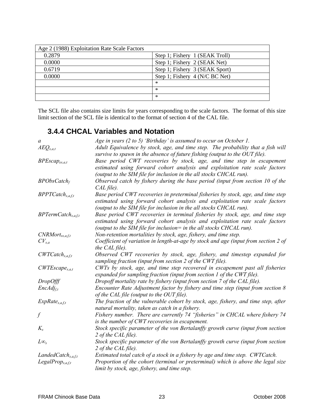| Age 2 (1988) Exploitation Rate Scale Factors |                                |
|----------------------------------------------|--------------------------------|
| 0.2879                                       | Step 1; Fishery 1 (SEAK Troll) |
| 0.0000                                       | Step 1; Fishery 2 (SEAK Net)   |
| 0.6719                                       | Step 1; Fishery 3 (SEAK Sport) |
| 0.0000                                       | Step 1; Fishery 4 (N/C BC Net) |
|                                              | $\ast$                         |
|                                              | $\ast$                         |
|                                              | $\ast$                         |

The SCL file also contains size limits for years corresponding to the scale factors. The format of this size limit section of the SCL file is identical to the format of section 4 of the CAL file.

### **3.4.4 CHCAL Variables and Notation**

| a                               | Age in years $(2 to 5)$ 'Birthday' is assumed to occur on October 1.                                                                                                                                                                   |
|---------------------------------|----------------------------------------------------------------------------------------------------------------------------------------------------------------------------------------------------------------------------------------|
| $A E Q_{s,a,t}$                 | Adult Equivalence by stock, age, and time step. The probability that a fish will<br>survive to spawn in the absence of future fishing (output to the OUT file).                                                                        |
| $BPEscap_{es,a,t}$              | Base period CWT recoveries by stock, age, and time step in escapement<br>estimated using forward cohort analysis and exploitation rate scale factors<br>(output to the SIM file for inclusion in the all stocks CHCAL run).            |
| $BPObsCatch_f$                  | Observed catch by fishery during the base period (input from section 10 of the<br>$CAL$ file).                                                                                                                                         |
| $BPPTCatch_{s,a,f,t}$           | Base period CWT recoveries in preterminal fisheries by stock, age, and time step<br>estimated using forward cohort analysis and exploitation rate scale factors<br>(output to the SIM file for inclusion in the all stocks CHCAL run). |
| BPTermCatch <sub>s,a,f,t</sub>  | Base period CWT recoveries in terminal fisheries by stock, age, and time step<br>estimated using forward cohort analysis and exploitation rate scale factors<br>(output to the SIM file for inclusion = in the all stocks CHCAL run).  |
| $CNRMort_{ss,a,f,t}$            | Non-retention mortalities by stock, age, fishery, and time step.                                                                                                                                                                       |
| $CV_{s,a}$                      | Coefficient of variation in length-at-age by stock and age (input from section 2 of<br>the CAL file).                                                                                                                                  |
| $CWTCatch_{s,a,f,t}$            | Observed CWT recoveries by stock, age, fishery, and timestep expanded for<br>sampling fraction (input from section 2 of the CWT file).                                                                                                 |
| $CWTEscope_{s,a,t}$             | CWTs by stock, age, and time step recovered in escapement past all fisheries<br>expanded for sampling fraction (input from section 1 of the CWT file).                                                                                 |
| <b>DropOfff</b>                 | Dropoff mortality rate by fishery (input from section 7 of the CAL file).                                                                                                                                                              |
| $EncAdj_{f,t}$                  | Encounter Rate Adjustment factor by fishery and time step (input from section 8<br>of the CAL file (output to the OUT file).                                                                                                           |
| $ExpRate_{s,a,f,t}$             | The fraction of the vulnerable cohort by stock, age, fishery, and time step, after<br>natural mortality, taken as catch in a fishery.                                                                                                  |
|                                 | Fishery number. There are currently 74 "fisheries" in CHCAL where fishery 74<br>is the number of CWT recoveries in escapement.                                                                                                         |
| $K_{s}$                         | Stock specific parameter of the von Bertalanffy growth curve (input from section<br>2 of the CAL file).                                                                                                                                |
| $L\infty_s$                     | Stock specific parameter of the von Bertalanffy growth curve (input from section<br>2 of the CAL file).                                                                                                                                |
| LandedCatch <sub>s, a,f,t</sub> | Estimated total catch of a stock in a fishery by age and time step. CWTCatch.                                                                                                                                                          |
| $LegalProp_{s,a,f,t}$           | Proportion of the cohort (terminal or preterminal) which is above the legal size<br>limit by stock, age, fishery, and time step.                                                                                                       |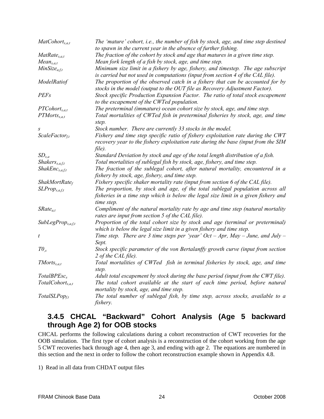| MatCohort <sub>s,a,t</sub> | The 'mature' cohort, i.e., the number of fish by stock, age, and time step destined<br>to spawn in the current year in the absence of further fishing.                             |
|----------------------------|------------------------------------------------------------------------------------------------------------------------------------------------------------------------------------|
| $MatRate_{s,a,t}$          | The fraction of the cohort by stock and age that matures in a given time step.                                                                                                     |
| $Mean_{s,a,t}$             | Mean fork length of a fish by stock, age, and time step.                                                                                                                           |
| $MinSize_{a,f,t}$          | Minimum size limit in a fishery by age, fishery, and timestep. The age subscript                                                                                                   |
|                            | is carried but not used in computations (input from section 4 of the CAL file).                                                                                                    |
| ModelRatiof                | The proportion of the observed catch in a fishery that can be accounted for by<br>stocks in the model (output to the OUT file as Recovery Adjustment Factor).                      |
| <b>PEFs</b>                | Stock specific Production Expansion Factor. The ratio of total stock escapement<br>to the escapement of the CWTed population.                                                      |
| $PTCohort_{s.a.t}$         | The preterminal (immature) ocean cohort size by stock, age, and time step.                                                                                                         |
| $PTMorts_{s,a,t}$          | Total mortalities of CWTed fish in preterminal fisheries by stock, age, and time                                                                                                   |
|                            | step.                                                                                                                                                                              |
| S                          | Stock number. There are currently 33 stocks in the model.                                                                                                                          |
| $ScaleFactor_{f,t}$        | Fishery and time step specific ratio of fishery exploitation rate during the CWT                                                                                                   |
|                            | recovery year to the fishery exploitation rate during the base (input from the SIM<br>file).                                                                                       |
| $SD_{s.a}$                 | Standard Deviation by stock and age of the total length distribution of a fish.                                                                                                    |
| Shakers <sub>s,a,f,t</sub> | Total mortalities of sublegal fish by stock, age, fishery, and time step.                                                                                                          |
| $ShakEnc_{s,a,f,t}$        | The fraction of the sublegal cohort, after natural mortality, encountered in a                                                                                                     |
|                            | fishery by stock, age, fishery, and time step.                                                                                                                                     |
| ShakMortRate <sub>f</sub>  | Fishery specific shaker mortality rate (input from section 6 of the CAL file).                                                                                                     |
| $SLProp_{s,a, f, t}$       | The proportion, by stock and age, of the total sublegal population across all<br>fisheries in a time step which is below the legal size limit in a given fishery and<br>time step. |
| $SRate_{a,t}$              | Compliment of the natural mortality rate by age and time step (natural mortality<br>rates are input from section 5 of the CAL file).                                               |
| $SubLegProp_{s,a,f,t}$     | Proportion of the total cohort size by stock and age (terminal or preterminal)                                                                                                     |
|                            | which is below the legal size limit in a given fishery and time step.                                                                                                              |
| $\boldsymbol{t}$           | Time step. There are 3 time steps per 'year' Oct - Apr, May - June, and July -<br>Sept.                                                                                            |
| $T\mathcal{O}_s$           | Stock specific parameter of the von Bertalanffy growth curve (input from section<br>2 of the CAL file).                                                                            |
| $TMorts_{s,a,t}$           | Total mortalities of CWTed fish in terminal fisheries by stock, age, and time<br>step.                                                                                             |
| TotalBPEsc <sub>s</sub>    | Adult total escapement by stock during the base period (input from the CWT file).                                                                                                  |
| $TotalColor_{s.a.t}$       | The total cohort available at the start of each time period, before natural                                                                                                        |
|                            | mortality by stock, age, and time step.                                                                                                                                            |
| TotalSLPopf.t              | The total number of sublegal fish, by time step, across stocks, available to a                                                                                                     |
|                            | fishery.                                                                                                                                                                           |

### **3.4.5 CHCAL "Backward" Cohort Analysis (Age 5 backward through Age 2) for OOB stocks**

CHCAL performs the following calculations during a cohort reconstruction of CWT recoveries for the OOB simulation. The first type of cohort analysis is a reconstruction of the cohort working from the age 5 CWT recoveries back through age 4, then age 3, and ending with age 2. The equations are numbered in this section and the next in order to follow the cohort reconstruction example shown in Appendix 4.8.

1) Read in all data from CHDAT output files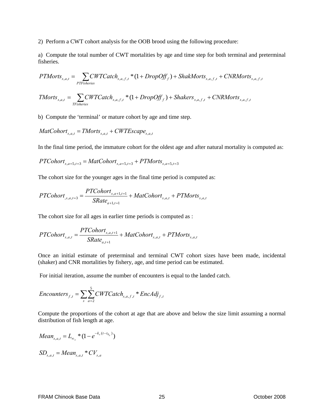2) Perform a CWT cohort analysis for the OOB brood using the following procedure:

a) Compute the total number of CWT mortalities by age and time step for both terminal and preterminal fisheries.

$$
PTMorts_{s,a,t} = \sum_{PTFisheries} CWTCatch_{s,a,f,t} * (1 + DropOff_f) + ShakMorts_{s,a,f,t} + CNRMorts_{s,a,f,t}
$$

$$
TMorts_{s,a,t} = \sum_{TFisheries} CWTCatch_{s,a,f,t} * (1 + DropOff_f) + Shakers_{s,a,f,t} + CNRMorts_{s,a,f,t}
$$

b) Compute the 'terminal' or mature cohort by age and time step.

$$
MatCohort_{s,a,t} = TMorts_{s,a,t} + CWTEscope_{s,a,t}
$$

In the final time period, the immature cohort for the oldest age and after natural mortality is computed as:

$$
PTCohort_{s,a=5,t=3} = MatCohort_{s,a=5,t=3} + PTMorts_{s,a=5,t=3}
$$

The cohort size for the younger ages in the final time period is computed as:

$$
PTColor_{,s,a,t=3} = \frac{PTColor_{s,a+1,t=1}}{SRate_{a+1,t=1}} + MatColor_{s,a,t} + PTMorts_{s,a,t}
$$

The cohort size for all ages in earlier time periods is computed as :

$$
PTCohort_{s,a,t} = \frac{PTCohort_{s,a,t+1}}{SRate_{a,t+1}} + MatCohort_{s,a,t} + PTMorts_{s,a,t}
$$

Once an initial estimate of preterminal and terminal CWT cohort sizes have been made, incidental (shaker) and CNR mortalities by fishery, age, and time period can be estimated.

For initial iteration, assume the number of encounters is equal to the landed catch.

$$
Encounters_{f,t} = \sum_{s} \sum_{a=2}^{5} CWTCatch_{s,a,f,t} * EncAdj_{f,t}
$$

Compute the proportions of the cohort at age that are above and below the size limit assuming a normal distribution of fish length at age.

$$
Mean_{s,a,t} = L_{\infty_s} * (1 - e^{-k_s(t - t_{0s})})
$$
  
SD<sub>s,a,t</sub> = Mean<sub>s,a,t</sub> \* CV<sub>s,a</sub>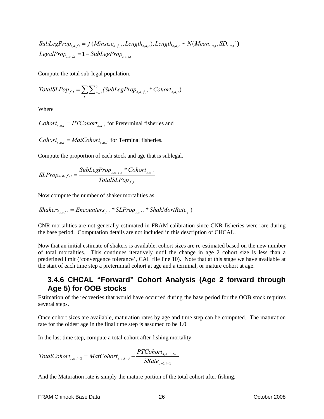$LegalProp_{s,a,ft} = 1-SubLegProp_{s,a,ft}$ SubLegProp<sub>s,a,f,t</sub> = f(Minsize<sub>a,f,t</sub>,Length<sub>s,a,t</sub>),Length<sub>s,a,t</sub> ~ N(Mean<sub>s,a,t</sub>,SD<sub>s,a,t</sub><sup>2</sup>)  $\mu_{f,t},$  Lengin<sub>s,a,t</sub>), Lengin<sub>s,a,t</sub>  $\sim$  *N* (*Mean<sub>s,a,t</sub>*, *SD<sub>s,a,</sub>* 

Compute the total sub-legal population.

$$
TotalSLPop_{f,t} = \sum_{s} \sum_{a=2}^{5} (SubLegProp_{s,a,f,t} * Cohort_{s,a,t})
$$

Where

*Cohort*<sub>s</sub><sub> $a_t$ </sub> = *PTCohort*<sub>s</sub><sub> $a_t$ </sub> for Preterminal fisheries and

*Cohort*<sub>s</sub><sub> $a$ </sub>, = *MatCohort*<sub>s</sub><sub> $a$ </sub>, for Terminal fisheries.

Compute the proportion of each stock and age that is sublegal.

$$
SLProp_{s,a,f,t} = \frac{SubLegProp_{s,a,f,t} * Cohort_{s,a,t}}{TotalSLPop_{f,t}}
$$

Now compute the number of shaker mortalities as:

$$
Shakers_{s,a,ft} = Encounters_{f,t} * SLProp_{s,a,ft} * ShakMortRate_f)
$$

CNR mortalities are not generally estimated in FRAM calibration since CNR fisheries were rare during the base period. Computation details are not included in this description of CHCAL.

Now that an initial estimate of shakers is available, cohort sizes are re-estimated based on the new number of total mortalities. This continues iteratively until the change in age 2 cohort size is less than a predefined limit ('convergence tolerance', CAL file line 10). Note that at this stage we have available at the start of each time step a preterminal cohort at age and a terminal, or mature cohort at age.

### **3.4.6 CHCAL "Forward" Cohort Analysis (Age 2 forward through Age 5) for OOB stocks**

Estimation of the recoveries that would have occurred during the base period for the OOB stock requires several steps.

Once cohort sizes are available, maturation rates by age and time step can be computed. The maturation rate for the oldest age in the final time step is assumed to be 1.0

In the last time step, compute a total cohort after fishing mortality.

$$
TotalColor_{s,a,t=3} = MatColor_{s,a,t=3} + \frac{PTColor_{s,a+1,t=1}}{SRate_{a+1,t=1}}
$$

And the Maturation rate is simply the mature portion of the total cohort after fishing.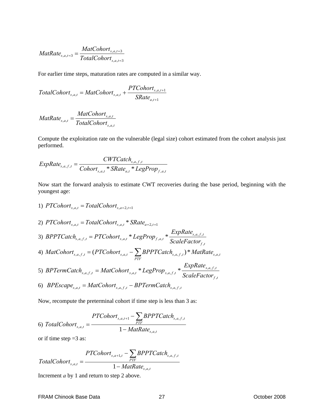$$
MatRate_{s,a,t=3} = \frac{MatCohort_{s,a,t=3}}{TotalCohort_{s,a,t=3}}
$$

For earlier time steps, maturation rates are computed in a similar way.

$$
TotalColor t_{s,a,t} = MatColor t_{s,a,t} + \frac{PTColor t_{s,a,t+1}}{SRate_{a,t+1}}
$$

$$
MatRate_{s,a,t} = \frac{MatColor_{s,a,t}}{TotalColor_{s,a,t}}
$$

Compute the exploitation rate on the vulnerable (legal size) cohort estimated from the cohort analysis just performed.

$$
ExpRate_{s,a,f,t} = \frac{CWTCatch_{s,a,f,t}}{Cohort_{s,a,t} * SRate_{a,t} * LegProp_{f,a,t}}
$$

Now start the forward analysis to estimate CWT recoveries during the base period, beginning with the youngest age:

- 1)  $PTCohort_{s,a,t} = TotalCohort_{s,a=2,t=1}$
- 2)  $\text{PTCohort}_{s,a,t} = \text{TotalCohort}_{s,a,t} * \text{SRate}_{a=2,t=1}$ 3) *f t*  $s$ ,  $a$ ,  $f$ ,  $t$  $s_{a,f,t}$  – 1 1 Conort<sub>s, a, t</sub> Leg1 rop<sub>f, a,t</sub> ScaleFactor  $BPPTCatch_{s,a,f,t} = PTCohort_{s,a,t} * LegProp_{f,a,t} * \frac{ExpRate}{P}$ ,  $_{a,f,t}$  = PTCohort<sub>s,a,t</sub> \* LegProp<sub>f,a,t</sub> \*  $\frac{Exprate_{s,a,f}}{S_{s,a}F_{s,a,f}}$ 4)  $MatCohort_{s,a,f,t} = (PTCohort_{s,a,t} - \sum BPPTCatch_{s,a,f,t}) * Mathate_{s,a,t}$  $\textit{MatCohort}_{s,a,f,t} = (\textit{PTCohort}_{s,a,t} - \sum_{\textit{PTF}} \textit{BPPTCatch}_{s,a,f,t}) * \textit{MatRate}_{s,a,t}$ 5) *f t*  $s$ , $a$ , $f$ , $t$  $s_{a,f,t}$  – matconori $s_{s,a,t}$  Legi rop<sub>s,a,f,t</sub> ScaleFactor  $BPTermCatch_{s, a, f, t} = MatCohort_{s, a, t} * LegProp_{s, a, f, t} * \frac{ExpRate}{Z}$ ,  $_{a,f,t}$  = MatCohort<sub>s,a,t</sub> \* LegProp<sub>s,a,f,t</sub> \*  $\frac{Exprate_{s,a,f,t}}{S_{s,a} + S_{s,a,t}}$
- 6) *BPEscape*<sub>s,*a*,*t*</sub> = *MatCohort*<sub>s,*a*,*f*,*t*</sub> − *BPTermCatch*<sub>s,*a*,*f*,*t*</sub>

Now, recompute the preterminal cohort if time step is less than 3 as:

$$
6)\ TotalColor t_{s,a,t} = \frac{PTColor t_{s,a,t+1} - \sum_{PTF} BPPTCatch_{s,a,f,t}}{1 - Match t_{s,a,t}}
$$

or if time step  $=3$  as:

$$
TotalColor_{s,a,t} = \frac{PTColor_{s,a+1,t} - \sum_{PTF} BPPTCatch_{s,a,f,t}}{1 - Match_{s,a,t}}
$$

Increment *a* by 1 and return to step 2 above.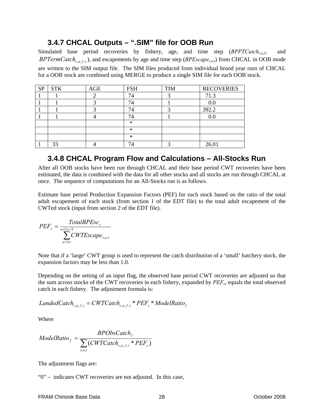### **3.4.7 CHCAL Outputs – ".SIM" file for OOB Run**

Simulated base period recoveries by fishery, age, and time step (*BPPTCatch<sub>s,a,f,t</sub>* and *BPTermCatch<sub>s,a, f,t</sub>*), and escapements by age and time step (*BPEscape<sub>s,a,t</sub>*) from CHCAL in OOB mode are written to the SIM output file. The SIM files produced from individual brood year runs of CHCAL for a OOB stock are combined using MERGE to produce a single SIM file for each OOB stock.

| <b>SP</b> | <b>STK</b> | AGE | <b>FSH</b> | <b>TIM</b> | <b>RECOVERIES</b> |
|-----------|------------|-----|------------|------------|-------------------|
|           |            |     | 74         |            | 71.3              |
|           |            | ◠   | 74         |            | 0.0               |
|           |            |     | 74         | ⌒          | 392.2             |
|           |            |     | 74         |            | 0.0               |
|           |            |     | $\ast$     |            |                   |
|           |            |     | $\ast$     |            |                   |
|           |            |     | $\ast$     |            |                   |
|           | 33         |     | 74         |            | 26.01             |

### **3.4.8 CHCAL Program Flow and Calculations – All-Stocks Run**

After all OOB stocks have been run through CHCAL and their base period CWT recoveries have been estimated, the data is combined with the data for all other stocks and all stocks are run through CHCAL at once. The sequence of computations for an All-Stocks run is as follows.

Estimate base period Production Expansion Factors (PEF) for each stock based on the ratio of the total adult escapement of each stock (from section 1 of the EDT file) to the total adult escapement of the CWTed stock (input from section 2 of the EDT file).

$$
PEF_s = \frac{TotalBPEsc_s}{\sum_{a=3,t}^{x=5,t=3} CWTEscape_{s,a,t}}
$$

Note that if a 'large' CWT group is used to represent the catch distribution of a 'small' hatchery stock, the expansion factors may be less than 1.0.

Depending on the setting of an input flag, the observed base period CWT recoveries are adjusted so that the sum across stocks of the CWT recoveries in each fishery, expanded by *PEFs*, equals the total observed catch in each fishery. The adjustment formula is:

Landed Catch<sub>s,a,f,t</sub> = CWTCatch<sub>s,a,f,t</sub> \* 
$$
PEF_s
$$
 \* ModelRatio<sub>f</sub>

Where

$$
ModelRatio_f = \frac{BPObsCatch_f}{\sum_{s,a,t}(CWTCatch_{s,a,f,t} * PEF_s)}
$$

The adjustment flags are:

"0" – indicates CWT recoveries are not adjusted. In this case,

#### FRAM Chinook Base Data  $\overline{28}$  28 28 28 28 2008 0ctober 2008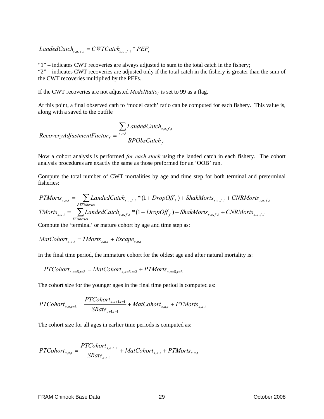*LandedCatch*<sub>s,*a*, *f*, *t*</sub> = *CWTCatch*<sub>s,*a*, *f*, *t*</sub> \*  $PEF_s$ 

"1" – indicates CWT recoveries are always adjusted to sum to the total catch in the fishery; "2" – indicates CWT recoveries are adjusted only if the total catch in the fishery is greater than the sum of the CWT recoveries multiplied by the PEFs.

If the CWT recoveries are not adjusted *ModelRatio<sub>f</sub>* is set to 99 as a flag.

At this point, a final observed cath to 'model catch' ratio can be computed for each fishery. This value is, along with a saved to the outfile

$$
RecoveryAdjustmentFactor_f = \frac{\sum_{s,a,t}LandedCatch_{s,a,f,t}}{BPObsCatch_f}
$$

Now a cohort analysis is performed *for each stock* using the landed catch in each fishery. The cohort analysis procedures are exactly the same as those preformed for an 'OOB' run.

Compute the total number of CWT mortalities by age and time step for both terminal and preterminal fisheries:

$$
PTMorts_{s,a,t} = \sum_{\text{PTFisheries}} LandedCatch_{s,a,f,t} * (1 + DropOff_f) + ShakMorts_{s,a,f,t} + CNRMorts_{s,a,f,t}
$$
\n
$$
TMorts_{s,a,t} = \sum_{\text{TFisheries}} LandedCatch_{s,a,f,t} * (1 + DropOff_f) + ShakMorts_{s,a,f,t} + CNRMorts_{s,a,f,t}
$$

Compute the 'terminal' or mature cohort by age and time step as:

$$
MatCohort_{s,a,t} = TMorts_{s,a,t} + Escape_{s,a,t}
$$

In the final time period, the immature cohort for the oldest age and after natural mortality is:

$$
PTCohort_{s,a=5,t=3} = MatCohort_{s,a=5,t=3} + PTMorts_{s,a=5,t=3}
$$

The cohort size for the younger ages in the final time period is computed as:

$$
PTColor_{s,a,t=3} = \frac{PTColor_{s,a+1,t=1}}{SRate_{a+1,t=1}} + MatColor_{s,a,t} + PTMorts_{s,a,t}
$$

The cohort size for all ages in earlier time periods is computed as:

$$
PTColor_{s,a,t} = \frac{PTColor_{s,a,t+1}}{SRate_{a,t+1}} + MatColor_{s,a,t} + PTMorts_{s,a,t}
$$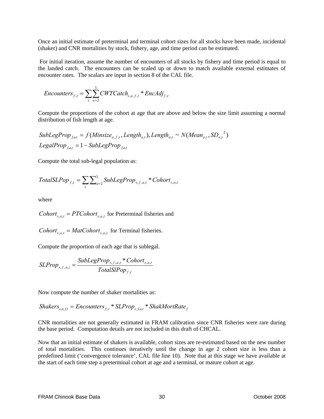Once an initial estimate of preterminal and terminal cohort sizes for all stocks have been made, incidental (shaker) and CNR mortalities by stock, fishery, age, and time period can be estimated.

 For initial iteration, assume the number of encounters of all stocks by fishery and time period is equal to the landed catch. The encounters can be scaled up or down to match available external estimates of encounter rates. The scalars are input in section 8 of the CAL file.

$$
Encounters_{f,t} = \sum_{s} \sum_{a=2}^{5} CWTCatch_{s,a,f,t} * EncAdj_{f,t}
$$

Compute the proportions of the cohort at age that are above and below the size limit assuming a normal distribution of fish length at age.

SubLegProp<sub>fat</sub> = 
$$
f(Minsize_{a,f,t},Length_{a,t})
$$
, Length<sub>a,t</sub> ~  $N(Mean_{a,t}, SD_{a,t}^2)$   
LegalProp<sub>fat</sub> = 1 – SubLegProp<sub>fat</sub>

Compute the total sub-legal population as:

$$
TotalSLPop_{f,t} = \sum_{s} \sum_{a=2}^{5} SubLegProp_{s,f,a,t} * Cohort_{s,a,t}
$$

where

*Cohort*<sub>s,*a*,*t*</sub> = *PTCohort*<sub>s,*a*,*t*</sub> for Preterminal fisheries and

*Cohort*<sub>s,*a*,*t*</sub> = *MatCohort*<sub>s,*a*,*t*</sub> for Terminal fisheries.

Compute the proportion of each age that is sublegal.

$$
SLProp_{s,f,a,t} = \frac{SubLegProp_{s,f,a,t} * Cohort_{s,a,t}}{TotalSIPop_{f,t}}
$$

Now compute the number of shaker mortalities as:

 $Shakers_{s,a,ft} = \text{Encounters}_{f,t} * SLProp_{s,fa,t} * ShakMortRate_f$ 

CNR mortalities are not generally estimated in FRAM calibration since CNR fisheries were rare during the base period. Computation details are not included in this draft of CHCAL.

Now that an initial estimate of shakers is available, cohort sizes are re-estimated based on the new number of total mortalities. This continues iteratively until the change in age 2 cohort size is less than a predefined limit ('convergence tolerance', CAL file line 10). Note that at this stage we have available at the start of each time step a preterminal cohort at age and a terminal, or mature cohort at age.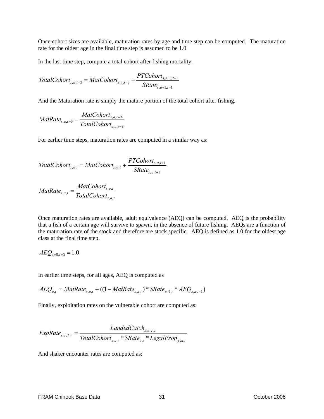Once cohort sizes are available, maturation rates by age and time step can be computed. The maturation rate for the oldest age in the final time step is assumed to be 1.0

In the last time step, compute a total cohort after fishing mortality.

$$
TotalColor_{s,a,t=3} = MatColor_{s,a,t=3} + \frac{PTColor_{s,a+1,t=1}}{SRate_{s,a+1,t=1}}
$$

And the Maturation rate is simply the mature portion of the total cohort after fishing.

$$
MatRate_{s,a,t=3} = \frac{MatColor t_{s,a,t=3}}{TotalColor t_{s,a,t=3}}
$$

For earlier time steps, maturation rates are computed in a similar way as:

$$
TotalColor_{s,a,t} = MatColor_{s,a,t} + \frac{PTColor_{s,a,t+1}}{SRate_{s,a,t+1}}
$$

$$
MatRate_{s,a,t} = \frac{MatColor_{s,a,t}}{TotalColor_{s,a,t}}
$$

Once maturation rates are available, adult equivalence (AEQ) can be computed. AEQ is the probability that a fish of a certain age will survive to spawn, in the absence of future fishing. AEQs are a function of the maturation rate of the stock and therefore are stock specific. AEQ is defined as 1.0 for the oldest age class at the final time step.

$$
A E Q_{a=5,t=3} = 1.0
$$

In earlier time steps, for all ages, AEQ is computed as

$$
AEQ_{a,t} = MatRate_{s,a,t} + ((1 - MatRate_{s,a,t}) * SRate_{a+1,t} * AEQ_{s,a,t+1})
$$

Finally, exploitation rates on the vulnerable cohort are computed as:

$$
ExpRate_{s,a,f,t} = \frac{Landed Catch_{s,a,f,t}}{TotalColor_{s,a,t} * SRate_{a,t} * LegendProp_{f,a,t}}
$$

And shaker encounter rates are computed as: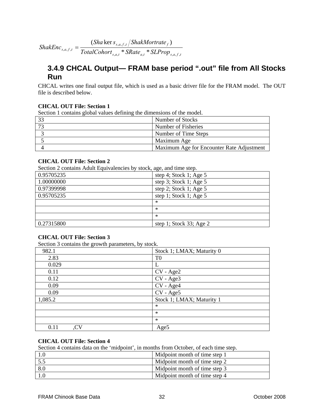$\sum_{s,a,t}$  *s*  $\sum_{a,t}$   $\sum_{s,a,f,t}$ *s a f t f*  $\sum_{s,a,f,t}$   $\overline{S}$  *TotalCohort*<sub>sat</sub>  $\sum_{s}$  *SRate*<sub>at</sub>  $\sum_{s}$  *SLProp Sha s ShakMortrate ShakEnc*  $_{a,t}$  share  $_{a,t}$  survey  $_{s,a,f}$ ,  $, a, f,$  $_{a,f,t}$  =  $\frac{1}{TotalColor_{s, a, t}}$  \*  $SRate_{a, t}$  \*  $=\frac{(Sha \ker s_{s,a,f,t}/ShakMortrate_f)}{Imes}$ 

### **3.4.9 CHCAL Output— FRAM base period ".out" file from All Stocks Run**

CHCAL writes one final output file, which is used as a basic driver file for the FRAM model. The OUT file is described below.

#### **CHCAL OUT File: Section 1**

Section 1 contains global values defining the dimensions of the model.

| 33 | Number of Stocks                          |
|----|-------------------------------------------|
|    | Number of Fisheries                       |
|    | Number of Time Steps                      |
|    | Maximum Age                               |
|    | Maximum Age for Encounter Rate Adjustment |

#### **CHCAL OUT File: Section 2**

Section 2 contains Adult Equivalencies by stock, age, and time step.

|            | $\sim$ $\sim$ $\sim$ $\sim$ $\sim$ $\sim$ $\sim$ |
|------------|--------------------------------------------------|
| 0.95705235 | step 4; Stock 1; Age 5                           |
| 1.00000000 | step 3; Stock 1; Age $5$                         |
| 0.97399998 | step 2; Stock 1; Age $5$                         |
| 0.95705235 | step 1; Stock 1; Age 5                           |
|            | $\ast$                                           |
|            | $\ast$                                           |
|            | $\ast$                                           |
| 0.27315800 | step 1; Stock 33; Age 2                          |
|            |                                                  |

#### **CHCAL OUT File: Section 3**

Section 3 contains the growth parameters, by stock.

| 982.1       | Stock 1; LMAX; Maturity 0 |
|-------------|---------------------------|
| 2.83        | T <sub>0</sub>            |
| 0.029       |                           |
| 0.11        | CV - Age2                 |
| 0.12        | CV - Age3                 |
| 0.09        | CV - Age4                 |
| 0.09        | CV - Age5                 |
| 1,085.2     | Stock 1; LMAX; Maturity 1 |
|             | $\ast$                    |
|             | $\ast$                    |
|             | $\ast$                    |
| CV,<br>0.11 | Age5                      |

#### **CHCAL OUT File: Section 4**

Section 4 contains data on the 'midpoint', in months from October, of each time step.

| Midpoint month of time step 1 |
|-------------------------------|
| Midpoint month of time step 2 |
| Midpoint month of time step 3 |
| Midpoint month of time step 4 |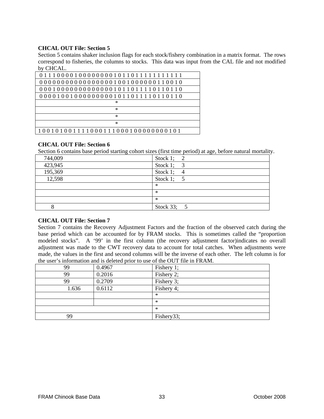#### **CHCAL OUT File: Section 5**

Section 5 contains shaker inclusion flags for each stock/fishery combination in a matrix format. The rows correspond to fisheries, the columns to stocks. This data was input from the CAL file and not modified by CHCAL.

| 011100001000000001011011111111111  |
|------------------------------------|
|                                    |
| 0001000000000000001011011110110110 |
| 00001001000000000101101110110110   |
| $^{\ast}$                          |
| $^{\ast}$                          |
| $\ast$                             |
| $\ast$                             |
| 100101001111000111000100000000101  |

#### **CHCAL OUT File: Section 6**

Section 6 contains base period starting cohort sizes (first time period) at age, before natural mortality.

| 744,009 | Stock 1; $2$ |
|---------|--------------|
| 423,945 | Stock 1; $3$ |
| 195,369 | Stock 1; $4$ |
| 12,598  | Stock 1; $5$ |
|         | ∗            |
|         | ∗            |
|         | $\ast$       |
|         | Stock 33; 5  |

#### **CHCAL OUT File: Section 7**

Section 7 contains the Recovery Adjustment Factors and the fraction of the observed catch during the base period which can be accounted for by FRAM stocks. This is sometimes called the "proportion modeled stocks". A '99' in the first column (the recovery adjustment factor)indicates no overall adjustment was made to the CWT recovery data to account for total catches. When adjustments were made, the values in the first and second columns will be the inverse of each other. The left column is for the user's information and is deleted prior to use of the OUT file in FRAM.

| 99    | 0.4967 | Fishery 1; |
|-------|--------|------------|
| 99    | 0.2016 | Fishery 2; |
| 99    | 0.2709 | Fishery 3; |
| 1.636 | 0.6112 | Fishery 4; |
|       |        | $\ast$     |
|       |        | $\ast$     |
|       |        | $\ast$     |
| 99    |        | Fishery33; |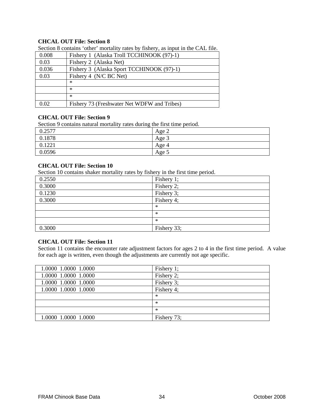#### **CHCAL OUT File: Section 8**

|       | $\alpha$ section $\delta$ contains other inortainty rates by itshery, as input in the CAL file. |
|-------|-------------------------------------------------------------------------------------------------|
| 0.008 | Fishery 1 (Alaska Troll TCCHINOOK (97)-1)                                                       |
| 0.03  | Fishery 2 (Alaska Net)                                                                          |
| 0.036 | Fishery 3 (Alaska Sport TCCHINOOK (97)-1)                                                       |
| 0.03  | Fishery 4 (N/C BC Net)                                                                          |
|       | $\ast$                                                                                          |
|       | $\ast$                                                                                          |
|       | $\ast$                                                                                          |
| 0.02  | Fishery 73 (Freshwater Net WDFW and Tribes)                                                     |

Section 8 contains 'other' mortality rates by fishery, as input in the CAL file.

### **CHCAL OUT File: Section 9**

Section 9 contains natural mortality rates during the first time period.

| 2577<br>$v \sim$ | $\sqrt{2}$<br>Age     |
|------------------|-----------------------|
| 0.1878           | $\sqrt{2}$<br>Age $3$ |
| 0.1221           | Age 4                 |
| 0.0596           | Age 5                 |

#### **CHCAL OUT File: Section 10**

Section 10 contains shaker mortality rates by fishery in the first time period.

| 0.2550 | Fishery 1;  |
|--------|-------------|
| 0.3000 | Fishery 2;  |
| 0.1230 | Fishery 3;  |
| 0.3000 | Fishery 4;  |
|        | $\ast$      |
|        | $\ast$      |
|        | $\ast$      |
| 0.3000 | Fishery 33; |
|        |             |

### **CHCAL OUT File: Section 11**

Section 11 contains the encounter rate adjustment factors for ages 2 to 4 in the first time period. A value for each age is written, even though the adjustments are currently not age specific.

| 1.0000 1.0000 1.0000 | Fishery 1;  |
|----------------------|-------------|
| 1.0000 1.0000 1.0000 | Fishery 2;  |
| 1.0000 1.0000 1.0000 | Fishery 3;  |
| 1.0000 1.0000 1.0000 | Fishery 4;  |
|                      | $\ast$      |
|                      | $\ast$      |
|                      | $\ast$      |
| 1.0000 1.0000 1.0000 | Fishery 73; |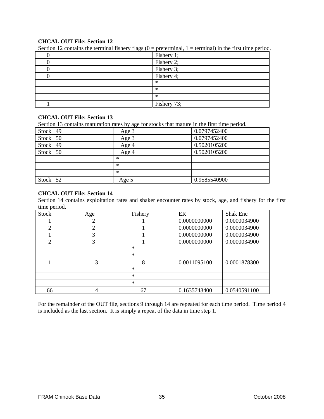#### **CHCAL OUT File: Section 12**

| ----- -- -- |             |
|-------------|-------------|
|             | Fishery 1;  |
|             | Fishery 2;  |
|             | Fishery 3;  |
|             | Fishery 4;  |
|             | ∗           |
|             | $\ast$      |
|             | $\ast$      |
|             | Fishery 73; |

Section 12 contains the terminal fishery flags  $(0 = \text{preterminal}, 1 = \text{terminal})$  in the first time period.

## **CHCAL OUT File: Section 13**

Section 13 contains maturation rates by age for stocks that mature in the first time period.

| Stock 49 | Age 3  | 0.0797452400 |
|----------|--------|--------------|
| Stock 50 | Age 3  | 0.0797452400 |
| Stock 49 | Age 4  | 0.5020105200 |
| Stock 50 | Age 4  | 0.5020105200 |
|          | $\ast$ |              |
|          | $\ast$ |              |
|          | $\ast$ |              |
| Stock 52 | Age 5  | 0.9585540900 |

#### **CHCAL OUT File: Section 14**

Section 14 contains exploitation rates and shaker encounter rates by stock, age, and fishery for the first time period.

| <b>Stock</b> | Age            | Fishery | ER           | Shak Enc     |
|--------------|----------------|---------|--------------|--------------|
|              | 2              |         | 0.0000000000 | 0.0000034900 |
| 2            | $\overline{2}$ |         | 0.0000000000 | 0.0000034900 |
|              | 3              |         | 0.0000000000 | 0.0000034900 |
| 2            | 3              |         | 0.0000000000 | 0.0000034900 |
|              |                | $*$     |              |              |
|              |                | $*$     |              |              |
|              | 3              | 8       | 0.0011095100 | 0.0001878300 |
|              |                | $*$     |              |              |
|              |                | $*$     |              |              |
|              |                | $*$     |              |              |
| 66           |                | 67      | 0.1635743400 | 0.0540591100 |

For the remainder of the OUT file, sections 9 through 14 are repeated for each time period. Time period 4 is included as the last section. It is simply a repeat of the data in time step 1.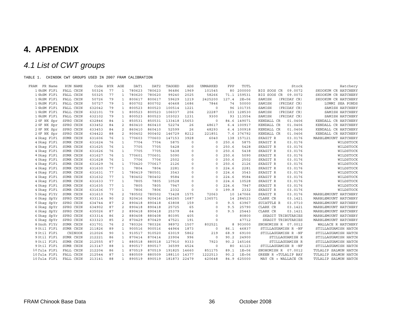# **4. APPENDIX**

# *4.1 List of CWT groups*

TABLE 1. CHINOOK CWT GROUPS USED IN 2007 FRAM CALIBRATION

| FRAM<br>FR Name | RUN NAME  | Code   | <b>BYR</b> | AGE            | DAT1   | DAT2   | TAGGED | ADS      | UNMARKED | FPP   | TOTL        | Stock                  | Hatchery             |
|-----------------|-----------|--------|------------|----------------|--------|--------|--------|----------|----------|-------|-------------|------------------------|----------------------|
| 1 NkSM FlFi     | FALL CHIN | 50324  | 77         | 1              | 780623 | 780623 | 96486  | 1969     | 101545   | 80    | 200000      | 09.0072<br>BIG SOOS CR | SKOOKUM CR HATCHERY  |
| 1 NkSM FlFi     | FALL CHIN | 50325  | 77         | $\mathbf{1}$   | 780620 | 780620 | 99240  | 2025     | 58266    |       | 71.1 159531 | BIG SOOS CR<br>09.0072 | SKOOKUM CR HATCHERY  |
| 1 NkSM FlFi     | FALL CHIN | 50726  | 79         | $\mathbf{1}$   | 800617 | 800617 | 59629  | 1219     | 2425200  | 127.4 | $2E + 06$   | SAMISH<br>(FRIDAY CR)  | SKOOKUM CR HATCHERY  |
| 1 NkSM FlFi     | FALL CHIN | 50727  | 79         | $\mathbf{1}$   | 800702 | 800702 | 40468  | 1686     | 7846     | 74    | 50000       | SAMISH<br>(FRIDAY CR)  | LUMMI SEA PONDS      |
| 1 NkSM FlFi     | FALL CHIN | 632042 | 79         | $\mathbf{1}$   | 800523 | 800523 | 100514 | 1221     | $\circ$  | 96    | 101735      | SAMISH<br>(FRIDAY CR)  | SAMISH HATCHERY      |
| 1 NkSM FlFi     | FALL CHIN | 632101 | 79         | $\mathbf{1}$   | 800523 | 800523 | 106037 | 206      | 22287    | 103   | 128530      | SAMISH<br>(FRIDAY CR)  | SAMISH HATCHERY      |
| 1 NkSM FlFi     | FALL CHIN | 632102 | 79         | $\mathbf{1}$   | 800523 | 800523 | 103023 | 1231     | 9300     | 93    | 113554      | SAMISH<br>(FRIDAY CR)  | SAMISH HATCHERY      |
| 2 NF NK Spr     | SPRG CHIN | 632846 | 84         | $\mathbf{1}$   | 850531 | 850531 | 133418 | 15653    | $\Omega$ | 84.6  | 149071      | KENDALL CR<br>01.0406  | KENDALL CR HATCHERY  |
| 2 NF NK Spr     | SPRG CHIN | 633452 | 84         | $\overline{a}$ | 860410 | 860410 | 52274  | 26       | 48617    |       | 6.4 100917  | 01.0406<br>KENDALL CR  | KENDALL CR HATCHERY  |
| 2 NF NK Spr     | SPRG CHIN | 633453 | 84         | $\overline{a}$ | 860410 | 860410 | 52599  | 26       | 48293    |       | 6.4 100918  | KENDALL CR<br>01.0406  | KENDALL CR HATCHERY  |
| 2 NF NK Spr     | SPRG CHIN | 634422 | 88         | 2              | 900402 | 900402 | 146729 | 8212     | 221851   | 7.6   | 376792      | KENDALL CR<br>01.0406  | KENDALL CR HATCHERY  |
| 4 Skaq FlFi     | SUMR CHIN | 631606 | 76         | $\overline{1}$ | 770603 | 770603 | 147153 | 3928     | 6040     | 138   | 157121      | SKAGIT R<br>03.0176    | MARBLEMOUNT HATCHERY |
| 4 Skaq FlFi     | SUMR CHIN | 631624 | 76         | $\mathbf{1}$   | 7704   | 7704   | 5875   | 0        | $\Omega$ | 250.6 | 5875        | SKAGIT R<br>03.0176    | WILDSTOCK            |
| 4 Skaq FlFi     | SUMR CHIN | 631625 | 76         | $\mathbf{1}$   | 7705   | 7705   | 5428   | $\Omega$ | $\Omega$ | 250.6 | 5428        | SKAGIT R<br>03.0176    | WILDSTOCK            |
| 4 Skag FlFi     | SUMR CHIN | 631626 | 76         | $\mathbf{1}$   | 7705   | 7705   | 5438   | $\Omega$ | $\Omega$ | 250.6 | 5438        | 03.0176<br>SKAGIT R    | WILDSTOCK            |
| 4 Skaq FlFi     | SUMR CHIN | 631627 | 76         | $\mathbf{1}$   | 770601 | 770601 | 5090   | $\Omega$ | $\Omega$ | 250.6 | 5090        | SKAGIT R<br>03.0176    | WILDSTOCK            |
| 4 Skag FlFi     | SUMR CHIN | 631628 | 76         | $\mathbf{1}$   | 7706   | 7706   | 2502   | $\Omega$ | $\Omega$ | 250.6 | 2502        | SKAGIT R<br>03.0176    | WILDSTOCK            |
| 4 Skaq FlFi     | SUMR CHIN | 631629 | 76         | $\mathbf{1}$   | 770420 | 770617 | 2126   | $\Omega$ | $\Omega$ | 250.6 | 2126        | SKAGIT R<br>03.0176    | WILDSTOCK            |
| 4 Skaq FlFi     | SUMR CHIN | 631630 | 77         | <sup>1</sup>   | 7804   | 7804   | 2281   | $\Omega$ | $\Omega$ | 224.6 | 2281        | SKAGIT R<br>03.0176    | WILDSTOCK            |
| 4 Skaq FlFi     | SUMR CHIN | 631631 | 77         | $\mathbf{1}$   | 780419 | 780501 | 3543   | $\Omega$ | $\Omega$ | 224.6 | 3543        | SKAGIT R<br>03.0176    | WILDSTOCK            |
| 4 Skaq FlFi     | SUMR CHIN | 631632 | 77         | $\mathbf{1}$   | 780402 | 780402 | 9584   | $\Omega$ | $\Omega$ | 224.6 | 9584        | SKAGIT R<br>03.0176    | WILDSTOCK            |
| 4 Skaq FlFi     | SUMR CHIN | 631633 | 77         | $\mathbf{1}$   | 7805   | 7805   | 10528  | 0        | $\Omega$ | 224.6 | 10528       | SKAGIT R<br>03.0176    | WILDSTOCK            |
| 4 Skaq FlFi     | SUMR CHIN | 631635 | 77         | $\mathbf{1}$   | 7805   | 7805   | 7947   | $\Omega$ | $\Omega$ | 224.6 | 7947        | SKAGIT R<br>03.0176    | WILDSTOCK            |
| 4 Skag FlFi     | SUMR CHIN | 631636 | 77         | $\mathbf{1}$   | 7806   | 7806   | 2332   | $\Omega$ | $\circ$  | 199.8 | 2332        | SKAGIT R<br>03.0176    | WILDSTOCK            |
| 5 Skaq FlYr     | SUMR CHIN | 631610 | 76         | $\overline{a}$ | 780502 | 780502 | 73428  | 1575     | 72063    |       | 10 147066   | 03.0176<br>SKAGIT R    | MARBLEMOUNT HATCHERY |
| 6 Skaq SpYr     | SPRG CHIN | 633114 | 90         | 2              | 920416 | 920416 | 146265 | 1687     | 136571   | 14    | 284523      | CLARK CR<br>03.1421    | MARBLEMOUNT HATCHERY |
| 6 Skaq SpYr     | SPRG CHIN | 634744 | 87         | 2              | 890418 | 890418 | 63808  | 159      | $\circ$  | 9.5   | 63967       | 03.0710<br>SUIATTLE R  | MARBLEMOUNT HATCHERY |
| 6 Skaq SpYr     | SPRG CHIN | 634902 | 87         | 2              | 890418 | 890418 | 25725  | 65       | $\Omega$ | 9.5   | 25790       | CLARK CR<br>03.1421    | MARBLEMOUNT HATCHERY |
| 6 Skaq SpYr     | SPRG CHIN | 635026 | 87         | $\overline{a}$ | 890418 | 890418 | 25379  | 64       | $\Omega$ | 9.5   | 25443       | CLARK CR<br>03.1421    | MARBLEMOUNT HATCHERY |
| 6 Skaq SpYr     | SPRG CHIN | 633314 | 86         | $\overline{a}$ | 880408 | 880408 | 80395  | 405      | $\Omega$ |       | 80800       | SKAGIT TRIBUTARIES     | MARBLEMOUNT HATCHERY |
| 6 Skag SpYr     | SPRG CHIN | 633323 | 85         | 2              | 870429 | 870429 | 47521  | 191      | $\circ$  |       | 47712       | SKAGIT TRIBUTARIES     | MARBLEMOUNT HATCHERY |
| 8 Snoh FlYr     | SUMR CHIN | 631701 | 76         | 2              | 780326 | 780326 | 98972  | 1507     | 802521   | 8     | 903000      | SNOHOMISH R 07.0012    | WALLACE R HATCHERY   |
| 9 Stil FlFi     | SUMR CHIN | 211826 | 89         | $\mathbf{1}$   | 900516 | 900516 | 44964  | 1873     | $\circ$  | 86.1  | 46837       | STILLAGUAMISH R -NF    | STILLAGUAMISH HATCH  |
| 9 Stil FlFi     | CHINOOK   | 212026 | 90         | $\mathbf{1}$   | 910517 | 910520 | 63019  | 5862     | 219      | 68.9  | 69100       | STILLAGUAMISH R -NF    | STILLAGUAMISH HATCH  |
| 9 Stil FlFi     | SUMR CHIN | 212221 | 86         | $\mathbf{1}$   | 870414 | 870414 | 23904  | 996      | $\circ$  | 90.2  | 24900       | STILLAGUAMISH R        | STILLAGUAMISH HATCH  |
| 9 Stil FlFi     | SUMR CHIN | 212555 | 87         | $\mathbf{1}$   | 880518 | 880518 | 127910 | 9333     | 7923     |       | 90.2 145166 | STILLAGUAMISH R        | STILLAGUAMISH HATCH  |
| 9 Stil FlFi     | SUMR CHIN | 213147 | 88         | $\mathbf{1}$   | 890517 | 890517 | 36599  | 4524     | $\circ$  | 80    | 41123       | STILLAGUAMISH R -NF    | STILLAGUAMISH HATCH  |
| 10 Tula FlFi    | FALL CHIN | 212204 | 86         | $\mathbf{1}$   | 870519 | 870519 | 191825 | 14660    | 851175   | 89.1  | $1E + 06$   | SNOHOMISH R 07.0012    | TULALIP SALMON HATCH |
| 10 Tula FlFi    | FALL CHIN | 212544 | 87         | $\mathbf{1}$   | 880509 | 880509 | 188110 | 14377    | 1222513  | 90.2  | $1E + 06$   | GREEN R +TULALIP BAY   | TULALIP SALMON HATCH |
| 10 Tula FlFi    | FALL CHIN | 213141 | 88         | $\mathbf{1}$   | 890519 | 890519 | 181873 | 22479    | 420648   | 84.9  | 625000      | MAY CR + WALLACE CR    | TULALIP SALMON HATCH |

36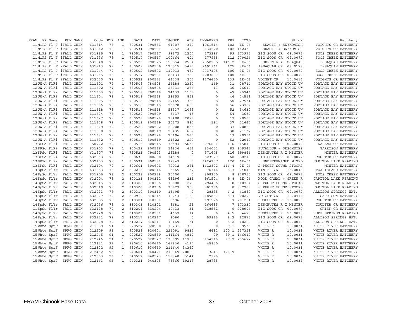| FRAM                    | FR Name |                         | RUN NAME | Code   | <b>BYR</b> | AGE                          | DAT1   | DAT2   | TAGGED       | ADS     | <b>UNMARKED</b> | FPP   | TOTL         | Stock                  |                      | Hatchery          |
|-------------------------|---------|-------------------------|----------|--------|------------|------------------------------|--------|--------|--------------|---------|-----------------|-------|--------------|------------------------|----------------------|-------------------|
| 11 MiPS Fl F iFALL CHIN |         |                         |          | 631814 | 78         | $\mathbf{1}$                 | 790531 | 790531 | 61307        | 370     | 1061514         | 102   | $1E + 06$    | SKAGIT + SKYKOMISH     | VOIGHTS CR HATCHERY  |                   |
|                         |         | 11 MiPS Fl F iFALL CHIN |          | 631842 | 78         | $\mathbf{1}$                 | 790531 | 790531 | 7752         | 408     | 134270          |       | 102 142430   | SKAGIT + SKYKOMISH     | VOIGHTS CR HATCHERY  |                   |
|                         |         | 11 MiPS Fl F iFALL CHIN |          | 631935 | 78         | $\mathbf{1}$                 | 790517 | 790517 | 99372        | 1207    | 173396          | 99    | 273975       | BIG SOOS CR 09.0072    | SOOS CREEK HATCHERY  |                   |
|                         |         | 11 MiPS Fl F iFALL CHIN |          | 631936 | 78         | $\mathbf{1}$                 | 790517 | 790517 | 100664       | 404     | 177958          |       | 279026       | BIG SOOS CR 09.0072    | SOOS CREEK HATCHERY  |                   |
|                         |         |                         |          |        |            |                              |        |        |              |         |                 | 112   |              |                        |                      |                   |
|                         |         | 11 MiPS Fl F iFALL CHIN |          | 631940 | 78         | $\mathbf{1}$                 | 790523 | 790525 | 150554       | 2554    | 2558955         | 146.2 | $3E + 06$    | GREEN R + ISSAQUAH     |                      | ISSAQUAH HATCHERY |
|                         |         | 11 MiPS Fl F iFALL CHIN |          | 631943 | 79         | $\mathbf{1}$                 | 800509 | 800509 | 120515       | 3497    | 2691961         | 125   | $3E + 06$    | ISSAQUAH CR 08.0178    | ISSAQUAH HATCHERY    |                   |
|                         |         | 11 MiPS Fl F iFALL CHIN |          | 631944 | 79         | $\mathbf{1}$                 | 800502 | 800502 | 119913       | 482     | 2737105         | 106   | $3E + 06$    | BIG SOOS CR<br>09.0072 | SOOS CREEK HATCHERY  |                   |
|                         |         | 11 MiPS Fl F iFALL CHIN |          | 631945 | 78         | $\mathbf{1}$                 | 790517 | 790531 | 185133       | 1750    | 4203607         | 100   | $4E + 06$    | 09.0072<br>BIG SOOS CR | SOOS CREEK HATCHERY  |                   |
|                         |         | 11 MiPS Fl F iFALL CHIN |          | 632020 | 79         | $\mathbf{1}$                 | 800523 | 800523 | 64238        | 304     | 1176650         | 139   | $1E+06$      | VOIGHT CR<br>10.0414   | VOIGHTS CR HATCHERY  |                   |
| 12 JW-A FlFi            |         | FALL CHIN               |          | 111601 | 77         | $\mathbf{1}$                 | 780508 | 780508 | 26188        | 2357    | 169             | 31    | 28714        | PORTAGE BAY STOCK UW   | PORTAGE BAY HATCHERY |                   |
| 12 JW-A FlFi            |         | FALL CHIN               |          | 111602 | 77         | $\mathbf{1}$                 | 780508 | 780508 | 26331        | 266     | 13              | 36    | 26610        | PORTAGE BAY STOCK UW   | PORTAGE BAY HATCHERY |                   |
| 12 JW-A FlFi            |         | FALL CHIN               |          | 111603 | 78         | $\mathbf{1}$                 | 790518 | 790518 | 24639        | 1107    | $\circ$         | 47    | 25746        | PORTAGE BAY STOCK UW   | PORTAGE BAY HATCHERY |                   |
| 12 JW-A FlFi            |         | FALL CHIN               |          | 111604 | 78         | $\mathbf{1}$                 | 790518 | 790518 | 23653        | 858     | $\Omega$        | 44    | 24511        | PORTAGE BAY STOCK UW   | PORTAGE BAY HATCHERY |                   |
| 12 JW-A FlFi            |         | FALL CHIN               |          | 111605 | 78         | $\mathbf{1}$                 | 790518 | 790518 | 27165        | 358     | 8               | 50    | 27531        | PORTAGE BAY STOCK UW   | PORTAGE BAY HATCHERY |                   |
| 12 JW-A FlFi            |         | FALL CHIN               |          | 111606 | 78         | $\mathbf{1}$                 | 790518 | 790518 | 23078        | 689     | $\mathsf O$     | 56    | 23767        | PORTAGE BAY STOCK UW   | PORTAGE BAY HATCHERY |                   |
| 12 JW-A FlFi            |         | FALL CHIN               |          | 111618 | 78         | $\mathbf{1}$                 | 790518 | 790518 | 53537        | 1093    | $\circ$         | 52    | 54630        | PORTAGE BAY STOCK UW   | PORTAGE BAY HATCHERY |                   |
| 12 JW-A FlFi            |         | FALL CHIN               |          | 111624 | 78         | $\mathbf{1}$                 | 790529 | 790529 | 3637         | 15      | $\circ$         | 54    | 3652         | PORTAGE BAY STOCK UW   | PORTAGE BAY HATCHERY |                   |
| 12 JW-A FlFi            |         | FALL CHIN               |          | 111627 | 79         | $\mathbf{1}$                 | 800528 | 800528 | 18488        | 2077    | $\circ$         | 19    | 20565        | PORTAGE BAY STOCK UW   | PORTAGE BAY HATCHERY |                   |
| 12 JW-A FlFi            |         | FALL CHIN               |          | 111628 | 79         | $\mathbf{1}$                 | 800519 | 800519 | 20573        | 887     | 184             | 37    | 21644        | PORTAGE BAY STOCK UW   | PORTAGE BAY HATCHERY |                   |
| 12 JW-A FlFi            |         | FALL CHIN               |          | 111629 | 79         | $\mathbf{1}$                 | 800522 | 800522 | 20008        | 855     | $\circ$         | 37    | 20863        | PORTAGE BAY STOCK UW   | PORTAGE BAY HATCHERY |                   |
| 12 JW-A FlFi            |         | FALL CHIN               |          | 111630 | 79         | $\mathbf{1}$                 | 800519 | 800519 | 20435        | 697     | $\circ$         | 38    | 21132        | PORTAGE BAY STOCK UW   | PORTAGE BAY HATCHERY |                   |
| 12 JW-A FlFi            |         | FALL CHIN               |          | 111631 | 79         | $\mathbf{1}$                 | 800528 | 800528 | 20196        | 560     | $\circ$         | 19    | 20756        | PORTAGE BAY STOCK UW   | PORTAGE BAY HATCHERY |                   |
| 12 JW-A FlFi            |         | FALL CHIN               |          | 111632 | 79         | $\mathbf{1}$                 | 800519 | 800519 | 21822        | 220     | $\circ$         | 52    | 22042        | PORTAGE BAY STOCK UW   | PORTAGE BAY HATCHERY |                   |
|                         |         |                         |          |        |            |                              |        |        |              |         |                 |       |              |                        |                      |                   |
| 13 SPSo FlFi            |         | FALL CHIN               |          | 50722  | 79         | $\mathbf{1}$                 | 800515 | 800515 | 33494        | 5635    | 776681          |       | 116 815810   | BIG SOOS CR 09.0072    | KALAMA CR HATCHERY   |                   |
| 13 SPSo FlFi            |         | FALL CHIN               |          | 631903 | 79         | $\mathbf{1}$                 | 800429 | 800516 | 14834        | 456     | 334052          | 83    | 349342       | PUYALLUP + DESCHUTES   | GARRISON HATCHERY    |                   |
| 13 SPSo FlFi            |         | FALL CHIN               |          | 631907 | 78         | $\mathbf{1}$                 | 790523 | 790523 | 28188        | $\circ$ | 571678          | 116   | 599866       | DESCHUTES R X MINTER   |                      | MINTER HATCHERY   |
| 13 SPSo FlFi            |         | FALL CHIN               |          | 632063 | 79         | $\mathbf{1}$                 | 800630 | 800630 | 34619        | 69      | 623527          | 60    | 658215       | BIG SOOS CR 09.0072    | COULTER CR HATCHERY  |                   |
| 13 SPSo FlFi            |         | FALL CHIN               |          | 632103 | 79         | $\mathbf{1}$                 | 800531 | 800531 | 12843        | 0       | 6424157         | 120   | $6E + 06$    | UNDETERMINED MIXED     | CAPITOL LAKE REARING |                   |
| 13 SPSo FlFi            |         | FALL CHIN               |          | 632104 | 79         | $\mathbf{1}$                 | 800601 | 800601 | 72032        | 361     | 1612822         | 116.4 | $2E + 06$    | S PUGET SOUND STOCKS   |                      | MINTER HATCHERY   |
| 14 SpSo FlYr            |         | FALL CHIN               |          | 631853 | 78         | 2                            | 800216 | 800216 | 3665         | 37      | 70316           | 5.7   | 74018        | 15.0048<br>MINTER CR   | FOX ISLAND HATCHERY  |                   |
| 14 SpSo FlYr            |         | FALL CHIN               |          | 631905 | 78         | 2                            | 800228 | 800228 | 20400        | $\circ$ | 308350          | 8     | 328750       | BIG SOOS CR 09.0072    | SOOS CREEK HATCHERY  |                   |
| 14 SpSo FlYr            |         | FALL CHIN               |          | 632004 | 78         | $\overline{a}$               | 800131 | 800312 | 48196        | 231     | 961504          | 9.8   | $1E+06$      | HOOD CANAL + GREEN R   | CAPITOL LAKE REARING |                   |
| 14 SpSo FlYr            |         | FALL CHIN               |          | 632015 | 79         | 2                            | 810306 | 810306 | 16080        | 278     | 294406          | 8     | 310764       | S PUGET SOUND STOCKS   | CAPITOL LAKE REARING |                   |
| 14 SpSo FlYr            |         | FALL CHIN               |          | 632019 | 79         | 2                            | 810306 | 810306 | 30929        | 703     | 801336          | 8     | 832968       | S PUGET SOUND STOCKS   | CAPITOL LAKE REARING |                   |
| 14 SpSo FlYr            |         | FALL CHIN               |          | 632023 | 78         | 2                            | 800310 | 800310 | 13495        | $\circ$ | 28385           | 6.2   | 41880        | BIG SOOS CR<br>09.0072 | ALLISON SPRINGS HAT. |                   |
| 14 SpSo FlYr            |         | FALL CHIN               |          | 632027 | 79         | 2                            | 800919 | 810214 | 10243        | 163     | 189887          |       | 5.4 200293   | VOIGHT CR<br>10.0414   | GARRISON HATCHERY    |                   |
| 14 SpSo FlYr            |         | FALL CHIN               |          | 632055 | 79         | $\overline{c}$               | 810301 | 810301 | 9696         | 59      | 191526          |       | 7 201281     | DESCHUTES R 13.0028    | COULTER CR HATCHERY  |                   |
| 14 SpSo FlYr            |         | FALL CHIN               |          | 632056 | 79         | $\overline{c}$               | 810301 | 810301 | 8681         | 21      | 164635          |       | 7 173337     | DESCHUTES R X MINTER   | COULTER CR HATCHERY  |                   |
| 11 SpSo FlYr            |         | FALL CHIN               |          | 632128 | 79         | 2                            | 810204 | 810204 | 10433        | 31      | 218532          | 9     | 228996       | BIG SOOS CR<br>09.0072 | CRISP CR HATCHERY    |                   |
| 14 SpSo FlYr            |         | FALL CHIN               |          | 632220 | 79         | 2                            | 810303 | 810531 | 4659         | 14      | $\mathbf 0$     | $4.5$ | 4673         | DESCHUTES R 13.0028    | HUPP SPRINGS REARING |                   |
| 14 SpSo FlYr            |         | FALL CHIN               |          | 632221 | 79         | $\overline{c}$               | 810217 | 810217 | 3060         | $\circ$ | 59815           | 8.2   | 62875        | BIG SOOS CR<br>09.0072 | ALLISON SPRINGS HAT. |                   |
| 14 SpSo FlYr            |         | FALL CHIN               |          | 632228 | 79         | 2                            | 810217 | 810217 | 10169        | 51      | $\circ$         | 8.2   | 10220        | BIG SOOS CR<br>09.0072 | ALLISON SPRINGS HAT. |                   |
| 15 Whte SprF            |         | SPRG CHIN               |          | 211659 | 91         | $\mathbf{1}$                 | 920527 | 920530 | 38231        | 1305    | $\circ$         | 89.1  | 39536        | WHITE R<br>10.0031     | WHITE RIVER HATCHERY |                   |
| 15 Whte SprF            |         | SPRG CHIN               |          | 212209 | 91         | $\mathbf{1}$                 | 920528 | 920604 | 221091       | 9835    | 6432            |       | 100.1 237358 | 10.0031<br>WHITE R     | WHITE RIVER HATCHERY |                   |
| 15 Whte SprF            |         | SPRG CHIN               |          | 212245 | 91         | $\mathbf{1}$                 | 920527 | 920530 | 141164       | 4817    | 29              |       | 89.1 146010  | WHITE R<br>10.0031     | WHITE RIVER HATCHERY |                   |
| 15 Whte SprF            |         | SPRG CHIN               |          | 212246 | 91         | $\mathbf{1}$                 | 920527 | 920527 | 138995 11759 |         | 134918          |       | 77.9 285672  | WHITE R<br>10.0031     | WHITE RIVER HATCHERY |                   |
|                         |         |                         |          |        |            |                              |        |        |              |         |                 |       |              |                        |                      |                   |
| 15 Whte SprF            |         | SPRG CHIN               |          | 212321 | 92         | $\mathbf{1}$<br>$\mathbf{1}$ | 930610 | 930610 | 167830       | 4127    | 45850           |       |              | WHITE R<br>10.0031     | WHITE RIVER HATCHERY |                   |
| 15 Whte SprF            |         | SPRG CHIN               |          | 212322 | 92         |                              | 930610 | 930610 | 214640       | 34362   |                 |       |              | WHITE R<br>10.0031     | WHITE RIVER HATCHERY |                   |
| 15 Whte SprF            |         | SPRG CHIN               |          | 212462 | 93         | $\mathbf{1}$                 | 940601 | 940421 | 218349       | 20888   | 3643            | 120.9 |              | WHITE R<br>10.0031     | WHITE RIVER HATCHERY |                   |
| 15 Whte SprF            |         | SPRG CHIN               |          | 212503 | 93         | $\mathbf{1}$                 | 940512 | 940523 | 159348       | 3144    | 2978            |       |              | WHITE R<br>10.0032     | WHITE RIVER HATCHERY |                   |
| 15 Whte SprF            |         | SPRG CHIN               |          | 212463 | 93         | $\mathbf{1}$                 | 940321 | 940325 | 75866 10248  |         | 28785           |       |              | WHITE R<br>10.0033     | WHITE RIVER HATCHERY |                   |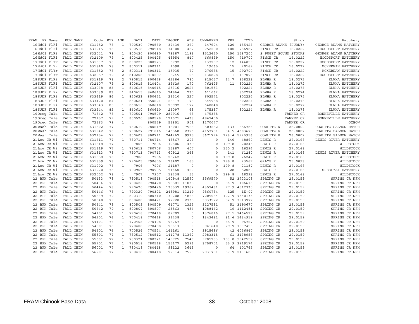| FRAM         | FR Name |           | RUN NAME | Code   | <b>BYR</b> | AGE            | DAT1   | DAT <sub>2</sub> | TAGGED       | ADS         | UNMARKED | FPP   | TOTL          |                      | Stock     | Hatchery             |
|--------------|---------|-----------|----------|--------|------------|----------------|--------|------------------|--------------|-------------|----------|-------|---------------|----------------------|-----------|----------------------|
| 16 HdCl FlFi |         | FALL CHIN |          | 631752 | 78         | $\mathbf{1}$   | 790530 | 790530           | 37439        | 360         | 147624   | 120   | 185423        | GEORGE ADAMS (PURDY) |           | GEORGE ADAMS HATCHRY |
| 16 HdCl FlFi |         | FALL CHIN |          | 631915 | 78         | $\mathbf{1}$   | 790518 | 790518           | 34300        | 487         | 752200   | 100   | 786987        | FINCH CR             | 16.0222   | HOODSPORT HATCHERY   |
| 16 HdCl FlFi |         | FALL CHIN |          | 632041 | 79         | $\mathbf{1}$   | 800430 | 800430           | 73387        | 1193        | 1512620  | 150   | 1587200       | S PUGET SOUND STOCKS |           | GEORGE ADAMS HATCHRY |
| 16 HdCl FlFi |         | FALL CHIN |          | 632109 | 79         | $\mathbf{1}$   | 800425 | 800425           | 48954        | 847         | 669899   | 150   | 719700        | FINCH CR             | 16.0222   | HOODSPORT HATCHERY   |
| 17HdCl FlYr  |         | FALL CHIN |          | 631637 | 78         | $\overline{a}$ | 800223 | 800223           | 6792         | 60          | 137207   | 12    | 144059        | FINCH CR             | 16.0222   | HOODSPORT HATCHERY   |
| 17HdCl FlYr  |         | FALL CHIN |          | 631840 | 78         | 2              | 800311 | 800311           | 1098         | 6           | 19065    | 15    | 20169         | FINCH CR             | 16.0222   | MCKERNAN HATCHERY    |
| 17HdCl FlYr  |         | FALL CHIN |          | 631852 | 78         | 2              | 800311 | 800311           | 15935        | 77          | 276688   | 15    | 292700        | FINCH CR             | 16.0222   | MCKERNAN HATCHERY    |
| 17 HdCl FlYr |         | FALL CHIN |          | 632057 | 79         | 2              | 810206 | 810207           | 6245         | 25          | 130828   | 11    | 137098        | FINCH CR             | 16.0222   | HOODSPORT HATCHERY   |
| 18 SJDF FlFi |         | FALL CHIN |          | 631919 | 78         | 2              | 790815 | 800428           | 42386        | 780         | 815057   | 14.7  | 858223        | ELWHA R              | 18.0272   | ELWHA HATCHERY       |
| 18 SJDF FlFi |         | FALL CHIN |          | 632107 | 79         | 2              | 800815 | 810404           | 39629        | 170         | 762425   | 11    | 802224        | ELWHA R              | 18.0272   | ELWHA HATCHERY       |
| 18 SJDF FlFi |         | FALL CHIN |          | 633038 | 83         | $\mathbf{1}$   | 840615 | 840615           | 25316        | 2026        | 801553   |       | 802224        | ELWHA R              | 18.0273   | ELWHA HATCHERY       |
| 18 SJDF FlFi |         | FALL CHIN |          | 633039 | 83         | $\mathbf{1}$   | 840615 | 840615           | 24964        | 230         | 611062   |       | 802224        | ELWHA R              | 18.0274   | ELWHA HATCHERY       |
| 18 SJDF FlFi |         | FALL CHIN |          | 633419 | 84         | $\mathbf{1}$   | 850621 | 850621           | 26510        | 227         | 602571   |       | 802224        | ELWHA R              | 18.0275   | ELWHA HATCHERY       |
| 18 SJDF FlFi |         | FALL CHIN |          | 633420 | 84         | $\mathbf{1}$   | 850621 | 850621           | 26317        | 173         | 645988   |       | 802224        | ELWHA R              | 18.0276   | ELWHA HATCHERY       |
| 18 SJDF FlFi |         | FALL CHIN |          | 633543 | 85         | $\mathbf{1}$   | 860610 | 860610           | 25992        | 172         | 640840   |       | 802224        | ELWHA R              | 18.0277   | ELWHA HATCHERY       |
| 18 SJDF FlFi |         | FALL CHIN |          | 633544 | 85         | $\mathbf{1}$   | 860610 | 860610           | 26097        | 68          | 475337   |       | 802224        | ELWHA R              | 18.0278   | ELWHA HATCHERY       |
| 19 Oreg Tule |         | FALL CHIN |          | 71842  | 78         | $\mathbf{1}$   | 790501 | 790529           | 287916       | 68          | 475338   |       |               |                      | TANNER CR | BONNEVILLE HATCHERY  |
| 19 Oreg Tule |         | FALL CHIN |          | 72157  | 79         | $\mathbf{1}$   | 800520 | 800528           | 121071       | 4433        | 4947400  |       |               |                      | TANNER CR | BONNEVILLE HATCHERY  |
| 19 Oreg Tule |         | FALL CHIN |          | 72163  | 79         | $\mathbf{1}$   |        | 800529           | 51851        | 901         | 1170077  |       |               |                      | TANNER CR | OXBOW                |
| 20 Wash Tule |         | FALL CHIN |          | 631802 | 77         | $\mathbf{1}$   | 780619 | 780619           | 146001       | 7523        | 503262   | 133   | 656786        | COWLITZ R            | 26.0002   | COWLITZ SALMON HATCH |
| 20 Wash Tule |         | FALL CHIN |          | 631942 | 78         | $\mathbf{1}$   | 790627 | 791016           | 143568       | 2326        | 4157781  |       | 54.5 4303675  | COWLITZ R            | 26.0002   | COWLITZ SALMON HATCH |
| 20 Wash Tule |         | FALL CHIN |          | 632154 | 79         | $\mathbf{1}$   | 800603 | 800711           | 244267       | 9915        | 5671774  |       | 128.4 5925956 | COWLITZ R            | 26.0002   | COWLITZ SALMON HATCH |
| 21 Low CR Wi |         | FALL CHIN |          | 631611 | 77         | $\mathbf{1}$   | 780714 | 780714           | 48567        | 293         | $\Omega$ | 140   | 48860         | LEWIS R              | 27.0168   | LEWIS RIVER HATCHERY |
| 21 Low CR Wi |         | FALL CHIN |          | 631618 | 77         | $\mathbf{1}$   | 7805   | 7806             | 19806        | 439         | $\Omega$ | 199.8 | 20245         | LEWIS R              | 27.0168   | WILDSTOCK            |
| 21 Low CR Wi |         | FALL CHIN |          | 631619 | 77         | $\mathbf{1}$   | 780613 | 780706           | 15887        | 407         | $\Omega$ | 150.2 | 16294         | LEWIS R              | 27.0168   | WILDSTOCK            |
| 21 Low CR Wi |         | FALL CHIN |          | 631813 | 78         | $\mathbf{1}$   | 790713 | 790713           | 60912        | 368         | $\Omega$ | 141   | 61280         | LEWIS R              | 27.0168   | LEWIS RIVER HATCHERY |
| 21 Low CR Wi |         | FALL CHIN |          | 631858 | 78         | $\mathbf{1}$   | 7906   | 7906             | 26242        | $\circ$     | $\circ$  | 199.8 | 26242         | LEWIS R              | 27.0168   | WILDSTOCK            |
| 21 Low CR Wi |         | FALL CHIN |          | 631859 | 78         | $\mathbf{1}$   | 790605 | 790605           | 23402        | 165         | $\circ$  | 199.8 | 23567         | GRAYS R              | 25.0093   | WILDSTOCK            |
| 21 Low CR Wi |         | FALL CHIN |          | 631902 | 78         | $\mathbf{1}$   | 7906   | 7906             | 21187        | $\circ$     | $\Omega$ | 199.8 | 21187         | LEWIS R              | 27.0168   | WILDSTOCK            |
| 21 Low CR Wi |         | FALL CHIN |          | 631920 | 78         | $\mathbf{1}$   | 790905 | 790905           | 51660        | 420         | $\Omega$ | 28    | 52080         | LEWIS R              | 27.0168   | SPEELYAI HATCHERY    |
| 21 Low CR Wi |         | FALL CHIN |          | 632002 | 78         | $\mathbf{1}$   | 7907   | 7907             | 18238        | 55          | $\circ$  | 199.8 | 18293         | LEWIS R              | 27.0168   | WILDSTOCK            |
| 22 BPH Tule  |         | FALL CHIN |          | 50433  | 78         | $\mathbf{1}$   | 790518 | 790518           | 140948       | 12590       | 3569570  |       | 52 3723108    | SPRING CR            | 29.0159   | SPRING CR NFH        |
| 22 BPH Tule  |         | FALL CHIN |          | 50434  | 78         | $\mathbf{1}$   | 790420 | 790420           | 95581        | 11035       | $\circ$  | 86.9  | 106616        | SPRING CR            | 29.0159   | SPRING CR NFH        |
| 22 BPH Tule  |         | FALL CHIN |          | 50444  | 78         | $\mathbf{1}$   | 790420 | 790420           | 135537 19362 |             | 4357431  |       | 77.9 4512330  | SPRING CR            | 29.0159   | SPRING CR NFH        |
| 22 BPH Tule  |         | FALL CHIN |          | 50446  | 78         | $\mathbf{1}$   | 790320 | 790321           | 245981       | 13219       | 9860784  | 125   | $1E + 07$     | SPRING CR            | 29.0159   | SPRING CR NFH        |
| 22 BPH Tule  |         | FALL CHIN |          | 50639  | 79         | $\mathbf{1}$   | 800310 | 800310           | 130208       | 4863        | 7205064  |       | 122.9 7340135 | SPRING CR            | 29.0159   | SPRING CR NFH        |
| 22 BPH Tule  |         | FALL CHIN |          | 50640  | 79         | $\mathbf{1}$   | 800408 | 800421           | 77720        | 2735        | 3833522  |       | 82.9 3913977  | SPRING CR            | 29.0159   | SPRING CR NFH        |
| 22 BPH Tule  |         | FALL CHIN |          | 50641  | 79         | $\mathbf{1}$   | 800509 | 800509           | 61771        | 1325        | 3127581  |       | 51 3190677    | SPRING CR            | 29.0159   | SPRING CR NFH        |
| 22 BPH Tule  |         | FALL CHIN |          | 50642  | 79         | $\mathbf{1}$   | 800807 | 800807           | 23563        | 456         | 1088462  |       | 19 1112481    | SPRING CR            | 29.0159   | SPRING CR NFH        |
| 22 BPH Tule  |         | FALL CHIN |          | 54101  | 76         | $\mathbf{1}$   | 770418 | 770418           | 87707        | $\Omega$    | 1376816  |       | 77.1 1464523  | SPRING CR            | 29.0159   | SPRING CR NFH        |
| 22 BPH Tule  |         | FALL CHIN |          | 54201  | 76         | $\mathbf{1}$   | 770418 | 770418           | 91438        | $\circ$     | 1343481  |       | 81.6 1434919  | SPRING CR            | 29.0159   | SPRING CR NFH        |
| 22 BPH Tule  |         | FALL CHIN |          | 54401  | 76         | $\mathbf{1}$   | 770408 | 770408           | 96767        | $\mathbf 0$ | $\circ$  | 85.9  | 96767         | SPRING CR            | 29.0159   | SPRING CR NFH        |
| 22 BPH Tule  |         | FALL CHIN |          | 54501  | 76         | $\mathbf{1}$   | 770408 | 770408           | 95813        | $\mathbf 0$ | 941640   |       | 79.9 1037453  | SPRING CR            | 29.0159   | SPRING CR NFH        |
| 22 BPH Tule  |         | FALL CHIN |          | 54601  | 76         | $\mathbf{1}$   | 770524 | 770524           | 141161       | $\circ$     | 3915686  |       | 42 4056847    | SPRING CR            | 29.0159   | SPRING CR NFH        |
| 22 BPH Tule  |         | FALL CHIN |          | 55501  | 77         | $\mathbf{1}$   | 780512 | 780512           | 144278       | 11362       | 2983318  |       | 61 3138958    | SPRING CR            | 29.0159   | SPRING CR NFH        |
| 22 BPH Tule  |         | FALL CHIN |          | 55601  | 77         | $\mathbf{1}$   | 780321 | 780321           | 149725       | 7549        | 9785283  | 103.8 | 9942557       | SPRING CR            | 29.0159   | SPRING CR NFH        |
| 22 BPH Tule  |         | FALL CHIN |          | 55701  | 77         | $\mathbf{1}$   | 780518 | 780518           | 155177       | 5296        | 3758701  | 55.9  | 3919174       | SPRING CR            | 29.0159   | SPRING CR NFH        |
| 22 BPH Tule  |         | FALL CHIN |          | 56001  | 77         | $\mathbf{1}$   | 780418 | 780418           | 98122        | 3643        | 0        | 64    | 101765        | SPRING CR            | 29.0159   | SPRING CR NFH        |
| 22 BPH Tule  |         | FALL CHIN |          | 56201  | 77         | $\mathbf{1}$   | 780418 | 780418           | 92314        | 7593        | 2031781  |       | 67.9 2131688  | SPRING CR            | 29.0159   | SPRING CR NFH        |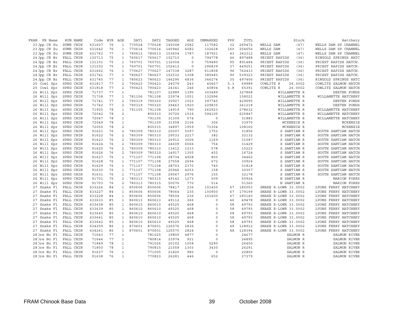| FRAM<br>FR Name            | RUN NAME               | Code   | <b>BYR</b> | AGE                                        | DAT1   | DAT2   | TAGGED         | ADS         | UNMARKED            | FPP | TOTL           |                      | Stock        | Hatchery             |
|----------------------------|------------------------|--------|------------|--------------------------------------------|--------|--------|----------------|-------------|---------------------|-----|----------------|----------------------|--------------|----------------------|
| 23 Jpp CR Su               | SUMR CHIN              | 631607 | 76         | $\mathbf{1}$                               | 770528 | 770528 | 149308         | 2582        | 117582              | 32  | 269472         | WELLS DAM            | (47)         | WELLS DAM SP CHANNEL |
| 23 Jpp CR Su               | SUMR CHIN              | 631642 | 76         | $\mathbf{1}$                               | 770614 | 770614 | 145946         | 6082        | 102628              | 160 | 254656         | WELLS DAM            | (47)         | WELLS DAM SP CHANNEL |
| 23 Jpp CR Su               | SUMR CHIN              | 631762 | 77         | $\mathbf{1}$                               | 780613 | 780613 | 153604         | 1787        | 187921              | 43  | 343312         | WELLS DAM            | (47)         | WELLS DAM SP CHANNEL |
| 24 Jpp CR Br               | FALL CHIN              | 130713 | 75         | $\mathbf{1}$                               | 760617 | 760617 | 102710         | $\mathbf 0$ | 794778              | 46  | 897488         | PRIEST RAPIDS        | (36)         | RINGOLD SPRINGS HATC |
| 24 Jpp CR Br               | FALL CHIN              | 131101 | 75         | $\mathbf{1}$                               | 760701 | 760701 | 132004         | $\mathbf 0$ | 759480              | 95  | 891484         | PRIEST RAPIDS        | (36)         | PRIEST RAPIDS HATCH. |
| 24 Jpp CR Br               | FALL CHIN              | 131202 | 75         | $\mathbf{1}$                               | 760701 | 760701 | 152412         | $\circ$     | 296839              | 37  | 449251         | PRIEST RAPIDS        | (36)         | PRIEST RAPIDS HATCH. |
| 24 Jpp CR Br               | FALL CHIN              | 631662 | 76         | $\mathbf{1}$                               | 770627 | 770627 | 147338         | 3287        | 611808              | 96  | 762433         | PRIEST RAPIDS        | (36)         | PRIEST RAPIDS HATCH. |
| 24 Jpp CR Br               | FALL CHIN              | 631741 | 77         | $\mathbf{1}$                               | 780627 | 780627 | 152532         | 1308        | 385483              | 90  | 539323         | PRIEST RAPIDS        | (36)         | PRIEST RAPIDS HATCH. |
| 24 Jpp CR Br               | FALL CHIN              | 631745 | 77         | $\mathbf{1}$                               | 780623 | 780623 | 146296         | 4836        | 346274              | 35  | 497406         | PRIEST RAPIDS        | (36)         | RINGOLD SPRINGS HATC |
| 25 Cowl Spr                | SPRG CHIN              | 631817 | 77         | $\overline{c}$                             | 790423 | 790423 | 24079          | 243         | 45667               | 5.3 | 69989          | COWLITZ R            | 26.0002      | COWLITZ SALMON HATCH |
| 25 Cowl Spr                | SPRG CHIN              | 631818 | 77         | $\overline{c}$                             | 790423 | 790423 | 24341          | 246         | 40804               | 6.8 | 65391          | COWLITZ R            | 26.0002      | COWLITZ SALMON HATCH |
| 26 Will Spr                | SPRG CHIN              | 71737  | 77         | $\mathbf{1}$                               |        | 781107 | 22989          | 1390        | 303489              |     | 327868         |                      | WILLAMETTE R | DEXTER PONDS         |
| 26 Will Spr                | SPRG CHIN              | 71738  | 77         | $\mathbf{1}$                               | 781106 | 781108 | 23974          | 1051        | 132996              |     | 158021         |                      | WILLAMETTE R | WILLAMETTE HATCHERY  |
| 26 Will Spr                | SPRG CHIN              | 71741  | 77         | 2                                          | 790319 | 790320 | 30927          | 1023        | 397745              |     | 429695         |                      | WILLAMETTE R | DEXTER PONDS         |
| 26 Will Spr                | SPRG CHIN              | 71742  | 77         | $\overline{\mathbf{c}}$                    | 790319 | 790320 | 29463          | 1920        | 229835              |     | 261218         |                      | WILLAMETTE R | DEXTER PONDS         |
| 26 Will Spr                | SPRG CHIN              | 71925  | 78         | $\mathbf{1}$                               | 791105 | 791108 | 14919          | 790         | 262923              |     | 278632         |                      | WILLAMETTE R | WILLAMETTE HATCHERY  |
| 26 Will Spr                | SPRG CHIN              | 72042  | 78         | 2                                          |        | 800310 | 30726          | 1016        | 594105              |     | 625847         |                      | WILLAMETTE R | WILLAMETTE HATCHERY  |
| 26 Will Spr                | SPRG CHIN              | 72047  | 78         | $\mathbf{1}$                               |        | 791105 | 31309          | 574         | $\mathsf{O}\xspace$ |     | 31883          |                      | WILLAMETTE R | WILLAMETTE HATCHERY  |
| 26 Will Spr                | SPRG CHIN              | 72049  | 78         | $\mathbf 1$                                |        | 791109 | 31558          | 2106        | 306                 |     | 33970          |                      | MCKENZIE R   | MCKENZIE             |
| 26 Will Spr                | SPRG CHIN              | 72050  | 78         | $\overline{c}$                             |        | 800315 | 34897          | 1959        | 71304               |     | 108160         |                      | MCKENZIE R   | MCKENZIE             |
|                            |                        | 91621  |            | $\overline{c}$                             | 780309 | 780310 |                | 5097        | 1752                |     |                |                      | S SANTIAM R  | SOUTH SANTIAM HATCH  |
| 26 Will Spr<br>26 Will Spr | SPRG CHIN<br>SPRG CHIN | 91622  | 76         | $\overline{c}$                             | 780309 | 780310 | 25007<br>29533 | 2217        | 382                 |     | 31856<br>32132 |                      | S SANTIAM R  | SOUTH SANTIAM HATCH  |
|                            |                        |        | 76         | $\overline{c}$                             |        |        |                |             |                     |     |                |                      |              |                      |
| 26 Will Spr                | SPRG CHIN              | 91623  | 76         |                                            | 780309 | 780310 | 26912          | 3506        | 1169                |     | 31587          |                      | S SANTIAM R  | SOUTH SANTIAM HATCH  |
| 26 Will Spr                | SPRG CHIN              | 91624  | 76         | $\overline{c}$<br>$\overline{\mathcal{L}}$ | 780309 | 780310 | 24609          | 6066        | 754                 |     | 31429          |                      | S SANTIAM R  | SOUTH SANTIAM HATCH  |
| 26 Will Spr                | SPRG CHIN              | 91625  | 76         |                                            | 780309 | 780310 | 13412          | 1233        | 578                 |     | 15223          |                      | S SANTIAM R  | SOUTH SANTIAM HATCH  |
| 26 Will Spr                | SPRG CHIN              | 91626  | 76         | $\overline{c}$                             | 780309 | 780310 | 14917          | 1355        | 452                 |     | 16724          |                      | S SANTIAM R  | SOUTH SANTIAM HATCH  |
| 26 Will Spr                | SPRG CHIN              | 91627  | 76         | $\mathbf{1}$                               | 771107 | 771108 | 28734          | 4928        | 800                 |     | 34462          |                      | S SANTIAM R  | SOUTH SANTIAM HATCH  |
| 26 Will Spr                | SPRG CHIN              | 91628  | 76         | $\mathbf{1}$                               | 771107 | 771108 | 27558          | 2694        | 672                 |     | 30924          |                      | S SANTIAM R  | SOUTH SANTIAM HATCH  |
| 26 Will Spr                | SPRG CHIN              | 91629  | 76         | $\mathbf{1}$                               | 771107 | 771108 | 28703          | 2370        | 745                 |     | 31818          |                      | S SANTIAM R  | SOUTH SANTIAM HATCH  |
| 26 Will Spr                | SPRG CHIN              | 91630  | 76         | $\mathbf{1}$                               | 771107 | 771108 | 25946          | 4253        | 158                 |     | 30357          |                      | S SANTIAM R  | SOUTH SANTIAM HATCH  |
| 26 Will Spr                | SPRG CHIN              | 91631  | 76         | $\mathbf{1}$                               | 771107 | 771108 | 29047          | 2976        | 155                 |     | 32178          |                      | S SANTIAM R  | SOUTH SANTIAM HATCH  |
| 26 Will Spr                | SPRG CHIN              | 91701  | 76         | 2                                          | 780313 | 780315 | 49142          | 1273        | 509                 |     | 50924          |                      | N SANTIAM R  | MARION FORKS         |
| 26 Will Spr                | SPRG CHIN              | 91703  | 76         | 2                                          | 780313 | 780315 | 50076          | 770         | 514                 |     | 51360          |                      | N SANTIAM R  | MARION FORKS         |
| 27 Snake Fl                | FALL CHIN              | 633226 | 84         | $\mathbf{1}$                               | 850606 | 850606 | 78417          | 236         | 101400              | 67  | 180053         | SNAKE R-LOWR 33.0002 |              | LYONS FERRY HATCHERY |
| 27 Snake Fl                | FALL CHIN              | 633227 | 84         | $\mathbf{1}$                               | 850606 | 850606 | 78064          | 235         | 100900              | 67  | 179199         | SNAKE R-LOWR 33.0002 |              | LYONS FERRY HATCHERY |
| 27 Snake Fl                | FALL CHIN              | 633228 | 84         | $\mathbf{1}$                               | 850606 | 850606 | 78504          | 236         | 101400              | 67  | 180140         | SNAKE R-LOWR 33.0002 |              | LYONS FERRY HATCHERY |
| 27 Snake Fl                | FALL CHIN              | 633633 | 85         | $\mathbf{1}$                               | 860613 | 860613 | 49112          | 366         | 0                   | 46  | 49478          | SNAKE R-LOWR 33.0002 |              | LYONS FERRY HATCHERY |
| 27 Snake Fl                | FALL CHIN              | 633638 | 85         | $\mathbf{1}$                               | 860610 | 860610 | 49325          | 468         | $\Omega$            | 58  | 49793          | SNAKE R-LOWR 33.0002 |              | LYONS FERRY HATCHERY |
| 27 Snake Fl                | FALL CHIN              | 633639 | 85         | $\mathbf{1}$                               | 860610 | 860610 | 49325          | 468         | $\Omega$            | 58  | 49793          | SNAKE R-LOWR 33.0002 |              | LYONS FERRY HATCHERY |
| 27 Snake Fl                | FALL CHIN              | 633640 | 85         | $\mathbf{1}$                               | 860610 | 860610 | 49325          | 468         | $\Omega$            | 58  | 49793          | SNAKE R-LOWR 33.0002 |              | LYONS FERRY HATCHERY |
| 27 Snake Fl                | FALL CHIN              | 633641 | 85         | $\mathbf{1}$                               | 860610 | 860610 | 49325          | 468         | 0                   | 58  | 49793          | SNAKE R-LOWR 33.0002 |              | LYONS FERRY HATCHERY |
| 27 Snake Fl                | FALL CHIN              | 633642 | 85         | $\mathbf{1}$                               | 860610 | 860610 | 49325          | 468         | $\Omega$            | 58  | 49793          | SNAKE R-LOWR 33.0002 |              | LYONS FERRY HATCHERY |
| 27 Snake Fl                | FALL CHIN              | 634259 | 86         | $\mathbf{1}$                               | 870601 | 870601 | 126076         | 2836        | $\Omega$            | 48  | 128912         | SNAKE R-LOWR 33.0002 |              | LYONS FERRY HATCHERY |
| 27 Snake Fl                | FALL CHIN              | 634261 | 86         | $\mathbf{1}$                               | 870601 | 870601 | 125570         | 2824        | $\Omega$            | 48  | 128394         | SNAKE R-LOWR 33.0002 |              | LYONS FERRY HATCHERY |
| 28 Ore No Fl               | FALL CHIN              | 71643  | 77         | $\mathbf{1}$                               |        | 781025 | 19800          | 4877        | 0                   |     | 24677          |                      | SALMON R     | SALMON RIVER         |
| 28 Ore No Fl               | FALL CHIN              | 71644  | 77         | $\mathbf{1}$                               |        | 780814 | 23974          | 921         | 0                   |     | 24895          |                      | SALMON R     | SALMON RIVER         |
| 28 Ore No Fl               | FALL CHIN              | 71849  | 78         | $\mathbf 1$                                |        | 791026 | 20102          | 1058        | 5290                |     | 26450          |                      | SALMON R     | SALMON RIVER         |
| 28 Ore No Fl               | FALL CHIN              | 71850  | 78         | $\mathbf 1$                                |        | 790815 | 21558          | 1303        | 3430                |     | 26291          |                      | SALMON R     | SALMON RIVER         |
| 28 Ore No Fl               | FALL CHIN              | 91637  | 76         | $\mathbf 1$                                |        | 771005 | 21820          | 980         | $\mathsf{O}\xspace$ |     | 22800          |                      | SALMON R     | SALMON RIVER         |
| 28 Ore No Fl               | FALL CHIN              | 91638  | 76         | $\mathbf{1}$                               |        | 770823 | 26281          | 446         | 652                 |     | 27379          |                      | SALMON R     | SALMON RIVER         |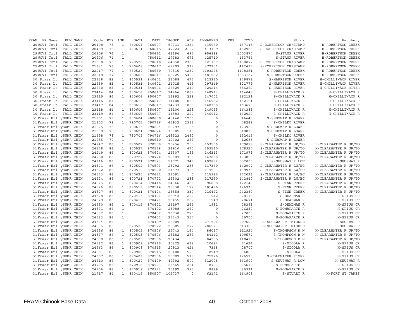| FRAM FR Name                                       |           | RUN NAME | Code           | BYR      | AGE                          | DAT1             | DAT2             | TAGGED         | ADS                   | UNMARKED     | FPP | TOTL           | Stock                    | Hatchery                  |
|----------------------------------------------------|-----------|----------|----------------|----------|------------------------------|------------------|------------------|----------------|-----------------------|--------------|-----|----------------|--------------------------|---------------------------|
| 29 NCVI Totl                                       | FALL CHIN |          | 20408          | 75       | 1                            | 760604           | 760607           | 50731          | 1354                  | 435060       |     | 487145         | S-ROBERTSON CR/STAMP     | H-ROBERTSON CREEK         |
| 29 NCVI Totl                                       | FALL CHIN |          | 20409          | 75       | $\mathbf{1}$                 | 760611           | 760615           | 47724          | 2102                  | 413159       |     | 462985         | S-ROBERTSON CR/STAMP     | H-ROBERTSON CREEK         |
| 29 NCVI Totl                                       | FALL CHIN |          | 20606          | 74       | $\mathbf{1}$                 |                  | 750611           | 46194          | 695                   | 956988       |     | 1003877        | S-STAMP RIVER            | H-ROBERTSON CREEK         |
| 29 NCVI Totl                                       | FALL CHIN |          | 20906          | 74       | $\mathbf{1}$                 |                  | 750611           | 27383          | 673                   | 425710       |     | 453766         | S-STAMP RIVER            | H-ROBERTSON CREEK         |
| 29 NCVI Totl                                       | FALL CHIN |          | 21630          | 76       | $\mathbf{1}$                 | 770526           | 770610           | 64550          | 2385                  | 3121137      |     | 3188072        | S-ROBERTSON CR/STAMP     | H-ROBERTSON CREEK         |
| 29 NCVI Totl                                       | FALL CHIN |          | 21631          | 76       | $\mathbf{1}$                 | 770608           | 770617           | 69203          | 933                   | 372351       |     | 442487         | S-ROBERTSON CR/STAMP     | H-ROBERTSON CREEK         |
| 29 NCVI Totl                                       | FALL CHIN |          | 22217          | 77       | $\mathbf{1}$                 | 780529           | 780630           | 70816          | 4257                  | 4103278      |     | 4178351        | S-ROBERTSON CREEK        | H-ROBERTSON CREEK         |
| 29 NCVI Totl                                       | FALL CHIN |          | 22218          | 77       | $\mathbf{1}$                 | 780603           | 780617           | 66725          | 5400                  | 3481062      |     | 3553187        | S-ROBERTSON CREEK        | H-ROBERTSON CREEK         |
| 30 Frasr Lt                                        | FALL CHIN |          | 22658          | 83       | $\mathbf{1}$                 | 840531           | 840601           | 26088          | 475                   | 323310       |     | 349873         | S-HARRISON RIVER         | H-CHILLIWACK RIVER        |
| 30 Frasr Lt                                        | FALL CHIN |          | 22659          | 83       | $\mathbf{1}$                 | 840531           | 840601           | 24015          | 415                   | 297349       |     | 321779         | S-HARRISON RIVER         | H-CHILLIWACK RIVER        |
| 30 Frasr Lt                                        | FALL CHIN |          | 22660          | 83       | $\mathbf{1}$                 | 840531           | 840601           | 26829          | 219                   | 329214       |     | 356262         | S-HARRISON RIVER         | H-CHILLIWACK RIVER        |
| 30 Frasr Lt                                        | FALL CHIN |          | 23414          | 84       | $\mathbf{1}$                 | 850616           | 850617           | 14266          | 1069                  | 148713       |     | 164048         | S-CHILLIWACK R           | H-CHILLIWACK R            |
| 30 Frasr Lt                                        | FALL CHIN |          | 23415          | 84       | $\mathbf{1}$                 | 850606           | 850607           | 14892          | 228                   | 147001       |     | 162121         | S-CHILLIWACK R           | H-CHILLIWACK R            |
| 30 Frasr Lt                                        | FALL CHIN |          | 23416          | 84       | $\mathbf{1}$                 | 850616           | 850617           | 14100          | 1069                  | 146982       |     | 162151         | S-CHILLIWACK R           | H-CHILLIWACK R            |
| 30 Frasr Lt                                        | FALL CHIN |          | 23417          | 84       | $\mathbf{1}$                 | 850616           | 850617           | 14233          | 1069                  | 148368       |     | 163670         | S-CHILLIWACK R           | H-CHILLIWACK R            |
| 30 Frasr Lt                                        | FALL CHIN |          | 23418          | 84       | $\mathbf{1}$                 | 850606           | 850607           | 15100          | 228                   | 149055       |     | 164383         | S-CHILLIWACK R           | H-CHILLIWACK R            |
| 30 Frasr Lt                                        | FALL CHIN |          | 23419          | 84       | $\mathbf{1}$                 | 850606           | 850607           | 14883          | 227                   | 146912       |     | 162022         | S-CHILLIWACK R           | H-CHILLIWACK R            |
| 31 Frasr Erl ySUMR CHIN                            |           |          | 21601          | 79       | $\mathbf{1}$                 | 800604           | 800609           | 45440          | 1200                  | 0            |     | 46640          | S-SHUSWAP R LOWER        |                           |
| 31 Frasr Erl ySUMR CHIN                            |           |          | 21602          | 78       | $\mathbf{1}$                 | 790705           | 790716           | 45932          | 2316                  | 0            |     | 48248          | S-CHILKO RIVER           |                           |
| 31 Frasr Erl ySUMR CHIN                            |           |          | 21625          | 78       | $\mathbf{1}$                 | 790613           | 790624           | 122797         | 1125                  | 0            |     | 123922         | S-SHUSWAP R LOWER        |                           |
| 31 Frasr Erl ySUMR CHIN                            |           |          | 21638          | 78       | $\mathbf{1}$                 | 790621           | 790624           | 18705          | 118                   | 0            |     | 18823          | S-SHUSWAP R LOWER        |                           |
| 31 Frasr Erl ySUMR CHIN                            |           |          | 21658          | 78       | $\mathbf{1}$                 | 790705           | 790716           | 149523         | 2492                  | 0            |     | 152015         | S-CHILKO RIVER           |                           |
| 31 Frasr Erl ySUMR CHIN                            |           |          | 21755          | 79       | $\mathbf{1}$                 |                  | 800610           | 12402          | 283                   | 0            |     | 12685          | S-SHUSWAP R LOWER        |                           |
| 31 Frasr Erl ySUMR CHIN                            |           |          | 24247          | 86       | $\mathbf{1}$                 | 870507           | 870508           | 25256          | 255                   | 153506       |     | 179017         | S-CLEARWATER R UP/TO     | H-CLEARWATER R UP/TO      |
| 31 Frasr Erl ySUMR CHIN                            |           |          | 24248          | 86       | $\mathbf{1}$                 | 870527           | 870528           | 24910          | 470                   | 153540       |     | 178920         | S-CLEARWATER R UP/TO     | H-CLEARWATER R UP/TO      |
| 31 Frasr Erl ySUMR CHIN                            |           |          | 24249          | 86       | $\mathbf{1}$                 | 870623           | 870624           | 25507          | 159                   | 146313       |     | 171979         | S-CLEARWATER R UP/TO     | H-CLEARWATER R UP/TO      |
| 31 Frasr Erl ySUMR CHIN                            |           |          | 24250          | 86       | $\mathbf{1}$                 | 870722           | 870724           | 25687          | 355                   | 147808       |     | 173850         | S-CLEARWATER R UP/TO     | H-CLEARWATER R UP/TO      |
| 31 Frasr Erl ySUMR CHIN                            |           |          | 24316          | 86       | $\mathbf{1}$                 | 870521           | 870523           | 51771          | 347                   | 499882       |     | 552000         | S-SHUSWAP R LOW          | H-SHUSWAP R               |
| 31 Frasr Erl ySUMR CHIN                            |           |          | 24521          | 86       | $\mathbf{1}$                 | 870502           | 870503           | 25292          | 255                   | 117360       |     | 142907         | S-CLEARWATER R LW/BC     | H-CLEARWATER R UP/TO      |
| 31 Frasr Erl ySUMR CHIN                            |           |          | 24522          | 86       | $\mathbf{1}$                 | 870519           | 870520           | 24877          | 466                   | 114593       |     | 139936         | S-CLEARWATER R LW/BC     | H-CLEARWATER R UP/TO      |
| 31 Frasr Erl ySUMR CHIN                            |           |          | 24523          | 86       | $\mathbf{1}$                 | 870620           | 870621           | 26091          | $\mathbf 0$           | 115935       |     | 142026         | S-CLEARWATER R LW/BC     | H-CLEARWATER R UP/TO      |
| 31 Frasr Erl ySUMR CHIN                            |           |          | 24524          | 86       | $\mathbf{1}$                 | 870721           | 870722           | 25302          | 288                   | 117250       |     | 142840         | S-CLEARWATER R LW/BC     | H-CLEARWATER R UP/TO      |
| 31 Frasr Erl ySUMR CHIN                            |           |          | 24525          | 86       | $\mathbf{1}$                 | 870414           | 870416           | 24846          | 486                   | 96808        |     | 122140         | S-FINN CREEK             | H-CLEARWATER R UP/TO      |
| 31 Frasr Erl ySUMR CHIN                            |           |          | 24526          | 86       | $\mathbf{1}$                 | 870513           | 870514           | 25338          | 122                   | 101470       |     | 126930         | S-FINN CREEK             | H-CLEARWATER R UP/TO      |
| 31 Frasr Erl ySUMR CHIN                            |           |          | 24527          | 86       | $\mathbf{1}$                 | 870421           | 870424           | 25558          | 330                   | 216492       |     | 242380         | S-FINN CREEK             | H-CLEARWATER R UP/TO      |
| 31 Frasr Erl ySUMR CHIN                            |           |          | 24528          | 86       | $\mathbf{1}$                 | 870415           | 870421           | 25942          | 262                   | 1912         |     | 28116          | S-DEADMAN R              | H-SPIUS CR                |
| 31 Frasr Erl ySUMR CHIN                            |           |          | 24529          | 86       | $\mathbf{1}$                 | 870415           | 870421           | 26455          | 267                   | 1949         |     | 28671          | S-DEADMAN R              | H-SPIUS CR                |
| 31 Frasr Erl ySUMR CHIN                            |           |          | 24530          | 86       | $\mathbf{1}$                 | 870415           | 870421           | 26197          | 265                   | 1931         |     | 28393          | S-DEADMAN R              | H-SPIUS CR                |
| 31 Frasr Erl ySUMR CHIN                            |           |          | 24531          | 86       | $\mathbf{1}$                 |                  | 870402           | 25988          | 262                   | 0            |     | 26250          | S-BONAPARTE R            | H-SPIUS CR                |
| 31 Frasr Erl ySUMR CHIN                            |           |          | 24532          | 86       | $\mathbf{1}$                 |                  | 870402           | 26730          | 270                   | 0            |     | 27000          | S-BONAPARTE R            | H-SPIUS CR                |
| 31 Frasr Erl ySUMR CHIN                            |           |          | 24533          | 86       | $\mathbf{1}$                 |                  | 870402           | 25443          | 257                   | 0            |     | 25700          | S-BONAPARTE R            | H-SPIUS CR                |
| 31 Frasr Erl ySUMR CHIN                            |           |          | 24534          | 86       | $\mathbf{1}$                 |                  | 870409           | 26009          | $\circ$               | 271591       |     | 297600         | S-SHUSWAP R. MIDDLE      | H-SHUSWAP R               |
| 31 Frasr Erl ySUMR CHIN                            |           |          | 24535          | 86       | $\mathbf{1}$                 | 870520<br>870505 | 870522           | 26505          | 272                   | 286523       |     | 313300         | S-SHUSWAP R. MIDDLE      | H-SHUSWAP R               |
| 31 Frasr Erl ySUMR CHIN                            |           |          | 24536          | 86       | $\mathbf{1}$                 |                  | 870506           | 25743          | 164                   | 86017        |     | 111924         | S-THOMPSON R N           | H-CLEARWATER R UP/TO      |
| 31 Frasr Erl ySUMR CHIN                            |           |          | 24537          | 86       | $\mathbf{1}$                 | 870505<br>870505 | 870506<br>870506 | 25182          | 253<br>$\overline{0}$ | 84142        |     | 109577         | S-THOMPSON R N           | H-CLEARWATER R UP/TO      |
| 31 Frasr Erl ySUMR CHIN                            |           |          | 24538          | 86       | $\mathbf{1}$                 | 870908           | 870915           | 25434<br>30322 | 618                   | 84985        |     | 110419         | S-THOMPSON R N           | H-CLEARWATER R UP/TO      |
| 31 Frasr Erl ySUMR CHIN                            |           |          | 24562          | 86       | $\mathbf{1}$                 |                  |                  |                |                       | 10684        |     | 41624          | S-NICOLA R               | H-SPIUS CR                |
| 31 Frasr Erl ySUMR CHIN<br>31 Frasr Erl ySUMR CHIN |           |          | 24563<br>24601 | 86<br>86 | $\mathbf{1}$<br>$\mathbf{1}$ | 870908<br>870908 | 870915<br>870915 | 20913<br>25400 | 426<br>520            | 7368<br>8949 |     | 28707<br>34869 | S-NICOLA R<br>S-NICOLA R | H-SPIUS CR                |
| 31 Frasr Erl ySUMR CHIN                            |           |          | 24607          | 86       | $\mathbf{1}$                 | 870403           | 870506           | 50787          | 513                   | 75220        |     | 126520         | S-COLDWATER RIVER        | H-SPIUS CR                |
| 31 Frasr Erl ySUMR CHIN                            |           |          | 24610          | 86       | $\mathbf{1}$                 | 870427           | 870429           | 49392          | 500                   | 512008       |     | 561900         | S-SHUSWAP R LOW          | H-SPIUS CR<br>H-SHUSWAP R |
| 31 Frasr Erl ySUMR CHIN                            |           |          | 24705          | 86       | $\mathbf{1}$                 | 870918           | 870923           | 25565          | 1261                  | 8793         |     | 35619          | S-BONAPARTE R            | H-SPIUS CR                |
| 31 Frasr Erl ySUMR CHIN                            |           |          | 24706          | 86       | $\mathbf{1}$                 | 870918           | 870923           | 25697          | 795                   | 8839         |     | 35331          | S-BONAPARTE R            | H-SPIUS CR                |
| 31 Frasr Erl ySUMR CHIN                            |           |          | 21717          | 84       | $\mathbf{1}$                 | 850415           | 850507           | 102737         | $\Omega$              | 62171        |     | 164908         | S-STUART R               | H-FORT ST JAMES           |
|                                                    |           |          |                |          |                              |                  |                  |                |                       |              |     |                |                          |                           |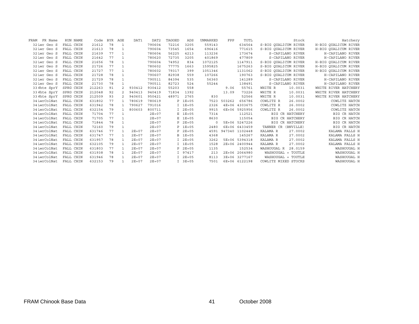| FRAM<br>FR Name | RUN NAME         | Code   | <b>BYR</b> | AGE            | DAT1      | DAT <sub>2</sub> | TAGGED | ADS       | UNMARKED | FPP    | TOTL           |                      | Stock              | Hatchery             |
|-----------------|------------------|--------|------------|----------------|-----------|------------------|--------|-----------|----------|--------|----------------|----------------------|--------------------|----------------------|
| 32 Lwr Geo S    | FALL CHIN        | 21612  | 78         | 1              |           | 790604           | 72216  | 3205      | 559143   |        | 634564         | S-BIG OUALICUM RIVER |                    | H-BIG OUALICUM RIVER |
| 32 Lwr Geo S    | FALL CHIN        | 21613  | 78         | 1              |           | 790604           | 73545  | 1654      | 696416   |        | 771615         | S-BIG OUALICUM RIVER |                    | H-BIG OUALICUM RIVER |
| 32 Lwr Geo S    | FALL CHIN        | 21639  | 77         |                |           | 780604           | 56225  | 4213      | 113236   |        | 173674         |                      | S-CAPILANO RIVER   | H-CAPILANO RIVER     |
| 32 Lwr Geo S    | FALL CHIN        | 21642  | 77         |                |           | 780620           | 72735  | 3205      | 401869   |        | 477809         |                      | S-CAPILANO RIVER   | H-CAPILANO RIVER     |
| 32 Lwr Geo S    | FALL CHIN        | 21656  | 78         | $\mathbf{1}$   |           | 790604           | 74952  | 834       | 1072125  |        | 1147911        | S-BIG OUALICUM RIVER |                    | H-BIG OUALICUM RIVER |
| 32 Lwr Geo S    | FALL CHIN        | 21726  | 77         | $\mathbf{1}$   |           | 780602           | 77775  | 1663      | 1595825  |        | 1675263        | S-BIG OUALICUM RIVER |                    | H-BIG OUALICUM RIVER |
| 32 Lwr Geo S    | FALL CHIN        | 21727  | 77         | $\mathbf{1}$   |           | 780602           | 79317  | 399       | 1051346  |        | 1131062        | S-BIG OUALICUM RIVER |                    | H-BIG OUALICUM RIVER |
| 32 Lwr Geo S    | FALL CHIN        | 21728  | 78         |                |           | 790607           | 82938  | 559       | 107266   |        | 190763         | S-BIG OUALICUM RIVER |                    | H-CAPILANO RIVER     |
| 32 Lwr Geo S    | <b>FALL CHIN</b> | 21729  | 78         |                |           | 790511           | 84394  | 535       | 56360    |        | 141289         |                      | S-CAPILANO RIVER   | H-CAPILANO RIVER     |
| 32 Lwr Geo S    | FALL CHIN        | 21730  | 78         |                |           | 790511           | 82723  | 524       | 55244    |        | 138491         |                      | S-CAPILANO RIVER   | H-CAPILANO RIVER     |
| 33 Whte SprY    | SPRG CHIN        | 212263 | 91         | $\overline{a}$ | 930412    | 930412           | 55203  | 558       |          | 9.06   | 55761          | WHITE R              | 10.0031            | WHITE RIVER HATCHERY |
| 33 Whte SprY    | SPRG CHIN        | 212048 | 92         | $\mathfrak{D}$ | 940413    | 940419           | 71834  | 1392      |          | 13.09  | 73226          | WHITE R              | 10.0031            | WHITE RIVER HATCHERY |
| 33 Whte SprY    | SPRG CHIN        | 212509 | 93         | $\mathcal{L}$  | 940601    | 950421           | 48971  | 2765      | 830      |        | 52566          | WHITE R              | 10.0031            | WHITE RIVER HATCHERY |
| 34 LwrColNat    | FALL CHIN        | 631802 | 77         | $\mathbf{1}$   | 780619    | 780619           |        | $P$ 1E+05 | 7523     | 503262 | 656786         | COWLITZ R            | 26.0002            | COWLITZ HATCH        |
| 34 LwrColNat    | FALL CHIN        | 631942 | 78         | -1.            | 790627    | 791016           |        | $I$ 1E+05 | 2326     |        | 4E+06 4303675  | COWLITZ R            | 26.0002            | COWLITZ HATCH        |
| 34 LwrColNat    | FALL CHIN        | 632154 | 79         | $\mathbf{1}$   | 800603    | 800711           |        | $2E + 05$ | 9915     |        | 6E+06 5925956  | COWLITZ R            | 26.0002            | COWLITZ HATCH        |
| 34 LwrColNat    | FALL CHIN        | 71704  | 77         | $\mathbf{1}$   |           | $2E + 07$        |        | $E$ 1E+05 | 7314     |        | 112521         |                      | BIG CR HATCHERY    | <b>BIG CR HATCH</b>  |
| 34 LwrColNat    | FALL CHIN        | 71705  | 77         |                |           | $2E + 07$        | Ε      | $1E + 05$ | 8630     |        | 115054         | <b>BIG</b>           | CR HATCHERY        | CR HATCH<br>BIG      |
| 34 LwrColNat    | FALL CHIN        | 71844  | 78         |                |           | $2E + 07$        | P      | $2E + 05$ | 0        |        | 5E+06 5247226  | <b>BIG</b>           | CR HATCHERY        | CR HATCH<br>BIG      |
| 34 LwrColNat    | FALL CHIN        | 72160  | 79         | $\mathbf{1}$   |           | $2E + 07$        | P.     | $1E + 05$ | 2480     |        | 6E+06 6433459  | TANNER CR (BNVILLE)  |                    | BIG CR HATCH         |
| 34 LwrColNat    | FALL CHIN        | 631746 | 77         | $\mathbf{1}$   | $2E + 07$ | $2E + 07$        | P      | $2E + 05$ | 4591     |        | 947340 1102448 | KALAMA R             | 27.0002            | KALAMA FALLS H       |
| 34 LwrColNat    | FALL CHIN        | 631747 | 77         | 1              | $2E + 07$ | $2E + 07$        |        | B 1E+05   | 4368     |        | 145267         | KALAMA R             | 27.0002            | KALAMA FALLS H       |
| 34 LwrColNat    | FALL CHIN        | 631957 | 78         | $\mathbf{1}$   | $2E + 07$ | $2E + 07$        |        | $2E + 05$ | 3262     |        | 5E+06 5394318  | KALAMA R             | 27.0002            | KALAMA FALLS H       |
| 34 LwrColNat    | FALL CHIN        | 632105 | 79         | $\mathbf{1}$   | $2E + 07$ | $2E + 07$        |        | $I$ 1E+05 | 1528     |        | 2E+06 2400944  | KALAMA R             | 27.0002            | KALAMA FALLS H       |
| 34 LwrColNat    | FALL CHIN        | 631803 | 77         | $\mathbf{1}$   | $2E + 07$ | $2E + 07$        | P.     | $2E + 05$ | 1135     |        | 152534         | WASHOUGAL R          | 28.0159            | WASHOUGAL H          |
| 34 LwrColNat    | FALL CHIN        | 631938 | 78         | $\mathbf{1}$   | $2E + 07$ | $2E + 07$        | T.     | 97417     | 213      |        | 2E+06 2064980  |                      | WASHOUGAL + TOUTLE | WASHOUGAL H          |
| 34 LwrColNat    | FALL CHIN        | 631946 | 78         | $\mathbf{1}$   | $2E + 07$ | $2E + 07$        |        | $I$ 2E+05 | 8113     |        | 3E+06 3277167  |                      | WASHOUGAL + TOUTLE | WASHOUGAL H          |
| 34 LwrColNat    | <b>FALL CHIN</b> | 632153 | 79         |                | $2E + 07$ | $2E + 07$        |        | $I$ 3E+05 | 7501     |        | 6E+06 6122198  | COWLITZ MIXED STOCKS |                    | WASHOUGAL H          |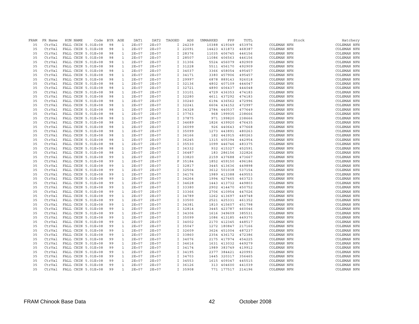| FRAM | FR Name | RUN NAME           | Code | BYR | AGE          | DAT1      | DAT2      | TAGGED | ADS     | UNMARKED | FPP               | TOTL   |                    | Stock | Hatchery           |
|------|---------|--------------------|------|-----|--------------|-----------|-----------|--------|---------|----------|-------------------|--------|--------------------|-------|--------------------|
| 35   | CtrVal  | FALL CHIN 5.01E+08 |      | 98  | 1            | $2E + 07$ | $2E + 07$ |        | I 24239 |          | 10388 419349      | 453976 | COLEMAN NFH        |       | COLEMAN NFH        |
| 35   | CtrVal  | FALL CHIN 5.01E+08 |      | 98  | $\mathbf{1}$ | $2E + 07$ | $2E + 07$ |        | I 22091 |          | 14423 431873      | 468387 | <b>COLEMAN NFH</b> |       | <b>COLEMAN NFH</b> |
| 35   | CtrVal  | FALL CHIN 5.01E+08 |      | 98  | $\mathbf{1}$ | $2E + 07$ | $2E + 07$ |        | I 28376 |          | 11035 406745      | 446156 | COLEMAN NFH        |       | COLEMAN NFH        |
| 35   | CtrVal  | FALL CHIN 5.01E+08 |      | 98  | $\mathbf{1}$ | $2E + 07$ | $2E + 07$ |        | I 28507 |          | 11086 406563      | 446156 | COLEMAN NFH        |       | COLEMAN NFH        |
| 35   | CtrVal  | FALL CHIN 5.01E+08 |      | 98  | $\mathbf{1}$ | $2E + 07$ | $2E + 07$ |        | I 31306 |          | 5524 456079       | 492909 | COLEMAN NFH        |       | COLEMAN NFH        |
| 35   | CtrVal  | FALL CHIN 5.01E+08 |      | 98  | $\mathbf{1}$ | $2E + 07$ | $2E + 07$ |        | I 31228 |          | 5511 456170       | 492909 | COLEMAN NFH        |       | COLEMAN NFH        |
| 35   | CtrVal  | FALL CHIN 5.01E+08 |      | 98  | $\mathbf{1}$ | $2E + 07$ | $2E + 07$ |        | I 34037 |          | 3366 458054       | 495457 | COLEMAN NFH        |       | COLEMAN NFH        |
| 35   | CtrVal  | FALL CHIN 5.01E+08 |      | 98  | $\mathbf{1}$ | $2E + 07$ | $2E + 07$ |        | I 34171 |          | 3380 457906       | 495457 | COLEMAN NFH        |       | COLEMAN NFH        |
| 35   | CtrVal  | FALL CHIN 5.01E+08 |      | 98  | $\mathbf{1}$ | $2E + 07$ | $2E + 07$ |        | I 29997 |          | 6878 889143       | 926018 | COLEMAN NFH        |       | COLEMAN NFH        |
| 35   | CtrVal  | FALL CHIN 5.01E+08 |      | 98  | $\mathbf{1}$ | $2E + 07$ | $2E + 07$ |        | I 32136 |          | 4802 407109       | 444047 | <b>COLEMAN NFH</b> |       | <b>COLEMAN NFH</b> |
| 35   | CtrVal  | FALL CHIN 5.01E+08 |      | 98  | $\mathbf{1}$ | $2E + 07$ | $2E + 07$ |        | I 32721 |          | 4890 406437       | 444048 | COLEMAN NFH        |       | <b>COLEMAN NFH</b> |
| 35   | CtrVal  | FALL CHIN 5.01E+08 |      | 98  | $\mathbf{1}$ | $2E + 07$ | $2E + 07$ |        | I 33101 |          | 4729 436353       | 474183 | COLEMAN NFH        |       | COLEMAN NFH        |
| 35   | CtrVal  | FALL CHIN 5.01E+08 |      | 98  | $\mathbf{1}$ | $2E + 07$ | $2E + 07$ |        | I 32280 |          | 4611 437292       | 474183 | COLEMAN NFH        |       | COLEMAN NFH        |
| 35   | CtrVal  | FALL CHIN 5.01E+08 |      | 98  | $\mathbf{1}$ | $2E + 07$ | $2E + 07$ | I.     | 30240   |          | 6194 436562       | 472996 | COLEMAN NFH        |       | COLEMAN NFH        |
| 35   | CtrVal  | FALL CHIN 5.01E+08 |      | 98  | $\mathbf{1}$ | $2E + 07$ | $2E + 07$ |        | I 32241 |          | 6604 434152       | 472997 | <b>COLEMAN NFH</b> |       | COLEMAN NFH        |
| 35   | CtrVal  | FALL CHIN 5.01E+08 |      | 98  | $\mathbf{1}$ | $2E + 07$ | $2E + 07$ |        | I 34328 |          | 2784 440537       | 477649 | COLEMAN NFH        |       | COLEMAN NFH        |
| 35   | CtrVal  | FALL CHIN 5.01E+08 |      | 98  | $\mathbf{1}$ | $2E + 07$ | $2E + 07$ |        | I 37763 |          | 968 199935        | 238666 | COLEMAN NFH        |       | COLEMAN NFH        |
| 35   | CtrVal  | FALL CHIN 5.01E+08 |      | 98  | $\mathbf{1}$ | $2E + 07$ | $2E + 07$ |        | I 37875 |          | 971 199820        | 238666 | COLEMAN NFH        |       | COLEMAN NFH        |
| 35   | CtrVal  | FALL CHIN 5.01E+08 |      | 98  | $\mathbf{1}$ | $2E + 07$ | $2E + 07$ |        | I 34689 |          | 1826 439920       | 476435 | COLEMAN NFH        |       | COLEMAN NFH        |
| 35   | CtrVal  | FALL CHIN 5.01E+08 |      | 98  | $\mathbf{1}$ | $2E + 07$ | $2E + 07$ |        | I 36099 |          | 926 440643        | 477668 | <b>COLEMAN NFH</b> |       | COLEMAN NFH        |
| 35   | CtrVal  | FALL CHIN 5.01E+08 |      | 98  | $\mathbf{1}$ | $2E + 07$ | $2E + 07$ |        | I 35099 |          | 1273 443891       | 480263 | COLEMAN NFH        |       | COLEMAN NFH        |
| 35   | CtrVal  | FALL CHIN 5.01E+08 |      | 98  | $\mathbf{1}$ | $2E + 07$ | $2E + 07$ |        | I 36166 |          | 182 443915        | 480263 | COLEMAN NFH        |       | COLEMAN NFH        |
| 35   | CtrVal  | FALL CHIN 5.01E+08 |      | 98  | $\mathbf{1}$ | $2E + 07$ | $2E + 07$ |        | I 36245 |          | 1315 405394       | 442954 | <b>COLEMAN NFH</b> |       | <b>COLEMAN NFH</b> |
| 35   | CtrVal  | FALL CHIN 5.01E+08 |      | 98  | $\mathbf{1}$ | $2E + 07$ | $2E + 07$ |        | I 35530 |          |                   | 483375 | COLEMAN NFH        |       |                    |
| 35   |         | FALL CHIN 5.01E+08 |      |     |              | $2E + 07$ |           |        |         |          | 1099 446746       |        |                    |       | COLEMAN NFH        |
|      | CtrVal  |                    |      | 98  | $\mathbf{1}$ |           | $2E + 07$ |        | I 36332 |          | 932 415327        | 452591 | COLEMAN NFH        |       | COLEMAN NFH        |
| 35   | CtrVal  | FALL CHIN 5.01E+08 |      | 98  | $\mathbf{1}$ | $2E + 07$ | $2E + 07$ |        | I 36487 |          | 183 286156        | 322826 | COLEMAN NFH        |       | COLEMAN NFH        |
| 35   | CtrVal  | FALL CHIN 5.01E+08 |      | 99  | $\mathbf{1}$ | $2E + 07$ | $2E + 07$ | I.     | 33820   |          | 2159 437688       | 473667 | COLEMAN NFH        |       | COLEMAN NFH        |
| 35   | CtrVal  | FALL CHIN 5.01E+08 |      | 99  | $\mathbf{1}$ | $2E + 07$ | $2E + 07$ |        | P 35184 |          | 1852 459150       | 496186 | <b>COLEMAN NFH</b> |       | COLEMAN NFH        |
| 35   | CtrVal  | FALL CHIN 5.01E+08 |      | 99  | $\mathbf{1}$ | $2E + 07$ | $2E + 07$ |        | I 32817 |          | 3445 413636       | 449898 | COLEMAN NFH        |       | COLEMAN NFH        |
| 35   | CtrVal  | FALL CHIN 5.01E+08 |      | 99  | $\mathbf{1}$ | $2E + 07$ | $2E + 07$ |        | I 32504 |          | 3612 501038       | 537154 | COLEMAN NFH        |       | COLEMAN NFH        |
| 35   | CtrVal  | FALL CHIN 5.01E+08 |      | 99  | $\mathbf{1}$ | $2E + 07$ | $2E + 07$ |        | I 34176 |          | 1989 413388       | 449553 | COLEMAN NFH        |       | COLEMAN NFH        |
| 35   | CtrVal  | FALL CHIN 5.01E+08 |      | 99  | $\mathbf{1}$ | $2E + 07$ | $2E + 07$ |        | I 34264 |          | 1994 427465       | 463723 | COLEMAN NFH        |       | COLEMAN NFH        |
| 35   | CtrVal  | FALL CHIN 5.01E+08 |      | 99  | $\mathbf{1}$ | $2E + 07$ | $2E + 07$ |        | I 34628 |          | 1443 413732       | 449803 | <b>COLEMAN NFH</b> |       | COLEMAN NFH        |
| 35   | CtrVal  | FALL CHIN 5.01E+08 |      | 99  | $\mathbf{1}$ | $2E + 07$ | $2E + 07$ |        | I 33380 |          | 2902 414470       | 450752 | COLEMAN NFH        |       | COLEMAN NFH        |
| 35   | CtrVal  | FALL CHIN 5.01E+08 |      | 99  | $\mathbf{1}$ | $2E + 07$ | $2E + 07$ |        | I 33366 |          | 2706 410954       | 447026 | COLEMAN NFH        |       | COLEMAN NFH        |
| 35   | CtrVal  | FALL CHIN 5.01E+08 |      | 99  | $\mathbf{1}$ | $2E + 07$ | $2E + 07$ |        | I 34789 |          | 1262 413697       | 449748 | <b>COLEMAN NFH</b> |       | <b>COLEMAN NFH</b> |
| 35   | CtrVal  | FALL CHIN 5.01E+08 |      | 99  | $\mathbf{1}$ | $2E + 07$ | $2E + 07$ |        | I 33500 |          | 2521 425331       | 461352 | COLEMAN NFH        |       | COLEMAN NFH        |
| 35   | CtrVal  | FALL CHIN 5.01E+08 |      | 99  | $\mathbf{1}$ | $2E + 07$ | $2E + 07$ |        | I 34381 |          | 1810 415607       | 451798 | COLEMAN NFH        |       | COLEMAN NFH        |
| 35   | CtrVal  | FALL CHIN 5.01E+08 |      | 99  | $\mathbf{1}$ | $2E + 07$ | $2E + 07$ |        | I 32814 |          | 3445 423787       | 460046 | COLEMAN NFH        |       | COLEMAN NFH        |
| 35   | CtrVal  | FALL CHIN 5.01E+08 |      | 99  | $\mathbf{1}$ | $2E + 07$ | $2E + 07$ | I.     | 34306   |          | 1616 349609       | 385531 | COLEMAN NFH        |       | COLEMAN NFH        |
| 35   | CtrVal  | FALL CHIN 5.01E+08 |      | 99  | $\mathbf{1}$ | $2E + 07$ | $2E + 07$ |        | I 35099 |          | 1086 413185       | 449370 | <b>COLEMAN NFH</b> |       | COLEMAN NFH        |
| 35   | CtrVal  | FALL CHIN 5.01E+08 |      | 99  | $\mathbf{1}$ | $2E + 07$ | $2E + 07$ |        | I 34002 |          | 2170 412345       | 448517 | COLEMAN NFH        |       | COLEMAN NFH        |
| 35   | CtrVal  | FALL CHIN 5.01E+08 |      | 99  | $\mathbf{1}$ | $2E + 07$ | $2E + 07$ |        | I 35047 |          | 1272 180847       | 217166 | COLEMAN NFH        |       | COLEMAN NFH        |
| 35   | CtrVal  | FALL CHIN 5.01E+08 |      | 99  | $\mathbf{1}$ | $2E + 07$ | $2E + 07$ |        | I 32609 |          | 3624 451004       | 487237 | COLEMAN NFH        |       | COLEMAN NFH        |
| 35   | CtrVal  | FALL CHIN 5.01E+08 |      | 99  | $\mathbf{1}$ | $2E + 07$ | $2E + 07$ |        | I 33860 |          | 2354 436172       | 472386 | COLEMAN NFH        |       | COLEMAN NFH        |
| 35   | CtrVal  | FALL CHIN 5.01E+08 |      | 99  | $\mathbf{1}$ | $2E + 07$ | $2E + 07$ |        | I 34076 |          | 2175 417974       | 454225 | <b>COLEMAN NFH</b> |       | COLEMAN NFH        |
| 35   | CtrVal  | FALL CHIN 5.01E+08 |      | 99  | $\mathbf{1}$ | $2E + 07$ | $2E + 07$ |        | I 34616 |          | 1631 413032       | 449279 | COLEMAN NFH        |       | COLEMAN NFH        |
| 35   | CtrVal  | FALL CHIN 5.01E+08 |      | 99  | $\mathbf{1}$ | $2E + 07$ | $2E + 07$ |        | I 34174 |          | 1989 383749       | 419912 | COLEMAN NFH        |       | COLEMAN NFH        |
| 35   | CtrVal  | FALL CHIN 5.01E+08 |      | 99  | $\mathbf{1}$ | $2E + 07$ | $2E + 07$ |        | I 34195 |          | 2377 384421       | 420993 | COLEMAN NFH        |       | COLEMAN NFH        |
| 35   | CtrVal  | FALL CHIN 5.01E+08 |      | 99  | $\mathbf{1}$ | $2E + 07$ | $2E + 07$ |        | I 34703 |          | 1445 320317       | 356465 | COLEMAN NFH        |       | COLEMAN NFH        |
| 35   | CtrVal  | FALL CHIN 5.01E+08 |      | 99  | $\mathbf{1}$ | $2E + 07$ | $2E + 07$ |        | I 34553 |          | 1615 409347       | 445515 | <b>COLEMAN NFH</b> |       | COLEMAN NFH        |
| 35   | CtrVal  | FALL CHIN 5.01E+08 |      | 99  | $\mathbf{1}$ | $2E + 07$ | $2E + 07$ |        | I 36126 |          | 313 404600        | 441039 | COLEMAN NFH        |       | COLEMAN NFH        |
| 35   | CtrVal  | FALL CHIN 5.01E+08 |      | 99  | $\mathbf{1}$ | $2E + 07$ | $2E + 07$ |        | I 35908 |          | 771 177517 214196 |        | COLEMAN NFH        |       | COLEMAN NFH        |
|      |         |                    |      |     |              |           |           |        |         |          |                   |        |                    |       |                    |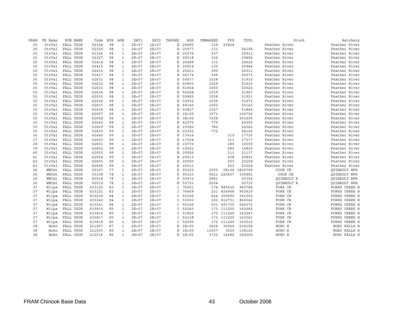| FRAM | FR Name | RUN NAME  | Code   | <b>BYR</b> | AGE          | DAT1      | DAT <sub>2</sub> | TAGGED        | ADS       | UNMARKED | FPP         | TOTL          | Stock             | Hatchery            |
|------|---------|-----------|--------|------------|--------------|-----------|------------------|---------------|-----------|----------|-------------|---------------|-------------------|---------------------|
| 35   | CtrVal  | FALL CHIN | 52324  | 98         | $\mathbf{1}$ | $2E + 07$ | $2E + 07$        | Е             | 25695     | 129      | 25824       |               | Feather River     | Feather River       |
| 35   | CtrVal  | FALL CHIN | 52325  | 98         | $\mathbf{1}$ | $2E + 07$ | $2E + 07$        | E             | 25977     | 131      |             | 26108         | Feather River     | Feather River       |
| 35   | CtrVal  | FALL CHIN | 52326  | 98         | $\mathbf{1}$ | $2E + 07$ | $2E + 07$        | E             | 25576     | 337      |             | 25913         | Feather River     | Feather River       |
| 35   | CtrVal  | FALL CHIN | 52327  | 98         | $\mathbf{1}$ | $2E + 07$ | $2E + 07$        | E             | 25518     | 336      |             | 25854         | Feather River     | Feather River       |
| 35   | CtrVal  | FALL CHIN | 52414  | 98         | $\mathbf{1}$ | $2E + 07$ | $2E + 07$        | E             | 26489     | 133      |             | 26622         | Feather River     | Feather River       |
| 35   | CtrVal  | FALL CHIN | 52415  | 98         | $\mathbf{1}$ | $2E + 07$ | $2E + 07$        | Е             | 25814     | 130      |             | 25944         | Feather River     | Feather River       |
| 35   | CtrVal  | FALL CHIN | 52416  | 98         | $\mathbf 1$  | $2E + 07$ | $2E + 07$        | E             | 25621     | 390      |             | 26011         | Feather River     | Feather River       |
| 35   | CtrVal  | FALL CHIN | 52417  | 98         | $\mathbf{1}$ | $2E + 07$ | $2E + 07$        | E             | 26174     | 399      |             | 26573         | Feather River     | Feather River       |
| 35   | CtrVal  | FALL CHIN | 62631  | 98         | $\mathbf{1}$ | $2E + 07$ | $2E + 07$        | Е             | 50877     | 1038     |             | 51915         | Feather River     | Feather River       |
| 35   | CtrVal  | FALL CHIN | 62632  | 98         | $\mathbf{1}$ | $2E + 07$ | $2E + 07$        | Е             | 50893     | 1039     |             | 51932         | Feather River     | Feather River       |
| 35   | CtrVal  | FALL CHIN | 62633  | 98         | $\mathbf{1}$ | $2E + 07$ | $2E + 07$        | E             | 51964     | 1060     |             | 53024         | Feather River     | Feather River       |
| 35   | CtrVal  | FALL CHIN | 62634  | 98         | $\mathbf{1}$ | $2E + 07$ | $2E + 07$        | E             | 50928     | 1039     |             | 51967         | Feather River     | Feather River       |
| 35   | CtrVal  | FALL CHIN | 62635  | 98         | $\mathbf{1}$ | $2E + 07$ | $2E + 07$        | E             | 50883     | 1038     |             | 51921         | Feather River     | Feather River       |
| 35   | CtrVal  | FALL CHIN | 62636  | 98         | $\mathbf{1}$ | $2E + 07$ | $2E + 07$        | Е             | 50932     | 1039     |             | 51971         | Feather River     | Feather River       |
| 35   | CtrVal  | FALL CHIN | 62637  | 98         | $\mathbf{1}$ | $2E + 07$ | $2E + 07$        | E             | 49140     | 1003     |             | 50143         | Feather River     | Feather River       |
| 35   | CtrVal  | FALL CHIN | 62638  | 98         | $\mathbf{1}$ | $2E + 07$ | $2E + 07$        | E             | 50827     | 1037     |             | 51864         | Feather River     | Feather River       |
| 35   | CtrVal  | FALL CHIN | 62657  | 99         | $\mathbf{1}$ | $2E + 07$ | $2E + 07$        | E             | $1E + 05$ | 1571     |             | 104736        | Feather River     | Feather River       |
| 35   | CtrVal  | FALL CHIN | 62658  | 99         | $\mathbf{1}$ | $2E + 07$ | $2E + 07$        | Е             | $3E + 05$ | 7238     |             | 301600        | Feather River     | Feather River       |
| 35   | CtrVal  | FALL CHIN | 62660  | 99         | $\mathbf{1}$ | $2E + 07$ | $2E + 07$        | E             | 42275     | 775      |             | 43050         | Feather River     | Feather River       |
| 35   | CtrVal  | FALL CHIN | 53829  | 99         | $\mathbf{1}$ | $2E + 07$ | $2E + 07$        | E             | 23582     | 780      |             | 24362         | Feather River     | Feather River       |
| 35   | CtrVal  | FALL CHIN | 53830  | 99         | $\mathbf{1}$ | $2E + 07$ | $2E + 07$        | E             | 23352     | 772      |             | 24124         | Feather River     | Feather River       |
| 36   | CtrVal  | FALL CHIN | 62649  | 99         | $\mathbf{1}$ | $2E + 07$ | $2E + 07$        | E             | 17416     |          | 319         | 17735         | Feather River     | Feather River       |
| 37   | CtrVal  | FALL CHIN | 62650  | 99         | $\mathbf{1}$ | $2E + 07$ | $2E + 07$        | E             | 17064     |          | 313         | 17377         | Feather River     | Feather River       |
| 38   | CtrVal  | FALL CHIN | 62651  | 99         | $\mathbf{1}$ | $2E + 07$ | $2E + 07$        | E             | 15770     |          | 289         | 16059         | Feather River     | Feather River       |
| 39   | CtrVal  | FALL CHIN | 62652  | 99         | $\mathbf{1}$ | $2E + 07$ | $2E + 07$        | Е             | 15541     |          | 285         | 15826         | Feather River     | Feather River       |
| 40   | CtrVal  | FALL CHIN | 62653  | 99         | $\mathbf{1}$ | $2E + 07$ | $2E + 07$        | E             | 20926     |          | 211         | 21137         | Feather River     | Feather River       |
| 41   | CtrVal  | FALL CHIN | 62654  | 99         | $\mathbf{1}$ | $2E + 07$ | $2E + 07$        | E             | 20613     |          | 208         | 20821         | Feather River     | Feather River       |
| 42   | CtrVal  | FALL CHIN | 62655  | 99         | $\mathbf{1}$ | $2E + 07$ | $2E + 07$        | E             | 25005     |          | 253         | 25258         | Feather River     | Feather River       |
| 43   | CtrVal  | FALL CHIN | 62656  | 99         | $\mathbf{1}$ | $2E + 07$ | $2E + 07$        | E             | 25011     |          | 253         | 25264         | Feather River     | Feather River       |
| 36   | WNCst   | FALL CHIN | 50337  | 77         | $\mathbf{1}$ | $2E + 07$ | $2E + 07$        |               | K 93363   | 2003     |             | 2E+06 1830799 | COOK CR           | <b>OUINAULT NFH</b> |
| 36   | WNCst   | FALL CHIN | 50338  | 78         | $\mathbf{1}$ | $2E + 07$ | $2E + 07$        | K             | 95123     |          | 9521 225837 | 330481        | COOK CR           | QUINAULT NFH        |
| 36   | WNCst   | FALL CHIN | 50518  | 78         | $\mathbf{1}$ | $2E + 07$ | $2E + 07$        | P             | 50473     | 2881     |             | 53354         | <b>OUINAULT R</b> | <b>OUINAULT NFH</b> |
| 36   | WNCst   | FALL CHIN | 50519  | 78         | $\mathbf{1}$ | $2E + 07$ | $2E + 07$        | Е             | 50731     | 2004     |             | 52735         | QUINAULT R        | <b>OUINAULT NFH</b> |
| 37   | Wilpa   | FALL CHIN | 633120 | 83         | $\mathbf{1}$ | $2E + 07$ | $2E + 07$        | I.            | 75251     | 174      | 885535      | 960788        | FORK CR           | FORKS CREEK H       |
| 37   | Wilpa   | FALL CHIN | 633121 | 83         | $\mathbf{1}$ | $2E + 07$ | $2E + 07$        |               | I 76669   |          | 231 826948  | 903619        | FORK CR           | FORKS CREEK H       |
| 37   | Wilpa   | FALL CHIN | 633239 | 84         | $\mathbf{1}$ | $2E + 07$ | $2E + 07$        | $\mathbbm{I}$ | 51566     | 444      | 309490      | 361500        | FORK CR           | FORKS CREEK H       |
| 37   | Wilpa   | FALL CHIN | 633240 | 84         | $\mathbf{1}$ | $2E + 07$ | $2E + 07$        | $\mathbf{I}$  | 53002     | 293      | 812751      | 866046        | FORK CR           | FORKS CREEK H       |
| 37   | Wilpa   | FALL CHIN | 633241 | 84         | $\mathbf{1}$ | $2E + 07$ | $2E + 07$        | $\mathbb{I}$  | 50166     | 201      | 491705      | 542072        | FORK CR           | FORKS CREEK H       |
| 37   | Wilpa   | FALL CHIN | 633815 | 85         | $\mathbf{1}$ | $2E + 07$ | $2E + 07$        | $\mathbf{I}$  | 52243     | 173      | 111250      | 163666        | FORK CR           | FORKS CREEK H       |
| 37   | Wilpa   | FALL CHIN | 633816 | 85         | $\mathbf{1}$ | $2E + 07$ | $2E + 07$        | Ι.            | 51826     | 172      | 111249      | 163247        | FORK CR           | FORKS CREEK H       |
| 37   | Wilpa   | FALL CHIN | 633817 | 85         | $\mathbf{1}$ | $2E + 07$ | $2E + 07$        | $\mathbf{I}$  | 52138     | 173      | 111250      | 163561        | FORK CR           | FORKS CREEK H       |
| 37   | Wilpa   | FALL CHIN | 633818 | 85         | $\mathbf{1}$ | $2E + 07$ | $2E + 07$        | I             | 52095     | 172      | 111249      | 163516        | FORK CR           | FORKS CREEK H       |
| 38   | Hoko    | FALL CHIN | 211907 | 87         | $\mathbf{1}$ | $2E + 07$ | $2E + 07$        |               | K 2E+05   | 3454     | 35964       | 239158        | HOKO R            | HOKO FALLS H        |
| 38   | Hoko    | FALL CHIN | 211935 | 85         | $\mathbf{1}$ | $2E + 07$ | $2E + 07$        | K             | $1E + 05$ | 11037    | 3520        | 138120        | HOKO R            | HOKO FALLS H        |
| 38   | Hoko    | FALL CHIN | 212216 | 86         | $\mathbf{1}$ | $2E + 07$ | $2E + 07$        |               | K 1E+05   | 3732     | 14286       | 162500        | HOKO R            | HOKO FALLS H        |
|      |         |           |        |            |              |           |                  |               |           |          |             |               |                   |                     |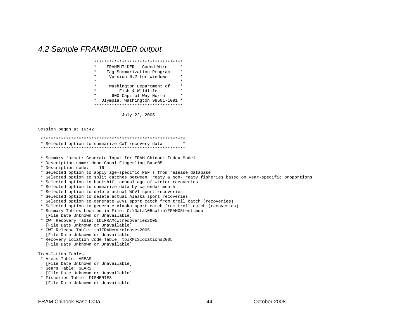## *4.2 Sample FRAMBUILDER output*

| ****************************                    |  |
|-------------------------------------------------|--|
| $\star$<br>$\star$<br>FRAMBUILDER - Coded Wire  |  |
| $\star$<br>$\star$<br>Tag Summarization Program |  |
| $\star$<br>$\star$<br>Version 0.2 for Windows   |  |
| $\star$<br>$\star$                              |  |
| $\star$<br>$\star$<br>Washington Department of  |  |
| $\star$<br>Fish & Wildlife<br>$\star$           |  |
| $\star$<br>$\star$<br>600 Capitol Way North     |  |
| Olympia, Washington 98501-1091 *<br>$^\star$    |  |
| ***********************************             |  |
|                                                 |  |

July 22, 2005

Session began at 16:42



[File Date Unknown or Unavailable]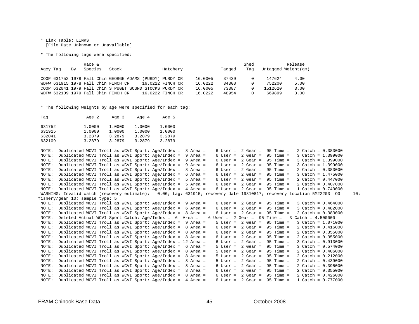\* Link Table: LINKS [File Date Unknown or Unavailable]

\* The following tags were specified:

| Agcy Tag | Bv | Race &<br>Species | Stock                                                    |                  | Hatchery |         | Tagged | Shed<br>Tag |         | Release<br>Untagged Weight (gm) |
|----------|----|-------------------|----------------------------------------------------------|------------------|----------|---------|--------|-------------|---------|---------------------------------|
|          |    |                   | COOP 631752 1978 Fall Chin GEORGE ADAMS                  | (PURDY) PURDY CR |          | 16.0005 | 37439  |             | 147624  | 4.00                            |
|          |    |                   | WDFW 631915 1978 Fall Chin FINCH CR                      | 16.0222 FINCH CR |          | 16.0222 | 34300  |             | 752200  | 5.00                            |
|          |    |                   | COOP 632041 1979 Fall Chin S PUGET SOUND STOCKS PURDY CR |                  |          | 16.0005 | 73387  |             | 1512620 | 3.00                            |
|          |    |                   | WDFW 632109 1979 Fall Chin FINCH CR                      | 16.0222 FINCH CR |          | 16.0222 | 48954  |             | 669899  | 3.00                            |

\* The following weights by age were specified for each tag:

| Taq                                  | Age 2                                | Age 3                                | Age 4                                | Age 5                                |
|--------------------------------------|--------------------------------------|--------------------------------------|--------------------------------------|--------------------------------------|
| 631752<br>631915<br>632041<br>632109 | 1,0000<br>1,0000<br>3.2879<br>3.2879 | 1,0000<br>1,0000<br>3.2879<br>3.2879 | 1,0000<br>1,0000<br>3.2879<br>3.2879 | 1,0000<br>1,0000<br>3.2879<br>3.2879 |
|                                      |                                      |                                      |                                      |                                      |

 NOTE: Duplicated WCVI Troll as WCVI Sport: Age/Index = 8 Area = 6 User = 2 Gear = 95 Time = 2 Catch = 0.383000 NOTE: Duplicated WCVI Troll as WCVI Sport: Age/Index = 9 Area = 6 User = 2 Gear = 95 Time = 3 Catch = 1.399000 NOTE: Duplicated WCVI Troll as WCVI Sport: Age/Index = 9 Area = 6 User = 2 Gear = 95 Time = 3 Catch = 1.399000 NOTE: Duplicated WCVI Troll as WCVI Sport: Age/Index = 9 Area = 6 User = 2 Gear = 95 Time = 3 Catch = 1.399000 NOTE: Duplicated WCVI Troll as WCVI Sport: Age/Index =  $8$  Area = NOTE: Duplicated WCVI Troll as WCVI Sport: Age/Index = 6 Area = 6 User = 2 Gear = 95 Time = 3 Catch = 1.475000 NOTE: Duplicated WCVI Troll as WCVI Sport: Age/Index = 5 Area = 6 User = 2 Gear = 95 Time = 2 Catch = 0.447000 NOTE: Duplicated WCVI Troll as WCVI Sport: Age/Index = 5 Area = 6 User = 2 Gear = 95 Time = 2 Catch = 0.407000 NOTE: Duplicated WCVI Troll as WCVI Sport: Age/Index = 4 Area = 6 User = 2 Gear = 95 Time = 1 Catch = 0.740000 WARNING: Invalid catch (recovery estimate): 0.00; tag: 631915; recovery date 19810817; recovery location 5M22203 O3 10; fishery/gear 10; sample type: 5 NOTE: Duplicated WCVI Troll as WCVI Sport: Age/Index = 9 Area = 6 User = 2 Gear = 95 Time = 3 Catch = 0.464000 NOTE: Duplicated WCVI Troll as WCVI Sport: Age/Index = 6 Area = 6 User = 2 Gear = 95 Time = 3 Catch = 0.482000 NOTE: Duplicated WCVI Troll as WCVI Sport: Age/Index = 8 Area = 6 User = 2 Gear = 95 Time = 2 Catch = 0.383000 NOTE: Deleted Actual WCVI Sport Catch: Age/Index = 6 Area = 6 User = 2 Gear = 95 Time = 3 Catch = 4.500000 NOTE: Duplicated WCVI Troll as WCVI Sport: Age/Index = 9 Area = 5 User = 2 Gear = 95 Time = 3 Catch = 1.071000 NOTE: Duplicated WCVI Troll as WCVI Sport: Age/Index =  $8$  Area = NOTE: Duplicated WCVI Troll as WCVI Sport: Age/Index = 8 Area = 6 User = 2 Gear = 95 Time = 2 Catch = 0.355000 NOTE: Duplicated WCVI Troll as WCVI Sport: Age/Index = 8 Area = 6 User = 2 Gear = 95 Time = 2 Catch = 0.355000 NOTE: Duplicated WCVI Troll as WCVI Sport: Age/Index = 12 Area = 6 User = 2 Gear = 95 Time = 3 Catch = 0.913000 NOTE: Duplicated WCVI Troll as WCVI Sport: Age/Index = 6 Area = 5 User = 2 Gear = 95 Time = 3 Catch = 0.574000 NOTE: Duplicated WCVI Troll as WCVI Sport: Age/Index = 8 Area = 5 User = 2 Gear = 95 Time = 2 Catch = 0.406000 NOTE: Duplicated WCVI Troll as WCVI Sport: Age/Index = 8 Area = 5 User = 2 Gear = 95 Time = 2 Catch = 0.212000 NOTE: Duplicated WCVI Troll as WCVI Sport: Age/Index = 8 Area = 5 User = 2 Gear = 95 Time = 2 Catch = 0.439000 NOTE: Duplicated WCVI Troll as WCVI Sport: Age/Index = 8 Area = 6 User = 2 Gear = 95 Time = 2 Catch = 0.395000 NOTE: Duplicated WCVI Troll as WCVI Sport: Age/Index = 8 Area = 6 User = 2 Gear = 95 Time = 2 Catch = 0.355000 NOTE: Duplicated WCVI Troll as WCVI Sport: Age/Index = 8 Area = 6 User = 2 Gear = 95 Time = 2 Catch = 0.426000 NOTE: Duplicated WCVI Troll as WCVI Sport: Age/Index = 4 Area = 6 User = 2 Gear = 95 Time = 1 Catch = 0.777000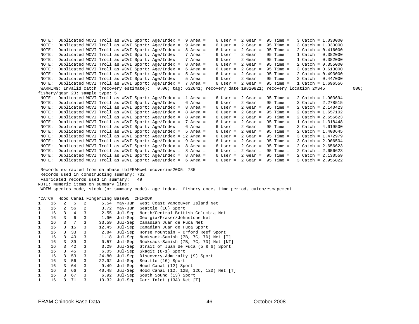```
 NOTE: Duplicated WCVI Troll as WCVI Sport: Age/Index = 9 Area = 6 User = 2 Gear = 95 Time = 3 Catch = 1.030000 
 NOTE: Duplicated WCVI Troll as WCVI Sport: Age/Index = 9 Area = 6 User = 2 Gear = 95 Time = 3 Catch = 1.030000 
 NOTE: Duplicated WCVI Troll as WCVI Sport: Age/Index = 8 Area = 6 User = 2 Gear = 95 Time = 2 Catch = 0.416000 
 NOTE: Duplicated WCVI Troll as WCVI Sport: Age/Index = 7 Area = 6 User = 2 Gear = 95 Time = 1 Catch = 0.382000 
 NOTE: Duplicated WCVI Troll as WCVI Sport: Age/Index = 7 Area = 6 User = 2 Gear = 95 Time = 1 Catch = 0.382000 
 NOTE: Duplicated WCVI Troll as WCVI Sport: Age/Index = 8 Area = 6 User = 2 Gear = 95 Time = 2 Catch = 0.355000 
 NOTE: Duplicated WCVI Troll as WCVI Sport: Age/Index = 6 Area = 6 User = 2 Gear = 95 Time = 3 Catch = 0.613000 
 NOTE: Duplicated WCVI Troll as WCVI Sport: Age/Index = 5 Area = 6 User = 2 Gear = 95 Time = 2 Catch = 0.493000 
 NOTE: Duplicated WCVI Troll as WCVI Sport: Age/Index = 5 Area = 6 User = 2 Gear = 95 Time = 2 Catch = 0.447000 
 NOTE: Duplicated WCVI Troll as WCVI Sport: Age/Index = 7 Area = 6 User = 2 Gear = 95 Time = 1 Catch = 1.696556 
  WARNING: Invalid catch (recovery estimate): 0.00; tag: 632041; recovery date 19820821; recovery location 2MS45 000; 
fishery/gear 23; sample type: 5 
 NOTE: Duplicated WCVI Troll as WCVI Sport: Age/Index = 11 Area = 6 User = 2 Gear = 95 Time = 2 Catch = 1.903694 
 NOTE: Duplicated WCVI Troll as WCVI Sport: Age/Index = 6 Area = 6 User = 2 Gear = 95 Time = 3 Catch = 2.278515 
 NOTE: Duplicated WCVI Troll as WCVI Sport: Age/Index = 8 Area = 6 User = 2 Gear = 95 Time = 2 Catch = 2.140423 
 NOTE: Duplicated WCVI Troll as WCVI Sport: Age/Index = 8 Area = 6 User = 2 Gear = 95 Time = 2 Catch = 1.657102 
 NOTE: Duplicated WCVI Troll as WCVI Sport: Age/Index = 8 Area = 6 User = 2 Gear = 95 Time = 2 Catch = 2.656623 
 NOTE: Duplicated WCVI Troll as WCVI Sport: Age/Index = 7 Area = 6 User = 2 Gear = 95 Time = 1 Catch = 1.318448 
 NOTE: Duplicated WCVI Troll as WCVI Sport: Age/Index = 6 Area = 6 User = 2 Gear = 95 Time = 3 Catch = 4.619500 
 NOTE: Duplicated WCVI Troll as WCVI Sport: Age/Index = 5 Area = 6 User = 2 Gear = 95 Time = 2 Catch = 1.400645 
 NOTE: Duplicated WCVI Troll as WCVI Sport: Age/Index = 12 Area = 6 User = 2 Gear = 95 Time = 3 Catch = 1.472979 
 NOTE: Duplicated WCVI Troll as WCVI Sport: Age/Index = 9 Area = 6 User = 2 Gear = 95 Time = 3 Catch = 2.906504 
 NOTE: Duplicated WCVI Troll as WCVI Sport: Age/Index = 8 Area = 6 User = 2 Gear = 95 Time = 2 Catch = 2.656623 
 NOTE: Duplicated WCVI Troll as WCVI Sport: Age/Index = 8 Area = 6 User = 2 Gear = 95 Time = 2 Catch = 2.656623 
 NOTE: Duplicated WCVI Troll as WCVI Sport: Age/Index = 8 Area = 6 User = 2 Gear = 95 Time = 2 Catch = 2.130559 
 NOTE: Duplicated WCVI Troll as WCVI Sport: Age/Index = 6 Area = 6 User = 2 Gear = 95 Time = 3 Catch = 2.955822 
  Records extracted from database tblFRAMcwtrecoveries2005: 735  Records used in constructing summary: 732 
  Fabricated records used in summary: 49 
NOTE: Numeric items on summary line: 
  WDFW species code, stock (or summary code), age index, fishery code, time period, catch/escapement 
*CATCH Hood Canal FIngerling Base05 CHINOOK 
1 16 2 5 2 5.54 May-Jun West Coast Vancouver Island Net 
1 16 2 56 2 3.72 May-Jun Seattle (10) Sport 
1 16 3 4 3 2.55 Jul-Sep North/Central British Columbia Net 
1 16 3 6 3 1.90 Jul-Sep Georgia/Fraser/Johnstone Net 
1 16 3 7 3 33.59 Jul-Sep Canadian Juan de Fuca Net 
                     12.45 Jul-Sep Canadian Juan de Fuca Sport
1 16 3 33 3 2.84 Jul-Sep Horse Mountain - Orford Reef Sport 
1 16 3 40 3 1.18 Jul-Sep Nooksack-Samish (7B, 7C, 7D) Net [T] 
1 16 3 39 3 0.57 Jul-Sep Nooksack-Samish (7B, 7C, 7D) Net [NT] 
1 16 3 42 3 3.29 Jul-Sep Strait of Juan de Fuca (5 & 6) Sport 
1 16 3 45 3 6.05 Jul-Sep Skagit (8-1) Sport 
1 16 3 53 3 24.80 Jul-Sep Discovery-Admiralty (9) Sport 
1 16 3 56 3 22.92 Jul-Sep Seattle (10) Sport 
1 16 3 64 3 9.49 Jul-Sep Hood Canal (12) Sport 
1 16 3 66 3 40.48 Jul-Sep Hood Canal (12, 12B, 12C, 12D) Net [T] 
1 16 3 67 3 6.92 Jul-Sep South Sound (13) Sport 
1 16 3 71 3 10.32 Jul-Sep Carr Inlet (13A) Net [T]
```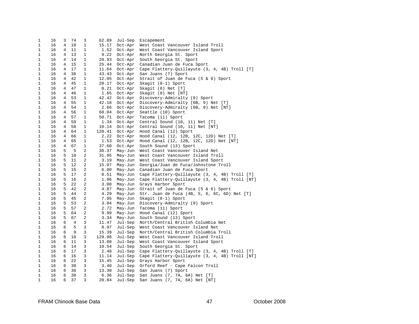| 1 | 16 | 3              | 74  | 3            | 62.89  | Jul-Sep | Escapement                                             |
|---|----|----------------|-----|--------------|--------|---------|--------------------------------------------------------|
| 1 | 16 | 4              | 10  | $\mathbf{1}$ | 15.17  | Oct-Apr | West Coast Vancouver Island Troll                      |
| 1 | 16 | 4              | 11  | 1            | 1.52   | Oct-Apr | West Coast Vancouver Island Sport                      |
| 1 | 16 | $\overline{4}$ | 13  | $\mathbf{1}$ | 9.22   |         | Oct-Apr North Georgia St. Sport                        |
| 1 | 16 | 4              | 14  | 1            | 29.93  |         | Oct-Apr South Georgia St. Sport                        |
| 1 | 16 | 4              | 15  | $\mathbf{1}$ | 25.44  |         | Oct-Apr Canadian Juan de Fuca Sport                    |
| 1 | 16 | 4              | 17  | 1            | 11.64  |         | Oct-Apr Cape Flattery-Quillayute (3, 4, 4B) Troll [T]  |
| 1 | 16 | 4              | 36  | 1            | 43.43  |         | Oct-Apr San Juans (7) Sport                            |
| 1 | 16 | 4              | 42  | 1            | 12.05  | Oct-Apr | Strait of Juan de Fuca (5 & 6) Sport                   |
| 1 | 16 | 4              | 45  | 1            | 20.17  | Oct-Apr | Skagit (8-1) Sport                                     |
| 1 | 16 | 4              | 47  | $\mathbf{1}$ | 0.21   | Oct-Apr | Skagit (8) Net [T]                                     |
| 1 | 16 | 4              | 46  | 1            | 1.65   |         | Oct-Apr Skagit (8) Net [NT]                            |
| 1 | 16 | 4              | 53  | $\mathbf{1}$ | 42.42  |         | Oct-Apr Discovery-Admiralty (9) Sport                  |
| 1 | 16 | 4              | 55  | 1            | 42.18  |         | Oct-Apr Discovery-Admiralty (6B, 9) Net [T]            |
| 1 | 16 | 4              | 54  | 1            | 2.66   |         | Oct-Apr Discovery-Admiralty (6B, 9) Net [NT]           |
| 1 | 16 | $\overline{4}$ | 56  | 1            | 68.04  |         | Oct-Apr Seattle (10) Sport                             |
|   | 16 |                |     |              |        |         |                                                        |
| 1 |    | 4              | 57  | 1            | 50.71  |         | Oct-Apr Tacoma (11) Sport                              |
| 1 | 16 | 4              | 59  | $\mathbf{1}$ | 1.34   |         | Oct-Apr Central Sound (10, 11) Net [T]                 |
| 1 | 16 | 4              | 58  | 1            | 10.14  |         | Oct-Apr Central Sound (10, 11) Net [NT]                |
| 1 | 16 | 4              | 64  | 1            | 120.41 |         | Oct-Apr Hood Canal (12) Sport                          |
| 1 | 16 | 4              | 66  | 1            | 2.22   |         | Oct-Apr Hood Canal (12, 12B, 12C, 12D) Net [T]         |
| 1 | 16 | 4              | 65  | 1            | 1.53   | Oct-Apr | Hood Canal (12, 12B, 12C, 12D) Net [NT]                |
| 1 | 16 | 4              | 67  | 1            | 37.60  |         | Oct-Apr South Sound (13) Sport                         |
| 1 | 16 | 5              | - 5 | 2            | 30.37  |         | May-Jun West Coast Vancouver Island Net                |
| 1 | 16 | 5              | 10  | 2            | 31.95  |         | May-Jun West Coast Vancouver Island Troll              |
| 1 | 16 | 5              | 11  | 2            | 3.19   |         | May-Jun West Coast Vancouver Island Sport              |
| 1 | 16 | 5              | 12  | 2            | 15.07  |         | May-Jun Georgia/Juan de Fuca/Johnstone Troll           |
| 1 | 16 | 5              | 15  | 2            | 6.00   |         | May-Jun Canadian Juan de Fuca Sport                    |
| 1 | 16 | 5              | 17  | 2            | 0.51   |         | May-Jun Cape Flattery-Quillayute (3, 4, 4B) Troll [T]  |
| 1 | 16 | 5              | 16  | 2            | 1.96   |         | May-Jun Cape Flattery-Quillayute (3, 4, 4B) Troll [NT] |
| 1 | 16 | 5              | 22  | 2            | 3.08   |         | May-Jun Grays Harbor Sport                             |
| 1 | 16 | 5              | 42  | 2            | 4.87   |         | May-Jun Strait of Juan de Fuca (5 & 6) Sport           |
| 1 | 16 | 5              | 44  | 2            | 4.29   |         | May-Jun Str. Juan de Fuca (4B, 5, 6, 6C, 6D) Net [T]   |
| 1 | 16 | 5              | 45  | 2            | 7.95   |         | May-Jun Skagit (8-1) Sport                             |
| 1 | 16 | 5              | 53  | 2            | 3.04   |         | May-Jun Discovery-Admiralty (9) Sport                  |
| 1 | 16 | 5              | 57  | 2            | 2.72   |         | May-Jun Tacoma (11) Sport                              |
| 1 | 16 | 5              | 64  | 2            | 9.99   |         | May-Jun Hood Canal (12) Sport                          |
| 1 | 16 | 5              | 67  | 2            | 3.34   |         | May-Jun South Sound (13) Sport                         |
| 1 | 16 | 6              | 4   | 3            | 11.47  |         | Jul-Sep North/Central British Columbia Net             |
| 1 | 16 | 6              | 5   | 3            | 8.97   |         | Jul-Sep West Coast Vancouver Island Net                |
| 1 | 16 | 6              | 9   | 3            | 15.39  |         | Jul-Sep North/Central British Columbia Troll           |
| 1 | 16 | 6              | 10  | 3            | 129.98 |         | Jul-Sep West Coast Vancouver Island Troll              |
| 1 | 16 | 6              | 11  | 3            | 13.00  |         | Jul-Sep West Coast Vancouver Island Sport              |
| 1 | 16 | 6              | 14  | 3            | 10.54  |         | Jul-Sep South Georgia St. Sport                        |
| 1 | 16 | 6              | 17  | 3            | 2.48   |         | Jul-Sep Cape Flattery-Quillayute (3, 4, 4B) Troll [T]  |
| 1 | 16 | 6              | 16  | 3            | 11.14  |         | Jul-Sep Cape Flattery-Quillayute (3, 4, 4B) Troll [NT] |
| 1 | 16 | 6              | 22  | 3            | 15.45  |         | Jul-Sep Grays Harbor Sport                             |
| 1 | 16 | 6              | 30  | 3            | 3.40   |         | Jul-Sep Orford Reef - Cape Falcon Troll                |
| 1 | 16 | 6              | 36  | 3            | 13.30  | Jul-Sep | San Juans (7) Sport                                    |
| 1 | 16 | 6              | 38  | 3            | 6.36   | Jul-Sep |                                                        |
|   | 16 | 6              | 37  | 3            |        |         | San Juans (7, 7A, 6A) Net [T]                          |
| 1 |    |                |     |              | 20.84  | Jul-Sep | San Juans (7, 7A, 6A) Net [NT]                         |

47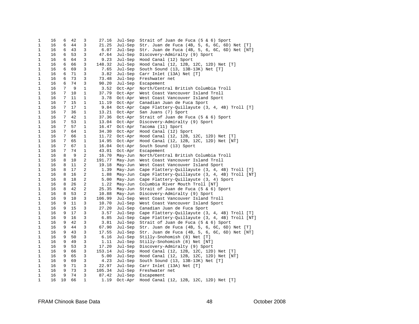| 1            | 16 | 6  | 42 | 3            | 27.16  | Jul-Sep | Strait of Juan de Fuca (5 & 6) Sport           |
|--------------|----|----|----|--------------|--------|---------|------------------------------------------------|
| $\mathbf{1}$ | 16 | 6  | 44 | 3            | 21.25  | Jul-Sep | Str. Juan de Fuca (4B, 5, 6, 6C, 6D) Net [T]   |
| 1            | 16 | 6  | 43 | 3            | 6.07   | Jul-Sep | Str. Juan de Fuca (4B, 5, 6, 6C, 6D) Net [NT]  |
| 1            | 16 | 6  | 53 | 3            | 47.64  | Jul-Sep | Discovery-Admiralty (9) Sport                  |
| 1            | 16 | 6  | 64 | 3            | 9.23   | Jul-Sep | Hood Canal (12) Sport                          |
| 1            | 16 | 6  | 66 | 3            | 148.32 | Jul-Sep | Hood Canal (12, 12B, 12C, 12D) Net [T]         |
| 1            | 16 | 6  | 69 | 3            | 7.65   | Jul-Sep | South Sound (13, 13B-13K) Net [T]              |
| 1            | 16 | 6  | 71 | 3            | 3.82   | Jul-Sep | Carr Inlet (13A) Net [T]                       |
| $\mathbf{1}$ | 16 | 6  | 73 | 3            | 73.48  | Jul-Sep | Freshwater net                                 |
| 1            | 16 | 6  | 74 | 3            | 90.20  | Jul-Sep | Escapement                                     |
| 1            | 16 | 7  | 9  | $\mathbf{1}$ | 3.52   | Oct-Apr | North/Central British Columbia Troll           |
| 1            | 16 | 7  | 10 | 1            | 37.79  | Oct-Apr | West Coast Vancouver Island Troll              |
| 1            | 16 | 7  | 11 | 1            | 3.78   | Oct-Apr | West Coast Vancouver Island Sport              |
| 1            | 16 | 7  | 15 | $\mathbf{1}$ | 11.19  | Oct-Apr | Canadian Juan de Fuca Sport                    |
| 1            | 16 | 7  | 17 | 1            | 9.84   | Oct-Apr | Cape Flattery-Quillayute (3, 4, 4B) Troll [T]  |
| 1            | 16 | 7  | 36 | 1            | 13.21  | Oct-Apr | San Juans (7) Sport                            |
| $\mathbf{1}$ | 16 | 7  | 42 | $\mathbf{1}$ | 37.36  | Oct-Apr | Strait of Juan de Fuca (5 & 6) Sport           |
| 1            | 16 | 7  | 53 | 1            | 13.04  | Oct-Apr | Discovery-Admiralty (9) Sport                  |
| 1            | 16 | 7  | 57 | $\mathbf{1}$ | 16.47  | Oct-Apr | Tacoma (11) Sport                              |
| 1            | 16 | 7  | 64 | $\mathbf{1}$ | 34.30  | Oct-Apr | Hood Canal (12) Sport                          |
| 1            | 16 | 7  | 66 | $\mathbf{1}$ | 11.72  | Oct-Apr | Hood Canal (12, 12B, 12C, 12D) Net [T]         |
| 1            | 16 | 7  | 65 | $\mathbf{1}$ | 14.95  | Oct-Apr | Hood Canal (12, 12B, 12C, 12D) Net [NT]        |
| 1            | 16 | 7  | 67 | 1            | 16.04  | Oct-Apr | South Sound (13) Sport                         |
| 1            | 16 | 7  | 74 | 1            | 43.01  | Oct-Apr | Escapement                                     |
|              | 16 | 8  | 9  | 2            |        |         |                                                |
| 1            |    |    |    |              | 16.70  | May-Jun | North/Central British Columbia Troll           |
| 1            | 16 | 8  | 10 | 2            | 191.77 | May-Jun | West Coast Vancouver Island Troll              |
| $\mathbf{1}$ | 16 | 8  | 11 | 2            | 19.18  | May-Jun | West Coast Vancouver Island Sport              |
| 1            | 16 | 8  | 17 | 2            | 1.39   | May-Jun | Cape Flattery-Quillayute (3, 4, 4B) Troll [T]  |
| 1            | 16 | 8  | 16 | 2            | 1.88   | May-Jun | Cape Flattery-Quillayute (3, 4, 4B) Troll [NT] |
| 1            | 16 | 8  | 18 | 2            | 5.00   | May-Jun | Cape Flattery-Quillayute (3, 4) Sport          |
| 1            | 16 | 8  | 26 | 2            | 1.22   | May-Jun | Columbia River Mouth Troll [NT]                |
| $\mathbf{1}$ | 16 | 8  | 42 | 2            | 25.35  | May-Jun | Strait of Juan de Fuca (5 & 6) Sport           |
| 1            | 16 | 8  | 53 | 2            | 10.88  | May-Jun | Discovery-Admiralty (9) Sport                  |
| 1            | 16 | 9  | 10 | 3            | 106.99 | Jul-Sep | West Coast Vancouver Island Troll              |
| 1            | 16 | 9  | 11 | 3            | 10.70  | Jul-Sep | West Coast Vancouver Island Sport              |
| 1            | 16 | 9  | 15 | 3            | 27.20  | Jul-Sep | Canadian Juan de Fuca Sport                    |
| 1            | 16 | 9  | 17 | 3            | 3.57   | Jul-Sep | Cape Flattery-Quillayute (3, 4, 4B) Troll [T]  |
| 1            | 16 | 9  | 16 | 3            | 6.85   | Jul-Sep | Cape Flattery-Quillayute (3, 4, 4B) Troll [NT] |
| 1            | 16 | 9  | 42 | 3            | 3.81   | Jul-Sep | Strait of Juan de Fuca (5 & 6) Sport           |
| 1            | 16 | 9  | 44 | 3            | 67.90  | Jul-Sep | Str. Juan de Fuca (4B, 5, 6, 6C, 6D) Net [T]   |
| 1            | 16 | 9  | 43 | 3            | 17.55  | Jul-Sep | Str. Juan de Fuca (4B, 5, 6, 6C, 6D) Net [NT]  |
| 1            | 16 | 9  | 50 | 3            | $6.16$ | Jul-Sep | Stilly-Snohomish (8) Net [T]                   |
| 1            | 16 | 9  | 49 | 3            | 1.11   | Jul-Sep | Stilly-Snohomish (8) Net [NT]                  |
| 1            | 16 | 9  | 53 | 3            | 17.20  | Jul-Sep | Discovery-Admiralty (9) Sport                  |
| 1            | 16 | 9  | 66 | 3            | 153.14 | Jul-Sep | Hood Canal (12, 12B, 12C, 12D) Net [T]         |
| 1            | 16 | 9  | 65 | 3            | 5.00   | Jul-Sep | Hood Canal (12, 12B, 12C, 12D) Net [NT]        |
| 1            | 16 | 9  | 69 | 3            | 4.23   | Jul-Sep | South Sound (13, 13B-13K) Net [T]              |
| 1            | 16 | 9  | 71 | 3            | 22.97  | Jul-Sep | Carr Inlet (13A) Net [T]                       |
| 1            | 16 | 9  | 73 | 3            | 105.34 | Jul-Sep | Freshwater net                                 |
| 1            | 16 | 9  | 74 | 3            | 87.42  | Jul-Sep | Escapement                                     |
| 1            | 16 | 10 | 66 | 1            | 1.19   | Oct-Apr | Hood Canal (12, 12B, 12C, 12D) Net [T]         |

48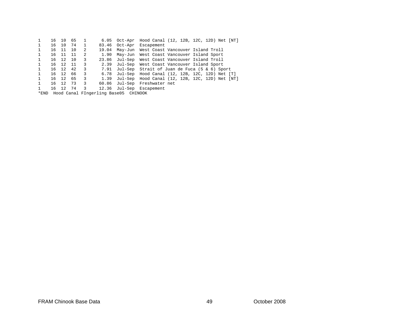| 1            | 16    | 10 | 65  | -1 | 6.05  |                                           | Oct-Apr Hood Canal (12, 12B, 12C, 12D) Net [NT]     |
|--------------|-------|----|-----|----|-------|-------------------------------------------|-----------------------------------------------------|
| $\mathbf{1}$ | 16 10 |    | 74  | 1  | 83.46 | Oct-Apr                                   | Escapement                                          |
| $\mathbf{1}$ | 16 11 |    | 10  | 2  | 19.04 |                                           | May-Jun West Coast Vancouver Island Troll           |
| $\mathbf{1}$ | 16 11 |    | -11 | 2  | 1.90  |                                           | May-Jun West Coast Vancouver Island Sport           |
| 1            | 16 12 |    | 10  | 3  | 23.86 |                                           | Jul-Sep West Coast Vancouver Island Troll           |
| 1            | 16 12 |    | -11 | 3  | 2.39  |                                           | Jul-Sep West Coast Vancouver Island Sport           |
| $\mathbf{1}$ | 16 12 |    | 42  | 3  | 7.91  |                                           | Jul-Sep Strait of Juan de Fuca (5 & 6) Sport        |
| $\mathbf{1}$ | 16 12 |    | 66  | 3  | 6.78  |                                           | Jul-Sep Hood Canal $(12, 12B, 12C, 12D)$ Net $[T]$  |
| $\mathbf{1}$ | 16 12 |    | 65  | 3  | 1.39  |                                           | Jul-Sep Hood Canal $(12, 12B, 12C, 12D)$ Net $[NT]$ |
| 1            | 16 12 |    | 73  | 3  | 60.86 |                                           | Jul-Sep Freshwater net                              |
| 1            | 16 12 |    | 74  | 3  | 12.36 |                                           | Jul-Sep Escapement                                  |
|              |       |    |     |    |       | *END Hood Canal FIngerling Base05 CHINOOK |                                                     |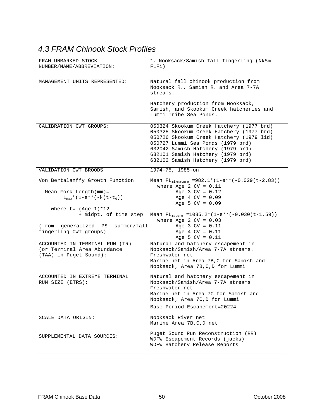# *4.3 FRAM Chinook Stock Profiles*

| FRAM UNMARKED STOCK<br>NUMBER/NAME/ABBREVIATION:                                                              | 1. Nooksack/Samish fall fingerling (NkSm<br>F1F1)                                                                                                                                                                                                                                    |
|---------------------------------------------------------------------------------------------------------------|--------------------------------------------------------------------------------------------------------------------------------------------------------------------------------------------------------------------------------------------------------------------------------------|
| MANAGEMENT UNITS REPRESENTED:                                                                                 | Natural fall chinook production from<br>Nooksack R., Samish R. and Area 7-7A<br>streams.                                                                                                                                                                                             |
|                                                                                                               | Hatchery production from Nooksack,<br>Samish, and Skookum Creek hatcheries and<br>Lummi Tribe Sea Ponds.                                                                                                                                                                             |
| CALIBRATION CWT GROUPS:                                                                                       | 050324 Skookum Creek Hatchery (1977 brd)<br>050325 Skookum Creek Hatchery (1977 brd)<br>050726 Skookum Creek Hatchery (1979 lid)<br>050727 Lummi Sea Ponds (1979 brd)<br>632042 Samish Hatchery (1979 brd)<br>632101 Samish Hatchery (1979 brd)<br>632102 Samish Hatchery (1979 brd) |
| VALIDATION CWT BROODS                                                                                         | 1974-75, 1985-on                                                                                                                                                                                                                                                                     |
| Von Bertalanffy Growth Function<br>Mean Fork Length $(mm)$ =<br>$L_{max}$ * (1-e** (-k (t-t <sub>0</sub> ))   | Mean FL <sub>mixmature</sub> = 982.1* $(1-e^{**}\sqrt{(-0.029(t-2.83))})$<br>where Age 2 $CV = 0.11$<br>Age $3 CV = 0.12$<br>Age $4$ CV = $0.09$<br>Age 5 $CV = 0.09$                                                                                                                |
| where $t = (Age-1)*12$<br>+ midpt. of time step<br>(from generalized PS summer/fall<br>fingerling CWT groups) | Mean $FL_{matter}$ =1085.2*(1-e**(-0.030(t-1.59))<br>where Age 2 $CV = 0.03$<br>Age $3 CV = 0.11$<br>Age $4$ CV = $0.11$                                                                                                                                                             |
|                                                                                                               | Age 5 $CV = 0.11$                                                                                                                                                                                                                                                                    |
| ACCOUNTED IN TERMINAL RUN (TR)<br>(or Terminal Area Abundance<br>(TAA) in Puget Sound):                       | Natural and hatchery escapement in<br>Nooksack/Samish/Area 7-7A streams.<br>Freshwater net<br>Marine net in Area 7B, C for Samish and<br>Nooksack, Area 7B, C, D for Lummi                                                                                                           |
| ACCOUNTED IN EXTREME TERMINAL<br>RUN SIZE (ETRS):                                                             | Natural and hatchery escapement in<br>Nooksack/Samish/Area 7-7A streams<br>Freshwater net<br>Marine net in Area 7C for Samish and<br>Nooksack, Area 7C, D for Lummi<br>Base Period Escapement=20224                                                                                  |
| SCALE DATA ORIGIN:                                                                                            | Nooksack River net<br>Marine Area 7B, C, D net                                                                                                                                                                                                                                       |
| SUPPLEMENTAL DATA SOURCES:                                                                                    | Puget Sound Run Reconstruction (RR)<br>WDFW Escapement Records (jacks)<br>WDFW Hatchery Release Reports                                                                                                                                                                              |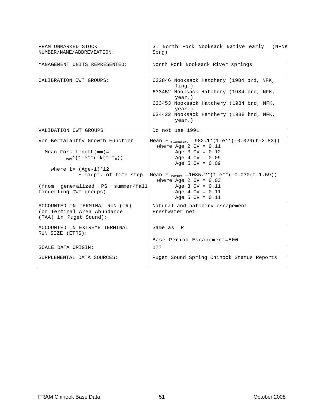| FRAM UNMARKED STOCK<br>NUMBER/NAME/ABBREVIATION: | 3. North Fork Nooksack Native early<br>(NFNK<br>Sprg)                              |
|--------------------------------------------------|------------------------------------------------------------------------------------|
| MANAGEMENT UNITS REPRESENTED:                    | North Fork Nooksack River springs                                                  |
| CALIBRATION CWT GROUPS:                          | 632846 Nooksack Hatchery (1984 brd, NFK,<br>$f$ ing.)                              |
|                                                  | 633452 Nooksack Hatchery (1984 brd, NFK,<br>$year.$ )                              |
|                                                  | 633453 Nooksack Hatchery (1984 brd, NFK,<br>$year.$ )                              |
|                                                  | 634422 Nooksack Hatchery (1988 brd, NFK,<br>year.)                                 |
| VALIDATION CWT GROUPS                            | Do not use 1991                                                                    |
| Von Bertalanffy Growth Function                  | Mean $FL_{mixmature} = 982.1 * (1-e**(-0.029(t-2.83)))$<br>where Age 2 $CV = 0.11$ |
| Mean Fork Length $(mm)$ =                        | Age $3 CV = 0.12$                                                                  |
| $L_{\text{max}}*(1-e**(-k(t-t_0)))$              | Age $4$ CV = $0.09$<br>Age 5 $CV = 0.09$                                           |
| where $t = (Aqe-1)*12$                           |                                                                                    |
| + midpt. of time step                            | Mean $FL_{\text{matter}} = 1085.2*(1-e^{**}(-0.030(t-1.59)))$                      |
|                                                  | where Age 2 $CV = 0.03$                                                            |
| (from generalized PS summer/fall                 | Age $3 CV = 0.11$                                                                  |
| fingerling CWT groups)                           | Age $4$ CV = $0.11$                                                                |
|                                                  | Age 5 $CV = 0.11$                                                                  |
| ACCOUNTED IN TERMINAL RUN (TR)                   | Natural and hatchery escapement                                                    |
| (or Terminal Area Abundance                      | Freshwater net                                                                     |
| (TAA) in Puget Sound):                           |                                                                                    |
| ACCOUNTED IN EXTREME TERMINAL                    | Same as TR                                                                         |
| RUN SIZE (ETRS):                                 |                                                                                    |
|                                                  | Base Period Escapement=500                                                         |
| SCALE DATA ORIGIN:                               | 1??                                                                                |
| SUPPLEMENTAL DATA SOURCES:                       | Puget Sound Spring Chinook Status Reports                                          |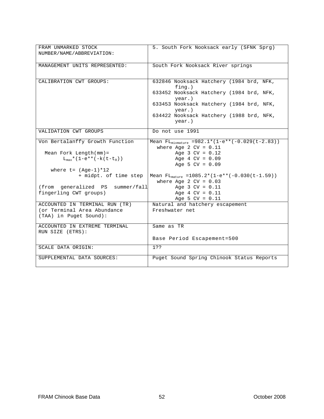| FRAM UNMARKED STOCK<br>NUMBER/NAME/ABBREVIATION:  | 5. South Fork Nooksack early (SFNK Sprg)                                                                                                                             |
|---------------------------------------------------|----------------------------------------------------------------------------------------------------------------------------------------------------------------------|
| MANAGEMENT UNITS REPRESENTED:                     | South Fork Nooksack River springs                                                                                                                                    |
| CALIBRATION CWT GROUPS:                           | 632846 Nooksack Hatchery (1984 brd, NFK,<br>$f$ ing.)<br>633452 Nooksack Hatchery (1984 brd, NFK,<br>$year.$ )<br>633453 Nooksack Hatchery (1984 brd, NFK,<br>year.) |
|                                                   | 634422 Nooksack Hatchery (1988 brd, NFK,<br>$year.$ )                                                                                                                |
| VALIDATION CWT GROUPS                             | Do not use 1991                                                                                                                                                      |
| Von Bertalanffy Growth Function                   | Mean FL <sub>mixmature</sub> = $982.1*(1-e**(-0.029(t-2.83)))$<br>where Age 2 $CV = 0.11$                                                                            |
| Mean Fork Length $(mm)$ =                         | Age $3$ CV = $0.12$                                                                                                                                                  |
| $L_{\text{max}}*(1-e**(-k(t-t_0)))$               | Age $4$ CV = $0.09$                                                                                                                                                  |
|                                                   | Age 5 $CV = 0.09$                                                                                                                                                    |
| where $t = (Aqe-1)*12$                            |                                                                                                                                                                      |
| + midpt. of time step                             | Mean $FL_{\text{matter}} = 1085.2*(1-e^{**}(-0.030(t-1.59)))$                                                                                                        |
|                                                   | where Age 2 $CV = 0.03$                                                                                                                                              |
| (from generalized PS summer/fall                  | Age $3 CV = 0.11$                                                                                                                                                    |
| fingerling CWT groups)                            | Age $4$ CV = $0.11$                                                                                                                                                  |
|                                                   | Age 5 $CV = 0.11$                                                                                                                                                    |
| ACCOUNTED IN TERMINAL RUN (TR)                    | Natural and hatchery escapement                                                                                                                                      |
| (or Terminal Area Abundance                       | Freshwater net                                                                                                                                                       |
| (TAA) in Puget Sound):                            |                                                                                                                                                                      |
| ACCOUNTED IN EXTREME TERMINAL<br>RUN SIZE (ETRS): | Same as TR                                                                                                                                                           |
|                                                   | Base Period Escapement=500                                                                                                                                           |
| SCALE DATA ORIGIN:                                | 1??                                                                                                                                                                  |
| SUPPLEMENTAL DATA SOURCES:                        | Puget Sound Spring Chinook Status Reports                                                                                                                            |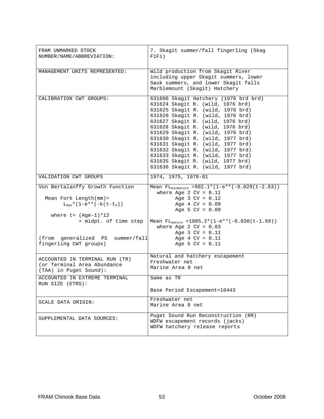| FRAM UNMARKED STOCK<br>NUMBER/NAME/ABBREVIATION:                                                            | 7. Skagit summer/fall fingerling (Skag<br>F1F1)                                                                                                                                                                                                                                                                                                                                                                                                                                                   |
|-------------------------------------------------------------------------------------------------------------|---------------------------------------------------------------------------------------------------------------------------------------------------------------------------------------------------------------------------------------------------------------------------------------------------------------------------------------------------------------------------------------------------------------------------------------------------------------------------------------------------|
| MANAGEMENT UNITS REPRESENTED:                                                                               | Wild production from Skagit River<br>including upper Skagit summers, lower<br>Sauk summers, and lower Skagit falls<br>Marblemount (Skagit) Hatchery                                                                                                                                                                                                                                                                                                                                               |
| CALIBRATION CWT GROUPS:                                                                                     | 631606 Skagit Hatchery (1976 brd brd)<br>631624 Skagit R. (wild, 1976 brd)<br>631625 Skagit R. (wild, 1976 brd)<br>631626 Skagit R. (wild, 1976 brd)<br>631627 Skagit R. (wild, 1976 brd)<br>631628 Skagit R. (wild, 1976 brd)<br>631629 Skagit R. (wild, 1976 brd)<br>631630 Skagit R. (wild, 1977 brd)<br>631631 Skagit R. (wild, 1977 brd)<br>631632 Skagit R. (wild, 1977 brd)<br>631633 Skagit R. (wild, 1977 brd)<br>631635 Skagit R. (wild, 1977 brd)<br>631636 Skagit R. (wild, 1977 brd) |
| VALIDATION CWT GROUPS                                                                                       | 1974, 1975, 1978-81                                                                                                                                                                                                                                                                                                                                                                                                                                                                               |
| Von Bertalanffy Growth Function<br>Mean Fork Length $(mm)$ =<br>$L_{max}$ * (1-e** (-k (t-t <sub>0</sub> )) | Mean FL <sub>mixmature</sub> =982.1*(1-e**(-0.029(t-2.83))<br>where Age 2 $CV = 0.11$<br>Age $3 CV = 0.12$<br>Age $4$ CV = $0.09$<br>Age 5 $CV = 0.09$                                                                                                                                                                                                                                                                                                                                            |
| where $t = (Age-1)*12$<br>+ midpt. of time step                                                             | Mean $FL_{\text{matter}} = 1085.2*(1-e**(-0.030(t-1.59)))$<br>where Age 2 $CV = 0.03$<br>Age $3 CV = 0.11$                                                                                                                                                                                                                                                                                                                                                                                        |
| (from generalized PS summer/fall<br>fingerling CWT groups)                                                  | Age $4$ CV = $0.11$<br>Age 5 $CV = 0.11$                                                                                                                                                                                                                                                                                                                                                                                                                                                          |
| ACCOUNTED IN TERMINAL RUN (TR)<br>(or Terminal Area Abundance<br>(TAA) in Puget Sound):                     | Natural and hatchery escapement<br>Freshwater net<br>Marine Area 8 net                                                                                                                                                                                                                                                                                                                                                                                                                            |
| ACCOUNTED IN EXTREME TERMINAL<br>RUN SIZE (ETRS):                                                           | Same as TR<br>Base Period Escapement=10443                                                                                                                                                                                                                                                                                                                                                                                                                                                        |
| SCALE DATA ORIGIN:                                                                                          | Freshwater net<br>Marine Area 8 net                                                                                                                                                                                                                                                                                                                                                                                                                                                               |
| SUPPLEMENTAL DATA SOURCES:                                                                                  | Puget Sound Run Reconstruction (RR)<br>WDFW escapement records (jacks)<br>WDFW hatchery release reports                                                                                                                                                                                                                                                                                                                                                                                           |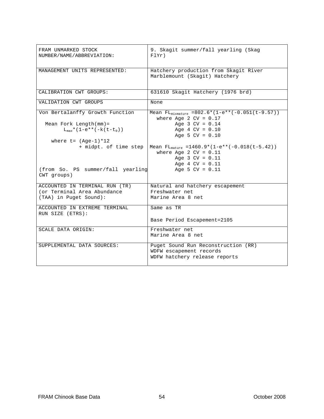| FRAM UNMARKED STOCK<br>NUMBER/NAME/ABBREVIATION:   | 9. Skagit summer/fall yearling (Skag<br>FlYr)                                    |
|----------------------------------------------------|----------------------------------------------------------------------------------|
| MANAGEMENT UNITS REPRESENTED:                      | Hatchery production from Skagit River<br>Marblemount (Skagit) Hatchery           |
| CALIBRATION CWT GROUPS:                            | 631610 Skagit Hatchery (1976 brd)                                                |
| VALIDATION CWT GROUPS                              | None                                                                             |
| Von Bertalanffy Growth Function                    | Mean $FL_{mixmature} = 802.6*(1-e**(-0.051(t-9.57)))$<br>where Age 2 $CV = 0.17$ |
| Mean Fork Length $(mm) =$                          | Age $3$ CV = $0.14$                                                              |
| $L_{\text{max}}$ * (1-e** (-k (t-t <sub>0</sub> )) | Age $4$ CV = $0.10$                                                              |
|                                                    | Age 5 $CV = 0.10$                                                                |
| where $t = (Aqe-1)*12$                             |                                                                                  |
| + midpt. of time step                              | Mean $FL_{matter} = 1460.9*(1-e**(-0.018(t-5.42)))$                              |
|                                                    | where Age 2 $CV = 0.11$                                                          |
|                                                    | Age $3$ CV = $0.11$                                                              |
|                                                    | Age $4$ CV = $0.11$                                                              |
| (from So. PS summer/fall yearling                  | Age 5 $CV = 0.11$                                                                |
| CWT groups)                                        |                                                                                  |
|                                                    |                                                                                  |
| ACCOUNTED IN TERMINAL RUN (TR)                     | Natural and hatchery escapement                                                  |
| (or Terminal Area Abundance                        | Freshwater net                                                                   |
| (TAA) in Puget Sound):                             | Marine Area 8 net                                                                |
|                                                    |                                                                                  |
| ACCOUNTED IN EXTREME TERMINAL<br>RUN SIZE (ETRS):  | Same as TR                                                                       |
|                                                    | Base Period Escapement=2105                                                      |
| SCALE DATA ORIGIN:                                 | Freshwater net                                                                   |
|                                                    | Marine Area 8 net                                                                |
| SUPPLEMENTAL DATA SOURCES:                         | Puget Sound Run Reconstruction (RR)                                              |
|                                                    | WDFW escapement records                                                          |
|                                                    | WDFW hatchery release reports                                                    |
|                                                    |                                                                                  |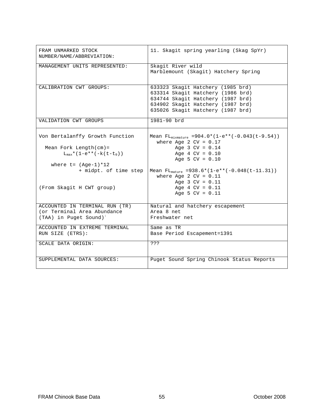| FRAM UNMARKED STOCK<br>NUMBER/NAME/ABBREVIATION:                                                    | 11. Skagit spring yearling (Skag SpYr)                                                                                                                                                |
|-----------------------------------------------------------------------------------------------------|---------------------------------------------------------------------------------------------------------------------------------------------------------------------------------------|
| MANAGEMENT UNITS REPRESENTED:                                                                       | Skagit River wild<br>Marblemount (Skagit) Hatchery Spring                                                                                                                             |
| CALIBRATION CWT GROUPS:                                                                             | 633323 Skagit Hatchery (1985 brd)<br>633314 Skagit Hatchery (1986 brd)<br>634744 Skagit Hatchery (1987 brd)<br>634902 Skagit Hatchery (1987 brd)<br>635026 Skagit Hatchery (1987 brd) |
| VALIDATION CWT GROUPS                                                                               | 1981-90 brd                                                                                                                                                                           |
| Von Bertalanffy Growth Function                                                                     | Mean $FL_{mixmatter}$ =904.0*(1-e**(-0.043(t-9.54))<br>where Age 2 $CV = 0.17$                                                                                                        |
| Mean Fork Length $(\text{cm})$ =<br>$L_{max}$ * (1-e** (-k (t-t <sub>0</sub> ))                     | Age $3 CV = 0.14$<br>Age $4$ CV = $0.10$<br>Age 5 $CV = 0.10$                                                                                                                         |
| where $t = (Age-1)*12$<br>+ midpt. of time step                                                     | Mean $FL_{matter}$ =938.6*(1-e**(-0.048(t-11.31))<br>where Age 2 $CV = 0.11$                                                                                                          |
| (From Skagit H CWT group)                                                                           | Age $3 CV = 0.11$<br>Age $4$ CV = $0.11$<br>Age 5 $CV = 0.11$                                                                                                                         |
| ACCOUNTED IN TERMINAL RUN (TR)<br>(or Terminal Area Abundance<br>(TAA) in Puget Sound) <sup>:</sup> | Natural and hatchery escapement<br>Area 8 net<br>Freshwater net                                                                                                                       |
| ACCOUNTED IN EXTREME TERMINAL<br>RUN SIZE (ETRS):                                                   | Same as TR<br>Base Period Escapement=1391                                                                                                                                             |
| SCALE DATA ORIGIN:                                                                                  | ???                                                                                                                                                                                   |
| SUPPLEMENTAL DATA SOURCES:                                                                          | Puget Sound Spring Chinook Status Reports                                                                                                                                             |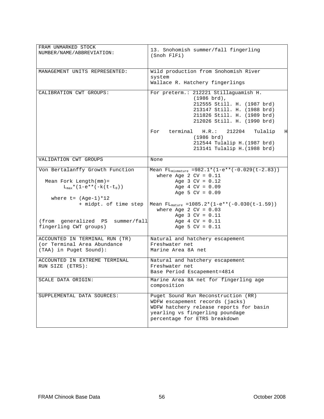| FRAM UNMARKED STOCK<br>NUMBER/NAME/ABBREVIATION:                                                            | 13. Snohomish summer/fall fingerling<br>(Snoh FlFi)                                                                                                                                         |
|-------------------------------------------------------------------------------------------------------------|---------------------------------------------------------------------------------------------------------------------------------------------------------------------------------------------|
| MANAGEMENT UNITS REPRESENTED:                                                                               | Wild production from Snohomish River<br>system<br>Wallace R. Hatchery fingerlings                                                                                                           |
| CALIBRATION CWT GROUPS:                                                                                     | For preterm.: 212221 Stillaguamish H.<br>$(1986 \text{ brd})$ ,<br>212555 Still. H. (1987 brd)<br>213147 Still. H. (1988 brd)<br>211826 Still. H. (1989 brd)<br>212026 Still. H. (1990 brd) |
|                                                                                                             | For terminal<br>H.R.:<br>212204<br>Tulalip<br>Η<br>$(1986 \text{ brd})$<br>212544 Tulalip H. (1987 brd)<br>213141 Tulalip H. (1988 brd)                                                     |
| VALIDATION CWT GROUPS                                                                                       | None                                                                                                                                                                                        |
| Von Bertalanffy Growth Function<br>Mean Fork Length $(mm)$ =<br>$L_{max}$ * (1-e** (-k (t-t <sub>0</sub> )) | Mean $FL_{mixmature} = 982.1 * (1-e**(-0.029(t-2.83)))$<br>where Age 2 $CV = 0.11$<br>Age $3 CV = 0.12$<br>Age $4$ CV = $0.09$                                                              |
| where $t = (Aqe-1)*12$<br>+ midpt. of time step                                                             | Age 5 $CV = 0.09$<br>Mean $FL_{matter}$ =1085.2*(1-e**(-0.030(t-1.59))                                                                                                                      |
| (from generalized PS summer/fall<br>fingerling CWT groups)                                                  | where Age 2 $CV = 0.03$<br>Age $3 CV = 0.11$<br>Age $4$ CV = $0.11$<br>Age 5 $CV = 0.11$                                                                                                    |
| ACCOUNTED IN TERMINAL RUN (TR)<br>(or Terminal Area Abundance<br>(TAA) in Puget Sound):                     | Natural and hatchery escapement<br>Freshwater net<br>Marine Area 8A net                                                                                                                     |
| ACCOUNTED IN EXTREME TERMINAL<br>RUN SIZE (ETRS):                                                           | Natural and hatchery escapement<br>Freshwater net<br>Base Period Escapement=4814                                                                                                            |
| SCALE DATA ORIGIN:                                                                                          | Marine Area 8A net for fingerling age<br>composition                                                                                                                                        |
| SUPPLEMENTAL DATA SOURCES:                                                                                  | Puget Sound Run Reconstruction (RR)<br>WDFW escapement records (jacks)<br>WDFW hatchery release reports for basin<br>yearling vs fingerling poundage<br>percentage for ETRS breakdown       |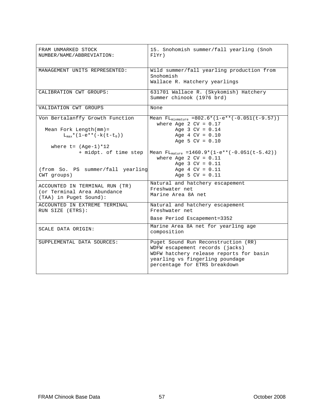| FRAM UNMARKED STOCK<br>NUMBER/NAME/ABBREVIATION:                                                                                                                                                                                                                                                              | 15. Snohomish summer/fall yearling (Snoh<br>FlYr)                                                                                                                                                                                                                                                                                                                                 |
|---------------------------------------------------------------------------------------------------------------------------------------------------------------------------------------------------------------------------------------------------------------------------------------------------------------|-----------------------------------------------------------------------------------------------------------------------------------------------------------------------------------------------------------------------------------------------------------------------------------------------------------------------------------------------------------------------------------|
| MANAGEMENT UNITS REPRESENTED:                                                                                                                                                                                                                                                                                 | Wild summer/fall yearling production from<br>Snohomish<br>Wallace R. Hatchery yearlings                                                                                                                                                                                                                                                                                           |
| CALIBRATION CWT GROUPS:                                                                                                                                                                                                                                                                                       | 631701 Wallace R. (Skykomish) Hatchery<br>Summer chinook (1976 brd)                                                                                                                                                                                                                                                                                                               |
| VALIDATION CWT GROUPS                                                                                                                                                                                                                                                                                         | None                                                                                                                                                                                                                                                                                                                                                                              |
| Von Bertalanffy Growth Function<br>Mean Fork Length $(mm)$ =<br>$L_{max}$ * (1-e** (-k (t-t <sub>0</sub> ))<br>where $t = (Age-1)*12$<br>+ midpt. of time step<br>(from So. PS summer/fall yearling<br>CWT groups)<br>ACCOUNTED IN TERMINAL RUN (TR)<br>(or Terminal Area Abundance<br>(TAA) in Puget Sound): | Mean $FL_{mixmature} = 802.6*(1-e**(-0.051(t-9.57)))$<br>where Age 2 $CV = 0.17$<br>Age $3$ CV = $0.14$<br>Age $4$ CV = $0.10$<br>Age 5 $CV = 0.10$<br>Mean $FL_{matter}$ =1460.9*(1-e**(-0.051(t-5.42))<br>where Age 2 $CV = 0.11$<br>Age $3$ CV = $0.11$<br>Age $4$ CV = $0.11$<br>Age 5 $CV = 0.11$<br>Natural and hatchery escapement<br>Freshwater net<br>Marine Area 8A net |
| ACCOUNTED IN EXTREME TERMINAL<br>RUN SIZE (ETRS):                                                                                                                                                                                                                                                             | Natural and hatchery escapement<br>Freshwater net<br>Base Period Escapement=3352                                                                                                                                                                                                                                                                                                  |
| SCALE DATA ORIGIN:                                                                                                                                                                                                                                                                                            | Marine Area 8A net for yearling age<br>composition                                                                                                                                                                                                                                                                                                                                |
| SUPPLEMENTAL DATA SOURCES:                                                                                                                                                                                                                                                                                    | Puget Sound Run Reconstruction (RR)<br>WDFW escapement records (jacks)<br>WDFW hatchery release reports for basin<br>yearling vs fingerling poundage<br>percentage for ETRS breakdown                                                                                                                                                                                             |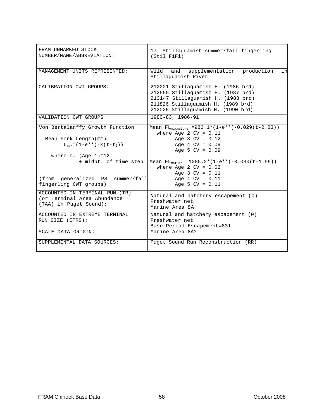| FRAM UNMARKED STOCK<br>NUMBER/NAME/ABBREVIATION:                                                                                                       | 17. Stillaguamish summer/fall fingerling<br>(Stil F1Fi)                                                                                                                                                                                    |
|--------------------------------------------------------------------------------------------------------------------------------------------------------|--------------------------------------------------------------------------------------------------------------------------------------------------------------------------------------------------------------------------------------------|
| MANAGEMENT UNITS REPRESENTED:                                                                                                                          | Wild<br>and supplementation production<br>in<br>Stillaquamish River                                                                                                                                                                        |
| CALIBRATION CWT GROUPS:<br>VALIDATION CWT GROUPS                                                                                                       | 212221 Stillaguamish H. (1986 brd)<br>212555 Stillaguamish H. (1987 brd)<br>213147 Stillaquamish H. (1988 brd)<br>211826 Stillaguamish H. (1989 brd)<br>212026 Stillaguamish H. (1990 brd)<br>1980-83, 1986-91                             |
|                                                                                                                                                        |                                                                                                                                                                                                                                            |
| Von Bertalanffy Growth Function<br>Mean Fork Length $(mm)$ =<br>$L_{\text{max}}*(1-e**(-k(t-t_0)))$<br>where $t = (Aqe-1)*12$<br>+ midpt. of time step | Mean FL <sub>mixmature</sub> =982.1*(1-e**(-0.029( $t$ -2.83))<br>where Age 2 $CV = 0.11$<br>Age $3 CV = 0.12$<br>Age $4$ CV = $0.09$<br>Age 5 $CV = 0.09$<br>Mean $FL_{matrix}$ =1085.2*(1-e**(-0.030(t-1.59))<br>where Age 2 $CV = 0.03$ |
| (from generalized PS summer/fall<br>fingerling CWT groups)                                                                                             | Age $3$ CV = $0.11$<br>Age $4$ CV = $0.11$<br>Age 5 $CV = 0.11$                                                                                                                                                                            |
| ACCOUNTED IN TERMINAL RUN (TR)<br>(or Terminal Area Abundance<br>(TAA) in Puget Sound):                                                                | Natural and hatchery escapement (0)<br>Freshwater net<br>Marine Area 8A                                                                                                                                                                    |
| ACCOUNTED IN EXTREME TERMINAL<br>RUN SIZE (ETRS):                                                                                                      | Natural and hatchery escapement (0)<br>Freshwater net<br>Base Period Escapement=831                                                                                                                                                        |
| SCALE DATA ORIGIN:                                                                                                                                     | Marine Area 8A?                                                                                                                                                                                                                            |
| SUPPLEMENTAL DATA SOURCES:                                                                                                                             | Puget Sound Run Reconstruction (RR)                                                                                                                                                                                                        |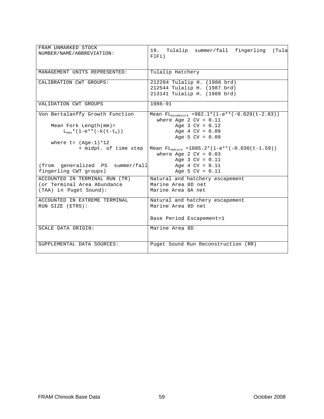| FRAM UNMARKED STOCK<br>NUMBER/NAME/ABBREVIATION:                                        | 19. Tulalip summer/fall fingerling<br>(Tula<br>FIFi)                                                  |
|-----------------------------------------------------------------------------------------|-------------------------------------------------------------------------------------------------------|
| MANAGEMENT UNITS REPRESENTED:                                                           | Tulalip Hatchery                                                                                      |
| CALIBRATION CWT GROUPS:                                                                 | 212204 Tulalip H. (1986 brd)<br>212544 Tulalip H. (1987 brd)<br>213141 Tulalip H. (1988 brd)          |
| VALIDATION CWT GROUPS                                                                   | 1986-91                                                                                               |
| Von Bertalanffy Growth Function                                                         | Mean $FL_{mixmature}$ =982.1*(1-e**(-0.029(t-2.83))<br>where Age 2 $CV = 0.11$                        |
| Mean Fork Length $(mm)$ =<br>$L_{max}$ * (1-e** (-k (t-t <sub>0</sub> ))                | Age $3 CV = 0.12$<br>Age $4$ CV = $0.09$<br>Age 5 $CV = 0.09$                                         |
| where $t = (Age-1)*12$                                                                  |                                                                                                       |
| + midpt. of time step                                                                   | Mean $FL_{matter}$ = 1085.2* (1-e** (-0.030 (t-1.59))<br>where Age 2 $CV = 0.03$<br>Age $3 CV = 0.11$ |
| (from generalized PS summer/fall<br>fingerling CWT groups)                              | Age 4 $CV = 0.11$<br>Age 5 $CV = 0.11$                                                                |
| ACCOUNTED IN TERMINAL RUN (TR)<br>(or Terminal Area Abundance<br>(TAA) in Puget Sound): | Natural and hatchery escapement<br>Marine Area 8D net<br>Marine Area 8A net                           |
| ACCOUNTED IN EXTREME TERMINAL<br>RUN SIZE (ETRS):                                       | Natural and hatchery escapement<br>Marine Area 8D net                                                 |
|                                                                                         | Base Period Escapement=1                                                                              |
| SCALE DATA ORIGIN:                                                                      | Marine Area 8D                                                                                        |
| SUPPLEMENTAL DATA SOURCES:                                                              | Puget Sound Run Reconstruction (RR)                                                                   |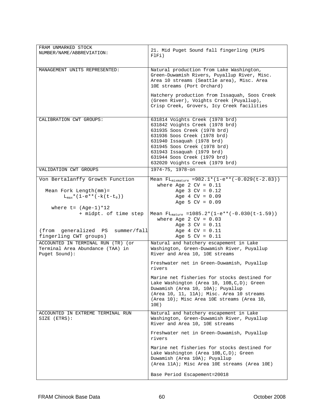| FRAM UNMARKED STOCK<br>NUMBER/NAME/ABBREVIATION:                                                                                                               | 21. Mid Puget Sound fall fingerling (MiPS<br>FlFi)                                                                                                                                                                                                                                                |
|----------------------------------------------------------------------------------------------------------------------------------------------------------------|---------------------------------------------------------------------------------------------------------------------------------------------------------------------------------------------------------------------------------------------------------------------------------------------------|
| MANAGEMENT UNITS REPRESENTED:                                                                                                                                  | Natural production from Lake Washington,<br>Green-Duwamish Rivers, Puyallup River, Misc.<br>Area 10 streams (Seattle area), Misc. Area<br>10E streams (Port Orchard)                                                                                                                              |
|                                                                                                                                                                | Hatchery production from Issaquah, Soos Creek<br>(Green River), Voights Creek (Puyallup),<br>Crisp Creek, Grovers, Icy Creek facilities                                                                                                                                                           |
| CALIBRATION CWT GROUPS:                                                                                                                                        | 631814 Voights Creek (1978 brd)<br>631842 Voights Creek (1978 brd)<br>631935 Soos Creek (1978 brd)<br>631936 Soos Creek (1978 brd)<br>631940 Issaquah (1978 brd)<br>631945 Soos Creek (1978 brd)<br>631943 Issaquah (1979 brd)<br>631944 Soos Creek (1979 brd)<br>632020 Voights Creek (1979 brd) |
| VALIDATION CWT GROUPS                                                                                                                                          | 1974-75, 1978-on                                                                                                                                                                                                                                                                                  |
| Von Bertalanffy Growth Function<br>Mean Fork Length $(mm)$ =<br>$L_{max}$ * (1-e** (-k (t-t <sub>0</sub> ))<br>where $t = (Age-1)*12$<br>+ midpt. of time step | Mean $FL_{mixmature} = 982.1 * (1-e**(-0.029(t-2.83)))$<br>where Age 2 $CV = 0.11$<br>Age $3$ CV = $0.12$<br>Age $4$ CV = $0.09$<br>Age 5 $CV = 0.09$<br>Mean $FL_{\text{matter}} = 1085.2*(1-e**(-0.030(t-1.59)))$<br>where Age 2 $CV = 0.03$                                                    |
| (from generalized PS summer/fall<br>fingerling CWT groups)                                                                                                     | Age $3$ CV = $0.11$<br>Age $4$ CV = $0.11$<br>Age 5 $CV = 0.11$                                                                                                                                                                                                                                   |
| ACCOUNTED IN TERMINAL RUN (TR) (or<br>Terminal Area Abundance (TAA) in<br>Puget Sound):                                                                        | Natural and hatchery escapement in Lake<br>Washington, Green-Duwamish River, Puyallup<br>River and Area 10, 10E streams                                                                                                                                                                           |
|                                                                                                                                                                | Freshwater net in Green-Duwamish, Puyallup<br>rivers                                                                                                                                                                                                                                              |
|                                                                                                                                                                | Marine net fisheries for stocks destined for<br>Lake Washington (Area 10, 10B, C, D); Green<br>Duwamish (Area 10, 10A); Puyallup<br>$(Area 10, 11, 11A); Misc. Area 10 streams$<br>(Area 10); Misc Area 10E streams (Area 10,<br>10E)                                                             |
| ACCOUNTED IN EXTREME TERMINAL RUN<br>SIZE (ETRS):                                                                                                              | Natural and hatchery escapement in Lake<br>Washington, Green-Duwamish River, Puyallup<br>River and Area 10, 10E streams                                                                                                                                                                           |
|                                                                                                                                                                | Freshwater net in Green-Duwamish, Puyallup<br>rivers                                                                                                                                                                                                                                              |
|                                                                                                                                                                | Marine net fisheries for stocks destined for<br>Lake Washington (Area 10B, C, D); Green<br>Duwamish (Area 10A); Puyallup<br>(Area 11A); Misc Area 10E streams (Area 10E)                                                                                                                          |
|                                                                                                                                                                | Base Period Escapement=20018                                                                                                                                                                                                                                                                      |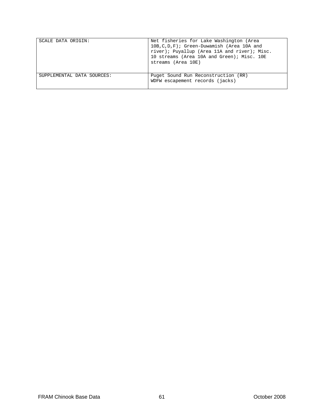| SCALE DATA ORIGIN:         | Net fisheries for Lake Washington (Area<br>10B, C, D, F); Green-Duwamish (Area 10A and<br>river); Puyallup (Area 11A and river); Misc.<br>10 streams (Area 10A and Green); Misc. 10E<br>streams (Area 10E) |
|----------------------------|------------------------------------------------------------------------------------------------------------------------------------------------------------------------------------------------------------|
| SUPPLEMENTAL DATA SOURCES: | Puget Sound Run Reconstruction (RR)<br>WDFW escapement records (jacks)                                                                                                                                     |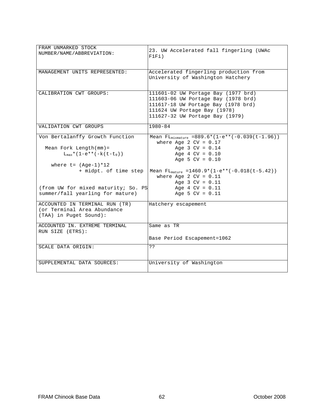| FRAM UNMARKED STOCK                 |                                                                   |
|-------------------------------------|-------------------------------------------------------------------|
|                                     | 23. UW Accelerated fall fingerling (UWAc                          |
| NUMBER/NAME/ABBREVIATION:           | F1F1)                                                             |
|                                     |                                                                   |
|                                     |                                                                   |
| MANAGEMENT UNITS REPRESENTED:       | Accelerated fingerling production from                            |
|                                     | University of Washington Hatchery                                 |
|                                     |                                                                   |
|                                     |                                                                   |
| CALIBRATION CWT GROUPS:             | 111601-02 UW Portage Bay (1977 brd)                               |
|                                     |                                                                   |
|                                     | 111603-06 UW Portage Bay (1978 brd)                               |
|                                     | 111617-18 UW Portage Bay (1978 brd)                               |
|                                     | 111624 UW Portage Bay (1978)                                      |
|                                     | 111627-32 UW Portage Bay (1979)                                   |
|                                     |                                                                   |
| VALIDATION CWT GROUPS               | $1980 - 84$                                                       |
|                                     |                                                                   |
| Von Bertalanffy Growth Function     | Mean FL <sub>mixmature</sub> =889.6* $(1-e^{**}(-0.039(t-1.96)))$ |
|                                     | where Age 2 $CV = 0.17$                                           |
| Mean Fork Length $(mm)$ =           | Age $3$ CV = $0.14$                                               |
| $L_{\text{max}}*(1-e**(-k(t-t_0)))$ | Age $4$ CV = $0.10$                                               |
|                                     | Age 5 $CV = 0.10$                                                 |
|                                     |                                                                   |
| where $t = (Aqe-1)*12$              |                                                                   |
| + midpt. of time step               | Mean $FL_{matter}$ = 1460.9* (1-e** (-0.018 (t-5.42))             |
|                                     | where Age 2 $CV = 0.11$                                           |
|                                     | Age $3 CV = 0.11$                                                 |
| (from UW for mixed maturity; So. PS | Age $4$ CV = $0.11$                                               |
| summer/fall yearling for mature)    | Age 5 $CV = 0.11$                                                 |
|                                     |                                                                   |
| ACCOUNTED IN TERMINAL RUN (TR)      | Hatchery escapement                                               |
| (or Terminal Area Abundance         |                                                                   |
| (TAA) in Puget Sound):              |                                                                   |
|                                     |                                                                   |
| ACCOUNTED IN. EXTREME TERMINAL      | Same as TR                                                        |
| RUN SIZE (ETRS):                    |                                                                   |
|                                     |                                                                   |
|                                     | Base Period Escapement=1062                                       |
| SCALE DATA ORIGIN:                  | 22                                                                |
|                                     |                                                                   |
|                                     |                                                                   |
| SUPPLEMENTAL DATA SOURCES:          | University of Washington                                          |
|                                     |                                                                   |
|                                     |                                                                   |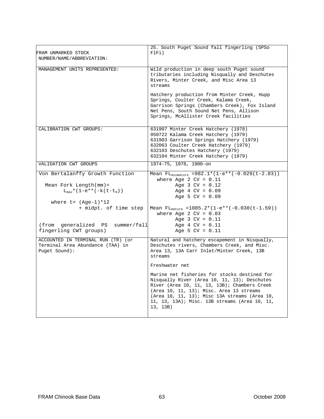| 25. South Puget Sound fall fingerling (SPSo<br>FlFi)                                                                                                                                                                                                                                                                                                                                                                                                                                |
|-------------------------------------------------------------------------------------------------------------------------------------------------------------------------------------------------------------------------------------------------------------------------------------------------------------------------------------------------------------------------------------------------------------------------------------------------------------------------------------|
| Wild production in deep south Puget sound<br>tributaries including Nisqually and Deschutes<br>Rivers, Minter Creek, and Misc Area 13<br>streams                                                                                                                                                                                                                                                                                                                                     |
| Hatchery production from Minter Creek, Hupp<br>Springs, Coulter Creek, Kalama Creek,<br>Garrison Springs (Chambers Creek), Fox Island<br>Net Pens, South Sound Net Pens, Allison<br>Springs, McAllister Creek facilities                                                                                                                                                                                                                                                            |
| 631907 Minter Creek Hatchery (1978)<br>050722 Kalama Creek Hatchery (1979)<br>631903 Garrison Springs Hatchery (1979)<br>632063 Coulter Creek Hatchery (1979)<br>632103 Deschutes Hatchery (1979)<br>632104 Minter Creek Hatchery (1979)                                                                                                                                                                                                                                            |
| 1974-75, 1978, 1980-on                                                                                                                                                                                                                                                                                                                                                                                                                                                              |
| Mean $FL_{mixmature} = 982.1 * (1-e**(-0.029(t-2.83)))$<br>where Age 2 $CV = 0.11$<br>Age $3 CV = 0.12$<br>Age $4$ CV = $0.09$<br>Age 5 $CV = 0.09$                                                                                                                                                                                                                                                                                                                                 |
| Mean $FL_{matter}$ =1085.2*(1-e**(-0.030(t-1.59))<br>where Age 2 $CV = 0.03$<br>Age $3$ CV = $0.11$<br>(from generalized PS summer/fall<br>Age $4$ CV = $0.11$<br>Age 5 $CV = 0.11$                                                                                                                                                                                                                                                                                                 |
| Natural and hatchery escapement in Nisqually,<br>Deschutes rivers, Chambers Creek, and Misc.<br>Area 13, 13A Carr Inlet/Minter Creek, 13B<br>streams<br>Freshwater net<br>Marine net fisheries for stocks destined for<br>Nisqually River (Area 10, 11, 13); Deschutes<br>River (Area 10, 11, 13, 13B); Chambers Creek<br>$(Area 10, 11, 13)$ ; Misc. Area 13 streams<br>(Area 10, 11, 13); Misc 13A streams (Area 10,<br>11, 13, 13A); Misc. 13B streams (Area 10, 11,<br>13, 13B) |
|                                                                                                                                                                                                                                                                                                                                                                                                                                                                                     |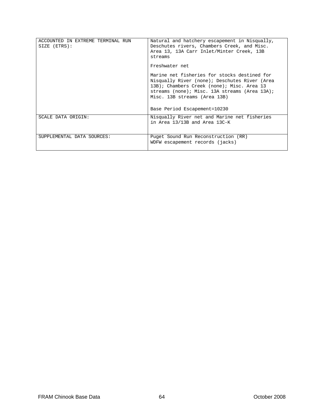| ACCOUNTED IN EXTREME TERMINAL RUN<br>SIZE (ETRS): | Natural and hatchery escapement in Nisqually,<br>Deschutes rivers, Chambers Creek, and Misc.<br>Area 13, 13A Carr Inlet/Minter Creek, 13B<br>streams<br>Freshwater net<br>Marine net fisheries for stocks destined for<br>Nisqually River (none); Deschutes River (Area<br>13B); Chambers Creek (none); Misc. Area 13<br>streams (none); Misc. 13A streams (Area 13A);<br>Misc. 13B streams (Area 13B)<br>Base Period Escapement=10230 |
|---------------------------------------------------|----------------------------------------------------------------------------------------------------------------------------------------------------------------------------------------------------------------------------------------------------------------------------------------------------------------------------------------------------------------------------------------------------------------------------------------|
| <b>SCALE DATA ORIGIN:</b>                         | Nisqually River net and Marine net fisheries<br>in Area 13/13B and Area 13C-K                                                                                                                                                                                                                                                                                                                                                          |
| SUPPLEMENTAL DATA SOURCES:                        | Puget Sound Run Reconstruction (RR)<br>WDFW escapement records (jacks)                                                                                                                                                                                                                                                                                                                                                                 |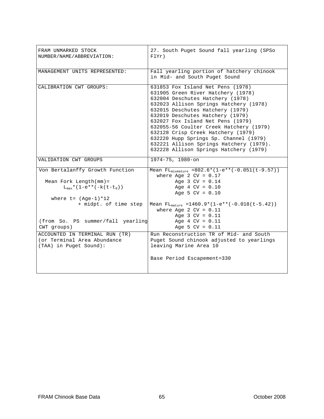| FRAM UNMARKED STOCK<br>NUMBER/NAME/ABBREVIATION:                                                                                      | 27. South Puget Sound fall yearling (SPSo<br>FlYr)                                                                                                                                                                                                                                                                                                                                                                                                                                 |
|---------------------------------------------------------------------------------------------------------------------------------------|------------------------------------------------------------------------------------------------------------------------------------------------------------------------------------------------------------------------------------------------------------------------------------------------------------------------------------------------------------------------------------------------------------------------------------------------------------------------------------|
| MANAGEMENT UNITS REPRESENTED:                                                                                                         | Fall yearling portion of hatchery chinook<br>in Mid- and South Puget Sound                                                                                                                                                                                                                                                                                                                                                                                                         |
| CALIBRATION CWT GROUPS:                                                                                                               | 631853 Fox Island Net Pens (1978)<br>631905 Green River Hatchery (1978)<br>632004 Deschutes Hatchery (1978)<br>632023 Allison Springs Hatchery (1978)<br>632015 Deschutes Hatchery (1979)<br>632019 Deschutes Hatchery (1979)<br>632027 Fox Island Net Pens (1979)<br>632055-56 Coulter Creek Hatchery (1979)<br>632128 Crisp Creek Hatchery (1979)<br>632220 Hupp Springs Sp. Channel (1979)<br>632221 Allison Springs Hatchery (1979).<br>632228 Allison Springs Hatchery (1979) |
| VALIDATION CWT GROUPS                                                                                                                 | 1974-75, 1980-on                                                                                                                                                                                                                                                                                                                                                                                                                                                                   |
| Von Bertalanffy Growth Function<br>Mean Fork Length $(mm) =$<br>$L_{max}$ * (1-e** (-k (t-t <sub>0</sub> ))<br>where $t = (Aqe-1)*12$ | Mean FL <sub>mixmature</sub> =802.6*(1-e** $(-0.051(t-9.57))$ )<br>where Age 2 $CV = 0.17$<br>Age $3$ CV = $0.14$<br>Age $4$ CV = $0.10$<br>Age 5 $CV = 0.10$                                                                                                                                                                                                                                                                                                                      |
| + midpt. of time step<br>(from So. PS summer/fall yearling<br>CWT groups)                                                             | Mean $FL_{matter}$ =1460.9*(1-e**(-0.018(t-5.42))<br>where Age 2 $CV = 0.11$<br>Age $3 CV = 0.11$<br>Age $4$ CV = $0.11$<br>Age 5 $CV = 0.11$                                                                                                                                                                                                                                                                                                                                      |
| ACCOUNTED IN TERMINAL RUN (TR)<br>(or Terminal Area Abundance<br>(TAA) in Puget Sound):                                               | Run Reconstruction TR of Mid- and South<br>Puget Sound chinook adjusted to yearlings<br>leaving Marine Area 10<br>Base Period Escapement=330                                                                                                                                                                                                                                                                                                                                       |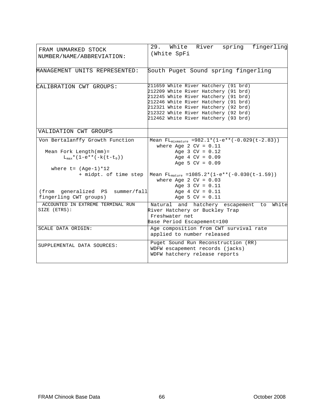| FRAM UNMARKED STOCK<br>NUMBER/NAME/ABBREVIATION:                                                                                                                                                   | spring fingerling<br>White River<br>29.<br>(White SpFi                                                                                                                                                                                                                                         |
|----------------------------------------------------------------------------------------------------------------------------------------------------------------------------------------------------|------------------------------------------------------------------------------------------------------------------------------------------------------------------------------------------------------------------------------------------------------------------------------------------------|
| MANAGEMENT UNITS REPRESENTED:                                                                                                                                                                      | South Puget Sound spring fingerling                                                                                                                                                                                                                                                            |
| CALIBRATION CWT GROUPS:                                                                                                                                                                            | 211659 White River Hatchery (91 brd)<br>212209 White River Hatchery (91 brd)<br>212245 White River Hatchery (91 brd)<br>212246 White River Hatchery (91 brd)<br>212321 White River Hatchery (92 brd)<br>212322 White River Hatchery (92 brd)<br>212462 White River Hatchery (93 brd)           |
| VALIDATION CWT GROUPS                                                                                                                                                                              |                                                                                                                                                                                                                                                                                                |
| Von Bertalanffy Growth Function<br>Mean Fork Length $(mm)$ =<br>$L_{max}$ * (1-e** (-k (t-t <sub>0</sub> ))<br>where $t = (Age-1)*12$<br>+ midpt. of time step<br>(from generalized PS summer/fall | Mean FL <sub>mixmature</sub> =982.1*(1-e**(-0.029(t-2.83))<br>where Age 2 $CV = 0.11$<br>Age $3 CV = 0.12$<br>Age $4$ CV = $0.09$<br>Age 5 $CV = 0.09$<br>Mean $FL_{\text{matter}} = 1085.2*(1-e^{**}(-0.030(t-1.59)))$<br>where Age 2 $CV = 0.03$<br>Age $3 CV = 0.11$<br>Age $4$ CV = $0.11$ |
| fingerling CWT groups)<br>ACCOUNTED IN EXTREME TERMINAL RUN<br>SIZE (ETRS):                                                                                                                        | Age 5 $CV = 0.11$<br>Natural and hatchery escapement to<br>White<br>River Hatchery or Buckley Trap<br>Freshwater net<br>Base Period Escapement=100                                                                                                                                             |
| SCALE DATA ORIGIN:                                                                                                                                                                                 | Age composition from CWT survival rate<br>applied to number released                                                                                                                                                                                                                           |
| SUPPLEMENTAL DATA SOURCES:                                                                                                                                                                         | Puget Sound Run Reconstruction (RR)<br>WDFW escapement records (jacks)<br>WDFW hatchery release reports                                                                                                                                                                                        |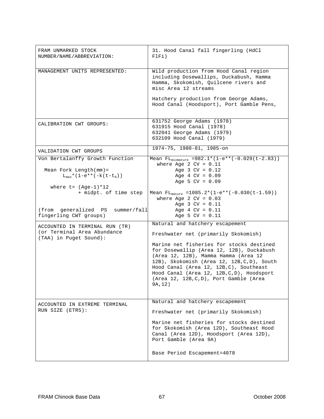| FRAM UNMARKED STOCK<br>NUMBER/NAME/ABBREVIATION:                                                            | 31. Hood Canal fall fingerling (HdCl<br>FlFi)                                                                                                                                                                                                                                                                              |
|-------------------------------------------------------------------------------------------------------------|----------------------------------------------------------------------------------------------------------------------------------------------------------------------------------------------------------------------------------------------------------------------------------------------------------------------------|
| MANAGEMENT UNITS REPRESENTED:                                                                               | Wild production from Hood Canal region<br>including Dosewallips, Duckabush, Hamma<br>Hamma, Skokomish, Quilcene rivers and<br>misc Area 12 streams<br>Hatchery production from George Adams,<br>Hood Canal (Hoodsport), Port Gamble Pens,                                                                                  |
| CALIBRATION CWT GROUPS:                                                                                     | 631752 George Adams (1978)<br>631915 Hood Canal (1978)<br>632041 George Adams (1979)<br>632109 Hood Canal (1979)                                                                                                                                                                                                           |
| VALIDATION CWT GROUPS                                                                                       | 1974-75, 1980-81, 1985-on                                                                                                                                                                                                                                                                                                  |
| Von Bertalanffy Growth Function<br>Mean Fork Length $(mm)$ =<br>$L_{max}$ * (1-e** (-k (t-t <sub>0</sub> )) | Mean $FL_{mixmature}$ =982.1*(1-e**(-0.029(t-2.83))<br>where Age 2 $CV = 0.11$<br>Age $3$ CV = $0.12$<br>Age $4$ CV = $0.09$<br>Age 5 $CV = 0.09$                                                                                                                                                                          |
| where $t = (Aqe-1)*12$<br>+ midpt. of time step<br>(from generalized PS summer/fall                         | Mean $FL_{matter}$ =1085.2*(1-e**(-0.030(t-1.59))<br>where Age 2 $CV = 0.03$<br>Age $3 CV = 0.11$<br>Age $4$ CV = $0.11$                                                                                                                                                                                                   |
| fingerling CWT groups)                                                                                      | Age 5 $CV = 0.11$                                                                                                                                                                                                                                                                                                          |
| ACCOUNTED IN TERMINAL RUN (TR)<br>(or Terminal Area Abundance<br>(TAA) in Puget Sound):                     | Natural and hatchery escapement<br>Freshwater net (primarily Skokomish)                                                                                                                                                                                                                                                    |
|                                                                                                             | Marine net fisheries for stocks destined<br>for Dosewallip (Area 12, 12B), Duckabush<br>(Area 12, 12B), Mamma Hamma (Area 12<br>12B), Skokomish (Area 12, 12B, C, D), South<br>Hood Canal (Area 12, 12B, C), Southeast<br>Hood Canal (Area 12, 12B, C, D), Hoodsport<br>(Area 12, 12B, C, D), Port Gamble (Area<br>9A, 12) |
| ACCOUNTED IN EXTREME TERMINAL                                                                               | Natural and hatchery escapement                                                                                                                                                                                                                                                                                            |
| RUN SIZE (ETRS):                                                                                            | Freshwater net (primarily Skokomish)<br>Marine net fisheries for stocks destined<br>for Skokomish (Area 12D), Southeast Hood<br>Canal (Area 12D), Hoodsport (Area 12D),<br>Port Gamble (Area 9A)<br>Base Period Escapement=4078                                                                                            |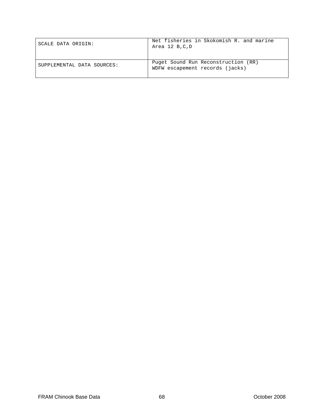| SCALE DATA ORIGIN:         | Net fisheries in Skokomish R. and marine<br>Area 12 B,C,D              |
|----------------------------|------------------------------------------------------------------------|
| SUPPLEMENTAL DATA SOURCES: | Puget Sound Run Reconstruction (RR)<br>WDFW escapement records (jacks) |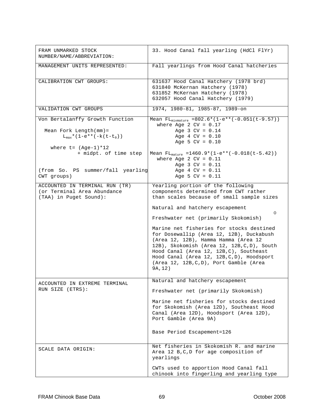| FRAM UNMARKED STOCK<br>NUMBER/NAME/ABBREVIATION:                                                            | 33. Hood Canal fall yearling (HdCl FlYr)                                                                                                                                                                                                                                                                                                                                                                                                                                                                                              |
|-------------------------------------------------------------------------------------------------------------|---------------------------------------------------------------------------------------------------------------------------------------------------------------------------------------------------------------------------------------------------------------------------------------------------------------------------------------------------------------------------------------------------------------------------------------------------------------------------------------------------------------------------------------|
| MANAGEMENT UNITS REPRESENTED:                                                                               | Fall yearlings from Hood Canal hatcheries                                                                                                                                                                                                                                                                                                                                                                                                                                                                                             |
| CALIBRATION CWT GROUPS:                                                                                     | 631637 Hood Canal Hatchery (1978 brd)<br>631840 McKernan Hatchery (1978)<br>631852 McKernan Hatchery (1978)<br>632057 Hood Canal Hatchery (1979)                                                                                                                                                                                                                                                                                                                                                                                      |
| VALIDATION CWT GROUPS                                                                                       | 1974, 1980-81, 1985-87, 1989-on                                                                                                                                                                                                                                                                                                                                                                                                                                                                                                       |
| Von Bertalanffy Growth Function<br>Mean Fork Length $(mm)$ =<br>$L_{max}$ * (1-e** (-k (t-t <sub>0</sub> )) | Mean $FL_{mixmature} = 802.6*(1-e**(-0.051(t-9.57)))$<br>where Age 2 $CV = 0.17$<br>Age $3$ CV = $0.14$<br>Age $4$ CV = $0.10$                                                                                                                                                                                                                                                                                                                                                                                                        |
| where $t = (Aqe-1)*12$<br>+ midpt. of time step<br>(from So. PS summer/fall yearling                        | Age 5 $CV = 0.10$<br>Mean $FL_{matter}$ =1460.9*(1-e**(-0.018(t-5.42))<br>where Age 2 $CV = 0.11$<br>Age $3 CV = 0.11$<br>Age $4$ CV = $0.11$                                                                                                                                                                                                                                                                                                                                                                                         |
| CWT groups)                                                                                                 | Age 5 $CV = 0.11$                                                                                                                                                                                                                                                                                                                                                                                                                                                                                                                     |
| ACCOUNTED IN TERMINAL RUN (TR)<br>(or Terminal Area Abundance<br>(TAA) in Puget Sound):                     | Yearling portion of the following<br>components determined from CWT rather<br>than scales because of small sample sizes<br>Natural and hatchery escapement<br>0<br>Freshwater net (primarily Skokomish)<br>Marine net fisheries for stocks destined<br>for Dosewallip (Area 12, 12B), Duckabush<br>(Area 12, 12B), Hamma Hamma (Area 12<br>12B), Skokomish (Area 12, 12B, C, D), South<br>Hood Canal (Area 12, 12B, C), Southeast<br>Hood Canal (Area 12, 12B, C, D), Hoodsport<br>(Area 12, 12B, C, D), Port Gamble (Area<br>9A, 12) |
| ACCOUNTED IN EXTREME TERMINAL<br>RUN SIZE (ETRS):                                                           | Natural and hatchery escapement<br>Freshwater net (primarily Skokomish)<br>Marine net fisheries for stocks destined<br>for Skokomish (Area 12D), Southeast Hood<br>Canal (Area 12D), Hoodsport (Area 12D),<br>Port Gamble (Area 9A)<br>Base Period Escapement=126                                                                                                                                                                                                                                                                     |
| SCALE DATA ORIGIN:                                                                                          | Net fisheries in Skokomish R. and marine<br>Area 12 B, C, D for age composition of<br>yearlings<br>CWTs used to apportion Hood Canal fall<br>chinook into fingerling and yearling type                                                                                                                                                                                                                                                                                                                                                |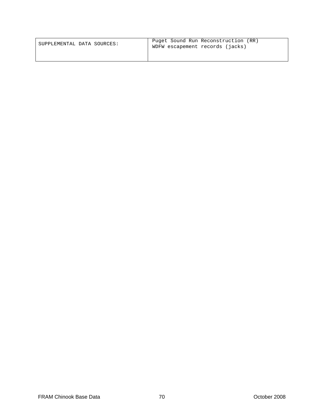| SUPPLEMENTAL DATA SOURCES: | Puget Sound Run Reconstruction (RR)<br>WDFW escapement records (jacks) |
|----------------------------|------------------------------------------------------------------------|
|                            |                                                                        |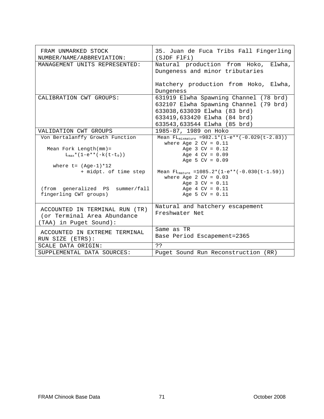| FRAM UNMARKED STOCK<br>NUMBER/NAME/ABBREVIATION:                                        | 35. Juan de Fuca Tribs Fall Fingerling<br>(SJDF F1Fi)                                                                                                                            |
|-----------------------------------------------------------------------------------------|----------------------------------------------------------------------------------------------------------------------------------------------------------------------------------|
| MANAGEMENT UNITS REPRESENTED:                                                           | Natural production from Hoko, Elwha,<br>Dungeness and minor tributaries                                                                                                          |
|                                                                                         | Hatchery production from Hoko, Elwha,<br>Dungeness                                                                                                                               |
| CALIBRATION CWT GROUPS:                                                                 | 631919 Elwha Spawning Channel (78 brd)<br>632107 Elwha Spawning Channel (79 brd)<br>633038,633039 Elwha (83 brd)<br>633419,633420 Elwha (84 brd)<br>633543,633544 Elwha (85 brd) |
| VALIDATION CWT GROUPS                                                                   | 1985-87, 1989 on Hoko                                                                                                                                                            |
| Von Bertalanffy Growth Function                                                         | Mean $FL_{mixmature}$ =982.1*(1-e**(-0.029(t-2.83))<br>where Age 2 $CV = 0.11$                                                                                                   |
| Mean Fork Length $(mm)$ =<br>$L_{max}$ * (1-e** (-k (t-t <sub>0</sub> ))                | Age $3 CV = 0.12$<br>Age $4$ CV = $0.09$<br>Age 5 $CV = 0.09$                                                                                                                    |
| where $t = (Aqe-1)*12$<br>+ midpt. of time step                                         | Mean $FL_{matter}$ =1085.2*(1-e**(-0.030(t-1.59))<br>where Age $2$ CV = $0.03$                                                                                                   |
| (from generalized PS summer/fall<br>fingerling CWT groups)                              | Age $3 CV = 0.11$<br>Age $4$ CV = $0.11$<br>Age 5 $CV = 0.11$                                                                                                                    |
| ACCOUNTED IN TERMINAL RUN (TR)<br>(or Terminal Area Abundance<br>(TAA) in Puget Sound): | Natural and hatchery escapement<br>Freshwater Net                                                                                                                                |
| ACCOUNTED IN EXTREME TERMINAL<br>RUN SIZE (ETRS):                                       | Same as TR<br>Base Period Escapement=2365                                                                                                                                        |
| SCALE DATA ORIGIN:                                                                      | っっ                                                                                                                                                                               |
| SUPPLEMENTAL DATA SOURCES:                                                              | Puget Sound Run Reconstruction (RR)                                                                                                                                              |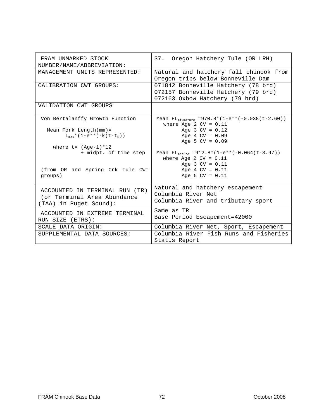| FRAM UNMARKED STOCK<br>NUMBER/NAME/ABBREVIATION:                                        | 37. Oregon Hatchery Tule (OR LRH)                                                                            |
|-----------------------------------------------------------------------------------------|--------------------------------------------------------------------------------------------------------------|
| MANAGEMENT UNITS REPRESENTED:                                                           | Natural and hatchery fall chinook from<br>Oregon tribs below Bonneville Dam                                  |
| CALIBRATION CWT GROUPS:                                                                 | 071842 Bonneville Hatchery (78 brd)<br>072157 Bonneville Hatchery (79 brd)<br>072163 Oxbow Hatchery (79 brd) |
| VALIDATION CWT GROUPS                                                                   |                                                                                                              |
| Von Bertalanffy Growth Function                                                         | Mean $FL_{mixmature}$ =970.8*(1-e**(-0.038(t-2.60))<br>where Age 2 $CV = 0.11$                               |
| Mean Fork Length $(mm)$ =<br>$L_{\text{max}}*(1-e**(-k(t-t_0)))$                        | Age $3 CV = 0.12$<br>Age $4$ CV = $0.09$<br>Age 5 $CV = 0.09$                                                |
| where $t = (Age-1)*12$<br>+ midpt. of time step                                         | Mean $FL_{matter}$ =912.8*(1-e**(-0.064(t-3.97))<br>where Age 2 $CV = 0.11$<br>Age $3 CV = 0.11$             |
| (from OR and Spring Crk Tule CWT<br>groups)                                             | Age $4$ CV = $0.11$<br>Age 5 $CV = 0.11$                                                                     |
| ACCOUNTED IN TERMINAL RUN (TR)<br>(or Terminal Area Abundance<br>(TAA) in Puget Sound): | Natural and hatchery escapement<br>Columbia River Net<br>Columbia River and tributary sport                  |
| ACCOUNTED IN EXTREME TERMINAL<br>RUN SIZE (ETRS):                                       | Same as TR<br>Base Period Escapement=42000                                                                   |
| SCALE DATA ORIGIN:<br>SUPPLEMENTAL DATA SOURCES:                                        | Columbia River Net, Sport, Escapement<br>Columbia River Fish Runs and Fisheries<br>Status Report             |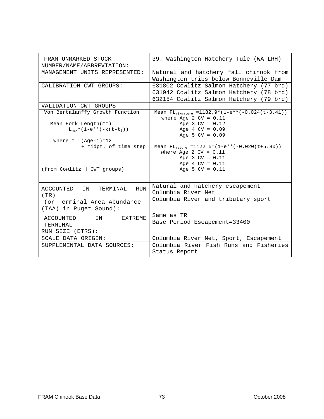| FRAM UNMARKED STOCK<br>NUMBER/NAME/ABBREVIATION: | 39. Washington Hatchery Tule (WA LRH)                                              |
|--------------------------------------------------|------------------------------------------------------------------------------------|
| MANAGEMENT UNITS REPRESENTED:                    | Natural and hatchery fall chinook from<br>Washington tribs below Bonneville Dam    |
| CALIBRATION CWT GROUPS:                          | 631802 Cowlitz Salmon Hatchery (77 brd)<br>631942 Cowlitz Salmon Hatchery (78 brd) |
|                                                  | 632154 Cowlitz Salmon Hatchery (79 brd)                                            |
| VALIDATION CWT GROUPS                            |                                                                                    |
| Von Bertalanffy Growth Function                  | Mean $FL_{mixmature} = 1182.9*(1-e**(-0.024(t-3.41)))$<br>where Age 2 $CV = 0.11$  |
| Mean Fork Length $(mm)$ =                        | Age $3$ CV = $0.12$                                                                |
| $L_{max}$ * (1-e** (-k (t-t <sub>0</sub> ))      | Age $4$ CV = $0.09$                                                                |
|                                                  | Age 5 $CV = 0.09$                                                                  |
| where $t = (Aqe-1)*12$                           |                                                                                    |
| + midpt. of time step                            | Mean $FL_{matter}$ =1122.5*(1-e**(-0.020(t+5.80))                                  |
|                                                  | where Age 2 $CV = 0.11$                                                            |
|                                                  | Age $3$ CV = $0.11$                                                                |
|                                                  | Age $4$ CV = $0.11$                                                                |
| (from Cowlitz H CWT groups)                      | Age 5 $CV = 0.11$                                                                  |
|                                                  |                                                                                    |
|                                                  |                                                                                    |
| ACCOUNTED<br>IN<br>TERMINAL<br><b>RUN</b>        | Natural and hatchery escapement                                                    |
|                                                  | Columbia River Net                                                                 |
| (TR)                                             | Columbia River and tributary sport                                                 |
| (or Terminal Area Abundance                      |                                                                                    |
| (TAA) in Puget Sound):                           |                                                                                    |
| ACCOUNTED<br>TN<br>EXTREME                       | Same as TR                                                                         |
|                                                  | Base Period Escapement=33400                                                       |
| TERMINAL                                         |                                                                                    |
| RUN SIZE (ETRS):                                 |                                                                                    |
| SCALE DATA ORIGIN:                               | Columbia River Net, Sport, Escapement                                              |
| SUPPLEMENTAL DATA SOURCES:                       | Columbia River Fish Runs and Fisheries                                             |
|                                                  | Status Report                                                                      |
|                                                  |                                                                                    |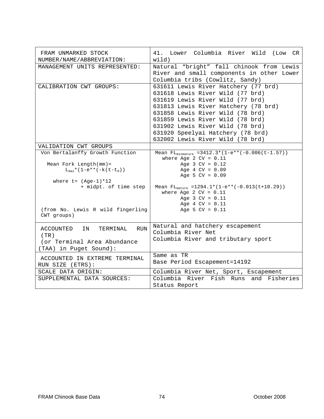| FRAM UNMARKED STOCK<br>NUMBER/NAME/ABBREVIATION:                                                           | 41. Lower Columbia River Wild (Low CR<br>width)                                                                                                                                                                                                                                                                                           |
|------------------------------------------------------------------------------------------------------------|-------------------------------------------------------------------------------------------------------------------------------------------------------------------------------------------------------------------------------------------------------------------------------------------------------------------------------------------|
| MANAGEMENT UNITS REPRESENTED:                                                                              | Natural "bright" fall chinook from Lewis<br>River and small components in other Lower<br>Columbia tribs (Cowlitz, Sandy)                                                                                                                                                                                                                  |
| CALIBRATION CWT GROUPS:                                                                                    | 631611 Lewis River Hatchery (77 brd)<br>631618 Lewis River Wild (77 brd)<br>631619 Lewis River Wild (77 brd)<br>631813 Lewis River Hatchery (78 brd)<br>631858 Lewis River Wild (78 brd)<br>631859 Lewis River Wild (78 brd)<br>631902 Lewis River Wild (78 brd)<br>631920 Speelyai Hatchery (78 brd)<br>632002 Lewis River Wild (78 brd) |
| VALIDATION CWT GROUPS                                                                                      |                                                                                                                                                                                                                                                                                                                                           |
| Von Bertalanffy Growth Function                                                                            | Mean $FL_{mixmature} = 3412.3*(1-e**(-0.006(t-1.57)))$<br>where Age 2 $CV = 0.11$                                                                                                                                                                                                                                                         |
| Mean Fork Length $(mm)$ =<br>$L_{max}$ * (1-e** (-k (t-t <sub>0</sub> ))<br>where $t = (Age-1)*12$         | Age $3 CV = 0.12$<br>Age $4$ CV = $0.09$<br>Age 5 $CV = 0.09$                                                                                                                                                                                                                                                                             |
| + midpt. of time step<br>(from No. Lewis R wild fingerling                                                 | Mean $FL_{matter}$ =1294.1*(1-e**(-0.013(t+10.29))<br>where Age 2 $CV = 0.11$<br>Age $3 CV = 0.11$<br>Age $4$ CV = $0.11$<br>Age 5 $CV = 0.11$                                                                                                                                                                                            |
| CWT groups)                                                                                                |                                                                                                                                                                                                                                                                                                                                           |
| ACCOUNTED<br>IN<br>TERMINAL<br><b>RUN</b><br>(TR)<br>(or Terminal Area Abundance<br>(TAA) in Puget Sound): | Natural and hatchery escapement<br>Columbia River Net<br>Columbia River and tributary sport                                                                                                                                                                                                                                               |
| ACCOUNTED IN EXTREME TERMINAL<br>RUN SIZE (ETRS):                                                          | Same as TR<br>Base Period Escapement=14192                                                                                                                                                                                                                                                                                                |
| SCALE DATA ORIGIN:                                                                                         | Columbia River Net, Sport, Escapement                                                                                                                                                                                                                                                                                                     |
| SUPPLEMENTAL DATA SOURCES:                                                                                 | Columbia River Fish Runs and Fisheries<br>Status Report                                                                                                                                                                                                                                                                                   |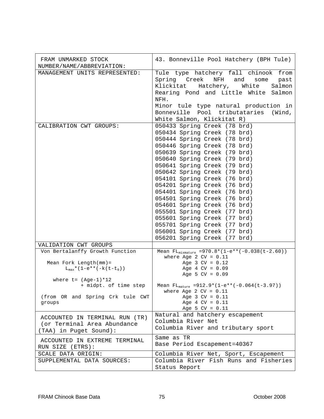| FRAM UNMARKED STOCK<br>NUMBER/NAME/ABBREVIATION:                                                                                                                                                   | 43. Bonneville Pool Hatchery (BPH Tule)                                                                                                                                                                                                                                                                                                                                                                                                                                                                                                                                                      |
|----------------------------------------------------------------------------------------------------------------------------------------------------------------------------------------------------|----------------------------------------------------------------------------------------------------------------------------------------------------------------------------------------------------------------------------------------------------------------------------------------------------------------------------------------------------------------------------------------------------------------------------------------------------------------------------------------------------------------------------------------------------------------------------------------------|
| MANAGEMENT UNITS REPRESENTED:                                                                                                                                                                      | Tule type hatchery fall chinook from<br>Spring Creek NFH and<br>some<br>past<br>Klickitat Hatchery, White<br>Salmon<br>Rearing Pond and Little White Salmon<br>NFH.<br>Minor tule type natural production in<br>Bonneville Pool tributataries (Wind,<br>White Salmon, Klickitat R)                                                                                                                                                                                                                                                                                                           |
| CALIBRATION CWT GROUPS:                                                                                                                                                                            | 050433 Spring Creek (78 brd)<br>050434 Spring Creek (78 brd)<br>050444 Spring Creek (78 brd)<br>050446 Spring Creek (78 brd)<br>050639 Spring Creek (79 brd)<br>050640 Spring Creek (79 brd)<br>050641 Spring Creek (79 brd)<br>050642 Spring Creek (79 brd)<br>054101 Spring Creek (76 brd)<br>054201 Spring Creek (76 brd)<br>054401 Spring Creek (76 brd)<br>054501 Spring Creek (76 brd)<br>054601 Spring Creek (76 brd)<br>055501 Spring Creek (77 brd)<br>055601 Spring Creek (77 brd)<br>055701 Spring Creek (77 brd)<br>056001 Spring Creek (77 brd)<br>056201 Spring Creek (77 brd) |
| VALIDATION CWT GROUPS                                                                                                                                                                              |                                                                                                                                                                                                                                                                                                                                                                                                                                                                                                                                                                                              |
| Von Bertalanffy Growth Function<br>Mean Fork Length $(mm)$ =<br>$L_{max}$ * (1-e** (-k (t-t <sub>0</sub> ))<br>where $t = (Age-1)*12$<br>+ midpt. of time step<br>(from OR and Spring Crk tule CWT | Mean $FL_{mixmature}$ =970.8*(1-e**(-0.038(t-2.60))<br>where Age 2 $CV = 0.11$<br>Age $3$ CV = $0.12$<br>Age $4$ CV = $0.09$<br>Age 5 $CV = 0.09$<br>Mean $FL_{matter}$ =912.9*(1-e**(-0.064(t-3.97))<br>where Age $2$ CV = $0.11$<br>Age $3 CV = 0.11$                                                                                                                                                                                                                                                                                                                                      |
| groups                                                                                                                                                                                             | Age $4$ CV = $0.11$<br>Age 5 $CV = 0.11$                                                                                                                                                                                                                                                                                                                                                                                                                                                                                                                                                     |
| ACCOUNTED IN TERMINAL RUN (TR)<br>(or Terminal Area Abundance<br>(TAA) in Puget Sound):                                                                                                            | Natural and hatchery escapement<br>Columbia River Net<br>Columbia River and tributary sport                                                                                                                                                                                                                                                                                                                                                                                                                                                                                                  |
| ACCOUNTED IN EXTREME TERMINAL<br>RUN SIZE (ETRS):                                                                                                                                                  | Same as TR<br>Base Period Escapement=40367                                                                                                                                                                                                                                                                                                                                                                                                                                                                                                                                                   |
| SCALE DATA ORIGIN:                                                                                                                                                                                 | Columbia River Net, Sport, Escapement                                                                                                                                                                                                                                                                                                                                                                                                                                                                                                                                                        |
| SUPPLEMENTAL DATA SOURCES:                                                                                                                                                                         | Columbia River Fish Runs and Fisheries<br>Status Report                                                                                                                                                                                                                                                                                                                                                                                                                                                                                                                                      |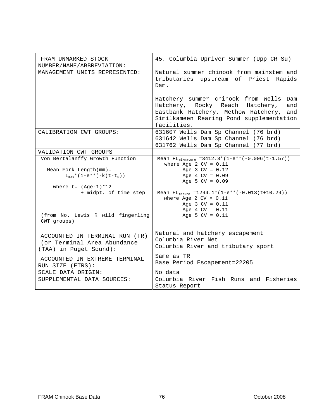| FRAM UNMARKED STOCK<br>NUMBER/NAME/ABBREVIATION:                                        | 45. Columbia Upriver Summer (Upp CR Su)                                                                                                                                                |
|-----------------------------------------------------------------------------------------|----------------------------------------------------------------------------------------------------------------------------------------------------------------------------------------|
| MANAGEMENT UNITS REPRESENTED:                                                           | Natural summer chinook from mainstem and<br>tributaries upstream of Priest Rapids<br>Dam.                                                                                              |
|                                                                                         | Hatchery summer chinook from Wells Dam<br>Hatchery, Rocky Reach Hatchery,<br>and<br>Eastbank Hatchery, Methow Hatchery, and<br>Similkameen Rearing Pond supplementation<br>facilities. |
| CALIBRATION CWT GROUPS:                                                                 | 631607 Wells Dam Sp Channel (76 brd)<br>631642 Wells Dam Sp Channel (76 brd)<br>631762 Wells Dam Sp Channel (77 brd)                                                                   |
| VALIDATION CWT GROUPS                                                                   |                                                                                                                                                                                        |
| Von Bertalanffy Growth Function                                                         | Mean $FL_{mixmature} = 3412.3*(1-e**(-0.006(t-1.57)))$                                                                                                                                 |
| Mean Fork Length $(mm) =$<br>$L_{\text{max}}$ * (1-e** (-k (t-t <sub>0</sub> ))         | where Age 2 $CV = 0.11$<br>Age $3 CV = 0.12$<br>Age $4$ CV = $0.09$<br>Age 5 $CV = 0.09$                                                                                               |
| where $t = (Aqe-1)*12$<br>+ midpt. of time step                                         | Mean $FL_{matter}$ =1294.1*(1-e**(-0.013(t+10.29))<br>where Age 2 $CV = 0.11$<br>Age $3 CV = 0.11$                                                                                     |
| (from No. Lewis R wild fingerling<br>CWT groups)                                        | Age $4$ CV = $0.11$<br>Age 5 $CV = 0.11$                                                                                                                                               |
| ACCOUNTED IN TERMINAL RUN (TR)<br>(or Terminal Area Abundance<br>(TAA) in Puget Sound): | Natural and hatchery escapement<br>Columbia River Net<br>Columbia River and tributary sport                                                                                            |
| ACCOUNTED IN EXTREME TERMINAL<br>RUN SIZE (ETRS):                                       | Same as TR<br>Base Period Escapement=22205                                                                                                                                             |
| SCALE DATA ORIGIN:                                                                      | No data                                                                                                                                                                                |
| SUPPLEMENTAL DATA SOURCES:                                                              | Columbia River Fish Runs and Fisheries<br>Status Report                                                                                                                                |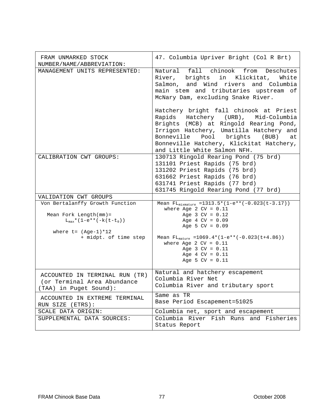| FRAM UNMARKED STOCK<br>NUMBER/NAME/ABBREVIATION:                                                                                                                     | 47. Columbia Upriver Bright (Col R Brt)                                                                                                                                                                                                                                                                    |
|----------------------------------------------------------------------------------------------------------------------------------------------------------------------|------------------------------------------------------------------------------------------------------------------------------------------------------------------------------------------------------------------------------------------------------------------------------------------------------------|
| MANAGEMENT UNITS REPRESENTED:                                                                                                                                        | Natural fall chinook from Deschutes<br>River, brights in Klickitat, White<br>Salmon, and Wind rivers and Columbia<br>main stem and tributaries upstream of<br>McNary Dam, excluding Snake River.                                                                                                           |
|                                                                                                                                                                      | Hatchery bright fall chinook at Priest<br>Rapids Hatchery (URB), Mid-Columbia<br>Brights (MCB) at Ringold Rearing Pond,<br>Irrigon Hatchery, Umatilla Hatchery and<br>Bonneville Pool brights (BUB)<br>at<br>Bonneville Hatchery, Klickitat Hatchery,<br>and Little White Salmon NFH.                      |
| CALIBRATION CWT GROUPS:                                                                                                                                              | 130713 Ringold Rearing Pond (75 brd)<br>131101 Priest Rapids (75 brd)<br>131202 Priest Rapids (75 brd)<br>631662 Priest Rapids (76 brd)<br>631741 Priest Rapids (77 brd)<br>631745 Ringold Rearing Pond (77 brd)                                                                                           |
| VALIDATION CWT GROUPS                                                                                                                                                |                                                                                                                                                                                                                                                                                                            |
| Von Bertalanffy Growth Function<br>Mean Fork Length $(mm) =$<br>$L_{\text{max}}$ * (1-e** (-k(t-t <sub>0</sub> ))<br>where $t = (Age-1)*12$<br>+ midpt. of time step | Mean $FL_{mixmature}$ = 1313.5* (1-e** (-0.023( $t$ -3.17))<br>where Age 2 $CV = 0.11$<br>Age $3$ CV = $0.12$<br>Age $4$ CV = $0.09$<br>Age 5 $CV = 0.09$<br>Mean $FL_{matter}$ =1069.4*(1-e**(-0.023(t+4.86))<br>where Age 2 $CV = 0.11$<br>Age $3 CV = 0.11$<br>Age $4$ CV = $0.11$<br>Age 5 $CV = 0.11$ |
| ACCOUNTED IN TERMINAL RUN (TR)<br>(or Terminal Area Abundance<br>(TAA) in Puget Sound):                                                                              | Natural and hatchery escapement<br>Columbia River Net<br>Columbia River and tributary sport                                                                                                                                                                                                                |
| ACCOUNTED IN EXTREME TERMINAL<br>RUN SIZE (ETRS):                                                                                                                    | Same as TR<br>Base Period Escapement=51025                                                                                                                                                                                                                                                                 |
| SCALE DATA ORIGIN:                                                                                                                                                   | Columbia net, sport and escapement                                                                                                                                                                                                                                                                         |
| SUPPLEMENTAL DATA SOURCES:                                                                                                                                           | Columbia River Fish Runs and Fisheries<br>Status Report                                                                                                                                                                                                                                                    |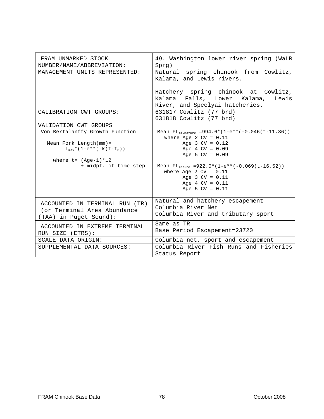| FRAM UNMARKED STOCK<br>NUMBER/NAME/ABBREVIATION:                                        | 49. Washington lower river spring (WaLR<br>Sprg)                                                            |
|-----------------------------------------------------------------------------------------|-------------------------------------------------------------------------------------------------------------|
| MANAGEMENT UNITS REPRESENTED:                                                           | Natural spring chinook from Cowlitz,<br>Kalama, and Lewis rivers.                                           |
|                                                                                         | Hatchery spring chinook at Cowlitz,<br>Kalama Falls, Lower Kalama, Lewis<br>River, and Speelyai hatcheries. |
| CALIBRATION CWT GROUPS:                                                                 | 631817 Cowlitz (77 brd)<br>631818 Cowlitz (77 brd)                                                          |
| VALIDATION CWT GROUPS                                                                   |                                                                                                             |
| Von Bertalanffy Growth Function                                                         | Mean $FL_{mixmature}$ =994.6*(1-e**(-0.046(t-11.36))<br>where Age 2 $CV = 0.11$                             |
| Mean Fork Length $(mm)$ =                                                               | Age $3 CV = 0.12$                                                                                           |
| $L_{max}$ * (1-e** (-k (t-t <sub>0</sub> ))                                             | Age $4$ CV = $0.09$<br>Age 5 $CV = 0.09$                                                                    |
| where $t = (Age-1)*12$                                                                  |                                                                                                             |
| + midpt. of time step                                                                   | Mean $FL_{matter}$ =922.0*(1-e**(-0.069(t-16.52))                                                           |
|                                                                                         | where Age 2 $CV = 0.11$                                                                                     |
|                                                                                         | Age $3 CV = 0.11$                                                                                           |
|                                                                                         | Age $4$ CV = $0.11$                                                                                         |
|                                                                                         | Age 5 $CV = 0.11$                                                                                           |
| ACCOUNTED IN TERMINAL RUN (TR)<br>(or Terminal Area Abundance<br>(TAA) in Puget Sound): | Natural and hatchery escapement<br>Columbia River Net<br>Columbia River and tributary sport                 |
| ACCOUNTED IN EXTREME TERMINAL<br>RUN SIZE (ETRS):                                       | Same as TR<br>Base Period Escapement=23720                                                                  |
| SCALE DATA ORIGIN:                                                                      | Columbia net, sport and escapement                                                                          |
| SUPPLEMENTAL DATA SOURCES:                                                              | Columbia River Fish Runs and Fisheries                                                                      |
|                                                                                         | Status Report                                                                                               |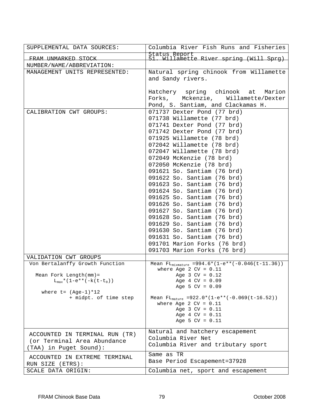| SUPPLEMENTAL DATA SOURCES:                                                                                                                                           | Columbia River Fish Runs and Fisheries                                                                                                                                                                                                                                                                                                                                                                                                                                                                                                                                                                                                                                                         |
|----------------------------------------------------------------------------------------------------------------------------------------------------------------------|------------------------------------------------------------------------------------------------------------------------------------------------------------------------------------------------------------------------------------------------------------------------------------------------------------------------------------------------------------------------------------------------------------------------------------------------------------------------------------------------------------------------------------------------------------------------------------------------------------------------------------------------------------------------------------------------|
| FRAM UNMARKED STOCK                                                                                                                                                  | Status Report<br>51. Willamette River spring (Will Sprg)                                                                                                                                                                                                                                                                                                                                                                                                                                                                                                                                                                                                                                       |
| NUMBER/NAME/ABBREVIATION:                                                                                                                                            |                                                                                                                                                                                                                                                                                                                                                                                                                                                                                                                                                                                                                                                                                                |
| MANAGEMENT UNITS REPRESENTED:                                                                                                                                        | Natural spring chinook from Willamette<br>and Sandy rivers.                                                                                                                                                                                                                                                                                                                                                                                                                                                                                                                                                                                                                                    |
|                                                                                                                                                                      | Hatchery spring chinook at<br>Marion<br>Forks, Mckenzie,<br>Willamette/Dexter<br>Pond, S. Santiam, and Clackamas H.                                                                                                                                                                                                                                                                                                                                                                                                                                                                                                                                                                            |
| CALIBRATION CWT GROUPS:                                                                                                                                              | 071737 Dexter Pond (77 brd)<br>071738 Willamette (77 brd)<br>071741 Dexter Pond (77 brd)<br>071742 Dexter Pond (77 brd)<br>071925 Willamette (78 brd)<br>072042 Willamette (78 brd)<br>072047 Willamette (78 brd)<br>072049 McKenzie (78 brd)<br>072050 McKenzie (78 brd)<br>091621 So. Santiam (76 brd)<br>091622 So. Santiam (76 brd)<br>091623 So. Santiam (76 brd)<br>091624 So. Santiam (76 brd)<br>091625 So. Santiam (76 brd)<br>091626 So. Santiam (76 brd)<br>091627 So. Santiam (76 brd)<br>091628 So. Santiam (76 brd)<br>091629 So. Santiam (76 brd)<br>091630 So. Santiam (76 brd)<br>091631 So. Santiam (76 brd)<br>091701 Marion Forks (76 brd)<br>091703 Marion Forks (76 brd) |
| VALIDATION CWT GROUPS                                                                                                                                                |                                                                                                                                                                                                                                                                                                                                                                                                                                                                                                                                                                                                                                                                                                |
| Von Bertalanffy Growth Function<br>Mean Fork Length $(mm)$ =<br>$L_{\text{max}}$ * (1-e** (-k(t-t <sub>0</sub> ))<br>where $t = (Age-1)*12$<br>+ midpt. of time step | Mean $FL_{mixmature}$ =994.6*(1-e**(-0.046(t-11.36))<br>where Age 2 $CV = 0.11$<br>Age $3$ CV = $0.12$<br>Age $4$ CV = $0.09$<br>Age 5 $CV = 0.09$<br>Mean $FL_{matter}$ =922.0*(1-e**(-0.069(t-16.52))<br>where Age 2 $CV = 0.11$<br>Age $3$ CV = $0.11$<br>Age $4$ CV = $0.11$<br>Age 5 $CV = 0.11$                                                                                                                                                                                                                                                                                                                                                                                          |
| ACCOUNTED IN TERMINAL RUN (TR)<br>(or Terminal Area Abundance<br>(TAA) in Puget Sound):                                                                              | Natural and hatchery escapement<br>Columbia River Net<br>Columbia River and tributary sport                                                                                                                                                                                                                                                                                                                                                                                                                                                                                                                                                                                                    |
| ACCOUNTED IN EXTREME TERMINAL<br>RUN SIZE (ETRS):<br>SCALE DATA ORIGIN:                                                                                              | Same as TR<br>Base Period Escapement=37928<br>Columbia net, sport and escapement                                                                                                                                                                                                                                                                                                                                                                                                                                                                                                                                                                                                               |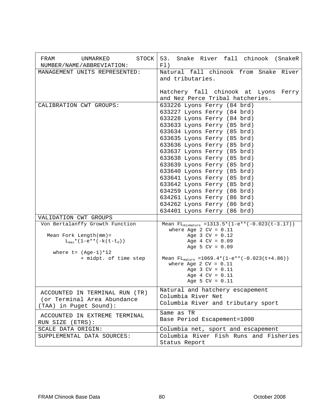| STOCK<br>FRAM<br>UNMARKED<br>NUMBER/NAME/ABBREVIATION:                                                           | 53. Snake River fall chinook (SnakeR<br>F1)                                                                                                                                                                                                                                                                                                                                                                                                                                                                                                 |
|------------------------------------------------------------------------------------------------------------------|---------------------------------------------------------------------------------------------------------------------------------------------------------------------------------------------------------------------------------------------------------------------------------------------------------------------------------------------------------------------------------------------------------------------------------------------------------------------------------------------------------------------------------------------|
| MANAGEMENT UNITS REPRESENTED:                                                                                    | Natural fall chinook from Snake River<br>and tributaries.                                                                                                                                                                                                                                                                                                                                                                                                                                                                                   |
|                                                                                                                  | Hatchery fall chinook at Lyons Ferry<br>and Nez Perce Tribal hatcheries.                                                                                                                                                                                                                                                                                                                                                                                                                                                                    |
| CALIBRATION CWT GROUPS:                                                                                          | 633226 Lyons Ferry (84 brd)<br>633227 Lyons Ferry (84 brd)<br>633228 Lyons Ferry (84 brd)<br>633633 Lyons Ferry (85 brd)<br>633634 Lyons Ferry (85 brd)<br>633635 Lyons Ferry (85 brd)<br>633636 Lyons Ferry (85 brd)<br>633637 Lyons Ferry (85 brd)<br>633638 Lyons Ferry (85 brd)<br>633639 Lyons Ferry (85 brd)<br>633640 Lyons Ferry (85 brd)<br>633641 Lyons Ferry (85 brd)<br>633642 Lyons Ferry (85 brd)<br>634259 Lyons Ferry (86 brd)<br>634261 Lyons Ferry (86 brd)<br>634262 Lyons Ferry (86 brd)<br>634401 Lyons Ferry (86 brd) |
| VALIDATION CWT GROUPS                                                                                            |                                                                                                                                                                                                                                                                                                                                                                                                                                                                                                                                             |
| Von Bertalanffy Growth Function<br>Mean Fork Length (mm) =<br>$L_{\text{max}}$ * (1-e** (-k (t-t <sub>0</sub> )) | Mean $FL_{mixmature} = 1313.5*(1-e**(-0.023(t-3.17)))$<br>where Age 2 $CV = 0.11$<br>Age $3 CV = 0.12$<br>Age $4$ CV = $0.09$<br>Age 5 $CV = 0.09$                                                                                                                                                                                                                                                                                                                                                                                          |
| where $t = (Age-1)*12$<br>+ midpt. of time step                                                                  | Mean $FL_{matter}$ =1069.4*(1-e**(-0.023(t+4.86))<br>where Age 2 $CV = 0.11$<br>Age $3 CV = 0.11$<br>Age $4$ CV = $0.11$<br>Age 5 $CV = 0.11$                                                                                                                                                                                                                                                                                                                                                                                               |
| ACCOUNTED IN TERMINAL RUN (TR)<br>(or Terminal Area Abundance<br>(TAA) in Puget Sound):                          | Natural and hatchery escapement<br>Columbia River Net<br>Columbia River and tributary sport                                                                                                                                                                                                                                                                                                                                                                                                                                                 |
| ACCOUNTED IN EXTREME TERMINAL<br>RUN SIZE (ETRS):                                                                | Same as TR<br>Base Period Escapement=1000                                                                                                                                                                                                                                                                                                                                                                                                                                                                                                   |
| SCALE DATA ORIGIN:                                                                                               | Columbia net, sport and escapement                                                                                                                                                                                                                                                                                                                                                                                                                                                                                                          |
| SUPPLEMENTAL DATA SOURCES:                                                                                       | Columbia River Fish Runs and Fisheries<br>Status Report                                                                                                                                                                                                                                                                                                                                                                                                                                                                                     |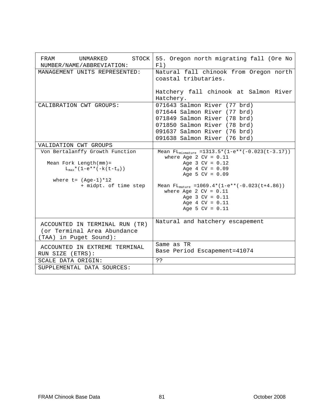| <b>STOCK</b><br>FRAM<br>UNMARKED<br>NUMBER/NAME/ABBREVIATION:                                                                                                 | 55. Oregon north migrating fall (Ore No<br>F1)                                                                                                                                                                                                                                                         |
|---------------------------------------------------------------------------------------------------------------------------------------------------------------|--------------------------------------------------------------------------------------------------------------------------------------------------------------------------------------------------------------------------------------------------------------------------------------------------------|
| MANAGEMENT UNITS REPRESENTED:                                                                                                                                 | Natural fall chinook from Oregon north<br>coastal tributaries.                                                                                                                                                                                                                                         |
|                                                                                                                                                               | Hatchery fall chinook at Salmon River<br>Hatchery.                                                                                                                                                                                                                                                     |
| CALIBRATION CWT GROUPS:                                                                                                                                       | 071643 Salmon River (77 brd)<br>071644 Salmon River (77 brd)<br>071849 Salmon River (78 brd)<br>071850 Salmon River (78 brd)<br>091637 Salmon River (76 brd)<br>091638 Salmon River (76 brd)                                                                                                           |
| VALIDATION CWT GROUPS                                                                                                                                         |                                                                                                                                                                                                                                                                                                        |
| Von Bertalanffy Growth Function<br>Mean Fork Length $(mm) =$<br>$L_{max}$ * (1-e** (-k(t-t <sub>0</sub> ))<br>where $t = (Age-1)*12$<br>+ midpt. of time step | Mean $FL_{mixmature}$ = 1313.5* $(I-e**(-0.023(t-3.17)))$<br>where Age 2 $CV = 0.11$<br>Age $3 CV = 0.12$<br>Age $4$ CV = $0.09$<br>Age 5 $CV = 0.09$<br>Mean $FL_{matter}$ =1069.4*(1-e**(-0.023(t+4.86))<br>where Age 2 $CV = 0.11$<br>Age $3 CV = 0.11$<br>Age $4$ CV = $0.11$<br>Age 5 $CV = 0.11$ |
| ACCOUNTED IN TERMINAL RUN (TR)<br>(or Terminal Area Abundance<br>TAA) in Puget Sound):                                                                        | Natural and hatchery escapement                                                                                                                                                                                                                                                                        |
| ACCOUNTED IN EXTREME TERMINAL<br>RUN SIZE (ETRS):                                                                                                             | Same as TR<br>Base Period Escapement=41074                                                                                                                                                                                                                                                             |
| SCALE DATA ORIGIN:                                                                                                                                            | خ ذ                                                                                                                                                                                                                                                                                                    |
| SUPPLEMENTAL DATA SOURCES:                                                                                                                                    |                                                                                                                                                                                                                                                                                                        |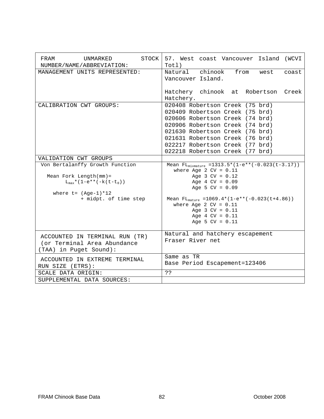| STOCK<br>FRAM<br>UNMARKED<br>NUMBER/NAME/ABBREVIATION:                                                                                                                | 57. West coast Vancouver Island (WCVI<br>Totl)                                                                                                                                                                                                                                                          |
|-----------------------------------------------------------------------------------------------------------------------------------------------------------------------|---------------------------------------------------------------------------------------------------------------------------------------------------------------------------------------------------------------------------------------------------------------------------------------------------------|
| MANAGEMENT UNITS REPRESENTED:                                                                                                                                         | Natural chinook<br>from<br>west<br>coast<br>Vancouver Island.                                                                                                                                                                                                                                           |
|                                                                                                                                                                       | Hatchery chinook at Robertson Creek<br>Hatchery.                                                                                                                                                                                                                                                        |
| CALIBRATION CWT GROUPS:                                                                                                                                               | 020408 Robertson Creek (75 brd)<br>020409 Robertson Creek (75 brd)<br>020606 Robertson Creek (74 brd)<br>020906 Robertson Creek (74 brd)<br>021630 Robertson Creek (76 brd)<br>021631 Robertson Creek (76 brd)<br>022217 Robertson Creek (77 brd)<br>022218 Robertson Creek (77 brd)                    |
| VALIDATION CWT GROUPS                                                                                                                                                 |                                                                                                                                                                                                                                                                                                         |
| Von Bertalanffy Growth Function<br>Mean Fork Length $(mm)$ =<br>$L_{\text{max}}$ * (1-e** (-k (t-t <sub>0</sub> ))<br>where $t = (Age-1)*12$<br>+ midpt. of time step | Mean $FL_{mixmature}$ = 1313.5* (1-e** (-0.023 (t-3.17))<br>where Age 2 $CV = 0.11$<br>Age $3$ CV = $0.12$<br>Age $4$ CV = $0.09$<br>Age 5 $CV = 0.09$<br>Mean $FL_{matter}$ =1069.4*(1-e**(-0.023(t+4.86))<br>where Age 2 $CV = 0.11$<br>Age $3 CV = 0.11$<br>Age $4$ CV = $0.11$<br>Age 5 $CV = 0.11$ |
| ACCOUNTED IN TERMINAL RUN (TR)<br>(or Terminal Area Abundance<br>(TAA) in Puget Sound):                                                                               | Natural and hatchery escapement<br>Fraser River net                                                                                                                                                                                                                                                     |
| ACCOUNTED IN EXTREME TERMINAL<br>RUN SIZE (ETRS):                                                                                                                     | Same as TR<br>Base Period Escapement=123406                                                                                                                                                                                                                                                             |
| SCALE DATA ORIGIN:                                                                                                                                                    | ??                                                                                                                                                                                                                                                                                                      |
| SUPPLEMENTAL DATA SOURCES:                                                                                                                                            |                                                                                                                                                                                                                                                                                                         |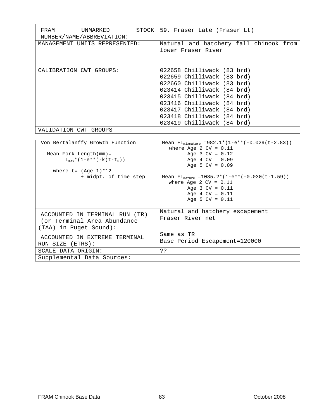| FRAM<br>UNMARKED<br>NUMBER/NAME/ABBREVIATION:                                                                                                                         | STOCK   59. Fraser Late (Fraser Lt)                                                                                                                                                                                                                                                                  |
|-----------------------------------------------------------------------------------------------------------------------------------------------------------------------|------------------------------------------------------------------------------------------------------------------------------------------------------------------------------------------------------------------------------------------------------------------------------------------------------|
| MANAGEMENT UNITS REPRESENTED:                                                                                                                                         | Natural and hatchery fall chinook from<br>lower Fraser River                                                                                                                                                                                                                                         |
| CALIBRATION CWT GROUPS:                                                                                                                                               | 022658 Chilliwack (83 brd)<br>022659 Chilliwack (83 brd)<br>022660 Chilliwack (83 brd)<br>023414 Chilliwack (84 brd)<br>023415 Chilliwack (84 brd)<br>023416 Chilliwack (84 brd)<br>023417 Chilliwack (84 brd)<br>023418 Chilliwack (84 brd)<br>023419 Chilliwack (84 brd)                           |
| VALIDATION CWT GROUPS                                                                                                                                                 |                                                                                                                                                                                                                                                                                                      |
| Von Bertalanffy Growth Function<br>Mean Fork Length $(mm) =$<br>$L_{\text{max}}$ * (1-e** (-k (t-t <sub>0</sub> ))<br>where $t = (Age-1)*12$<br>+ midpt. of time step | Mean $FL_{mixmature} = 982.1 * (1-e**(-0.029(t-2.83)))$<br>where Age 2 $CV = 0.11$<br>Age $3 CV = 0.12$<br>Age $4$ CV = $0.09$<br>Age 5 $CV = 0.09$<br>Mean $FL_{matter}$ =1085.2*(1-e**(-0.030(t-1.59))<br>where Age 2 $CV = 0.11$<br>Age $3 CV = 0.11$<br>Age $4$ CV = $0.11$<br>Age 5 $CV = 0.11$ |
| ACCOUNTED IN TERMINAL RUN (TR)<br>(or Terminal Area Abundance<br>(TAA) in Puget Sound):                                                                               | Natural and hatchery escapement<br>Fraser River net                                                                                                                                                                                                                                                  |
| ACCOUNTED IN EXTREME TERMINAL<br>RUN SIZE (ETRS):                                                                                                                     | Same as TR<br>Base Period Escapement=120000                                                                                                                                                                                                                                                          |
| SCALE DATA ORIGIN:<br>Supplemental Data Sources:                                                                                                                      | 5.5                                                                                                                                                                                                                                                                                                  |
|                                                                                                                                                                       |                                                                                                                                                                                                                                                                                                      |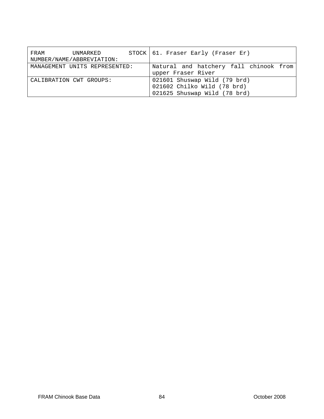| FRAM | UNMARKED<br>NUMBER/NAME/ABBREVIATION: | STOCK   61. Fraser Early (Fraser Er)                                                        |
|------|---------------------------------------|---------------------------------------------------------------------------------------------|
|      | MANAGEMENT UNITS REPRESENTED:         | Natural and hatchery fall chinook from<br>upper Fraser River                                |
|      | CALIBRATION CWT GROUPS:               | 021601 Shuswap Wild (79 brd)<br>021602 Chilko Wild (78 brd)<br>021625 Shuswap Wild (78 brd) |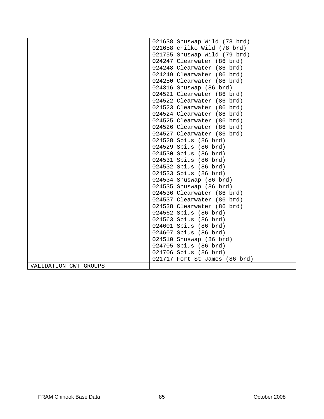|                       | 021638 Shuswap Wild (78 brd)  |
|-----------------------|-------------------------------|
|                       | 021658 chilko Wild (78 brd)   |
|                       | 021755 Shuswap Wild (79 brd)  |
|                       | 024247 Clearwater (86 brd)    |
|                       | 024248 Clearwater (86 brd)    |
|                       | 024249 Clearwater (86 brd)    |
|                       | 024250 Clearwater (86 brd)    |
|                       | 024316 Shuswap (86 brd)       |
|                       | 024521 Clearwater (86 brd)    |
|                       | 024522 Clearwater (86 brd)    |
|                       | 024523 Clearwater (86 brd)    |
|                       | 024524 Clearwater (86 brd)    |
|                       | 024525 Clearwater (86 brd)    |
|                       | 024526 Clearwater (86 brd)    |
|                       | 024527 Clearwater (86 brd)    |
|                       | 024528 Spius (86 brd)         |
|                       | 024529 Spius (86 brd)         |
|                       | 024530 Spius (86 brd)         |
|                       | 024531 Spius (86 brd)         |
|                       | 024532 Spius (86 brd)         |
|                       | 024533 Spius (86 brd)         |
|                       | 024534 Shuswap (86 brd)       |
|                       | 024535 Shuswap (86 brd)       |
|                       | 024536 Clearwater (86 brd)    |
|                       | 024537 Clearwater (86 brd)    |
|                       | 024538 Clearwater (86 brd)    |
|                       | 024562 Spius (86 brd)         |
|                       | 024563 Spius (86 brd)         |
|                       | 024601 Spius (86 brd)         |
|                       | 024607 Spius (86 brd)         |
|                       | 024510 Shuswap (86 brd)       |
|                       | 024705 Spius (86 brd)         |
|                       | 024706 Spius (86 brd)         |
|                       | 021717 Fort St James (86 brd) |
| VALIDATION CWT GROUPS |                               |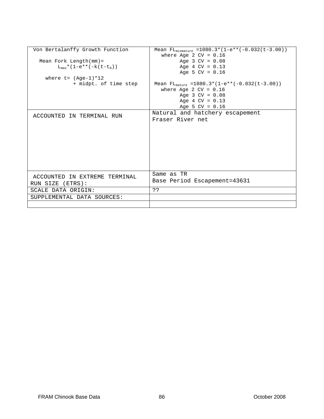| Von Bertalanffy Growth Function             | Mean $FL_{mixmature}$ = 1080.3* (1-e** (-0.032(t-3.00)) |
|---------------------------------------------|---------------------------------------------------------|
|                                             | where Age 2 $CV = 0.16$                                 |
| Mean Fork Length $(mm)$ =                   | Age $3$ CV = $0.08$                                     |
| $L_{max}$ * (1-e** (-k (t-t <sub>0</sub> )) | Age $4$ CV = $0.13$                                     |
|                                             | Age 5 $CV = 0.16$                                       |
| where $t = (Aqe-1)*12$                      |                                                         |
| + midpt. of time step                       | Mean $FL_{matrix}$ = 1080.3* (1-e** (-0.032(t-3.00))    |
|                                             | where Age 2 $CV = 0.16$                                 |
|                                             | Age $3$ CV = $0.08$                                     |
|                                             | Age $4$ CV = $0.13$                                     |
|                                             | Age 5 $CV = 0.16$                                       |
|                                             | Natural and hatchery escapement                         |
| ACCOUNTED IN TERMINAL RUN                   | Fraser River net                                        |
|                                             |                                                         |
|                                             |                                                         |
|                                             |                                                         |
|                                             |                                                         |
|                                             |                                                         |
|                                             |                                                         |
|                                             |                                                         |
|                                             |                                                         |
|                                             |                                                         |
|                                             | Same as TR                                              |
| ACCOUNTED IN EXTREME TERMINAL               | Base Period Escapement=43631                            |
| RUN SIZE (ETRS):                            |                                                         |
| SCALE DATA ORIGIN:                          | ??                                                      |
| SUPPLEMENTAL DATA SOURCES:                  |                                                         |
|                                             |                                                         |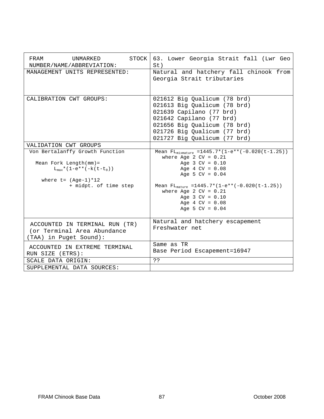| STOCK<br>FRAM<br>UNMARKED<br>NUMBER/NAME/ABBREVIATION:                                                                                                        | 63. Lower Georgia Strait fall (Lwr Geo<br>St)                                                                                                                                                                                                                                                                                    |
|---------------------------------------------------------------------------------------------------------------------------------------------------------------|----------------------------------------------------------------------------------------------------------------------------------------------------------------------------------------------------------------------------------------------------------------------------------------------------------------------------------|
| MANAGEMENT UNITS REPRESENTED:                                                                                                                                 | Natural and hatchery fall chinook from<br>Georgia Strait tributaries                                                                                                                                                                                                                                                             |
| CALIBRATION CWT GROUPS:                                                                                                                                       | 021612 Big Qualicum (78 brd)<br>021613 Big Qualicum (78 brd)<br>021639 Capilano (77 brd)<br>021642 Capilano (77 brd)<br>021656 Big Qualicum (78 brd)<br>021726 Big Qualicum (77 brd)<br>021727 Big Qualicum (77 brd)                                                                                                             |
| VALIDATION CWT GROUPS                                                                                                                                         |                                                                                                                                                                                                                                                                                                                                  |
| Von Bertalanffy Growth Function<br>Mean Fork Length $(mm)$ =<br>$L_{max}$ * (1-e** (-k(t-t <sub>0</sub> ))<br>where $t = (Age-1)*12$<br>+ midpt. of time step | Mean FL <sub>mixmature</sub> = $1445.7 \times \sqrt{(1-e^{**}(-0.020(t-1.25)))}$<br>where Age 2 $CV = 0.21$<br>Age $3 CV = 0.10$<br>Age $4$ CV = $0.08$<br>Age 5 $CV = 0.04$<br>Mean $FL_{matter}$ = 1445.7* (1-e** (-0.020(t-1.25))<br>where Age 2 $CV = 0.21$<br>Age $3 CV = 0.10$<br>Age $4$ CV = $0.08$<br>Age 5 $CV = 0.04$ |
| ACCOUNTED IN TERMINAL RUN (TR)<br>(or Terminal Area Abundance<br>(TAA) in Puget Sound):                                                                       | Natural and hatchery escapement<br>Freshwater net                                                                                                                                                                                                                                                                                |
| ACCOUNTED IN EXTREME TERMINAL<br>RUN SIZE (ETRS):                                                                                                             | Same as TR<br>Base Period Escapement=16947                                                                                                                                                                                                                                                                                       |
| SCALE DATA ORIGIN:                                                                                                                                            | ??                                                                                                                                                                                                                                                                                                                               |
| SUPPLEMENTAL DATA SOURCES:                                                                                                                                    |                                                                                                                                                                                                                                                                                                                                  |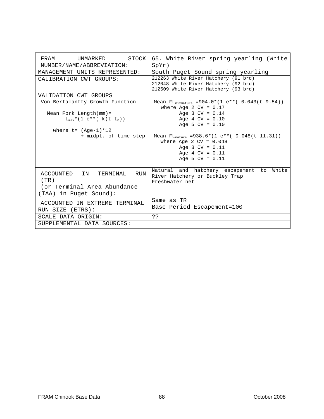| STOCK<br><b>FRAM</b><br>UNMARKED<br>NUMBER/NAME/ABBREVIATION:                                                                 | 65. White River spring yearling (White<br>$SpYr$ )                                                                                                           |
|-------------------------------------------------------------------------------------------------------------------------------|--------------------------------------------------------------------------------------------------------------------------------------------------------------|
| MANAGEMENT UNITS REPRESENTED:                                                                                                 | South Puget Sound spring yearling                                                                                                                            |
| CALIBRATION CWT GROUPS:                                                                                                       | 212263 White River Hatchery (91 brd)<br>212048 White River Hatchery (92 brd)<br>212509 White River Hatchery (93 brd)                                         |
| VALIDATION CWT GROUPS                                                                                                         |                                                                                                                                                              |
| Von Bertalanffy Growth Function<br>Mean Fork Length $(mm)$ =<br>$L_{\text{max}}*(1-e**(-k(t-t_0)))$<br>where $t = (Aqe-1)*12$ | Mean FL <sub>mixmature</sub> = 904.0* (1-e** (-0.043 (t-9.54))<br>where Age 2 $CV = 0.17$<br>Age $3$ CV = $0.14$<br>Age $4$ CV = $0.10$<br>Age 5 $CV = 0.10$ |
| + midpt. of time step                                                                                                         | Mean $FL_{matter}$ =938.6*(1-e**(-0.048(t-11.31))                                                                                                            |
|                                                                                                                               | where Age 2 $CV = 0.048$<br>Age $3 CV = 0.11$<br>Age $4$ CV = $0.11$<br>Age 5 $CV = 0.11$                                                                    |
| RUN<br>ACCOUNTED IN<br>TERMINAL<br>(TR)<br>(or Terminal Area Abundance<br>(TAA) in Puqet Sound):                              | Natural and hatchery escapement<br>White<br>to<br>River Hatchery or Buckley Trap<br>Freshwater net                                                           |
| ACCOUNTED IN EXTREME TERMINAL<br>RUN SIZE (ETRS):                                                                             | Same as TR<br>Base Period Escapement=100                                                                                                                     |
| SCALE DATA ORIGIN:                                                                                                            | ??                                                                                                                                                           |
| SUPPLEMENTAL DATA SOURCES:                                                                                                    |                                                                                                                                                              |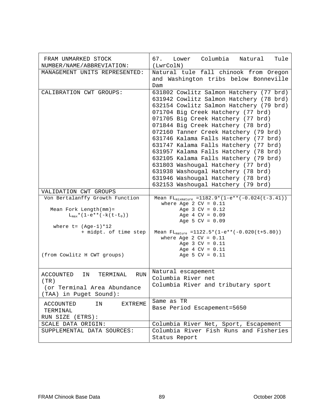| FRAM UNMARKED STOCK<br>NUMBER/NAME/ABBREVIATION:                                                                                                                                              | Columbia<br>67.<br>Natural<br>Tule<br>Lower<br>(LwrColN)                                                                                                                                                                                                                                                                                                                                                                                                                                                                                                                                                             |
|-----------------------------------------------------------------------------------------------------------------------------------------------------------------------------------------------|----------------------------------------------------------------------------------------------------------------------------------------------------------------------------------------------------------------------------------------------------------------------------------------------------------------------------------------------------------------------------------------------------------------------------------------------------------------------------------------------------------------------------------------------------------------------------------------------------------------------|
| MANAGEMENT UNITS REPRESENTED:                                                                                                                                                                 | Natural tule fall chinook from Oregon<br>and Washington tribs below Bonneville<br>Dam                                                                                                                                                                                                                                                                                                                                                                                                                                                                                                                                |
| CALIBRATION CWT GROUPS:                                                                                                                                                                       | 631802 Cowlitz Salmon Hatchery (77 brd)<br>631942 Cowlitz Salmon Hatchery (78 brd)<br>632154 Cowlitz Salmon Hatchery (79 brd)<br>071704 Big Creek Hatchery (77 brd)<br>071705 Big Creek Hatchery (77 brd)<br>071844 Big Creek Hatchery (78 brd)<br>072160 Tanner Creek Hatchery (79 brd)<br>631746 Kalama Falls Hatchery (77 brd)<br>631747 Kalama Falls Hatchery (77 brd)<br>631957 Kalama Falls Hatchery (78 brd)<br>632105 Kalama Falls Hatchery (79 brd)<br>631803 Washougal Hatchery (77 brd)<br>631938 Washougal Hatchery (78 brd)<br>631946 Washougal Hatchery (78 brd)<br>632153 Washougal Hatchery (79 brd) |
| VALIDATION CWT GROUPS                                                                                                                                                                         |                                                                                                                                                                                                                                                                                                                                                                                                                                                                                                                                                                                                                      |
| Von Bertalanffy Growth Function<br>Mean Fork Length $(mm) =$<br>$L_{max}$ * (1-e** (-k (t-t <sub>0</sub> ))<br>where $t = (Age-1)*12$<br>+ midpt. of time step<br>(from Cowlitz H CWT groups) | Mean $FL_{mixmature} = 1182.9*(1-e**(-0.024(t-3.41)))$<br>where Age 2 $CV = 0.11$<br>Age $3$ CV = $0.12$<br>Age $4$ CV = $0.09$<br>Age 5 $CV = 0.09$<br>Mean $FL_{matter} = 1122.5*(1-e**(-0.020(t+5.80)))$<br>where Age 2 $CV = 0.11$<br>Age $3 CV = 0.11$<br>Age $4$ CV = $0.11$<br>Age 5 $CV = 0.11$                                                                                                                                                                                                                                                                                                              |
| <b>RUN</b><br>ACCOUNTED<br>IN<br>TERMINAL<br>(TR)<br>(or Terminal Area Abundance<br>(TAA) in Puget Sound):                                                                                    | Natural escapement<br>Columbia River net<br>Columbia River and tributary sport                                                                                                                                                                                                                                                                                                                                                                                                                                                                                                                                       |
| <b>ACCOUNTED</b><br>IN<br><b>EXTREME</b><br>TERMINAL<br>RUN SIZE (ETRS):                                                                                                                      | Same as TR<br>Base Period Escapement=5650                                                                                                                                                                                                                                                                                                                                                                                                                                                                                                                                                                            |
| SCALE DATA ORIGIN:                                                                                                                                                                            | Columbia River Net, Sport, Escapement                                                                                                                                                                                                                                                                                                                                                                                                                                                                                                                                                                                |
| SUPPLEMENTAL DATA SOURCES:                                                                                                                                                                    | Columbia River Fish Runs and Fisheries<br>Status Report                                                                                                                                                                                                                                                                                                                                                                                                                                                                                                                                                              |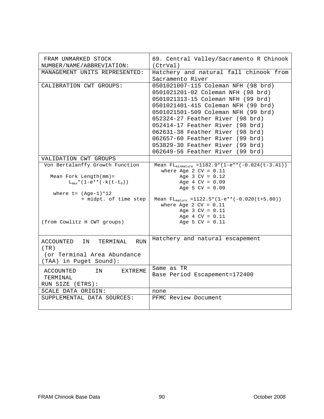| FRAM UNMARKED STOCK<br>NUMBER/NAME/ABBREVIATION:                                                 | 69. Central Valley/Sacramento R Chinook<br>(CtrVal)                                                                                                                                                                                                                                                                                                                                                                   |
|--------------------------------------------------------------------------------------------------|-----------------------------------------------------------------------------------------------------------------------------------------------------------------------------------------------------------------------------------------------------------------------------------------------------------------------------------------------------------------------------------------------------------------------|
| MANAGEMENT UNITS REPRESENTED:                                                                    | Hatchery and natural fall chinook from<br>Sacramento River                                                                                                                                                                                                                                                                                                                                                            |
| CALIBRATION CWT GROUPS:                                                                          | 0501021007-115 Coleman NFH (98 brd)<br>0501021201-02 Coleman NFH (98 brd)<br>0501021313-15 Coleman NFH (99 brd)<br>0501021401-415 Coleman NFH (99 brd)<br>0501021501-509 Coleman NFH (99 brd)<br>052324-27 Feather River (98 brd)<br>052414-17 Feather River (98 brd)<br>062631-38 Feather River (98 brd)<br>062657-60 Feather River (99 brd)<br>053829-30 Feather River (99 brd)<br>062649-56 Feather River (99 brd) |
| VALIDATION CWT GROUPS                                                                            |                                                                                                                                                                                                                                                                                                                                                                                                                       |
| Von Bertalanffy Growth Function<br>Mean Fork Length(mm)=                                         | Mean $FL_{mixmature} = 1182.9*(1-e**(-0.024(t-3.41)))$<br>where Age 2 $CV = 0.11$<br>Age $3 CV = 0.12$                                                                                                                                                                                                                                                                                                                |
| $L_{\text{max}}$ * (1-e** (-k (t-t <sub>0</sub> ))                                               | Age $4$ CV = $0.09$<br>Age 5 $CV = 0.09$                                                                                                                                                                                                                                                                                                                                                                              |
| where $t = (Aqe-1)*12$<br>+ midpt. of time step                                                  | Mean $FL_{matter} = 1122.5*(1-e**(-0.020(t+5.80)))$<br>where Age 2 $CV = 0.11$<br>Age $3 CV = 0.11$<br>Age $4$ CV = $0.11$                                                                                                                                                                                                                                                                                            |
| (from Cowlitz H CWT groups)                                                                      | Age 5 $CV = 0.11$                                                                                                                                                                                                                                                                                                                                                                                                     |
| ACCOUNTED IN<br>TERMINAL<br>RUN<br>(TR)<br>(or Terminal Area Abundance<br>(TAA) in Puget Sound): | Hatchery and natural escapement                                                                                                                                                                                                                                                                                                                                                                                       |
| ACCOUNTED<br>ΙN<br>EXTREME<br>TERMINAL<br>RUN SIZE (ETRS):                                       | Same as TR<br>Base Period Escapement=172400                                                                                                                                                                                                                                                                                                                                                                           |
| SCALE DATA ORIGIN:                                                                               | none                                                                                                                                                                                                                                                                                                                                                                                                                  |
| SUPPLEMENTAL DATA SOURCES:                                                                       | PFMC Review Document                                                                                                                                                                                                                                                                                                                                                                                                  |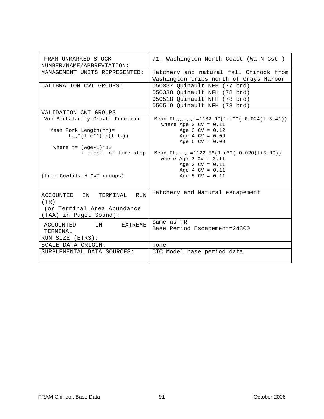| FRAM UNMARKED STOCK<br>NUMBER/NAME/ABBREVIATION:                                                        | 71. Washington North Coast (Wa N Cst)                                                                                                                     |
|---------------------------------------------------------------------------------------------------------|-----------------------------------------------------------------------------------------------------------------------------------------------------------|
| MANAGEMENT UNITS REPRESENTED:                                                                           | Hatchery and natural fall Chinook from<br>Washington tribs north of Grays Harbor                                                                          |
| CALIBRATION CWT GROUPS:                                                                                 | 050337 Quinault NFH (77 brd)<br>050338 Quinault NFH (78 brd)<br>050518 Quinault NFH (78 brd)<br>050519 Quinault NFH (78 brd)                              |
| VALIDATION CWT GROUPS                                                                                   |                                                                                                                                                           |
| Von Bertalanffy Growth Function                                                                         | Mean $FL_{mixmature} = 1182.9*(1-e**(-0.024(t-3.41)))$<br>where Age 2 $CV = 0.11$                                                                         |
| Mean Fork Length $(mm)$ =<br>$L_{\text{max}}*(1-e**(-k(t-t_0)))$                                        | Age $3 CV = 0.12$<br>Age $4$ CV = $0.09$<br>Age 5 $CV = 0.09$                                                                                             |
| where $t = (Aqe-1)*12$                                                                                  |                                                                                                                                                           |
| + midpt. of time step<br>(from Cowlitz H CWT groups)                                                    | Mean $FL_{\text{matter}} = 1122.5*(1-e^{**}(-0.020(t+5.80)))$<br>where Age 2 $CV = 0.11$<br>Age $3 CV = 0.11$<br>Age $4$ CV = $0.11$<br>Age 5 $CV = 0.11$ |
| ACCOUNTED IN<br><b>RUN</b><br>TERMINAL<br>(TR)<br>(or Terminal Area Abundance<br>(TAA) in Puget Sound): | Hatchery and Natural escapement                                                                                                                           |
| EXTREME<br>ACCOUNTED<br>IN<br>TERMINAL<br>RUN SIZE (ETRS):                                              | Same as TR<br>Base Period Escapement=24300                                                                                                                |
| SCALE DATA ORIGIN:                                                                                      | none                                                                                                                                                      |
| SUPPLEMENTAL DATA SOURCES:                                                                              | CTC Model base period data                                                                                                                                |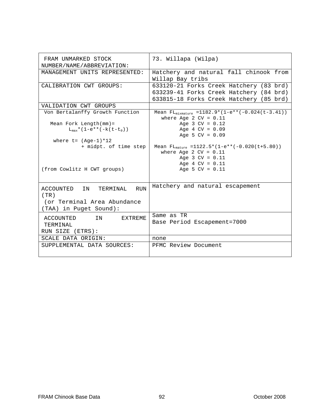| FRAM UNMARKED STOCK<br>NUMBER/NAME/ABBREVIATION:                         | 73. Willapa (Wilpa)                                                                                                           |
|--------------------------------------------------------------------------|-------------------------------------------------------------------------------------------------------------------------------|
| MANAGEMENT UNITS REPRESENTED:                                            | Hatchery and natural fall chinook from<br>Willap Bay tribs                                                                    |
| CALIBRATION CWT GROUPS:                                                  | 633120-21 Forks Creek Hatchery (83 brd)<br>633239-41 Forks Creek Hatchery (84 brd)<br>633815-18 Forks Creek Hatchery (85 brd) |
| VALIDATION CWT GROUPS                                                    |                                                                                                                               |
| Von Bertalanffy Growth Function                                          | Mean $FL_{mixmature} = 1182.9*(1-e**(-0.024(t-3.41)))$<br>where Age 2 $CV = 0.11$                                             |
| Mean Fork Length $(mm) =$<br>$L_{max}$ * (1-e** (-k (t-t <sub>0</sub> )) | Age $3$ CV = $0.12$<br>Age $4$ CV = $0.09$<br>Age 5 $CV = 0.09$                                                               |
| where $t = (Aqe-1)*12$<br>+ midpt. of time step                          | Mean $FL_{matter}$ =1122.5*(1-e**(-0.020(t+5.80))<br>where Age 2 $CV = 0.11$<br>Age $3$ CV = $0.11$<br>Age $4$ CV = $0.11$    |
| (from Cowlitz H CWT groups)                                              | Age 5 $CV = 0.11$                                                                                                             |
| ACCOUNTED<br>IN<br>TERMINAL<br><b>RUN</b><br>(TR)                        | Hatchery and natural escapement                                                                                               |
| (or Terminal Area Abundance<br>(TAA) in Puget Sound):                    |                                                                                                                               |
| ACCOUNTED IN<br>EXTREME<br>TERMINAL<br>RUN SIZE (ETRS):                  | Same as TR<br>Base Period Escapement=7000                                                                                     |
| SCALE DATA ORIGIN:                                                       | none                                                                                                                          |
| SUPPLEMENTAL DATA SOURCES:                                               | PFMC Review Document                                                                                                          |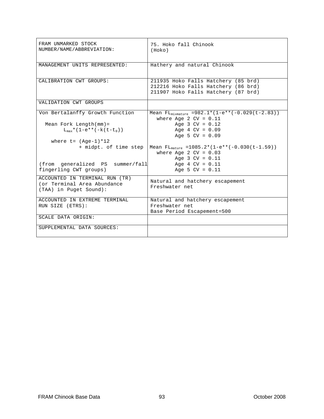| FRAM UNMARKED STOCK<br>NUMBER/NAME/ABBREVIATION:                                        | 75. Hoko fall Chinook<br>(Hoko)                                                                                   |
|-----------------------------------------------------------------------------------------|-------------------------------------------------------------------------------------------------------------------|
| MANAGEMENT UNITS REPRESENTED:                                                           | Hathery and natural Chinook                                                                                       |
| CALIBRATION CWT GROUPS:                                                                 | 211935 Hoko Falls Hatchery (85 brd)<br>212216 Hoko Falls Hatchery (86 brd)<br>211907 Hoko Falls Hatchery (87 brd) |
| VALIDATION CWT GROUPS                                                                   |                                                                                                                   |
| Von Bertalanffy Growth Function                                                         | Mean $FL_{mixmature} = 982.1*(1-e**(-0.029(t-2.83)))$<br>where Age 2 $CV = 0.11$                                  |
| Mean Fork Length $(mm)$ =                                                               | Age $3 CV = 0.12$                                                                                                 |
| $L_{max}$ * (1-e** (-k (t-t <sub>0</sub> ))                                             | Age $4$ CV = $0.09$                                                                                               |
|                                                                                         | Age 5 $CV = 0.09$                                                                                                 |
| where $t = (Aqe-1)*12$                                                                  |                                                                                                                   |
| + midpt. of time step                                                                   | Mean $FL_{matrix}$ =1085.2*(1-e**(-0.030(t-1.59))                                                                 |
|                                                                                         | where Age 2 $CV = 0.03$                                                                                           |
|                                                                                         | Age $3$ CV = $0.11$                                                                                               |
| (from generalized PS summer/fall                                                        | Age $4$ CV = $0.11$                                                                                               |
| fingerling CWT groups)                                                                  | Age 5 $CV = 0.11$                                                                                                 |
| ACCOUNTED IN TERMINAL RUN (TR)<br>(or Terminal Area Abundance<br>(TAA) in Puget Sound): | Natural and hatchery escapement<br>Freshwater net                                                                 |
| ACCOUNTED IN EXTREME TERMINAL                                                           | Natural and hatchery escapement                                                                                   |
| RUN SIZE (ETRS):                                                                        | Freshwater net                                                                                                    |
|                                                                                         | Base Period Escapement=500                                                                                        |
| SCALE DATA ORIGIN:                                                                      |                                                                                                                   |
| SUPPLEMENTAL DATA SOURCES:                                                              |                                                                                                                   |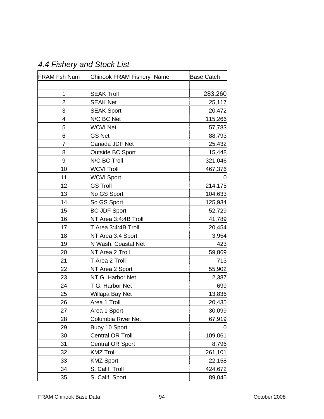| <b>FRAM Fsh Num</b> | Chinook FRAM Fishery Name | <b>Base Catch</b> |
|---------------------|---------------------------|-------------------|
|                     |                           |                   |
| 1                   | <b>SEAK Troll</b>         | 283,260           |
| $\overline{2}$      | <b>SEAK Net</b>           | 25,117            |
| 3                   | <b>SEAK Sport</b>         | 20,472            |
| 4                   | N/C BC Net                | 115,266           |
| 5                   | <b>WCVI Net</b>           | 57,783            |
| 6                   | <b>GS Net</b>             | 88,793            |
| $\overline{7}$      | Canada JDF Net            | 25,432            |
| 8                   | Outside BC Sport          | 15,448            |
| 9                   | N/C BC Troll              | 321,046           |
| 10                  | <b>WCVI Troll</b>         | 467,376           |
| 11                  | <b>WCVI Sport</b>         | O                 |
| 12                  | <b>GS Troll</b>           | 214,175           |
| 13                  | No GS Sport               | 104,633           |
| 14                  | So GS Sport               | 125,934           |
| 15                  | <b>BC JDF Sport</b>       | 52,729            |
| 16                  | NT Area 3:4:4B Troll      | 41,789            |
| 17                  | T Area 3:4:4B Troll       | 20,454            |
| 18                  | NT Area 3:4 Sport         | 3,954             |
| 19                  | N Wash. Coastal Net       | 423               |
| 20                  | NT Area 2 Troll           | 59,869            |
| 21                  | T Area 2 Troll            | 713               |
| 22                  | NT Area 2 Sport           | 55,902            |
| 23                  | NT G. Harbor Net          | 2,387             |
| 24                  | T G. Harbor Net           | 699               |
| 25                  | Willapa Bay Net           | 13,836            |
| 26                  | Area 1 Troll              | 20,435            |
| 27                  | Area 1 Sport              | 30,099            |
| 28                  | Columbia River Net        | 67,919            |
| 29                  | Buoy 10 Sport             |                   |
| 30                  | Central OR Troll          | 109,061           |
| 31                  | <b>Central OR Sport</b>   | 8,796             |
| 32                  | <b>KMZ Troll</b>          | 261,101           |
| 33                  | <b>KMZ Sport</b>          | 22,158            |
| 34                  | S. Calif. Troll           | 424,672           |
| 35                  | S. Calif. Sport           | 89,045            |

# *4.4 Fishery and Stock List*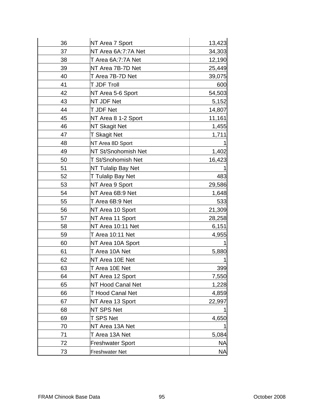| 36 | NT Area 7 Sport          | 13,423    |
|----|--------------------------|-----------|
| 37 | NT Area 6A:7:7A Net      | 34,303    |
| 38 | T Area 6A:7:7A Net       | 12,190    |
| 39 | NT Area 7B-7D Net        | 25,449    |
| 40 | T Area 7B-7D Net         | 39,075    |
| 41 | T JDF Troll              | 600       |
| 42 | NT Area 5-6 Sport        | 54,503    |
| 43 | NT JDF Net               | 5,152     |
| 44 | T JDF Net                | 14,807    |
| 45 | NT Area 8 1-2 Sport      | 11,161    |
| 46 | <b>NT Skagit Net</b>     | 1,455     |
| 47 | <b>T Skagit Net</b>      | 1,711     |
| 48 | NT Area 8D Sport         |           |
| 49 | NT St/Snohomish Net      | 1,402     |
| 50 | T St/Snohomish Net       | 16,423    |
| 51 | NT Tulalip Bay Net       |           |
| 52 | T Tulalip Bay Net        | 483       |
| 53 | NT Area 9 Sport          | 29,586    |
| 54 | NT Area 6B:9 Net         | 1,648     |
| 55 | T Area 6B:9 Net          | 533       |
| 56 | NT Area 10 Sport         | 21,309    |
| 57 | NT Area 11 Sport         | 28,258    |
| 58 | NT Area 10:11 Net        | 6,151     |
| 59 | T Area 10:11 Net         | 4,955     |
| 60 | NT Area 10A Sport        |           |
| 61 | T Area 10A Net           | 5,880     |
| 62 | NT Area 10E Net          |           |
| 63 | T Area 10E Net           | 399       |
| 64 | NT Area 12 Sport         | 7,550     |
| 65 | <b>NT Hood Canal Net</b> | 1,228     |
| 66 | <b>T Hood Canal Net</b>  | 4,859     |
| 67 | NT Area 13 Sport         | 22,997    |
| 68 | NT SPS Net               |           |
| 69 | T SPS Net                | 4,650     |
| 70 | NT Area 13A Net          |           |
| 71 | T Area 13A Net           | 5,084     |
| 72 | Freshwater Sport         | <b>NA</b> |
| 73 | Freshwater Net           | ΝA        |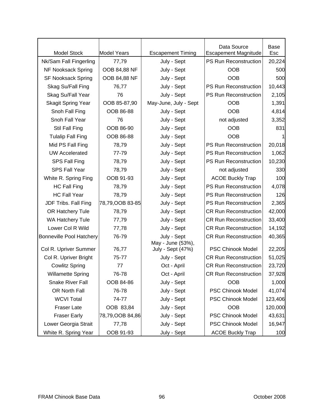|                                 |                    |                                        | Data Source                  | Base    |
|---------------------------------|--------------------|----------------------------------------|------------------------------|---------|
| <b>Model Stock</b>              | <b>Model Years</b> | <b>Escapement Timing</b>               | <b>Escapement Magnitude</b>  | Esc     |
| Nk/Sam Fall Fingerling          | 77,79              | July - Sept                            | PS Run Reconstruction        | 20,224  |
| NF Nooksack Spring              | OOB 84,88 NF       | July - Sept                            | <b>OOB</b>                   | 500     |
| <b>SF Nooksack Spring</b>       | OOB 84,88 NF       | July - Sept                            | <b>OOB</b>                   | 500     |
| Skag Su/Fall Fing               | 76,77              | July - Sept                            | PS Run Reconstruction        | 10,443  |
| Skag Su/Fall Year               | 76                 | July - Sept                            | PS Run Reconstruction        | 2,105   |
| <b>Skagit Spring Year</b>       | OOB 85-87,90       | May-June, July - Sept                  | <b>OOB</b>                   | 1,391   |
| Snoh Fall Fing                  | OOB 86-88          | July - Sept                            | <b>OOB</b>                   | 4,814   |
| Snoh Fall Year                  | 76                 | July - Sept                            | not adjusted                 | 3,352   |
| Stil Fall Fing                  | OOB 86-90          | July - Sept                            | <b>OOB</b>                   | 831     |
| <b>Tulalip Fall Fing</b>        | OOB 86-88          | July - Sept                            | <b>OOB</b>                   |         |
| Mid PS Fall Fing                | 78,79              | July - Sept                            | PS Run Reconstruction        | 20,018  |
| <b>UW Accelerated</b>           | 77-79              | July - Sept                            | PS Run Reconstruction        | 1,062   |
| SPS Fall Fing                   | 78,79              | July - Sept                            | PS Run Reconstruction        | 10,230  |
| <b>SPS Fall Year</b>            | 78,79              | July - Sept                            | not adjusted                 | 330     |
| White R. Spring Fing            | OOB 91-93          | July - Sept                            | <b>ACOE Buckly Trap</b>      | 100     |
| <b>HC Fall Fing</b>             | 78,79              | July - Sept                            | PS Run Reconstruction        | 4,078   |
| <b>HC Fall Year</b>             | 78,79              | July - Sept                            | PS Run Reconstruction        | 126     |
| JDF Tribs. Fall Fing            | 78,79,00B 83-85    | July - Sept                            | PS Run Reconstruction        | 2,365   |
| OR Hatchery Tule                | 78,79              | July - Sept                            | <b>CR Run Reconstruction</b> | 42,000  |
| <b>WA Hatchery Tule</b>         | 77,79              | July - Sept                            | <b>CR Run Reconstruction</b> | 33,400  |
| Lower Col R Wild                | 77,78              | July - Sept                            | <b>CR Run Reconstruction</b> | 14,192  |
| <b>Bonneville Pool Hatchery</b> | 76-79              | July - Sept                            | <b>CR Run Reconstruction</b> | 40,365  |
| Col R. Upriver Summer           | 76,77              | May - June (53%),<br>July - Sept (47%) | <b>PSC Chinook Model</b>     | 22,205  |
| Col R. Upriver Bright           | 75-77              | July - Sept                            | <b>CR Run Reconstruction</b> | 51,025  |
| <b>Cowlitz Spring</b>           | 77                 | Oct - April                            | <b>CR Run Reconstruction</b> | 23,720  |
| <b>Willamette Spring</b>        | 76-78              | Oct - April                            | <b>CR Run Reconstruction</b> | 37,928  |
| <b>Snake River Fall</b>         | OOB 84-86          | July - Sept                            | <b>OOB</b>                   | 1,000   |
| OR North Fall                   | 76-78              | July - Sept                            | PSC Chinook Model            | 41,074  |
| <b>WCVI Total</b>               | 74-77              | July - Sept                            | PSC Chinook Model            | 123,406 |
| <b>Fraser Late</b>              | OOB 83,84          | July - Sept                            | <b>OOB</b>                   | 120,000 |
| <b>Fraser Early</b>             | 78,79,00B 84,86    | July - Sept                            | PSC Chinook Model            | 43,631  |
| Lower Georgia Strait            | 77,78              | July - Sept                            | <b>PSC Chinook Model</b>     | 16,947  |
| White R. Spring Year            | OOB 91-93          | July - Sept                            | <b>ACOE Buckly Trap</b>      | 100     |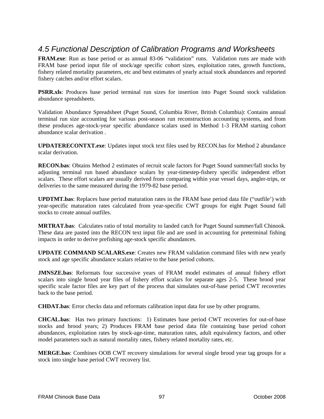## *4.5 Functional Description of Calibration Programs and Worksheets*

**FRAM.exe**: Run as base period or as annual 83-06 "validation" runs. Validation runs are made with FRAM base period input file of stock/age specific cohort sizes, exploitation rates, growth functions, fishery related mortality parameters, etc and best estimates of yearly actual stock abundances and reported fishery catches and/or effort scalars.

**PSRR.xls**: Produces base period terminal run sizes for insertion into Puget Sound stock validation abundance spreadsheets.

Validation Abundance Spreadsheet (Puget Sound, Columbia River, British Columbia): Contains annual terminal run size accounting for various post-season run reconstruction accounting systems, and from these produces age-stock-year specific abundance scalars used in Method 1-3 FRAM starting cohort abundance scalar derivation .

**UPDATERECONTXT.exe**: Updates input stock text files used by RECON.bas for Method 2 abundance scalar derivation.

**RECON.bas**: Obtains Method 2 estimates of recruit scale factors for Puget Sound summer/fall stocks by adjusting terminal run based abundance scalars by year-timestep-fishery specific independent effort scalars. These effort scalars are usually derived from comparing within year vessel days, angler-trips, or deliveries to the same measured during the 1979-82 base period.

**UPDTMT.bas**: Replaces base period maturation rates in the FRAM base period data file ("outfile') with year-specific maturation rates calculated from year-specific CWT groups for eight Puget Sound fall stocks to create annual outfiles.

**MRTRAT.bas**: Calculates ratio of total mortality to landed catch for Puget Sound summer/fall Chinook. These data are pasted into the RECON text input file and are used in accounting for preterminal fishing impacts in order to derive prefishing age-stock specific abundances.

**UPDATE COMMAND SCALARS.exe**: Creates new FRAM validation command files with new yearly stock and age specific abundance scalars relative to the base period cohorts.

**JMNSZE.bas**: Reformats four successive years of FRAM model estimates of annual fishery effort scalars into single brood year files of fishery effort scalars for separate ages 2-5. These brood year specific scale factor files are key part of the process that simulates out-of-base period CWT recoveries back to the base period.

**CHDAT.bas**: Error checks data and reformats calibration input data for use by other programs.

**CHCAL.bas**: Has two primary functions: 1) Estimates base period CWT recoveries for out-of-base stocks and brood years; 2) Produces FRAM base period data file containing base period cohort abundances, exploitation rates by stock-age-time, maturation rates, adult equivalency factors, and other model parameters such as natural mortality rates, fishery related mortality rates, etc.

**MERGE.bas**: Combines OOB CWT recovery simulations for several single brood year tag groups for a stock into single base period CWT recovery list.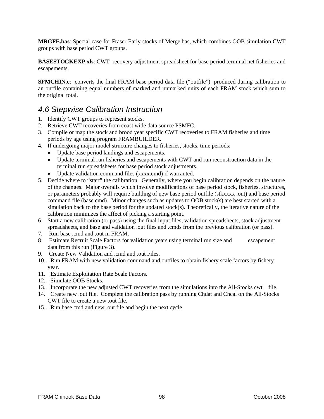**MRGFE.bas**: Special case for Fraser Early stocks of Merge.bas, which combines OOB simulation CWT groups with base period CWT groups.

**BASESTOCKEXP.xls**: CWT recovery adjustment spreadsheet for base period terminal net fisheries and escapements.

**SFMCHIN.c**: converts the final FRAM base period data file ("outfile") produced during calibration to an outfile containing equal numbers of marked and unmarked units of each FRAM stock which sum to the original total.

#### *4.6 Stepwise Calibration Instruction*

- 1. Identify CWT groups to represent stocks.
- 2. Retrieve CWT recoveries from coast wide data source PSMFC.
- 3. Compile or map the stock and brood year specific CWT recoveries to FRAM fisheries and time periods by age using program FRAMBUILDER.
- 4. If undergoing major model structure changes to fisheries, stocks, time periods:
	- Update base period landings and escapements.
	- Update terminal run fisheries and escapements with CWT and run reconstruction data in the terminal run spreadsheets for base period stock adjustments.
	- Update validation command files (xxxx.cmd) if warranted.
- 5. Decide where to "start" the calibration. Generally, where you begin calibration depends on the nature of the changes. Major overalls which involve modifications of base period stock, fisheries, structures, or parameters probably will require building of new base period outfile (stkxxxx .out) and base period command file (base.cmd). Minor changes such as updates to OOB stock(s) are best started with a simulation back to the base period for the updated stock(s). Theoretically, the iterative nature of the calibration minimizes the affect of picking a starting point.
- 6. Start a new calibration (or pass) using the final input files, validation spreadsheets, stock adjustment spreadsheets, and base and validation .out files and .cmds from the previous calibration (or pass).
- 7. Run base .cmd and .out in FRAM.
- 8. Estimate Recruit Scale Factors for validation years using terminal run size and escapement data from this run (Figure 3).
- 9. Create New Validation and .cmd and .out Files.
- 10. Run FRAM with new validation command and outfiles to obtain fishery scale factors by fishery year.
- 11. Estimate Exploitation Rate Scale Factors.
- 12. Simulate OOB Stocks.
- 13. Incorporate the new adjusted CWT recoveries from the simulations into the All-Stocks cwt file.
- 14. Create new .out file. Complete the calibration pass by running Chdat and Chcal on the All-Stocks CWT file to create a new .out file.
- 15. Run base.cmd and new .out file and begin the next cycle.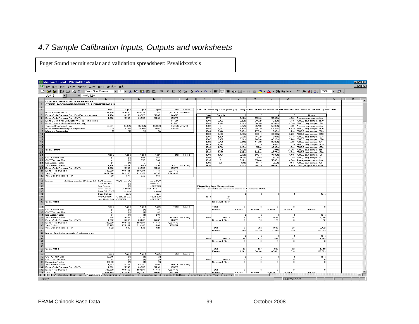# *4.7 Sample Calibration Inputs, Outputs and worksheets*

Puget Sound recruit scalar and validation spreadsheet: Psvalidxx#.xls

|                       | Microsoft Excel - PS valid007.xls                                                         |                                           |                       |                    |                      |                        |                       |              |                                                                                                     |                               |                         |                                |                       |                                                                                                                       |      | <u>- 한국</u>  |  |
|-----------------------|-------------------------------------------------------------------------------------------|-------------------------------------------|-----------------------|--------------------|----------------------|------------------------|-----------------------|--------------|-----------------------------------------------------------------------------------------------------|-------------------------------|-------------------------|--------------------------------|-----------------------|-----------------------------------------------------------------------------------------------------------------------|------|--------------|--|
|                       | File Edit View Insert Format Tools Data Window Help                                       |                                           |                       |                    |                      |                        |                       |              |                                                                                                     |                               |                         |                                |                       |                                                                                                                       |      | $-10 \times$ |  |
|                       | 督母に撃<br>D & H<br>Times New Roman                                                          |                                           |                       |                    |                      |                        |                       |              |                                                                                                     |                               |                         |                                |                       |                                                                                                                       | $-2$ |              |  |
|                       | AV13<br>$=$ =AV12+1                                                                       |                                           |                       |                    |                      |                        |                       |              |                                                                                                     |                               |                         |                                |                       |                                                                                                                       |      |              |  |
|                       | <b>COHORT ABUNDANCE ESTIMATES</b>                                                         |                                           |                       |                    |                      |                        |                       |              |                                                                                                     |                               | M.                      |                                |                       |                                                                                                                       |      |              |  |
| $\mathfrak{D}$        | STOCK: NOOKSACK-SAMISH FALL FINGERLING (1)                                                |                                           |                       |                    |                      |                        |                       |              |                                                                                                     |                               |                         |                                |                       |                                                                                                                       |      |              |  |
| 3                     |                                                                                           |                                           |                       |                    |                      |                        |                       |              |                                                                                                     |                               |                         |                                |                       |                                                                                                                       |      |              |  |
| $\ddot{\bullet}$<br>5 | Base Period Cohort                                                                        | Age 2<br>716,600                          | Age 3<br>409,455      | Age 4<br>190,277   | Age 5<br>11.141      | Total<br>1,327,473     | Notes<br>after calib. |              |                                                                                                     |                               |                         |                                |                       | Table 2. Summary of fingerling age composition of Nooksack/Samish fall chinook estimated from net fishery scale data. |      |              |  |
| 6                     | Base Model Terminal Run (Run Reconstruction                                               | 1,174                                     | 16,953                | 64.525             | 5,807                | 88.459                 |                       | Year         | Sample                                                                                              | 2                             | -31                     | $\blacktriangleleft$           | -51                   | <b>Notes</b>                                                                                                          |      |              |  |
| $\mathbf{7}$          | Base Model Terminal Run (CVT)                                                             | 1,062                                     | 15,545                | 63,533             | 5,732                | 85,872                 |                       | 1979         | $\mathbf{0}$                                                                                        | 3.17%                         | 35.48%                  | 56.68%                         |                       | 4.66% Average age composition                                                                                         |      |              |  |
| 8<br>$\mathbf{a}$     | Base Catch in Nk-Sam Net (39 & 40) - Time 3 only<br>Base Catch in Nk-Sam Net (local only) |                                           |                       |                    |                      | 64,127<br>61,530       |                       | 1980<br>1981 | 2.302<br>1,449                                                                                      | 0.26%<br>$1.24\times$         | 28.32%<br>30.16%        | 70.29%<br>65.01%               |                       | 1.13% 7B,C,D only sample: 2170<br>3.59% 7B,C,D only sample: 2302                                                      |      |              |  |
|                       | 10 Terminal Run Adjustment                                                                | 95.95%                                    | 95.95%                | 95.95%             | 95.95%               | 95.95%                 | F9/F8                 | 1982         | $\theta$                                                                                            | $3.17\times$                  | 35.48%                  | 56.68%                         |                       | 4.66% Average age composition                                                                                         |      |              |  |
|                       | 11 Base Terminal Run Age Composition                                                      | $1.33\times$                              | 19.16%                | 72.94%             | 6.56%                | 100,005                |                       | 1983         | 2.117                                                                                               | $8.93\times$                  | 19.13%                  | 65.33%                         |                       | 6.61% 7B,C,D only sample: 2115                                                                                        |      |              |  |
| 13                    | 12 Minimum Recoveries                                                                     | 50                                        | 50                    | 50.                | 50                   |                        |                       | 1984<br>1985 | 7,446<br>5.136                                                                                      | 0.89%<br>0.16%                | 77.93%<br>29.21%        | 19.45%<br>69.86%               |                       | 1.73% 7B,C,D only sample: 7309<br>0.78% 7B,C,D only sample: 5059                                                      |      |              |  |
| 14                    |                                                                                           |                                           |                       |                    |                      |                        |                       | 1986         | 4,236                                                                                               | 0.66%                         | 15.32%                  | 79.91%                         |                       | 4.11% 7B,C,D only sample: 4234                                                                                        |      |              |  |
| 15                    |                                                                                           |                                           |                       |                    |                      |                        |                       | 1987         | 2,885                                                                                               | 0.24%                         | 26.83%                  | 65.16%                         |                       | 7.76% 7B,C,D only sample: 2878                                                                                        |      |              |  |
| 16<br>$\overline{17}$ |                                                                                           |                                           |                       |                    |                      |                        |                       | 1988         | 3,736                                                                                               | $8.81 \times$                 | 14.03%                  | 69.83%                         |                       | 7.33% 7B,C,D only sample: 3511                                                                                        |      |              |  |
| 18                    |                                                                                           |                                           |                       |                    |                      |                        |                       | 1989<br>1990 | 4,368<br>4,712                                                                                      | 0.30%<br>1.19%                | 77.17%<br>5.28%         | $19.51\times$<br>$92.49\times$ |                       | 3.02% 7B,C,D only sample: 3839<br>1.04% 7B,C,D only sample: 4252                                                      |      |              |  |
| 19                    | Year: 1979                                                                                |                                           |                       |                    |                      |                        |                       | 1991         | 3.586                                                                                               | $1.12\times$                  | 34.30%                  | 40.94%                         |                       | 23.65% 7B,C,D only sample: 2551                                                                                       |      |              |  |
| 20<br>$\overline{21}$ |                                                                                           |                                           |                       |                    |                      |                        |                       | 1992         | 2.135                                                                                               | 4.07%<br>$0.57\times$         | 28.24%                  | 63.79%<br>37.39%               |                       | 3.89% 7B,C,D only sample: 2028                                                                                        |      |              |  |
| 22                    | CWT Cohort Size                                                                           | Age 2<br>(1)                              | Age 3<br>(1)          | Age 4<br>1.897     | Age 5<br>667         | Total                  | Notes                 | 1993<br>1994 | 1,923<br>361                                                                                        | 16.1%                         | 58.61%<br>26.6%         | 56.0%                          |                       | 3.43% 7B,C,D only sample: 1881<br>1.4% 7B,C,D only sample: 58                                                         |      |              |  |
| 23                    | CVT Terminal Run                                                                          | (1)                                       | (1)                   | 706                | 368                  |                        |                       | 1995         | $\circ$                                                                                             | 3.17%                         | 35.48%                  | 56.68%                         |                       | 4.66% Average age composition                                                                                         |      |              |  |
| 24                    | <b>Expansion Factor</b>                                                                   | (1)                                       | (1)                   | 3                  | $\overline{2}$       |                        |                       | 1996         | 996                                                                                                 | 3.1%                          | 61.1%                   | 35.3%                          |                       | 0.4% 7B.C.D only sample: 996                                                                                          |      |              |  |
| 25<br>26              | Year Terminal Run<br>Base Model Terminal Run (CVT)                                        | 2,106<br>1,062                            | 26,648<br>15,545      | 42568<br>63,533    | 3,498<br>5,732       | 74,820<br>85,872       | local only            | 1997         | $\mathbf{0}$                                                                                        | 3.17%                         | 35.48%                  | 56.68%                         |                       | 4.66% Average age composition                                                                                         |      |              |  |
|                       | 27 Base Period Cohort                                                                     | 716,600                                   | 409,455               | 190,277            | 11,141               | 1,327,473              |                       |              |                                                                                                     |                               |                         |                                |                       |                                                                                                                       |      |              |  |
|                       | 28 Year Cohort                                                                            | 1,421,014                                 | 701,915               | 114,372            | 6,337                | 2,243,638              |                       |              |                                                                                                     |                               |                         |                                |                       |                                                                                                                       |      |              |  |
| 30 <sub>o</sub>       | 29 Year Cohort Scale Factor                                                               | 1.98                                      | 1.71                  | 0.60               | 0.57                 |                        |                       |              |                                                                                                     |                               |                         |                                |                       |                                                                                                                       |      |              |  |
|                       | 31 Notes:<br>Cell formulas for 1979 age 3,5: CWT cohort:                                  |                                           | "fith" if lowt rife.  |                    | from CWT             |                        |                       |              |                                                                                                     |                               |                         |                                |                       |                                                                                                                       |      |              |  |
| 32                    |                                                                                           | CWT Ter. run:                             | (1)                   |                    | from CVT             |                        |                       |              |                                                                                                     |                               |                         |                                |                       |                                                                                                                       |      |              |  |
| 33<br>34              |                                                                                           | Exp. Factor:<br>Year Ter.run              | (1)<br>$= C11$ F25    |                    | $=E22/E23$<br>E11F25 |                        |                       |              | <b>Fingerling Age Composition</b><br>Source: Crosstabulation of scale samples by J. Gutmann, 1/5/96 |                               |                         |                                |                       |                                                                                                                       |      |              |  |
| 35                    |                                                                                           | Base TR (CWT)                             | =base                 |                    | =base                |                        |                       |              |                                                                                                     |                               |                         |                                |                       |                                                                                                                       |      |              |  |
| 36                    |                                                                                           | Base Cohort                               | =base<br>=C25/C26"C27 |                    | =base<br>$=$ E24*E25 |                        |                       | 1979         | 7B                                                                                                  |                               |                         | 4                              | 5                     | Total                                                                                                                 |      |              |  |
| 37<br>38              |                                                                                           | Year Cohort:<br>Year Scale Fotr = C28/C27 |                       |                    | $=$ E28/E27          |                        |                       |              | 7C                                                                                                  |                               |                         |                                |                       |                                                                                                                       |      |              |  |
| 39                    | <b>Year: 1980</b>                                                                         |                                           |                       |                    |                      |                        |                       |              | Nooksack River                                                                                      |                               |                         |                                |                       |                                                                                                                       |      |              |  |
| 40                    |                                                                                           |                                           | Age 3                 | Age 4              | Age 5                | Total                  | Notes                 |              | Total                                                                                               | $\Omega$                      | $\overline{0}$          | $\Omega$                       | $\overline{0}$        | $\Omega$                                                                                                              |      |              |  |
| 41                    | 42 CVT Cohort Size                                                                        | Age 2<br>(1)                              | (1)                   | (1)                | 86                   |                        |                       |              | Percent                                                                                             | #DIV/0!                       | #DIV/0!                 | #DIV/0!                        | #DIV/0!               | #DIV/0!                                                                                                               |      |              |  |
|                       | 43 CVT Terminal Run                                                                       | (1)                                       | (1)                   | (1)                | 42                   |                        |                       |              |                                                                                                     |                               |                         |                                |                       |                                                                                                                       |      |              |  |
|                       | 44 Expansion Factor<br>45 Year Terminal Bun                                               | (1)<br>234                                | (1)<br>29.458         | (1)<br>73,102      | 2.04<br>1,175        | 103.969                |                       | 1980         | 7BCD                                                                                                | -2<br>6.                      | -3.<br>642              | 4<br>1.496                     | 5<br>26               | Total<br>2.170                                                                                                        |      |              |  |
|                       | 46 Base Model Terminal Run (CVT)                                                          | 1,062                                     | 15,545                | 63,533             | 5,732                | 85,872                 | local only            |              | Nooksack River                                                                                      | $\mathbf{0}$                  | 10                      | 122                            | $\mathbf{0}$          | 132                                                                                                                   |      |              |  |
|                       | 47 Base Period Cohort                                                                     | 716,600                                   | 409,455               | 190,277            | 11,141               | 1,327,473              |                       |              |                                                                                                     |                               |                         |                                |                       |                                                                                                                       |      |              |  |
|                       | 48 Year Cohort<br>49 Year Cohort Scale Factor                                             | 158,115<br>0.22                           | 775,917<br>1.89       | 218,936<br>1.15    | 2,283<br>0.20        | 1,155,251              |                       |              | Total                                                                                               | $\overline{6}$                | 652                     | 1,618                          | 26                    | 2.302                                                                                                                 |      |              |  |
| 50                    |                                                                                           |                                           |                       |                    |                      |                        |                       |              | Percent                                                                                             | 0.26%                         | 28.32%                  | 70.29%                         | $1.13\times$          | 100.00%                                                                                                               |      |              |  |
|                       | 51 Notes: Terminal run excludes freshwater sport.                                         |                                           |                       |                    |                      |                        |                       |              |                                                                                                     |                               |                         |                                |                       |                                                                                                                       |      |              |  |
| 52                    |                                                                                           |                                           |                       |                    |                      |                        |                       | 1981         | 7BCD                                                                                                | $\overline{\mathbf{2}}$<br>18 | -3.<br>437              | $\overline{4}$<br>942          | 5<br>52               | Total<br>1,449                                                                                                        |      |              |  |
| 53<br>54              |                                                                                           |                                           |                       |                    |                      |                        |                       |              | Nooksack River                                                                                      | $\Omega$                      | $\theta$                | $^{\circ}$                     | $\mathbf{0}$          | $\mathbf{0}$                                                                                                          |      |              |  |
| 55                    |                                                                                           |                                           |                       |                    |                      |                        |                       |              |                                                                                                     |                               |                         |                                |                       |                                                                                                                       |      |              |  |
| 56                    |                                                                                           |                                           |                       |                    |                      |                        |                       |              |                                                                                                     |                               |                         |                                |                       |                                                                                                                       |      |              |  |
| 58                    | 57 Year: 1981                                                                             |                                           |                       |                    |                      |                        |                       |              | Total<br>Percent                                                                                    | 18<br>$1.24\times$            | 437<br>30.16%           | 942<br>65.01%                  | 52<br>3.59%           | 1,449<br>100.00%                                                                                                      |      |              |  |
| 59                    |                                                                                           | Age 2                                     | Age 3                 | Age 4              | Age 5                | Total                  | Notes                 |              |                                                                                                     |                               |                         |                                |                       |                                                                                                                       |      |              |  |
|                       | 60 CVT Cohort Size                                                                        | 39,875                                    | (1)                   | (1)                | (1)                  |                        |                       |              |                                                                                                     | $\overline{2}$                | -3.                     | $\blacktriangle$               | Б                     | Total                                                                                                                 |      |              |  |
|                       | 61 CWT Terminal Run<br>62 Expansion Factor                                                | 87<br>458.33                              | (1)<br>(1)            | (1)<br>(1)         | (1)<br>(1)           |                        |                       | 1982         | 7BCD<br>Nooksack River                                                                              | 0.<br>$\Omega$                | $^{\circ}$<br>$\Omega$  | $^{\circ}$<br>$\mathbf{0}$     | $\Omega$<br>$\Omega$  | $^{\circ}$<br>$\Omega$                                                                                                |      |              |  |
|                       | 63 Year Terminal Run                                                                      | 1,283                                     | 24,225                | 52,220             | 2,883                | 80,611                 | local only            |              |                                                                                                     |                               |                         |                                |                       |                                                                                                                       |      |              |  |
|                       | 64 Base Model Terminal Run (CWT)                                                          | 1,062                                     | 15,545                | 63,533             | 5,732                | 85,872                 |                       |              |                                                                                                     |                               |                         |                                |                       |                                                                                                                       |      |              |  |
|                       | 65 Base Period Cohort<br>66 Year Cohort                                                   | 716,600<br>588,119                        | 409,455<br>638,091    | 190,277<br>156,395 | 11,141<br>5,603      | 1,327,473<br>1,388,208 |                       |              | Total<br>Percent                                                                                    | n<br>#DIV/0!                  | $\mathbf{0}$<br>#DIV/0! | $^{\circ}$<br>#DIV/0!          | $^{\circ}$<br>#DIV/0! | $^{\circ}$<br><b>BOIV/O</b>                                                                                           |      |              |  |
|                       | III I H   H   BaseCWTTRun Prn \NookSam / SkagitFing                                       |                                           | / SkagitYear          |                    |                      |                        |                       |              | ShohYear / StillyFir   4 ShohStillyTulBase / SnohFing / SnohYear / StillyFir   4                    |                               |                         |                                |                       |                                                                                                                       |      | цÓ           |  |
| Ready                 |                                                                                           |                                           |                       |                    |                      |                        |                       |              |                                                                                                     |                               |                         |                                | Sum=27925             |                                                                                                                       |      |              |  |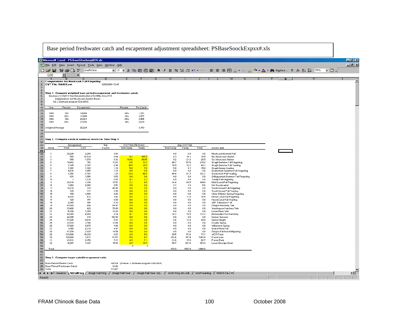|                                           | Base period freshwater catch and escapement adjustment spreadsheet: PSBaseSoockExpxx#.xls |                                                                |                                                           |                                                                       |                                 |                                              |                     |                        |                |                                                                                                                                                   |  |                             |
|-------------------------------------------|-------------------------------------------------------------------------------------------|----------------------------------------------------------------|-----------------------------------------------------------|-----------------------------------------------------------------------|---------------------------------|----------------------------------------------|---------------------|------------------------|----------------|---------------------------------------------------------------------------------------------------------------------------------------------------|--|-----------------------------|
|                                           |                                                                                           |                                                                | Microsoft Excel - PSBaseStockexp024.xls                   |                                                                       |                                 |                                              |                     |                        |                |                                                                                                                                                   |  | $-10 \times$                |
|                                           | 텔 Ele                                                                                     |                                                                |                                                           | Edit View Insert Format Tools Data Window Help                        |                                 |                                              |                     |                        |                |                                                                                                                                                   |  | $\frac{1}{2}$ $\frac{1}{2}$ |
|                                           | □ ☞ 日                                                                                     | 普鲁区学                                                           | LinePrinter                                               |                                                                       |                                 |                                              |                     |                        |                |                                                                                                                                                   |  | $-2.$                       |
|                                           | Q25                                                                                       | $\overline{\phantom{a}}$                                       | Ξ                                                         |                                                                       |                                 |                                              |                     |                        |                |                                                                                                                                                   |  |                             |
| $\mathbf{1}$                              | A                                                                                         | в                                                              | c<br>Computations for Nooksack Fall Fingerling            | n                                                                     |                                 |                                              |                     |                        |                |                                                                                                                                                   |  | $\blacktriangle$            |
| $\overline{2}$<br>$\overline{\mathbf{3}}$ |                                                                                           | CVT File: Stk023.cwt                                           |                                                           | 12/02/2004 13:48                                                      |                                 |                                              |                     |                        |                |                                                                                                                                                   |  |                             |
| $\overline{4}$                            |                                                                                           |                                                                |                                                           |                                                                       |                                 |                                              |                     |                        |                |                                                                                                                                                   |  |                             |
| 5 <sub>1</sub><br>$6 -$                   |                                                                                           |                                                                | Sources: (1) VDFV Run Reconstruction (7/27/95), Area 7/7A | Step 1. Compute weigthed base period escapement and freshwater catch. |                                 |                                              |                     |                        |                |                                                                                                                                                   |  |                             |
| $\overline{7}$<br>8                       |                                                                                           | (2) J. Gutmann program Chin.BAS.                               | Independents and Nooksack-Samish Basin;                   |                                                                       |                                 |                                              |                     |                        |                |                                                                                                                                                   |  |                             |
| $\overline{3}$<br>10 <sub>1</sub>         | Year                                                                                      | Percent                                                        | Escapement                                                |                                                                       | Percent                         | FV Catch                                     |                     |                        |                |                                                                                                                                                   |  |                             |
| 11<br>$12 \overline{ }$                   | 1980                                                                                      | $10\times$                                                     | 14,066                                                    |                                                                       | 36%                             | 1,791                                        |                     |                        |                |                                                                                                                                                   |  |                             |
| 13                                        | 1981                                                                                      | 40<                                                            | 13,886                                                    |                                                                       | 14%                             | 3,077                                        |                     |                        |                |                                                                                                                                                   |  |                             |
| 14<br>15 <sub>1</sub>                     | 1982<br>1983                                                                              | 10%<br>40%                                                     | 20,921<br>27,926                                          |                                                                       | 36%<br>14%                      | 3,955<br>4,639                               |                     |                        |                |                                                                                                                                                   |  |                             |
| 16<br>17 <sub>2</sub>                     | Weighted Average                                                                          |                                                                | 20,224                                                    |                                                                       |                                 | 3,143                                        |                     |                        |                |                                                                                                                                                   |  |                             |
| $ 18\rangle$                              |                                                                                           |                                                                |                                                           |                                                                       |                                 |                                              |                     |                        |                |                                                                                                                                                   |  |                             |
| 19<br>20                                  |                                                                                           |                                                                |                                                           |                                                                       |                                 |                                              |                     |                        |                |                                                                                                                                                   |  |                             |
| 22                                        |                                                                                           |                                                                |                                                           | 21 Step 2. Compute catch of nonlocal stocks in Time Step 3.           |                                 |                                              |                     |                        |                |                                                                                                                                                   |  |                             |
| 23<br>24                                  | Stock                                                                                     | Total                                                          | Escapement<br><b>CVT</b>                                  | Exp.<br>Factor                                                        | CWT Net (7B-D net)<br>NonTreaty | Treaty                                       | NonTreaty           | Exp. CWT Net<br>Treaty | Total          | Stock Label                                                                                                                                       |  |                             |
| 25<br>$\overline{26}$                     |                                                                                           | 20.224                                                         | 2.040                                                     | 9.91                                                                  |                                 |                                              | 0.0                 | 0.0                    | 0.0            | Nooksack/Samish Fall                                                                                                                              |  |                             |
| 27                                        | $\overline{2}$                                                                            | 500                                                            | 12,514                                                    | 0.04                                                                  | 8.2                             | 403.5                                        | 0.3                 | 16.1                   | 16.5           | No. Nooksack Native                                                                                                                               |  |                             |
| 28<br>29                                  | -3                                                                                        | 500<br>10,443                                                  | 1,570<br>756                                              | 0.32<br>13.81                                                         | 16.42<br>6.6                    | 66.85<br>13.3                                | 5.2<br>90.7         | 21.3<br>183.5          | 26.5<br>274.2  | So, Nooksack Native<br>Skagit Summer Fall Fingerling                                                                                              |  |                             |
| 30 <sub>1</sub><br>31                     |                                                                                           | 2,105<br>1,391                                                 | 2,187<br>1,182                                            | 0.96<br>1.18                                                          | 16.5<br>5.0                     | 33.5<br>7.8                                  | 15.9<br>5.8         | 32.2<br>9.1            | 48.1<br>15.0   | Skagit Summer Fall Yearling<br>Skagit Spring Yearling                                                                                             |  |                             |
| 32                                        |                                                                                           | 4,814                                                          | 1,554                                                     | 3.10                                                                  | 0.0                             | 0.0                                          | 0.0                 | 0.0                    | 0.0            | Snohomish Summer Fall Fingerling                                                                                                                  |  |                             |
| 33<br>34                                  | 9                                                                                         | 3,352<br>831                                                   | 2,791<br>1,554                                            | 1.20<br>0.53                                                          | 33.6<br>0.0                     | 68.0<br>0.0                                  | 40.4<br>0.0         | 81.7<br>0.0            | 122.1<br>0.0   | Snohomish Fall Yearling<br>Stillaguamish Summer Fall Fingerling                                                                                   |  |                             |
| 35<br>36                                  | 10<br>11                                                                                  | $\overline{\mathbf{1}}$<br>20,018                              | 1,135<br>1,290                                            | 0.00<br>15.52                                                         | 4.3<br>2.2                      | 6.7<br>4.5                                   | 0.0<br>34.4         | 0.0<br>69.5            | 0.0<br>104.0   | <b>Tulalip Fall Fingerling</b><br>Mid-Sound Fall Fingerling                                                                                       |  |                             |
| 37                                        | 12                                                                                        | 1,062                                                          | 2,082                                                     | 0.51                                                                  | 4.0                             | 6.6                                          | 2.1                 | 3.3                    | 5.4            | UW Accelerated                                                                                                                                    |  |                             |
| 38<br>39                                  | 13<br>14                                                                                  | 10,230<br>330                                                  | 225<br>112                                                | 45.45<br>2.95                                                         | 0.0<br>0.0                      | 0.0<br>0.0                                   | $0.0\,$<br>$0.0\,$  | $0.0\,$<br>0.0         | 0.0<br>0.0     | South Sound Fall Fingerling<br>South Sound Fall Yearling                                                                                          |  |                             |
| 40<br>41                                  | 15<br>16                                                                                  | 100<br>4,078                                                   | 1.596<br>433                                              | 0.06<br>9.42                                                          | 0.0<br>0.6                      | 0.0<br>1.2                                   | 0.0<br>5.5          | 0.0<br>11.0            | 0.0<br>16.5    | White (Minter) Spring Fingerling<br>Hood Canal Fall Fingerling                                                                                    |  |                             |
| 42                                        | 17                                                                                        | 126                                                            | 147                                                       | 0.86                                                                  | 0.0                             | 0.0                                          | $0.0\,$             | 0.0                    | 0.0            | Hood Canal Fall Yearling                                                                                                                          |  |                             |
| 43<br>44                                  | 18<br>19                                                                                  | 2,365<br>42,000                                                | 384<br>494                                                | 6.15<br>84.97                                                         | 0.0<br>0.0                      | 0.0<br>0.0                                   | $_{0.0}$<br>$0.0\,$ | 0.0<br>0.0             | 0.0<br>0.0     | JDF Tributaries Fall<br>Oregon Hatchery Tule                                                                                                      |  |                             |
| 45<br>46                                  | 20<br>21                                                                                  | 33,400<br>14,192                                               | 428<br>1,158                                              | 78.00<br>12.26                                                        | 0.0<br>0.0                      | 0.0<br>0.0                                   | 0.0<br>0.0          | 0.0<br>0.0             | 0.0<br>0.0     | Washington Hatchery Tule<br>Lower River Vild                                                                                                      |  |                             |
| 47<br>48                                  | 22<br>23                                                                                  | 40,365<br>22,205                                               | 4,900                                                     | 8.24<br>102.92                                                        | 4.7<br>0.0                      | 9.5<br>0.0                                   | 38.7<br>0.0         | 78.5                   | 117.2          | Bonneville Pool Hatchery                                                                                                                          |  |                             |
| 49                                        | 24                                                                                        | 51,025                                                         | 216<br>9,438                                              | 5.41                                                                  | 1.2                             | 2.5                                          | 6.6                 | 0.0<br>13.4            | 0.0<br>20.0    | Upriver Summer<br>Upriver Bright                                                                                                                  |  |                             |
| 50<br>51                                  | 25<br>26                                                                                  | 23,720<br>37,928                                               | 1,746<br>9,475                                            | 13.58<br>4.00                                                         | 0.0<br>0.0                      | 0.0<br>0.0                                   | 0.0<br>0.0          | 0.0<br>$_{0.0}$        | 0.0<br>0.0     | Cowlitz Spring<br>Willamette Spring                                                                                                               |  |                             |
| 52<br>53                                  | 27<br>28                                                                                  | 1,000<br>41,074                                                | 2,114<br>2,825                                            | 0.47<br>14.54                                                         | 0.0<br>0.0                      | 0.0<br>0.0                                   | 0.0<br>$0.0\,$      | 0.0<br>0.0             | 0.0<br>0.0     | Snake River Fall<br>Oregon Fall North Migrating                                                                                                   |  |                             |
| 54                                        | 29                                                                                        | 123,406                                                        | 14,238                                                    | 8.67                                                                  | 2.9                             | 5.9                                          | 25.5                | 51.6                   | 77.1           | <b>WCVI Total</b>                                                                                                                                 |  |                             |
| 55<br>56                                  | 30 <sub>2</sub><br>31                                                                     | 120,000<br>43,631                                              | 1,471<br>8,359                                            | 81.57<br>5.22                                                         | 5.9<br>4.5                      | 9.3<br>7.1                                   | 484.6<br>23.6       | 757.8<br>37.0          | 1242.4<br>60.7 | Fraser Late<br><b>Fraser Early</b>                                                                                                                |  |                             |
| 57<br>58                                  | 32                                                                                        | 16,947                                                         | 1,127                                                     | 15.03                                                                 | 6.6<br>$\Omega$                 | 13.4<br>$\theta$                             | 99.7                | 201.6                  | 301.3          | Lower Georgia Strait                                                                                                                              |  |                             |
| 59                                        | Total                                                                                     |                                                                |                                                           |                                                                       |                                 |                                              | 879.0               | 1567.8                 | 2446.8         |                                                                                                                                                   |  |                             |
| 60<br>61                                  |                                                                                           |                                                                |                                                           |                                                                       |                                 |                                              |                     |                        |                |                                                                                                                                                   |  |                             |
| 63                                        |                                                                                           |                                                                | 62 Step 3. Compute target catchlescapement ratio.         |                                                                       |                                 |                                              |                     |                        |                |                                                                                                                                                   |  |                             |
|                                           |                                                                                           | 64 Base Period Marine Catch<br>65 Base Period Freshwater Catch |                                                           | 3,143                                                                 |                                 | 64,524 (Source: J. Gutmann program Chin.BAS) |                     |                        |                |                                                                                                                                                   |  |                             |
|                                           | 66 Total                                                                                  |                                                                |                                                           | 67,667                                                                |                                 |                                              |                     |                        |                |                                                                                                                                                   |  |                             |
|                                           |                                                                                           |                                                                |                                                           |                                                                       |                                 |                                              |                     |                        |                | III III DIN\BaseEsc \NKFallFing \ Skagit Fall Fing \ Skagit Fall Year \ Skagit Fall Year Adj. \ Snoh Fing Sim Adj \ SnohYearling \ Mid PS Fal   1 |  | பட்                         |
| Ready                                     |                                                                                           |                                                                |                                                           |                                                                       |                                 |                                              |                     |                        |                |                                                                                                                                                   |  |                             |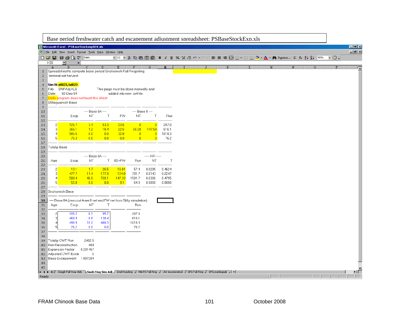|                      |                           | Base period freshwater catch and escapement adjustment spreadsheet: PSBaseStockExp.xls |                 |              |                                                                 |                |                          |        |  |  |   |  |    |   |         |        |                      |
|----------------------|---------------------------|----------------------------------------------------------------------------------------|-----------------|--------------|-----------------------------------------------------------------|----------------|--------------------------|--------|--|--|---|--|----|---|---------|--------|----------------------|
|                      |                           | Microsoft Excel - PSBaseStockexp024.xls                                                |                 |              |                                                                 |                |                          |        |  |  |   |  |    |   |         |        | $\Box$ el $\times$   |
|                      |                           | File Edit View Insert Format Tools Data Window Help                                    |                 |              |                                                                 |                |                          |        |  |  |   |  |    |   |         |        | $-IB[X]$             |
|                      |                           |                                                                                        |                 |              |                                                                 |                |                          |        |  |  |   |  |    |   |         | $-2$ . |                      |
|                      | H30                       | $\overline{ }$<br>$\equiv$                                                             |                 |              |                                                                 |                |                          |        |  |  |   |  |    |   |         |        |                      |
| $\mathbf{1}$         | A                         | $\mathbf{B}$<br>Spreadsheet to compute base period Snohomish Fall Fingerling           | $\mathsf{C}$    | $\mathbf{D}$ | E                                                               | F              | G                        | H      |  |  | K |  | M  | N | $\circ$ | P      | $\overline{\bullet}$ |
| $\overline{c}$       |                           | terminal net harvest.                                                                  |                 |              |                                                                 |                |                          |        |  |  |   |  |    |   |         |        |                      |
| $\sqrt{3}$           |                           |                                                                                        |                 |              |                                                                 |                |                          |        |  |  |   |  |    |   |         |        |                      |
| $\overline{4}$       |                           | Sim file stl023, tul023                                                                |                 |              |                                                                 |                |                          |        |  |  |   |  |    |   |         |        |                      |
| 5                    |                           | File: SNFAdj.XLS<br>02-Dec-04                                                          |                 |              | This page must be done manually and<br>added into new .cwt file |                |                          |        |  |  |   |  |    |   |         |        |                      |
| 6<br>$7\overline{ }$ | Date:                     | Dells program does not touch this sheet                                                |                 |              |                                                                 |                |                          |        |  |  |   |  |    |   |         |        |                      |
| 8                    |                           | Stillaquamish Base                                                                     |                 |              |                                                                 |                |                          |        |  |  |   |  |    |   |         |        |                      |
| 9                    |                           |                                                                                        |                 |              |                                                                 |                |                          |        |  |  |   |  |    |   |         |        |                      |
| 10                   |                           |                                                                                        | $-$ Base 8A $-$ |              |                                                                 |                | $-$ Base 8 $-$<br>$\top$ |        |  |  |   |  |    |   |         |        |                      |
| 11<br>12             |                           | Escp                                                                                   | NT.             | $\top$       | FW                                                              | NT             |                          | Run    |  |  |   |  |    |   |         |        |                      |
| 13                   | $\overline{2}$            | 126.7                                                                                  | 3.4             | 53.3         | 23.6                                                            | $\overline{0}$ | $\overline{0}$           | 207.0  |  |  |   |  |    |   |         |        |                      |
| $1\,4$               | 3 <sup>1</sup>            | 366.1                                                                                  | 1.2             | 18.4         | 22.5                                                            | 60.28          | 147.59                   | 616.1  |  |  |   |  |    |   |         |        |                      |
| 15                   | $\overline{4}$            | 985.5                                                                                  | 0.0             | 0.0          | 32.8                                                            | $\overline{0}$ | $\overline{0}$           | 1018.3 |  |  |   |  |    |   |         |        |                      |
| 16<br>17             | 5 <sup>1</sup>            | 75.3                                                                                   | 0.0             | 0.0          | 0.9                                                             | $\overline{0}$ | $\overline{0}$           | 76.2   |  |  |   |  |    |   |         |        |                      |
| 18                   |                           | Tulalip Base                                                                           |                 |              |                                                                 |                |                          |        |  |  |   |  |    |   |         |        |                      |
| 19                   |                           |                                                                                        |                 |              |                                                                 |                |                          |        |  |  |   |  |    |   |         |        |                      |
| 20                   |                           |                                                                                        | $-$ Base 8A $-$ |              |                                                                 |                | $-$ HR $-$               |        |  |  |   |  |    |   |         |        |                      |
| $2\,1$<br>22         | Age                       | Escp                                                                                   | NT              | $\top$       | 8D+FW                                                           | Run            | NT                       | $\top$ |  |  |   |  |    |   |         |        |                      |
| 23                   | 2                         | 13.1                                                                                   | 1.7             | 26.5         | 16.01                                                           | 57.4           | 0.0295                   | 0.4624 |  |  |   |  |    |   |         |        |                      |
| 24                   | $\overline{\mathbf{3}}$   | 477.7                                                                                  | 11.4            | 177.9        | 124.8                                                           | 791.7          | 0.0143                   | 0.2247 |  |  |   |  |    |   |         |        |                      |
| 25                   | $\overline{4}$            | 588.4                                                                                  | 46.0            | 720.1        | 147.33                                                          | 1501.7         | 0.0306                   | 0.4795 |  |  |   |  |    |   |         |        |                      |
| 26<br>27             | 5 <sup>1</sup>            | 55.8                                                                                   | 0.0             | 0.0          | 9.1                                                             | 64.9           | 0.0000                   | 0.0000 |  |  |   |  |    |   |         |        |                      |
| 28                   |                           | Snohomish Base                                                                         |                 |              |                                                                 |                |                          |        |  |  |   |  |    |   |         |        |                      |
| 29                   |                           |                                                                                        |                 |              |                                                                 |                |                          |        |  |  |   |  |    |   |         |        |                      |
| ${\bf 30}$<br>31     |                           | -Base 8A (zero out Area 8 net and FW net from Stilly simulation)<br>Escp               | NT              | Τ            |                                                                 | Run            |                          |        |  |  |   |  |    |   |         |        |                      |
| 32                   | Age                       |                                                                                        |                 |              |                                                                 |                |                          |        |  |  |   |  |    |   |         |        |                      |
| 33                   | 2                         | 105.2                                                                                  | 6.1             | 95.7         |                                                                 | 207.0          |                          |        |  |  |   |  |    |   |         |        |                      |
| 34                   | 31                        | 468.9                                                                                  | 8.8             | 138.4        |                                                                 | 616.1          |                          |        |  |  |   |  |    |   |         |        |                      |
| 35<br>36             | $\vert$<br>5 <sup>1</sup> | 498.9<br>76.2                                                                          | 31.2<br>0.0     | 488.3<br>0.0 |                                                                 | 1018.3<br>76.2 |                          |        |  |  |   |  |    |   |         |        |                      |
| 37                   |                           |                                                                                        |                 |              |                                                                 |                |                          |        |  |  |   |  |    |   |         |        |                      |
| 38                   |                           |                                                                                        |                 |              |                                                                 |                |                          |        |  |  |   |  |    |   |         |        |                      |
| 39                   |                           | Tulalip CWT Run                                                                        | 2402.5          |              |                                                                 |                |                          |        |  |  |   |  |    |   |         |        |                      |
| 40<br>41             |                           | Run Reconstruction<br><b>Expansion Factor</b>                                          | 484<br>0.201457 |              |                                                                 |                |                          |        |  |  |   |  |    |   |         |        |                      |
| 42                   |                           | Adjusted CWT Esca                                                                      | 5               |              |                                                                 |                |                          |        |  |  |   |  |    |   |         |        |                      |
| 43                   |                           | Base Escapement 1.007284                                                               |                 |              |                                                                 |                |                          |        |  |  |   |  |    |   |         |        |                      |
| $4\,4$               |                           |                                                                                        |                 |              |                                                                 |                |                          |        |  |  |   |  |    |   |         |        |                      |
| 45                   |                           |                                                                                        |                 |              |                                                                 |                |                          |        |  |  |   |  |    |   |         |        |                      |
| Ready                |                           |                                                                                        |                 |              |                                                                 |                |                          |        |  |  |   |  | IГ |   |         |        |                      |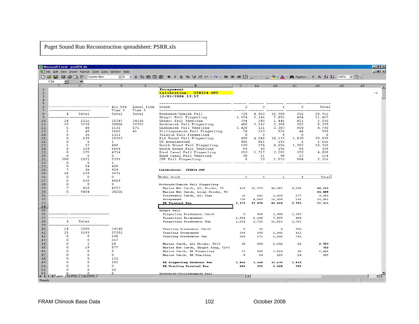Puget Sound Run Reconstruction spreadsheet: PSRR.xls

|                | Microsoft Excel - psrr024.xls         |                                                     |                       |                |                                                                                               |                     |              |                    |            |                 |     |    | $ B$ $\times$  |
|----------------|---------------------------------------|-----------------------------------------------------|-----------------------|----------------|-----------------------------------------------------------------------------------------------|---------------------|--------------|--------------------|------------|-----------------|-----|----|----------------|
|                |                                       | File Edit View Insert Format Tools Data Window Help |                       |                |                                                                                               |                     |              |                    |            |                 |     |    | H <sub>2</sub> |
|                | 背手にじ<br>▯◒◪▮                          | Courier New                                         | $-8$                  |                | ▼ ↓ 暭 亀 歯 歯 B Z U % な .?! ∽ ~ ~ ~   事 事 章 車 困 ⊞ ~ ⊞ ◎ ~ ▲ ~ ต Replace… ∑ た ま る↓ る↓ 100% ▼ ② 。 |                     |              |                    |            |                 |     |    |                |
|                | Y34<br>▼                              | $=$                                                 |                       |                |                                                                                               |                     |              |                    |            |                 |     |    |                |
|                |                                       | U                                                   | IJ                    |                | Y                                                                                             | z                   | ΑÀ           | ÀВ                 | АC         | AD              | AE. | AF |                |
| $\mathbf{1}$   |                                       |                                                     |                       |                | Escapenent<br>Calibration: STK024.OUT                                                         |                     |              |                    |            |                 |     |    | $\angle 1$     |
| $\frac{2}{3}$  |                                       |                                                     |                       |                | 12/02/2004 13:57                                                                              |                     |              |                    |            |                 |     |    |                |
| $\overline{4}$ |                                       |                                                     |                       |                |                                                                                               |                     |              |                    |            |                 |     |    |                |
| 5<br>6         |                                       |                                                     | All Stk               | Local fing     | Stock                                                                                         | $\overline{2}$      | 3            | $\overline{4}$     | 5          | Total           |     |    |                |
| $\overline{7}$ |                                       |                                                     | Time 3                | Time 3         | $---$                                                                                         |                     |              |                    |            |                 |     |    |                |
| 8              | $\overline{4}$                        | Total                                               | Total                 | Total          | Nooksack/Samish Fall                                                                          | 738                 | 4,060        | 15,908             | 256        | 20,962          |     |    |                |
| 9              |                                       | 2116                                                |                       |                | Skagit Fall Fingerling                                                                        | 1,024               | 2,146        | 7,893              | 404        | 11,467          |     |    |                |
| 10<br>11       | 24<br>23                              | 3238                                                | 25247<br>38886        | 24148<br>37252 | Skagit Fall Yearling<br>Snohomish Fall Fingerling                                             | 394<br>485          | 249<br>2,162 | 1,446<br>2,300     | 411<br>352 | 2,500<br>5,299  |     |    |                |
| 12             | 5                                     | 48                                                  | 1131                  | 671            | Snohomish Fall Yearling                                                                       | 1,428               | 111          | 2,383              | 858        | 4,780           |     |    |                |
| 13             | $\mathbf{1}$                          | 45                                                  | 1660                  | 41             | Stillaguamish Fall Fingerling                                                                 | 74                  | 213          | 574                | 44         | 905             |     |    |                |
| $1\,4$<br>15   | n<br>0                                | 36                                                  | 1311                  |                | Tulalip Fall Fingerling                                                                       | $\Box$              | $\circ$      | $\Omega$           | $\Omega$   | $\Box$          |     |    |                |
| 16             | $\mathbf 0$                           | 635<br>$\overline{0}$                               | 15263<br>$\mathbf{1}$ |                | Mid Sound Fall Fingerling<br>UW Accelerated                                                   | 490<br>455          | 4,048<br>861 | 14,133<br>194      | 1,838<br>6 | 20,509<br>1.516 |     |    |                |
| 17             | $\mathbf{1}$                          | 22                                                  | 480                   |                | South Sound Fall Fingerling                                                                   | 130                 | 274          | 8,604              | 1,352      | 10,360          |     |    |                |
| 18             | n                                     | 229                                                 | 5654                  |                | South Sound Fall Yearling                                                                     | 59                  | 80           | 196                | 54         | 389             |     |    |                |
| 19<br>20       | $\Omega$<br>$\Omega$                  | 175<br>$\Omega$                                     | 4714<br>Ω.            |                | Hood Canal Fall Fingerling<br>Hood Canal Fall Yearling                                        | 810<br>38           | 1,717<br>11  | 2,202<br>98        | 159<br>-17 | 4,888<br>164    |     |    |                |
| 21             | 308                                   | 1021                                                | 5391                  |                | JDF Fall Fingerling                                                                           | $\overline{0}$      | 29           | 1,533              | 804        | 2,366           |     |    |                |
| 22             | 0                                     | 0                                                   | $\mathbf{1}$          |                |                                                                                               |                     |              |                    |            |                 |     |    |                |
| 23             | $\mathbf{0}$                          | 54                                                  | 400                   |                |                                                                                               |                     |              |                    |            |                 |     |    |                |
| 24<br>25       | 7<br>28                               | 36<br>139                                           | 929<br>3671           |                | Calibration: STK024.0UT                                                                       |                     |              |                    |            |                 |     |    |                |
| 26             | 0                                     | $\overline{0}$                                      | $\mathbf{0}$          |                | Model Stock                                                                                   | $\mathbf{z}$        | $\circ$      | $\overline{\bf 4}$ | 5          | Total           |     |    |                |
| 27             | 0                                     | 520                                                 | 4064                  |                |                                                                                               |                     |              |                    |            |                 |     |    |                |
| 28             | n                                     | 0                                                   | $^{\circ}$            |                | Nooksack/Samish Fall Fingerling                                                               |                     |              |                    |            |                 |     |    |                |
| 29             | 7                                     | 410                                                 | 4153                  |                | Marine Net Catch, All Stocks, T3                                                              | 419                 | 12,373       | 46,081             | 5,260      | 64,133          |     |    |                |
| 30             | 0                                     | 9404                                                | 34206                 |                | Marine Net Catch, Local Stocks, T3                                                            |                     |              |                    |            | 61,400          |     |    |                |
| 31<br>32       |                                       |                                                     |                       |                | Freshwater Catch, All Time<br>Escapement                                                      | 16<br>738           | 641<br>4,060 | 2,435<br>15,908    | 277<br>256 | 3,369<br>20,962 |     |    |                |
| 33             |                                       |                                                     |                       |                | RR Terminal Run                                                                               | 1,173               | 17,074       | 64,424             | 5,793      | 88,464          |     |    |                |
| 34             |                                       |                                                     |                       |                |                                                                                               |                     |              |                    |            |                 |     |    |                |
| 35             |                                       |                                                     |                       |                | Skagit Fall                                                                                   |                     |              |                    |            |                 |     |    |                |
| 36             |                                       |                                                     |                       |                | Fingerling Freshwater Catch                                                                   | $\circ$             | 569          | 3,958              | 1,357      |                 |     |    |                |
| 37<br>38       | $\overline{4}$                        |                                                     |                       |                | Fingerling Escapement                                                                         | 1,024               | 2,146        | 7,893              | 404        |                 |     |    |                |
| 39             |                                       | Total                                               |                       |                | Fingerling Freshwater Run                                                                     | 1,024               | 2,715        | 11,851             | 1,761      |                 |     |    |                |
| 40             | 24                                    | 2088                                                | 24148                 |                | Yearling Freshwater Catch                                                                     | $\circ$             | 22           | $\circ$            | 330        |                 |     |    |                |
| 41             | 23                                    | 3193                                                | 37252                 |                | Yearling Escapement                                                                           | 394                 | 249          | 1,446              | 411        |                 |     |    |                |
| 42             | 0                                     | 0                                                   | 195                   |                | Yearling Freshwater Run                                                                       | 394                 | 271          | 1,446              | 741        |                 |     |    |                |
| 43             | $\Omega$                              | $\Omega$                                            | 667                   |                |                                                                                               |                     |              |                    |            |                 |     |    |                |
| 44<br>45       | n<br>n                                | $\overline{2}$<br>19                                | 68<br>577             |                | Marine Catch, All Stocks, T2+3                                                                | 30                  | 599          | 2,046              | 82         | 2,757           |     |    |                |
| 46             | n                                     | $\overline{0}$                                      | $\mathbb O$           |                | Marine Net Catch, Skagit Fing, T2+3<br>Marine Catch, RR Fingerling                            | 22                  | 545          | 1,824              | 58         | 712<br>2,448    |     |    |                |
| 47             | n                                     | $\Omega$                                            | $\Omega$              |                | Marine Catch, RR Yearling                                                                     | $\circ$             | 54           | 222                | 24         | 309             |     |    |                |
| 48             | n                                     | $\overline{0}$                                      | 132                   |                |                                                                                               |                     |              |                    |            |                 |     |    |                |
| 49             | n                                     | $\Omega$                                            | 101                   |                | RR Fingerling Terminal Run                                                                    | 1,046               | 3,260        | 13,675             | 1,819      |                 |     |    |                |
| 50             | n                                     | $\circ$                                             | $\mathbf{0}$          |                | <b>RR Yearling Terminal Run</b>                                                               | 402                 | 325          | 1,668              | 765        |                 |     |    |                |
| 51<br>52       | n                                     | $\Omega$                                            | 10<br>$\mathbf{0}$    |                |                                                                                               |                     |              |                    |            |                 |     |    |                |
|                | II I I I I N DSrr / EscPRN / CatchPRN |                                                     |                       |                | Snohomish/Stillacuamish Fall                                                                  | $\vert \cdot \vert$ |              |                    |            |                 |     |    |                |
| Ready          |                                       |                                                     |                       |                |                                                                                               |                     |              |                    |            |                 |     |    |                |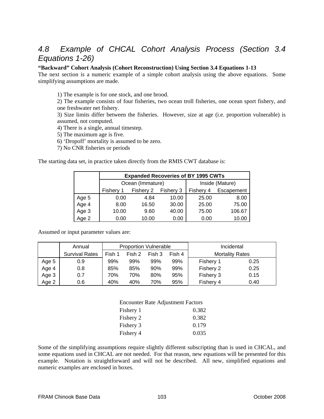### *4.8 Example of CHCAL Cohort Analysis Process (Section 3.4 Equations 1-26)*

#### **"Backward" Cohort Analysis (Cohort Reconstruction) Using Section 3.4 Equations 1-13**

The next section is a numeric example of a simple cohort analysis using the above equations. Some simplifying assumptions are made.

1) The example is for one stock, and one brood.

2) The example consists of four fisheries, two ocean troll fisheries, one ocean sport fishery, and one freshwater net fishery.

3) Size limits differ between the fisheries. However, size at age (i.e. proportion vulnerable) is assumed, not computed.

4) There is a single, annual timestep.

5) The maximum age is five.

6) 'Dropoff' mortality is assumed to be zero.

7) No CNR fisheries or periods

The starting data set, in practice taken directly from the RMIS CWT database is:

|       |           | <b>Expanded Recoveries of BY 1995 CWTs</b> |           |                 |            |  |  |  |  |  |
|-------|-----------|--------------------------------------------|-----------|-----------------|------------|--|--|--|--|--|
|       |           | Ocean (Immature)                           |           | Inside (Mature) |            |  |  |  |  |  |
|       | Fishery 1 | Fishery 2                                  | Fishery 3 | Fishery 4       | Escapement |  |  |  |  |  |
| Age 5 | 0.00      | 4.84                                       | 10.00     | 25.00           | 8.00       |  |  |  |  |  |
| Age 4 | 8.00      | 16.50                                      | 30.00     | 25.00           | 75.00      |  |  |  |  |  |
| Age 3 | 10.00     | 9.60                                       | 40.00     | 75.00           | 106.67     |  |  |  |  |  |
| Age 2 | 0.00      | 10.00                                      | 0.00      | 0.00            | 10.00      |  |  |  |  |  |

Assumed or input parameter values are:

|       | Annual                |                                      | <b>Proportion Vulnerable</b> |     |     | Incidental             |      |
|-------|-----------------------|--------------------------------------|------------------------------|-----|-----|------------------------|------|
|       | <b>Survival Rates</b> | Fish 1<br>Fish 2<br>Fish 3<br>Fish 4 |                              |     |     | <b>Mortality Rates</b> |      |
| Age 5 | 0.9                   | 99%                                  | 99%                          | 99% | 99% | Fishery 1              | 0.25 |
| Age 4 | 0.8                   | 85%                                  | 85%                          | 90% | 99% | Fishery 2              | 0.25 |
| Age 3 | 0.7                   | 70%                                  | 70%                          | 80% | 95% | Fishery 3              | 0.15 |
| Age 2 | 0.6                   | 40%                                  | 40%                          | 70% | 95% | Fishery 4              | 0.40 |

| <b>Encounter Rate Adjustment Factors</b> |       |
|------------------------------------------|-------|
| Fishery 1                                | 0.382 |
| Fishery 2                                | 0.382 |
| Fishery 3                                | 0.179 |
| Fishery 4                                | 0.035 |

Some of the simplifying assumptions require slightly different subscripting than is used in CHCAL, and some equations used in CHCAL are not needed. For that reason, new equations will be presented for this example. Notation is straightforward and will not be described. All new, simplified equations and numeric examples are enclosed in boxes.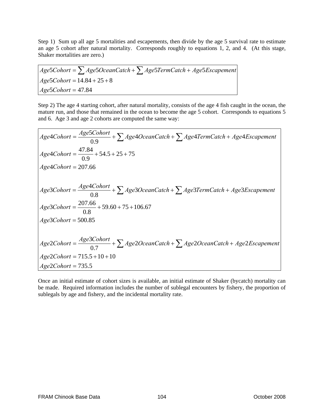Step 1) Sum up all age 5 mortalities and escapements, then divide by the age 5 survival rate to estimate an age 5 cohort after natural mortality. Corresponds roughly to equations 1, 2, and 4. (At this stage, Shaker mortalities are zero.)

$$
Age5Cohort = \sum Age5Ocean Catch + \sum Age5Term Catch + Age5Escapement
$$
  
Age5Cohort = 14.84 + 25 + 8  
Age5Cohort = 47.84

Step 2) The age 4 starting cohort, after natural mortality, consists of the age 4 fish caught in the ocean, the mature run, and those that remained in the ocean to become the age 5 cohort. Corresponds to equations 5 and 6. Age 3 and age 2 cohorts are computed the same way:

$$
Age4Cohort = \frac{Age5Cohort}{0.9} + \sum Age4OceanCatch + \sum Age4TermCatch + Age4Escapement
$$
  
\n
$$
Age4Cohort = \frac{47.84}{0.9} + 54.5 + 25 + 75
$$
  
\n
$$
Age4Cohort = 207.66
$$
  
\n
$$
Age3Cohort = \frac{Age4Cohort}{0.8} + \sum Age3OceanCatch + \sum Age3TermCatch + Age3Escapement
$$
  
\n
$$
Age3Cohort = \frac{207.66}{0.8} + 59.60 + 75 + 106.67
$$
  
\n
$$
Age3Cohort = 500.85
$$
  
\n
$$
Age2Cohort = \frac{Age3Cohort}{0.7} + \sum Age2OceanCatch + \sum Age2OceanCatch + Age2Escapement
$$
  
\n
$$
Age2Cohort = 715.5 + 10 + 10
$$
  
\n
$$
Age2Cohort = 735.5
$$

Once an initial estimate of cohort sizes is available, an initial estimate of Shaker (bycatch) mortality can be made. Required information includes the number of sublegal encounters by fishery, the proportion of sublegals by age and fishery, and the incidental mortality rate.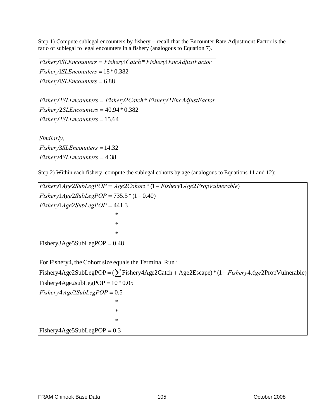Step 1) Compute sublegal encounters by fishery – recall that the Encounter Rate Adjustment Factor is the ratio of sublegal to legal encounters in a fishery (analogous to Equation 7).

 4.38 = *Fishery SLEncounters* 14.32 = *Fishery SLEncounters* , *Similarly* 15.64 = *Fishery SLEncounters* 40.94\*0.382 = *Fishery SLEncounters* 2 \* 2 = *Fishery SLEncounters Fishery Catch Fishery EncAdjustFactor*  $Fishery1SLEncounters = 6.88$  $Fishery1SLEncounters = 18*0.382$ 1 \* 1 = *Fishery SLEncounters Fishery Catch Fishery EncAdjustFactor*

Step 2) Within each fishery, compute the sublegal cohorts by age (analogous to Equations 11 and 12):

 $Fishery4Age5SubLegPOP = 0.3$  $\mathbb{R}^n$  $\mathbb{R}^n$  $\mathbb{R}^n$  $Fishery4Age2SubLegPOP = 0.5$  $Fishery4Age2subLegPOP = 10 * 0.05$ Fishery4Age2SubLegPOP = (∑Fishery4Age2Catch + Age2Escape) \* (1 – *Fishery4Age*2PropVulnerable) For Fishery4, the Cohort size equals the Terminal Run :  $Fishery3Age5SubLegPOP = 0.48$  $\mathbb{R}^2$  $\mathbb{R}^2$  $\mathbb{R}^2$  $Fishery1Age2SubLegPOP = 441.3$  $Fishery1Age2SubLegPOP = 735.5*(1-0.40)$ 1 2 2 \* (1 1 2 ) = − *Fishery Age SubLegPOP Age Cohort Fishery Age PropVulnerable*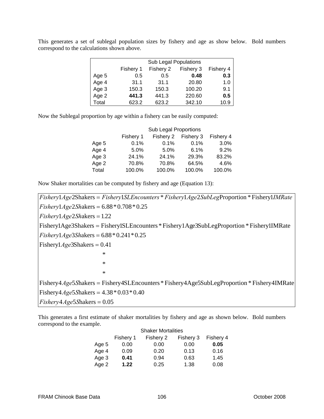|       | <b>Sub Legal Populations</b> |           |        |      |  |  |  |  |
|-------|------------------------------|-----------|--------|------|--|--|--|--|
|       | Fishery 1                    | Fishery 4 |        |      |  |  |  |  |
| Age 5 | 0.5                          | 0.5       | 0.48   | 0.3  |  |  |  |  |
| Age 4 | 31.1                         | 31.1      | 20.80  | 1.0  |  |  |  |  |
| Age 3 | 150.3                        | 150.3     | 100.20 | 9.1  |  |  |  |  |
| Age 2 | 441.3                        | 441.3     | 220.60 | 0.5  |  |  |  |  |
| Total | 623.2                        | 623.2     | 342.10 | 10.9 |  |  |  |  |

This generates a set of sublegal population sizes by fishery and age as show below. Bold numbers correspond to the calculations shown above.

Now the Sublegal proportion by age within a fishery can be easily computed:

|       | Sub Legal Proportions |           |           |           |  |  |  |  |  |
|-------|-----------------------|-----------|-----------|-----------|--|--|--|--|--|
|       | Fishery 1             | Fishery 2 | Fishery 3 | Fishery 4 |  |  |  |  |  |
| Age 5 | 0.1%                  | 0.1%      | 0.1%      | 3.0%      |  |  |  |  |  |
| Age 4 | 5.0%                  | 5.0%      | 6.1%      | 9.2%      |  |  |  |  |  |
| Age 3 | 24.1%                 | 24.1%     | 29.3%     | 83.2%     |  |  |  |  |  |
| Age 2 | 70.8%                 | 70.8%     | 64.5%     | 4.6%      |  |  |  |  |  |
| Total | 100.0%                | 100.0%    | 100.0%    | 100.0%    |  |  |  |  |  |

Now Shaker mortalities can be computed by fishery and age (Equation 13):

 $Fishery4Age5Shakers = 0.05$  $Fishery4Age5Shakers = 4.38 * 0.03 * 0.40$ Fishery4Age5Shakers = Fishery4SLEncounters \* Fishery4Age5SubLegProportion \* Fishery4IMRate  $\mathbb{R}^n$  $\mathbb{R}^n$  $\mathbb{R}^n$  $Fishery1Age3Shakers = 0.41$  $Fishery1Age3Shakers = 6.88 * 0.241 * 0.25$ Fishery1Age3Shakers = Fishery1SLEncounters \* Fishery1Age3SubLegProportion \* Fishery1IMRate  $Fishery1Age2Shakers = 1.22$  $Fishery1Age2Shakers = 6.88*0.708*0.25$  $Fishery1Age2Shakers = Fishery1SLEncounters * Fishery1Age2SubLegProportion * Fishery1MRate$ 

This generates a first estimate of shaker mortalities by fishery and age as shown below. Bold numbers correspond to the example.

| <b>Shaker Mortalities</b> |           |           |           |           |  |  |  |  |
|---------------------------|-----------|-----------|-----------|-----------|--|--|--|--|
|                           | Fishery 1 | Fishery 2 | Fishery 3 | Fishery 4 |  |  |  |  |
| Age 5                     | 0.00      | 0.00      | 0.00      | 0.05      |  |  |  |  |
| Age 4                     | 0.09      | 0.20      | 0.13      | 0.16      |  |  |  |  |
| Age 3                     | 0.41      | 0.94      | 0.63      | 1.45      |  |  |  |  |
| Age 2                     | 1.22      | 0.25      | 1.38      | 0.08      |  |  |  |  |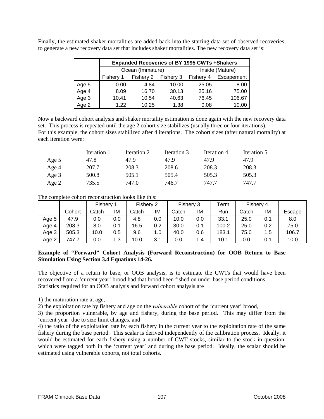Finally, the estimated shaker mortalities are added back into the starting data set of observed recoveries, to generate a new recovery data set that includes shaker mortalities. The new recovery data set is:

|       |           | <b>Expanded Recoveries of BY 1995 CWTs +Shakers</b> |           |                 |            |  |  |  |  |  |
|-------|-----------|-----------------------------------------------------|-----------|-----------------|------------|--|--|--|--|--|
|       |           | Ocean (Immature)                                    |           | Inside (Mature) |            |  |  |  |  |  |
|       | Fishery 1 | Fishery 2                                           | Fishery 3 | Fishery 4       | Escapement |  |  |  |  |  |
| Age 5 | 0.00      | 4.84                                                | 10.00     | 25.05           | 8.00       |  |  |  |  |  |
| Age 4 | 8.09      | 16.70                                               | 30.13     | 25.16           | 75.00      |  |  |  |  |  |
| Age 3 | 10.41     | 10.54                                               | 40.63     | 76.45           | 106.67     |  |  |  |  |  |
| Age 2 | 1.22      | 10.25                                               | 1.38      | 0.08            | 10.00      |  |  |  |  |  |

Now a backward cohort analysis and shaker mortality estimation is done again with the new recovery data set. This process is repeated until the age 2 cohort size stabilizes (usually three or four iterations). For this example, the cohort sizes stabilized after 4 iterations. The cohort sizes (after natural mortality) at each iteration were:

|       | Iteration 1 | Iteration 2 | Iteration 3 | Iteration 4 | Iteration 5 |
|-------|-------------|-------------|-------------|-------------|-------------|
| Age 5 | 47.8        | 47.9        | 47.9        | 47.9        | 47.9        |
| Age 4 | 207.7       | 208.3       | 208.6       | 208.3       | 208.3       |
| Age 3 | 500.8       | 505.1       | 505.4       | 505.3       | 505.3       |
| Age 2 | 735.5       | 747.0       | 746.7       | 747.7       | 747.7       |

The complete cohort reconstruction looks like this:

|       |        | Fishery |         | Fishery 2 |     | Fishery 3 |     | $\mathsf{^\tau}$ erm | Fishery 4 |     |        |
|-------|--------|---------|---------|-----------|-----|-----------|-----|----------------------|-----------|-----|--------|
|       | Cohort | Catch   | ΙM      | Catch     | ΙM  | Catch     | ΙM  | Run                  | Catch     | ΙM  | Escape |
| Age 5 | 47.9   | 0.0     | 0.0     | 4.8       | 0.0 | 10.0      | 0.0 | 33.1                 | 25.0      | 0.1 | 8.0    |
| Age 4 | 208.3  | 8.0     |         | 16.5      | 0.2 | 30.0      | 0.1 | 100.2                | 25.0      | 0.2 | 75.0   |
| Age 3 | 505.3  | 10.0    | $0.5\,$ | 9.6       | 1.0 | 40.0      | 0.6 | 183.1                | 75.0      | 1.5 | 106.7  |
| Age 2 | 747.7  | 0.0     | 1.3     | 10.0      | 3.1 | 0.0       | 1.4 | 10.1                 | 0.0       | 0.1 | 10.0   |

#### **Example of "Forward" Cohort Analysis (Forward Reconstruction) for OOB Return to Base Simulation Using Section 3.4 Equations 14-26.**

The objective of a return to base, or OOB analysis, is to estimate the CWTs that would have been recovered from a 'current year' brood had that brood been fished on under base period conditions. Statistics required for an OOB analysis and forward cohort analysis are

1) the maturation rate at age,

2) the exploitation rate by fishery and age on the *vulnerable* cohort of the 'current year' brood,

3) the proportion vulnerable, by age and fishery, during the base period. This may differ from the 'current year' due to size limit changes, and

4) the ratio of the exploitation rate by each fishery in the current year to the exploitation rate of the same fishery during the base period. This scalar is derived independently of the calibration process. Ideally, it would be estimated for each fishery using a number of CWT stocks, similar to the stock in question, which were tagged both in the 'current year' and during the base period. Ideally, the scalar should be estimated using vulnerable cohorts, not total cohorts.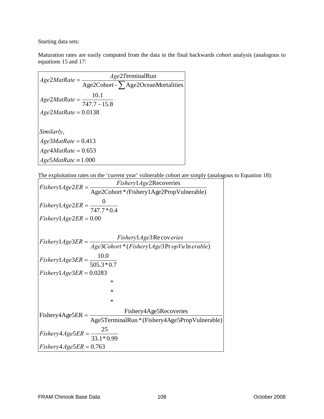Starting data sets:

Maturation rates are easily computed from the data in the final backwards cohort analysis (analogous to equations 15 and 17:

| $Age2MatRate =$                        | Age2TerminalRun                          |
|----------------------------------------|------------------------------------------|
|                                        | Age2Cohort - $\sum$ Age2OceanMortalities |
| 10.1                                   |                                          |
| $A ge2MatRate = \frac{}{747.7 - 15.8}$ |                                          |
| $A$ ge2MatRate = 0.0138                |                                          |
|                                        |                                          |
| Similarly,                             |                                          |
| $Age3MatRate = 0.413$                  |                                          |
| $Age4\textit{MatRate} = 0.653$         |                                          |
| $Age5MatRate \equiv 1.000$             |                                          |

The exploitation rates on the 'current year' vulnerable cohort are simply (analogous to Equation 18):

$$
Fishery1Age2ER = \frac{Fishery1Age2Recoveries}{Age2Cohort * (Fishery1Age2PropVulnerable)}
$$
\n
$$
Fishery1Age2ER = \frac{0}{747.7 * 0.4}
$$
\n
$$
Fishery1Age2ER = 0.00
$$
\n
$$
Fishery1Age3ER = \frac{Fishery1Age3Re coveries}{Age3Cohort * (Fishery1Age3Pr opVu In erable)}
$$
\n
$$
Fishery1Age3ER = \frac{10.0}{505.3 * 0.7}
$$
\n
$$
Fishery1Age3ER = 0.0283
$$
\n
$$
*
$$
\n
$$
Fishery4Age5ER = \frac{Fishery4Age5Recoveries}{Age5Terminalkun * (Fishery4Age5PropVulnerable)}
$$
\n
$$
Fishery4Age5ER = \frac{25}{33.1 * 0.99}
$$
\n
$$
Fishery4Age5ER = 0.763
$$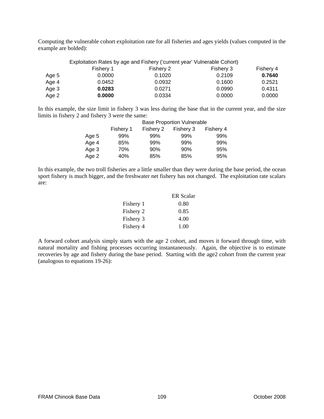Computing the vulnerable cohort exploitation rate for all fisheries and ages yields (values computed in the example are bolded):

|       | Exploitation Rates by age and Fishery ('current year' Vulnerable Cohort) |           |           |           |  |  |  |
|-------|--------------------------------------------------------------------------|-----------|-----------|-----------|--|--|--|
|       | Fishery 1                                                                | Fishery 2 | Fishery 3 | Fishery 4 |  |  |  |
| Age 5 | 0.0000                                                                   | 0.1020    | 0.2109    | 0.7640    |  |  |  |
| Age 4 | 0.0452                                                                   | 0.0932    | 0.1600    | 0.2521    |  |  |  |
| Age 3 | 0.0283                                                                   | 0.0271    | 0.0990    | 0.4311    |  |  |  |
| Age 2 | 0.0000                                                                   | 0.0334    | 0.0000    | 0.0000    |  |  |  |

In this example, the size limit in fishery 3 was less during the base that in the current year, and the size limits in fishery 2 and fishery 3 were the same:

|       | <b>Base Proportion Vulnerable</b> |           |           |           |  |  |  |  |
|-------|-----------------------------------|-----------|-----------|-----------|--|--|--|--|
|       | Fishery 1                         | Fishery 2 | Fishery 3 | Fishery 4 |  |  |  |  |
| Age 5 | 99%                               | 99%       | 99%       | 99%       |  |  |  |  |
| Age 4 | 85%                               | 99%       | 99%       | 99%       |  |  |  |  |
| Age 3 | 70%                               | 90%       | 90%       | 95%       |  |  |  |  |
| Age 2 | 40%                               | 85%       | 85%       | 95%       |  |  |  |  |

In this example, the two troll fisheries are a little smaller than they were during the base period, the ocean sport fishery is much bigger, and the freshwater net fishery has not changed. The exploitation rate scalars are:

|           | ER Scalar |
|-----------|-----------|
| Fishery 1 | 0.80      |
| Fishery 2 | 0.85      |
| Fishery 3 | 4.00      |
| Fishery 4 | 1.00      |

A forward cohort analysis simply starts with the age 2 cohort, and moves it forward through time, with natural mortality and fishing processes occurring instantaneously. Again, the objective is to estimate recoveries by age and fishery during the base period. Starting with the age2 cohort from the current year (analogous to equations 19-26):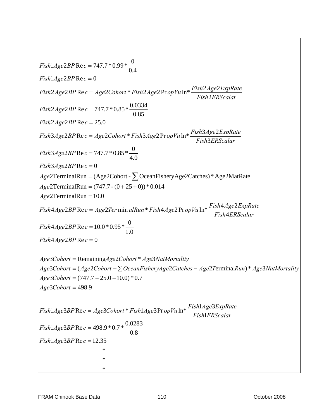$$
Fish1Age2BP \text{Rec} = 747.7 * 0.99 * \frac{0}{0.4}
$$
\n
$$
Fish1Age2BP \text{Rec} = 0
$$
\n
$$
Fish2Age2BP \text{Rec} = Age2Cohorr * Fish2Age2PropVuln* \frac{Fish2Age2ExpRate}{Fish2ERScalar}
$$
\n
$$
Fish2Age2BP \text{Rec} = 747.7 * 0.85 * \frac{0.0334}{0.85}
$$
\n
$$
Fish2Age2BP \text{Rec} = 25.0
$$
\n
$$
Fish3Age2BP \text{Rec} = 25.0
$$
\n
$$
Fish3Age2BP \text{Rec} = 25.0
$$
\n
$$
Fish3Age2BP \text{Rec} = 747.7 * 0.85 * \frac{0}{4.0}
$$
\n
$$
Fish3Age2BP \text{Rec} = 747.7 * 0.85 * \frac{0}{4.0}
$$
\n
$$
Fish3Age2BP \text{Rec} = 0
$$
\n
$$
Age2TermimalRun = (Age2Cohort - \sum OceanFisheryAge2Catches) * Age2MatRate
$$
\n
$$
Age2TermimalRun = 10.0
$$
\n
$$
Fish4Age2BP \text{Rec} = 10.0 * 0.95 * \frac{0}{1.0}
$$
\n
$$
Fish4Age2BP \text{Rec} = 10.0 * 0.95 * \frac{0}{1.0}
$$
\n
$$
Fish4Age2BP \text{Rec} = 0
$$
\n
$$
Age3Cont = (Age2Cohort - \sum OceanFisheryAge2Catches - Age2TerminalRun) * Age3NatMortality
$$
\n
$$
Age3Cohort = (Age2Cohort - \sum OceanFisheryAge2Catches - Age2TerminalRun) * Age3NatMortality
$$
\n
$$
Age3Cohort = (747.7 - 25.0 - 10.0) * 0.7
$$
\n
$$
Age3Cohort = 498.9
$$
\n
$$
Fish1Age3BP \text{Rec} = 4ge3Cohort * Fish1Age3PropVu \ln* \frac{Fish1Age3ExpRate}{Fish1ERScalar}
$$
\n
$$
Fish1Age3BP \text{Rec} =
$$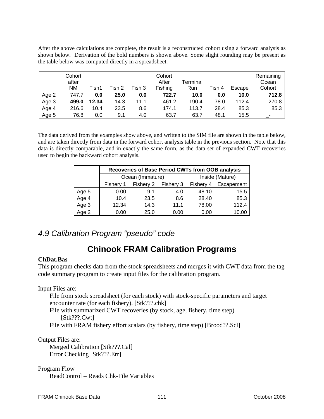After the above calculations are complete, the result is a reconstructed cohort using a forward analysis as shown below. Derivation of the bold numbers is shown above. Some slight rounding may be present as the table below was computed directly in a spreadsheet.

|       | Cohort<br>after<br>NM | Fish1 | Fish 2 | Fish 3 | Cohort<br>After<br>Fishing | Terminal<br>Run | Fish 4 | Escape | Remaining<br>Ocean<br>Cohort |
|-------|-----------------------|-------|--------|--------|----------------------------|-----------------|--------|--------|------------------------------|
| Age 2 | 747.7                 | 0.0   | 25.0   | 0.0    | 722.7                      | 10.0            | 0.0    | 10.0   | 712.8                        |
| Age 3 | 499.0                 | 12.34 | 14.3   | 11.1   | 461.2                      | 190.4           | 78.0   | 112.4  | 270.8                        |
| Age 4 | 216.6                 | 10.4  | 23.5   | 8.6    | 174.1                      | 113.7           | 28.4   | 85.3   | 85.3                         |
| Age 5 | 76.8                  | 0.0   | 9.1    | 4.0    | 63.7                       | 63.7            | 48.1   | 15.5   |                              |

The data derived from the examples show above, and written to the SIM file are shown in the table below, and are taken directly from data in the forward cohort analysis table in the previous section. Note that this data is directly comparable, and in exactly the same form, as the data set of expanded CWT recoveries used to begin the backward cohort analysis.

|       |           | Recoveries of Base Period CWTs from OOB analysis |      |                 |            |  |  |  |  |  |
|-------|-----------|--------------------------------------------------|------|-----------------|------------|--|--|--|--|--|
|       |           | Ocean (Immature)                                 |      | Inside (Mature) |            |  |  |  |  |  |
|       | Fishery 1 | Fishery 2<br>Fishery 3<br>Fishery 4              |      |                 | Escapement |  |  |  |  |  |
| Age 5 | 0.00      | 9.1                                              | 4.0  | 48.10           | 15.5       |  |  |  |  |  |
| Age 4 | 10.4      | 23.5                                             | 8.6  | 28.40           | 85.3       |  |  |  |  |  |
| Age 3 | 12.34     | 14.3                                             | 11.1 | 78.00           | 112.4      |  |  |  |  |  |
| Age 2 | 0.00      | 25.0                                             | 0.00 | 0.00            | 10.00      |  |  |  |  |  |

# *4.9 Calibration Program "pseudo" code*

# **Chinook FRAM Calibration Programs**

# **ChDat.Bas**

This program checks data from the stock spreadsheets and merges it with CWT data from the tag code summary program to create input files for the calibration program.

Input Files are:

File from stock spreadsheet (for each stock) with stock-specific parameters and target encounter rate (for each fishery). [Stk???.chk] File with summarized CWT recoveries (by stock, age, fishery, time step)

[Stk???.Cwt]

File with FRAM fishery effort scalars (by fishery, time step) [Brood??.Scl]

Output Files are:

Merged Calibration [Stk???.Cal] Error Checking [Stk???.Err]

Program Flow ReadControl – Reads Chk-File Variables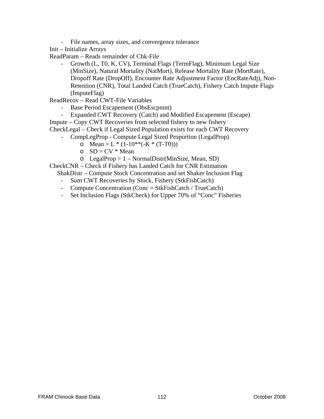- File names, array sizes, and convergence tolerance
- Init Initialize Arrays
- ReadParam Reads remainder of Chk-File
	- Growth (L, T0, K, CV), Terminal Flags (TermFlag), Minimum Legal Size (MinSize), Natural Mortality (NatMort), Release Mortality Rate (MortRate), Dropoff Rate (DropOff), Encounter Rate Adjustment Factor (EncRateAdj), Non-Retention (CNR), Total Landed Catch (TrueCatch), Fishery Catch Impute Flags (ImputeFlag)
- ReadRecov Read CWT-File Variables
	- Base Period Escapement (ObsEscpmnt)
- Expanded CWT Recovery (Catch) and Modified Escapement (Escape) Impute – Copy CWT Recoveries from selected fishery to new fishery
- CheckLegal Check if Legal Sized Population exists for each CWT Recovery
	- CompLegProp Compute Legal Sized Proportion (LegalProp)
		- o Mean =  $L * (1-10**(-K * (T-T0)))$
		- $O$  SD = CV  $*$  Mean
		- $o$  LegalProp = 1 NormalDistr(MinSize, Mean, SD)

CheckCNR – Check if Fishery has Landed Catch for CNR Estimation

- ShakDistr Compute Stock Concentration and set Shaker Inclusion Flag
- Sum CWT Recoveries by Stock, Fishery (StkFishCatch)
- Compute Concentration (Conc = StkFishCatch / TrueCatch)
- Set Inclusion Flags (StkCheck) for Upper 70% of "Conc" Fisheries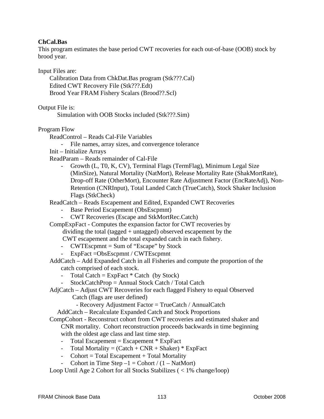## **ChCal.Bas**

This program estimates the base period CWT recoveries for each out-of-base (OOB) stock by brood year.

Input Files are:

Calibration Data from ChkDat.Bas program (Stk???.Cal) Edited CWT Recovery File (Stk???.Edt) Brood Year FRAM Fishery Scalars (Brood??.Scl)

Output File is:

Simulation with OOB Stocks included (Stk???.Sim)

Program Flow

ReadControl – Reads Cal-File Variables

- File names, array sizes, and convergence tolerance

Init – Initialize Arrays

ReadParam – Reads remainder of Cal-File

- Growth (L, T0, K, CV), Terminal Flags (TermFlag), Minimum Legal Size (MinSize), Natural Mortality (NatMort), Release Mortality Rate (ShakMortRate), Drop-off Rate (OtherMort), Encounter Rate Adjustment Factor (EncRateAdj), Non-Retention (CNRInput), Total Landed Catch (TrueCatch), Stock Shaker Inclusion Flags (StkCheck)

ReadCatch – Reads Escapement and Edited, Expanded CWT Recoveries

- Base Period Escapement (ObsEscpmnt)
- CWT Recoveries (Escape and StkMortRec.Catch)

CompExpFact - Computes the expansion factor for CWT recoveries by dividing the total (tagged + untagged) observed escapement by the

CWT escapement and the total expanded catch in each fishery.

- CWTEscpmnt = Sum of "Escape" by Stock
- ExpFact = ObsEscpmnt / CWTEscpmnt
- AddCatch Add Expanded Catch in all Fisheries and compute the proportion of the catch comprised of each stock.
	- Total Catch =  $ExpFact * Catch$  (by Stock)
	- StockCatchProp = Annual Stock Catch / Total Catch
- AdjCatch Adjust CWT Recoveries for each flagged Fishery to equal Observed
	- Catch (flags are user defined)

- Recovery Adjustment Factor = TrueCatch / AnnualCatch

AddCatch – Recalculate Expanded Catch and Stock Proportions

CompCohort - Reconstruct cohort from CWT recoveries and estimated shaker and CNR mortality. Cohort reconstruction proceeds backwards in time beginning with the oldest age class and last time step.

- Total Escapement = Escapement \* ExpFact
- Total Mortality =  $(Catch + CNR + Shaker) * ExpFact$
- $\text{-} \quad \text{Cohort} = \text{Total Escapement} + \text{Total Mortality}$
- Cohort in Time Step  $-1 =$  Cohort /  $(1 \text{NatMort})$

Loop Until Age 2 Cohort for all Stocks Stabilizes ( < 1% change/loop)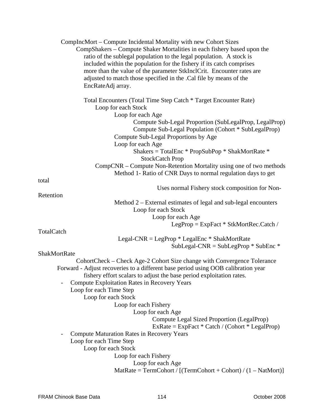| CompIncMort – Compute Incidental Mortality with new Cohort Sizes                                |  |  |  |  |
|-------------------------------------------------------------------------------------------------|--|--|--|--|
| CompShakers – Compute Shaker Mortalities in each fishery based upon the                         |  |  |  |  |
| ratio of the sublegal population to the legal population. A stock is                            |  |  |  |  |
| included within the population for the fishery if its catch comprises                           |  |  |  |  |
| more than the value of the parameter StkInclCrit. Encounter rates are                           |  |  |  |  |
| adjusted to match those specified in the .Cal file by means of the                              |  |  |  |  |
| EncRateAdj array.                                                                               |  |  |  |  |
| Total Encounters (Total Time Step Catch * Target Encounter Rate)<br>Loop for each Stock         |  |  |  |  |
| Loop for each Age                                                                               |  |  |  |  |
| Compute Sub-Legal Proportion (SubLegalProp, LegalProp)                                          |  |  |  |  |
| Compute Sub-Legal Population (Cohort * SubLegalProp)                                            |  |  |  |  |
| Compute Sub-Legal Proportions by Age                                                            |  |  |  |  |
| Loop for each Age                                                                               |  |  |  |  |
| Shakers = TotalEnc $*$ PropSubPop $*$ ShakMortRate $*$<br><b>StockCatch Prop</b>                |  |  |  |  |
| CompCNR - Compute Non-Retention Mortality using one of two methods                              |  |  |  |  |
| Method 1- Ratio of CNR Days to normal regulation days to get                                    |  |  |  |  |
| total                                                                                           |  |  |  |  |
| Uses normal Fishery stock composition for Non-                                                  |  |  |  |  |
| Retention                                                                                       |  |  |  |  |
| Method $2$ – External estimates of legal and sub-legal encounters                               |  |  |  |  |
| Loop for each Stock                                                                             |  |  |  |  |
| Loop for each Age                                                                               |  |  |  |  |
| LegProp = $ExpFact * StkMortRec.Catch /$                                                        |  |  |  |  |
| TotalCatch                                                                                      |  |  |  |  |
| Legal-CNR = LegProp $*$ LegalEnc $*$ ShakMortRate                                               |  |  |  |  |
| SubLegal-CNR = SubLegProp $*$ SubEnc $*$                                                        |  |  |  |  |
| ShakMortRate                                                                                    |  |  |  |  |
| CohortCheck – Check Age-2 Cohort Size change with Convergence Tolerance                         |  |  |  |  |
| Forward - Adjust recoveries to a different base period using OOB calibration year               |  |  |  |  |
| fishery effort scalars to adjust the base period exploitation rates.                            |  |  |  |  |
| <b>Compute Exploitation Rates in Recovery Years</b>                                             |  |  |  |  |
| Loop for each Time Step                                                                         |  |  |  |  |
| Loop for each Stock                                                                             |  |  |  |  |
| Loop for each Fishery                                                                           |  |  |  |  |
| Loop for each Age                                                                               |  |  |  |  |
| Compute Legal Sized Proportion (LegalProp)<br>$ExRate = ExpFact * Catch / (Cohort * LegalProp)$ |  |  |  |  |
| <b>Compute Maturation Rates in Recovery Years</b>                                               |  |  |  |  |
| Loop for each Time Step                                                                         |  |  |  |  |
| Loop for each Stock                                                                             |  |  |  |  |
| Loop for each Fishery                                                                           |  |  |  |  |
| Loop for each Age                                                                               |  |  |  |  |
| MatRate = $TermCohort / [(TermCohort + Cohort) / (1 - NatMort)]$                                |  |  |  |  |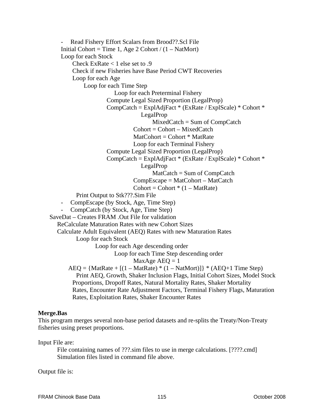Read Fishery Effort Scalars from Brood??.Scl File Initial Cohort = Time 1, Age 2 Cohort /  $(1 - \text{NatMort})$ Loop for each Stock Check ExRate < 1 else set to .9 Check if new Fisheries have Base Period CWT Recoveries Loop for each Age Loop for each Time Step Loop for each Preterminal Fishery Compute Legal Sized Proportion (LegalProp) CompCatch = ExplAdjFact \* (ExRate / ExplScale) \* Cohort \* LegalProp MixedCatch = Sum of CompCatch  $Cohort = Cohort - MixedCatch$  $MatColor = Cohort * MatRate$  Loop for each Terminal Fishery Compute Legal Sized Proportion (LegalProp) CompCatch = ExplAdjFact \* (ExRate / ExplScale) \* Cohort \* LegalProp MatCatch = Sum of CompCatch CompEscape = MatCohort – MatCatch  $\text{Cohort} = \text{Cohort} * (1 - \text{MatRate})$  Print Output to Stk???.Sim File - CompEscape (by Stock, Age, Time Step) - CompCatch (by Stock, Age, Time Step) SaveDat – Creates FRAM .Out File for validation ReCalculate Maturation Rates with new Cohort Sizes Calculate Adult Equivalent (AEQ) Rates with new Maturation Rates Loop for each Stock Loop for each Age descending order Loop for each Time Step descending order MaxAge  $AEQ = 1$  $AEQ = {MatRate + [(1 - MatRate) * (1 - NatMort)]} * (AEQ + 1 Time Step)$  Print AEQ, Growth, Shaker Inclusion Flags, Initial Cohort Sizes, Model Stock Proportions, Dropoff Rates, Natural Mortality Rates, Shaker Mortality Rates, Encounter Rate Adjustment Factors, Terminal Fishery Flags, Maturation Rates, Exploitation Rates, Shaker Encounter Rates

#### **Merge.Bas**

This program merges several non-base period datasets and re-splits the Treaty/Non-Treaty fisheries using preset proportions.

Input File are:

File containing names of ???.sim files to use in merge calculations. [????.cmd] Simulation files listed in command file above.

Output file is: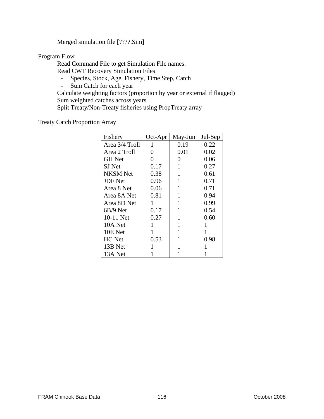Merged simulation file [????.Sim]

Program Flow

 Read Command File to get Simulation File names. Read CWT Recovery Simulation Files

- Species, Stock, Age, Fishery, Time Step, Catch<br>- Sum Catch for each vear
- Sum Catch for each year

 Calculate weighting factors (proportion by year or external if flagged) Sum weighted catches across years Split Treaty/Non-Treaty fisheries using PropTreaty array

Treaty Catch Proportion Array

| Fishery         | Oct-Apr      | May-Jun | Jul-Sep |
|-----------------|--------------|---------|---------|
| Area 3/4 Troll  | 1            | 0.19    | 0.22    |
| Area 2 Troll    | 0            | 0.01    | 0.02    |
| <b>GH</b> Net   | 0            | 0       | 0.06    |
| SJ Net          | 0.17         | 1       | 0.27    |
| <b>NKSM</b> Net | 0.38         | 1       | 0.61    |
| <b>JDF</b> Net  | 0.96         | 1       | 0.71    |
| Area 8 Net      | 0.06         | 1       | 0.71    |
| Area 8A Net     | 0.81         | 1       | 0.94    |
| Area 8D Net     | 1            | 1       | 0.99    |
| $6B/9$ Net      | 0.17         | 1       | 0.54    |
| 10-11 Net       | 0.27         | 1       | 0.60    |
| 10A Net         |              | 1       |         |
| 10E Net         | $\mathbf{1}$ | 1       | 1       |
| HC Net          | 0.53         | 1       | 0.98    |
| 13B Net         |              | 1       |         |
| 13A Net         |              |         |         |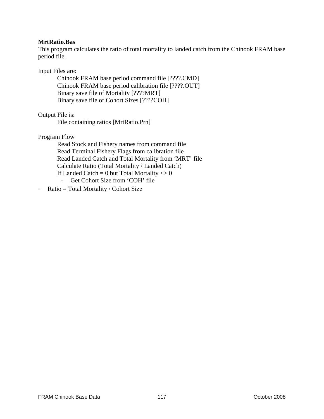#### **MrtRatio.Bas**

This program calculates the ratio of total mortality to landed catch from the Chinook FRAM base period file.

#### Input Files are:

 Chinook FRAM base period command file [????.CMD] Chinook FRAM base period calibration file [????.OUT] Binary save file of Mortality [????MRT] Binary save file of Cohort Sizes [????COH]

Output File is:

File containing ratios [MrtRatio.Prn]

Program Flow

 Read Stock and Fishery names from command file Read Terminal Fishery Flags from calibration file Read Landed Catch and Total Mortality from 'MRT' file Calculate Ratio (Total Mortality / Landed Catch) If Landed Catch = 0 but Total Mortality  $\langle 0 \rangle$ - Get Cohort Size from 'COH' file

- Ratio = Total Mortality / Cohort Size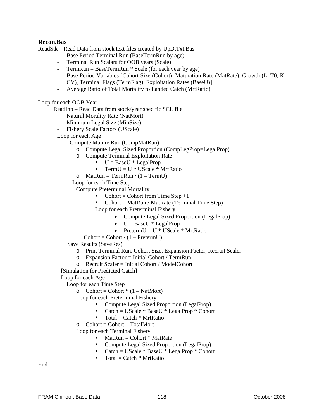#### **Recon.Bas**

ReadStk – Read Data from stock text files created by UpDtTxt.Bas

- Base Period Terminal Run (BaseTermRun by age)
- Terminal Run Scalars for OOB years (Scale)
- TermRun = BaseTermRun \* Scale (for each year by age)
- Base Period Variables [Cohort Size (Cohort), Maturation Rate (MatRate), Growth (L, T0, K, CV), Terminal Flags (TermFlag), Exploitation Rates (BaseU)]
- Average Ratio of Total Mortality to Landed Catch (MrtRatio)

Loop for each OOB Year

ReadInp – Read Data from stock/year specific SCL file

- Natural Morality Rate (NatMort)
- Minimum Legal Size (MinSize)
- Fishery Scale Factors (UScale)

Loop for each Age

Compute Mature Run (CompMatRun)

- o Compute Legal Sized Proportion (CompLegProp=LegalProp)
- o Compute Terminal Exploitation Rate
	- $\blacksquare$  U = BaseU \* LegalProp
	- TermU =  $U * U$ Scale \* MrtRatio
- o MatRun = TermRun /  $(1 TermU)$

Loop for each Time Step

Compute Preterminal Mortality

- Cohort = Cohort from Time Step  $+1$
- Cohort = MatRun / MatRate (Terminal Time Step)

Loop for each Preterminal Fishery

- Compute Legal Sized Proportion (LegalProp)
- $\bullet$  U = BaseU \* LegalProp
- Preterm $U = U * U Scale * MrtRatio$
- $Cohort = Cohort / (1 Preterm U)$

Save Results (SaveRes)

- o Print Terminal Run, Cohort Size, Expansion Factor, Recruit Scaler
- $\circ$  Expansion Factor = Initial Cohort / TermRun
- $\circ$  Recruit Scaler = Initial Cohort / ModelCohort
- [Simulation for Predicted Catch]
- Loop for each Age

Loop for each Time Step

 $\circ$  Cohort = Cohort \* (1 – NatMort)

Loop for each Preterminal Fishery

- Compute Legal Sized Proportion (LegalProp)
- Catch =  $UScale * BaseU * LegalProp * Cohort$
- $\blacksquare$  Total = Catch \* MrtRatio

 $\circ$  Cohort = Cohort – TotalMort

Loop for each Terminal Fishery

- $$
- Compute Legal Sized Proportion (LegalProp)
- Catch =  $UScale * BaseU * LegalProp * Cohort$
- $\blacksquare$  Total = Catch \* MrtRatio

End